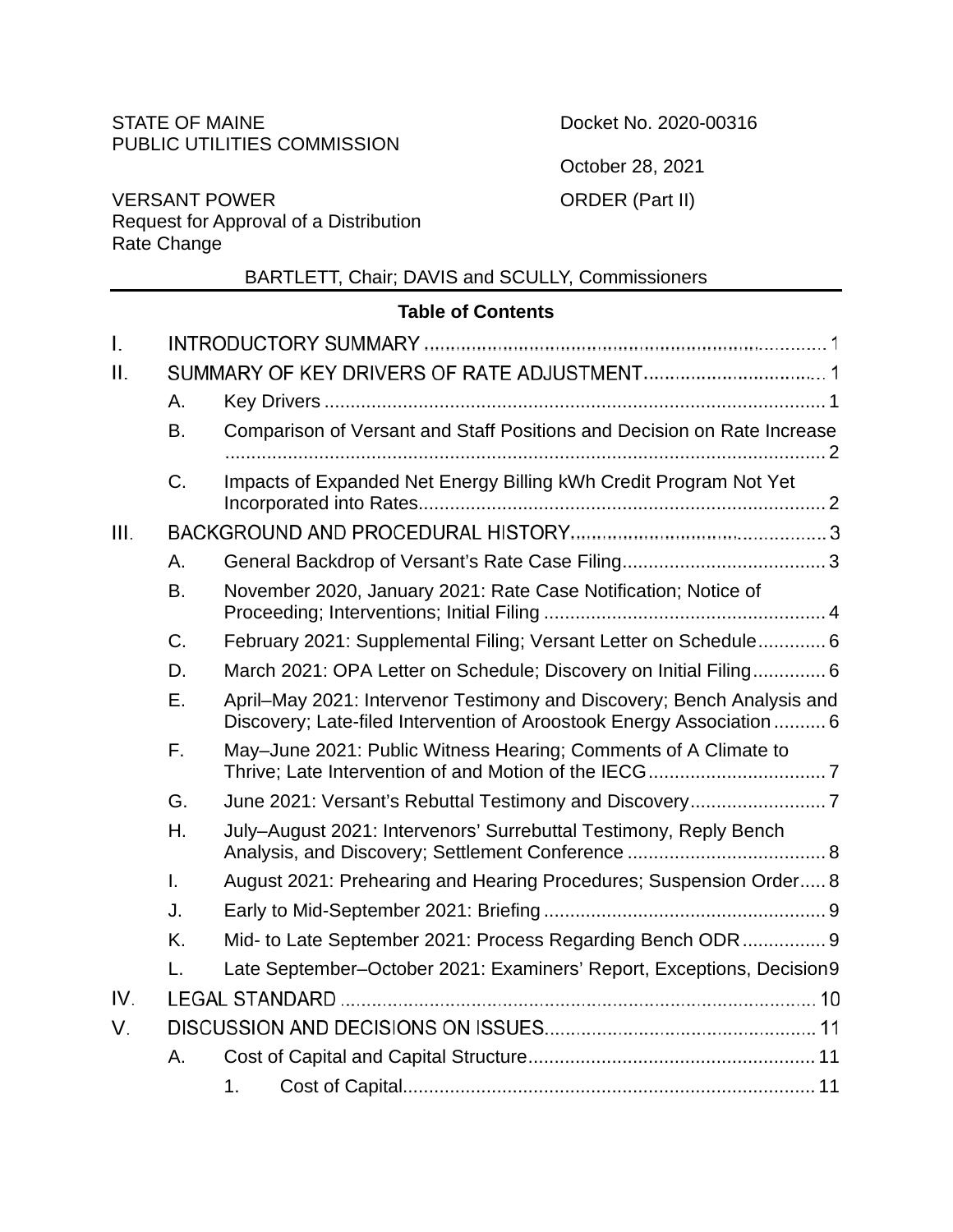# STATE OF MAINE PUBLIC UTILITIES COMMISSION

Docket No. 2020-00316

October 28, 2021

ORDER (Part II)

VERSANT POWER Request for Approval of a Distribution Rate Change

# BARTLETT, Chair; DAVIS and SCULLY, Commissioners

# **Table of Contents**

| I.   |                |                                                                                                                                                 |
|------|----------------|-------------------------------------------------------------------------------------------------------------------------------------------------|
| ΙΙ.  |                |                                                                                                                                                 |
|      | Α.             |                                                                                                                                                 |
|      | <b>B.</b>      | Comparison of Versant and Staff Positions and Decision on Rate Increase                                                                         |
|      | C.             | Impacts of Expanded Net Energy Billing kWh Credit Program Not Yet                                                                               |
| III. |                |                                                                                                                                                 |
|      | Α.             |                                                                                                                                                 |
|      | B.             | November 2020, January 2021: Rate Case Notification; Notice of                                                                                  |
|      | C.             | February 2021: Supplemental Filing; Versant Letter on Schedule 6                                                                                |
|      | D.             | March 2021: OPA Letter on Schedule; Discovery on Initial Filing 6                                                                               |
|      | Ε.             | April–May 2021: Intervenor Testimony and Discovery; Bench Analysis and<br>Discovery; Late-filed Intervention of Aroostook Energy Association  6 |
|      | F.             | May-June 2021: Public Witness Hearing; Comments of A Climate to                                                                                 |
|      | G.             | June 2021: Versant's Rebuttal Testimony and Discovery7                                                                                          |
|      | Η.             | July-August 2021: Intervenors' Surrebuttal Testimony, Reply Bench                                                                               |
|      | $\mathbf{I}$ . | August 2021: Prehearing and Hearing Procedures; Suspension Order 8                                                                              |
|      | J.             |                                                                                                                                                 |
|      | K.             | Mid- to Late September 2021: Process Regarding Bench ODR 9                                                                                      |
|      | L.             | Late September-October 2021: Examiners' Report, Exceptions, Decision9                                                                           |
| IV.  |                |                                                                                                                                                 |
| V.   |                |                                                                                                                                                 |
|      | A.             |                                                                                                                                                 |
|      |                | 1 <sub>1</sub>                                                                                                                                  |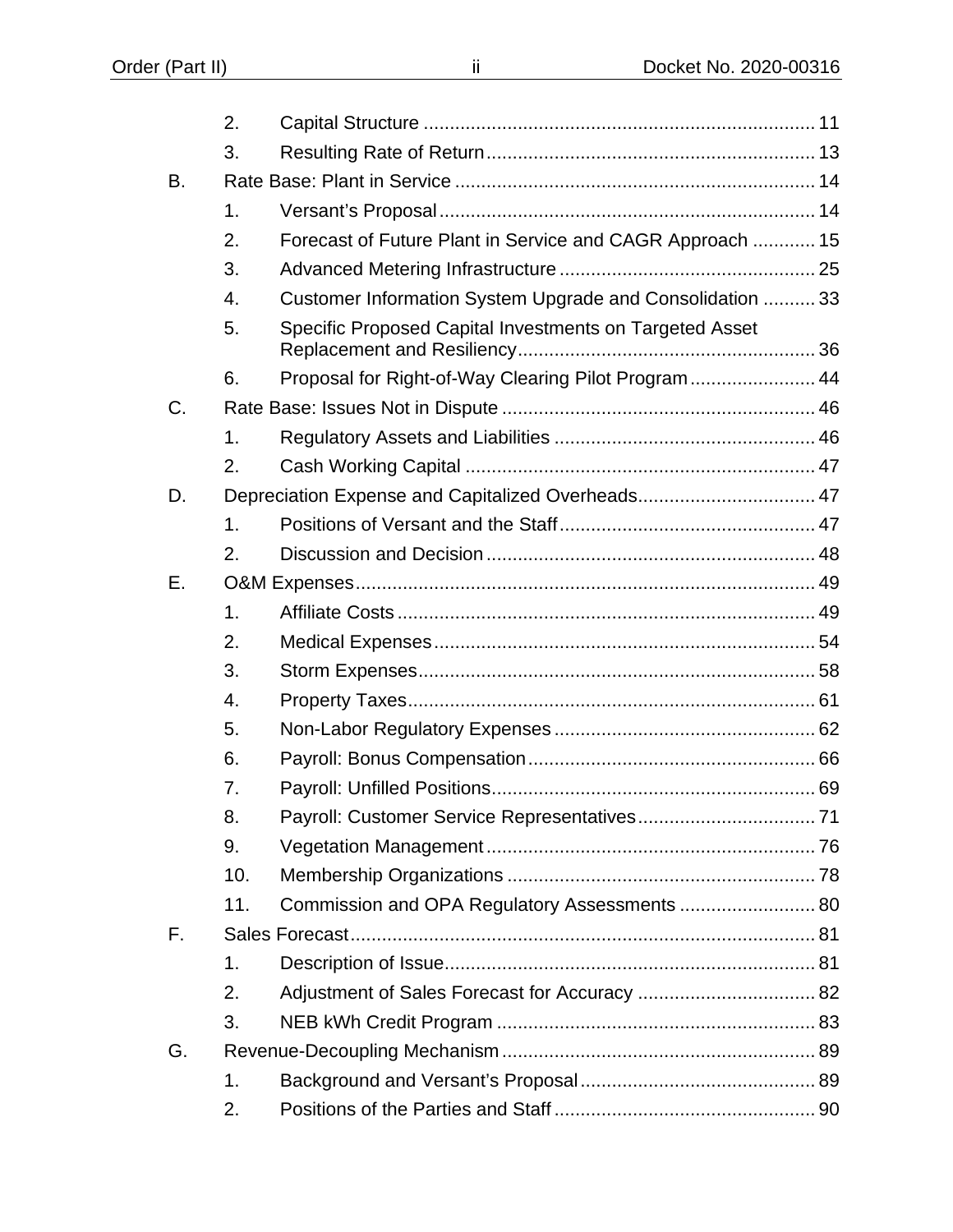|           | 2.             |                                                           |
|-----------|----------------|-----------------------------------------------------------|
|           | 3.             |                                                           |
| <b>B.</b> |                |                                                           |
|           | 1.             |                                                           |
|           | 2.             | Forecast of Future Plant in Service and CAGR Approach  15 |
|           | 3.             |                                                           |
|           | 4.             | Customer Information System Upgrade and Consolidation  33 |
|           | 5.             | Specific Proposed Capital Investments on Targeted Asset   |
|           | 6.             | Proposal for Right-of-Way Clearing Pilot Program 44       |
| C.        |                |                                                           |
|           | $\mathbf 1$ .  |                                                           |
|           | 2.             |                                                           |
| D.        |                | Depreciation Expense and Capitalized Overheads 47         |
|           | 1.             |                                                           |
|           | 2.             |                                                           |
| Ε.        |                |                                                           |
|           | $\mathbf{1}$ . |                                                           |
|           | 2.             |                                                           |
|           | 3.             |                                                           |
|           | 4.             |                                                           |
|           | 5.             |                                                           |
|           | 6.             |                                                           |
|           | 7.             |                                                           |
|           | 8.             |                                                           |
|           | 9.             |                                                           |
|           | 10.            |                                                           |
|           | 11.            | Commission and OPA Regulatory Assessments  80             |
| F.        |                |                                                           |
|           | $\mathbf{1}$ . |                                                           |
|           | 2.             |                                                           |
|           | 3.             |                                                           |
| G.        |                |                                                           |
|           | 1.             |                                                           |
|           | 2.             |                                                           |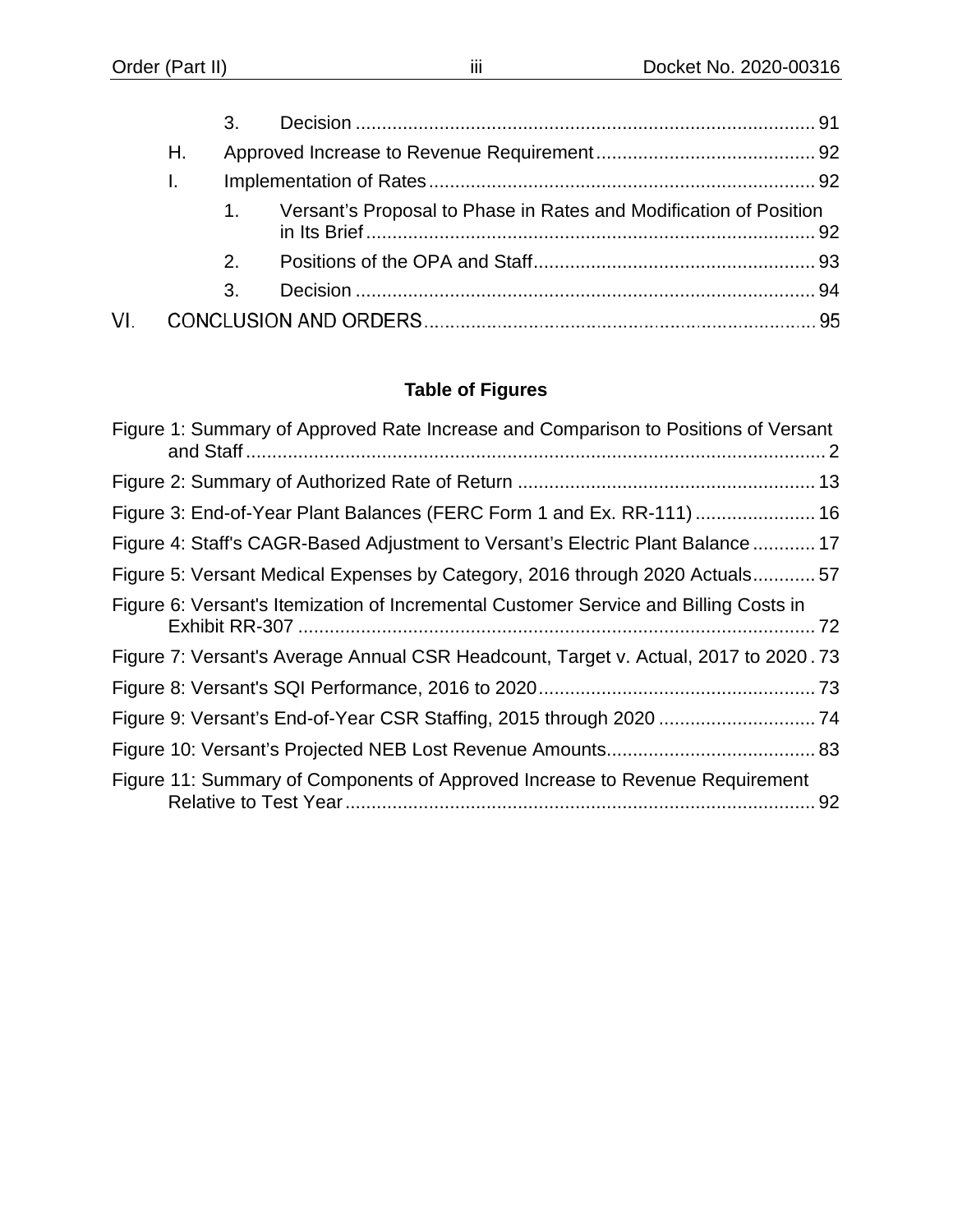|     |    | 3. |                                                                   |  |
|-----|----|----|-------------------------------------------------------------------|--|
|     | Н. |    |                                                                   |  |
|     |    |    |                                                                   |  |
|     |    |    | Versant's Proposal to Phase in Rates and Modification of Position |  |
|     |    | 2. |                                                                   |  |
|     |    | 3. |                                                                   |  |
| VI. |    |    |                                                                   |  |

# **Table of Figures**

| Figure 1: Summary of Approved Rate Increase and Comparison to Positions of Versant   |  |
|--------------------------------------------------------------------------------------|--|
|                                                                                      |  |
| Figure 3: End-of-Year Plant Balances (FERC Form 1 and Ex. RR-111)  16                |  |
| Figure 4: Staff's CAGR-Based Adjustment to Versant's Electric Plant Balance  17      |  |
| Figure 5: Versant Medical Expenses by Category, 2016 through 2020 Actuals57          |  |
| Figure 6: Versant's Itemization of Incremental Customer Service and Billing Costs in |  |
| Figure 7: Versant's Average Annual CSR Headcount, Target v. Actual, 2017 to 2020.73  |  |
|                                                                                      |  |
|                                                                                      |  |
|                                                                                      |  |
| Figure 11: Summary of Components of Approved Increase to Revenue Requirement         |  |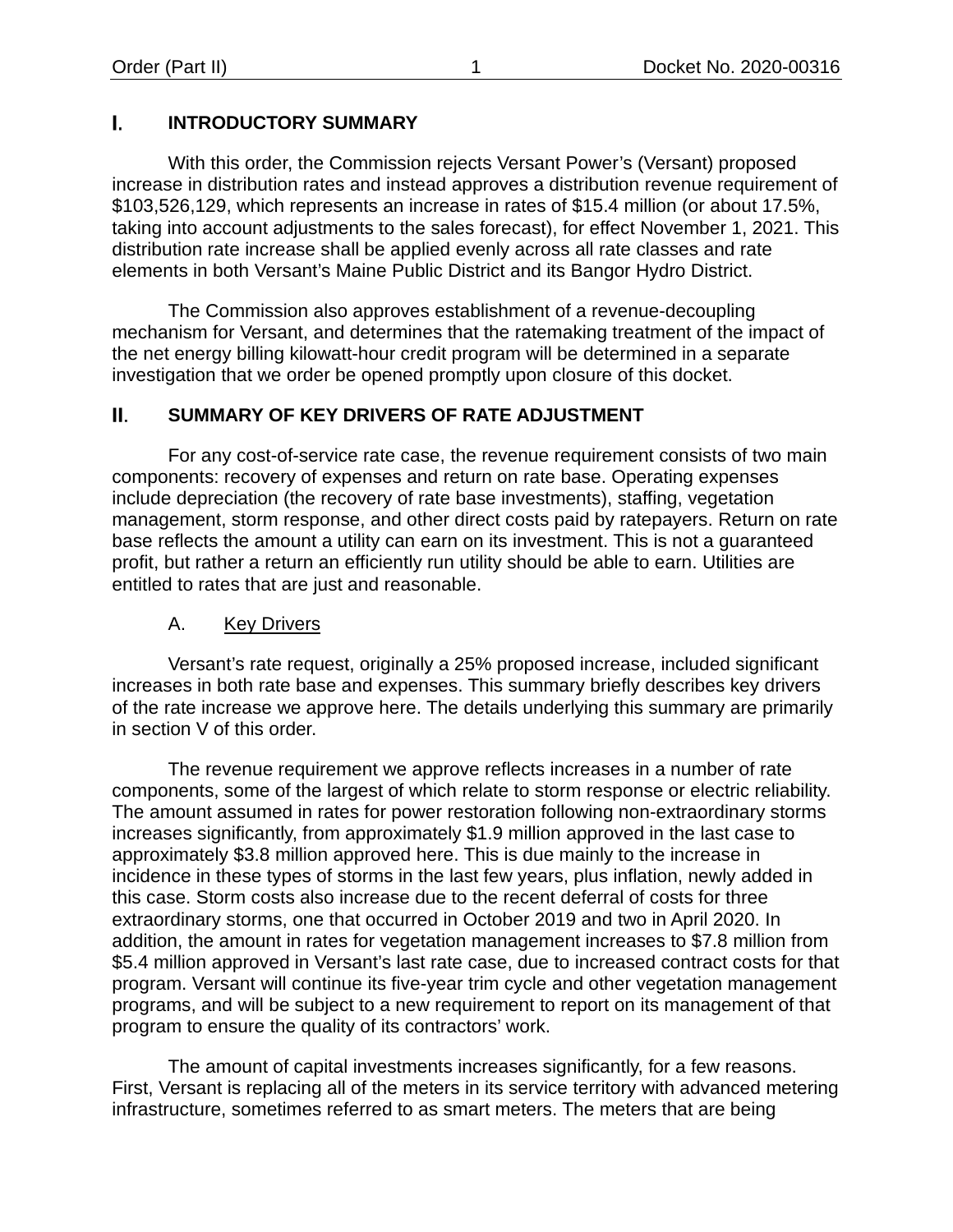#### L. **INTRODUCTORY SUMMARY**

With this order, the Commission rejects Versant Power's (Versant) proposed increase in distribution rates and instead approves a distribution revenue requirement of \$103,526,129, which represents an increase in rates of \$15.4 million (or about 17.5%, taking into account adjustments to the sales forecast), for effect November 1, 2021. This distribution rate increase shall be applied evenly across all rate classes and rate elements in both Versant's Maine Public District and its Bangor Hydro District.

The Commission also approves establishment of a revenue-decoupling mechanism for Versant, and determines that the ratemaking treatment of the impact of the net energy billing kilowatt-hour credit program will be determined in a separate investigation that we order be opened promptly upon closure of this docket.

#### II. **SUMMARY OF KEY DRIVERS OF RATE ADJUSTMENT**

For any cost-of-service rate case, the revenue requirement consists of two main components: recovery of expenses and return on rate base. Operating expenses include depreciation (the recovery of rate base investments), staffing, vegetation management, storm response, and other direct costs paid by ratepayers. Return on rate base reflects the amount a utility can earn on its investment. This is not a guaranteed profit, but rather a return an efficiently run utility should be able to earn. Utilities are entitled to rates that are just and reasonable.

### A. Key Drivers

<span id="page-3-0"></span>Versant's rate request, originally a 25% proposed increase, included significant increases in both rate base and expenses. This summary briefly describes key drivers of the rate increase we approve here. The details underlying this summary are primarily in section V of this order.

The revenue requirement we approve reflects increases in a number of rate components, some of the largest of which relate to storm response or electric reliability. The amount assumed in rates for power restoration following non-extraordinary storms increases significantly, from approximately \$1.9 million approved in the last case to approximately \$3.8 million approved here. This is due mainly to the increase in incidence in these types of storms in the last few years, plus inflation, newly added in this case. Storm costs also increase due to the recent deferral of costs for three extraordinary storms, one that occurred in October 2019 and two in April 2020. In addition, the amount in rates for vegetation management increases to \$7.8 million from \$5.4 million approved in Versant's last rate case, due to increased contract costs for that program. Versant will continue its five-year trim cycle and other vegetation management programs, and will be subject to a new requirement to report on its management of that program to ensure the quality of its contractors' work.

The amount of capital investments increases significantly, for a few reasons. First, Versant is replacing all of the meters in its service territory with advanced metering infrastructure, sometimes referred to as smart meters. The meters that are being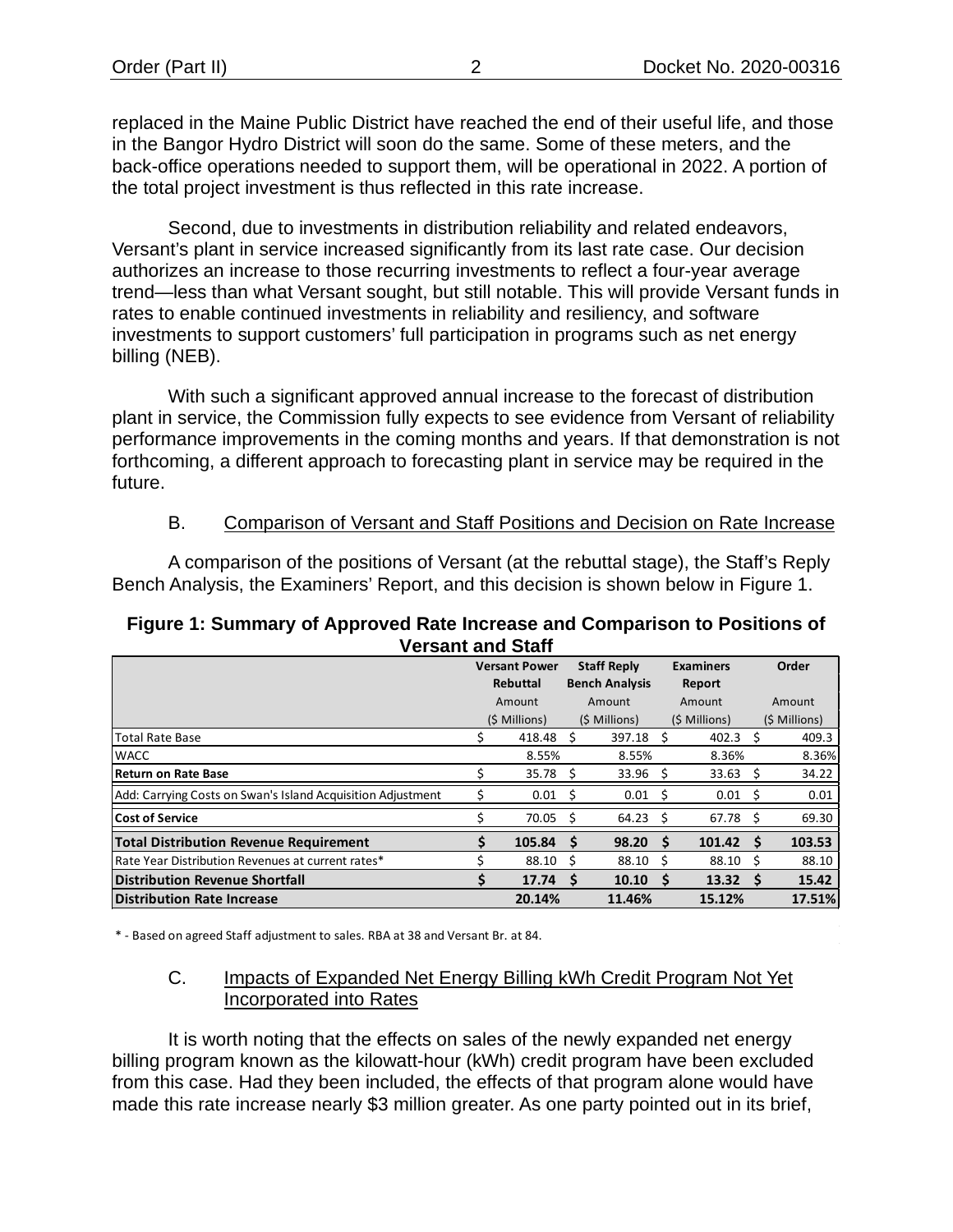replaced in the Maine Public District have reached the end of their useful life, and those in the Bangor Hydro District will soon do the same. Some of these meters, and the back-office operations needed to support them, will be operational in 2022. A portion of the total project investment is thus reflected in this rate increase.

Second, due to investments in distribution reliability and related endeavors, Versant's plant in service increased significantly from its last rate case. Our decision authorizes an increase to those recurring investments to reflect a four-year average trend—less than what Versant sought, but still notable. This will provide Versant funds in rates to enable continued investments in reliability and resiliency, and software investments to support customers' full participation in programs such as net energy billing (NEB).

With such a significant approved annual increase to the forecast of distribution plant in service, the Commission fully expects to see evidence from Versant of reliability performance improvements in the coming months and years. If that demonstration is not forthcoming, a different approach to forecasting plant in service may be required in the future.

#### B. Comparison of Versant and Staff Positions and Decision on Rate Increase

<span id="page-4-0"></span>A comparison of the positions of Versant (at the rebuttal stage), the Staff's Reply Bench Analysis, the Examiners' Report, and this decision is shown below in [Figure 1.](#page-4-2)

#### <span id="page-4-2"></span>**Figure 1: Summary of Approved Rate Increase and Comparison to Positions of Versant and Staff**

|                                                             |          | <b>Versant Power</b> |                       | <b>Staff Reply</b> |        | <b>Examiners</b>   |        | Order         |
|-------------------------------------------------------------|----------|----------------------|-----------------------|--------------------|--------|--------------------|--------|---------------|
|                                                             | Rebuttal |                      | <b>Bench Analysis</b> |                    | Report |                    |        |               |
|                                                             | Amount   |                      | Amount                |                    | Amount |                    | Amount |               |
|                                                             |          | (\$ Millions)        |                       | (\$ Millions)      |        | (\$ Millions)      |        | (\$ Millions) |
| <b>Total Rate Base</b>                                      |          | 418.48               | S                     | 397.18             | - S    | 402.3              | S      | 409.3         |
| <b>WACC</b>                                                 |          | 8.55%                |                       | 8.55%              |        | 8.36%              |        | 8.36%         |
| Return on Rate Base                                         |          | 35.78                |                       | $33.96$ \$         |        | 33.63              |        | 34.22         |
| Add: Carrying Costs on Swan's Island Acquisition Adjustment |          | 0.01                 | S                     | $0.01 \quad$ \$    |        | $0.01 \quad$ \$    |        | 0.01          |
| <b>Cost of Service</b>                                      |          | 70.05                |                       | 64.23              | -S     | 67.78              |        | 69.30         |
| <b>Total Distribution Revenue Requirement</b>               | S        | 105.84               | S                     | 98.20 <sub>5</sub> |        | 101.42             | S      | 103.53        |
| Rate Year Distribution Revenues at current rates*           |          | 88.10                | s                     | 88.10              | - S    | $88.10\quad$       |        | 88.10         |
| <b>Distribution Revenue Shortfall</b>                       |          | 17.74                |                       | 10.10 <sub>5</sub> |        | 13.32 <sub>5</sub> |        | 15.42         |
| <b>Distribution Rate Increase</b>                           |          | 20.14%               |                       | 11.46%             |        | 15.12%             |        | 17.51%        |

<span id="page-4-1"></span>\* - Based on agreed Staff adjustment to sales. RBA at 38 and Versant Br. at 84.

#### C. Impacts of Expanded Net Energy Billing kWh Credit Program Not Yet Incorporated into Rates

It is worth noting that the effects on sales of the newly expanded net energy billing program known as the kilowatt-hour (kWh) credit program have been excluded from this case. Had they been included, the effects of that program alone would have made this rate increase nearly \$3 million greater. As one party pointed out in its brief,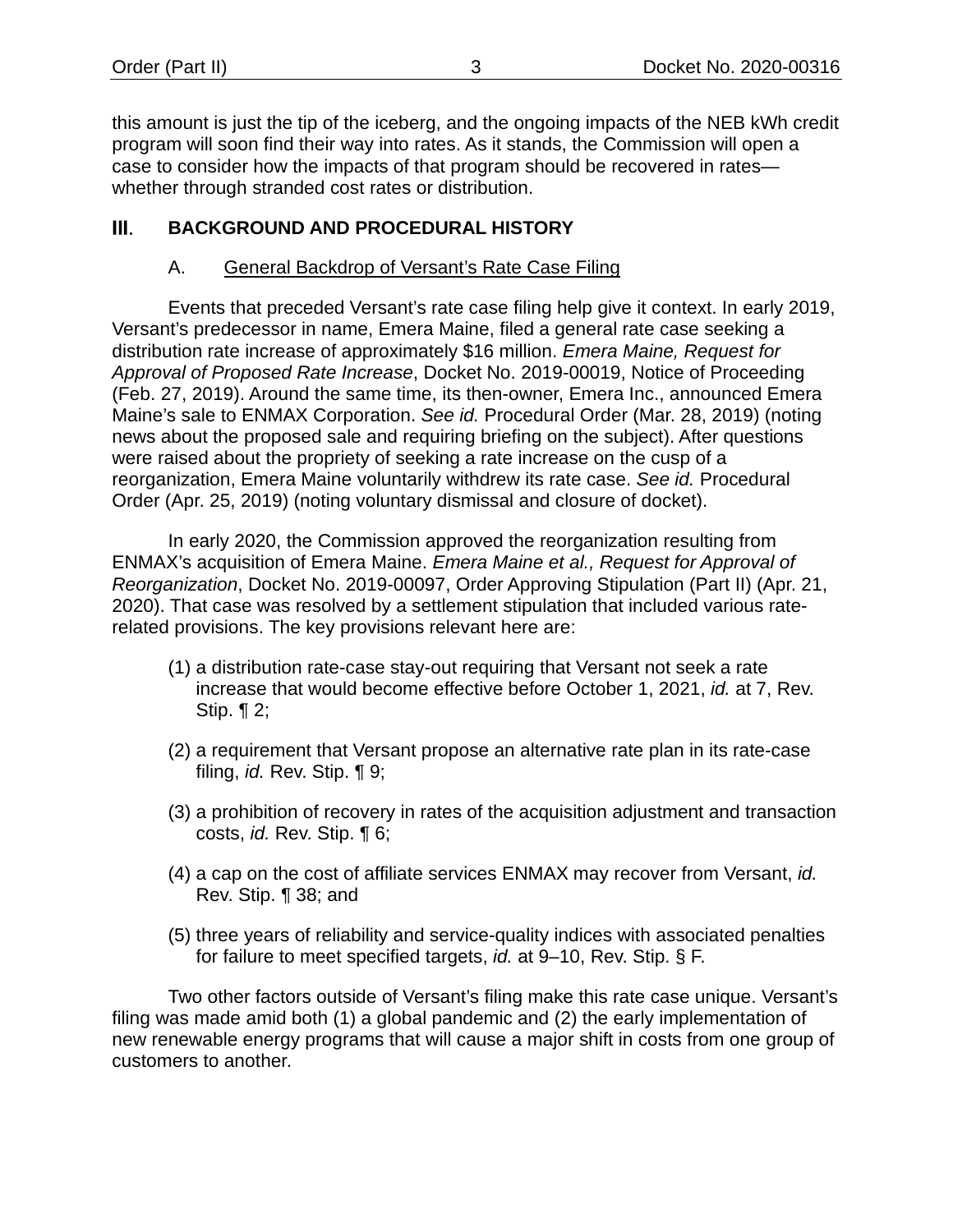this amount is just the tip of the iceberg, and the ongoing impacts of the NEB kWh credit program will soon find their way into rates. As it stands, the Commission will open a case to consider how the impacts of that program should be recovered in rates whether through stranded cost rates or distribution.

#### <span id="page-5-1"></span><span id="page-5-0"></span>Ш. **BACKGROUND AND PROCEDURAL HISTORY**

# A. General Backdrop of Versant's Rate Case Filing

Events that preceded Versant's rate case filing help give it context. In early 2019, Versant's predecessor in name, Emera Maine, filed a general rate case seeking a distribution rate increase of approximately \$16 million. *Emera Maine, Request for Approval of Proposed Rate Increase*, Docket No. 2019-00019, Notice of Proceeding (Feb. 27, 2019). Around the same time, its then-owner, Emera Inc., announced Emera Maine's sale to ENMAX Corporation. *See id.* Procedural Order (Mar. 28, 2019) (noting news about the proposed sale and requiring briefing on the subject). After questions were raised about the propriety of seeking a rate increase on the cusp of a reorganization, Emera Maine voluntarily withdrew its rate case. *See id.* Procedural Order (Apr. 25, 2019) (noting voluntary dismissal and closure of docket).

In early 2020, the Commission approved the reorganization resulting from ENMAX's acquisition of Emera Maine. *Emera Maine et al., Request for Approval of Reorganization*, Docket No. 2019-00097, Order Approving Stipulation (Part II) (Apr. 21, 2020). That case was resolved by a settlement stipulation that included various raterelated provisions. The key provisions relevant here are:

- (1) a distribution rate-case stay-out requiring that Versant not seek a rate increase that would become effective before October 1, 2021, *id.* at 7, Rev. Stip. ¶ 2;
- (2) a requirement that Versant propose an alternative rate plan in its rate-case filing, *id.* Rev. Stip. ¶ 9;
- (3) a prohibition of recovery in rates of the acquisition adjustment and transaction costs, *id.* Rev. Stip. ¶ 6;
- (4) a cap on the cost of affiliate services ENMAX may recover from Versant, *id.* Rev. Stip. ¶ 38; and
- (5) three years of reliability and service-quality indices with associated penalties for failure to meet specified targets, *id.* at 9–10, Rev. Stip. § F.

Two other factors outside of Versant's filing make this rate case unique. Versant's filing was made amid both (1) a global pandemic and (2) the early implementation of new renewable energy programs that will cause a major shift in costs from one group of customers to another.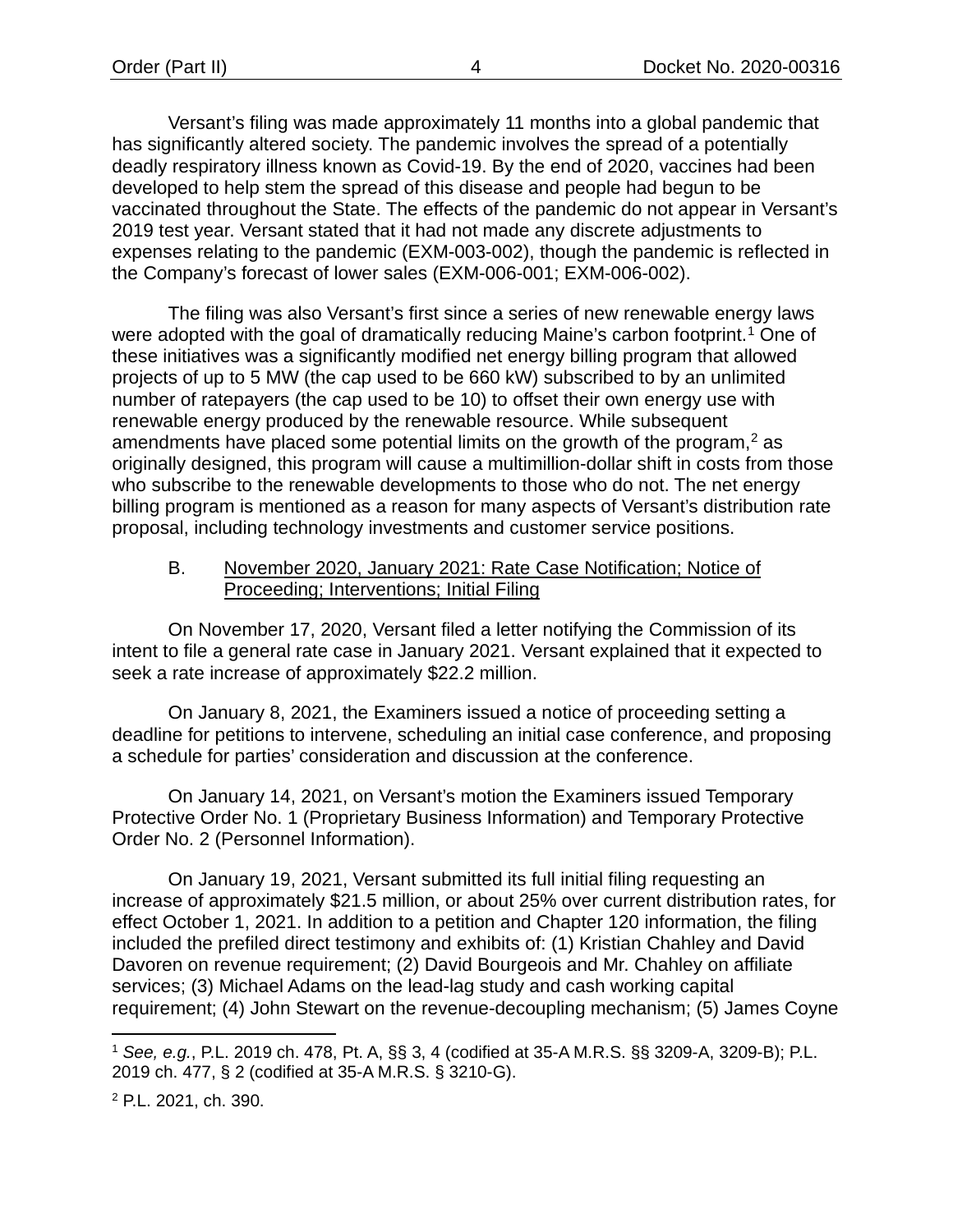Versant's filing was made approximately 11 months into a global pandemic that has significantly altered society. The pandemic involves the spread of a potentially deadly respiratory illness known as Covid-19. By the end of 2020, vaccines had been developed to help stem the spread of this disease and people had begun to be vaccinated throughout the State. The effects of the pandemic do not appear in Versant's 2019 test year. Versant stated that it had not made any discrete adjustments to expenses relating to the pandemic (EXM-003-002), though the pandemic is reflected in the Company's forecast of lower sales (EXM-006-001; EXM-006-002).

The filing was also Versant's first since a series of new renewable energy laws were adopted with the goal of dramatically reducing Maine's carbon footprint[.1](#page-6-1) One of these initiatives was a significantly modified net energy billing program that allowed projects of up to 5 MW (the cap used to be 660 kW) subscribed to by an unlimited number of ratepayers (the cap used to be 10) to offset their own energy use with renewable energy produced by the renewable resource. While subsequent amendments have placed some potential limits on the growth of the program, $<sup>2</sup>$  $<sup>2</sup>$  $<sup>2</sup>$  as</sup> originally designed, this program will cause a multimillion-dollar shift in costs from those who subscribe to the renewable developments to those who do not. The net energy billing program is mentioned as a reason for many aspects of Versant's distribution rate proposal, including technology investments and customer service positions.

#### <span id="page-6-0"></span>B. November 2020, January 2021: Rate Case Notification; Notice of Proceeding; Interventions; Initial Filing

On November 17, 2020, Versant filed a letter notifying the Commission of its intent to file a general rate case in January 2021. Versant explained that it expected to seek a rate increase of approximately \$22.2 million.

On January 8, 2021, the Examiners issued a notice of proceeding setting a deadline for petitions to intervene, scheduling an initial case conference, and proposing a schedule for parties' consideration and discussion at the conference.

On January 14, 2021, on Versant's motion the Examiners issued Temporary Protective Order No. 1 (Proprietary Business Information) and Temporary Protective Order No. 2 (Personnel Information).

On January 19, 2021, Versant submitted its full initial filing requesting an increase of approximately \$21.5 million, or about 25% over current distribution rates, for effect October 1, 2021. In addition to a petition and Chapter 120 information, the filing included the prefiled direct testimony and exhibits of: (1) Kristian Chahley and David Davoren on revenue requirement; (2) David Bourgeois and Mr. Chahley on affiliate services; (3) Michael Adams on the lead-lag study and cash working capital requirement; (4) John Stewart on the revenue-decoupling mechanism; (5) James Coyne

<span id="page-6-1"></span><sup>1</sup> *See, e.g.*, P.L. 2019 ch. 478, Pt. A, §§ 3, 4 (codified at 35-A M.R.S. §§ 3209-A, 3209-B); P.L. 2019 ch. 477, § 2 (codified at 35-A M.R.S. § 3210-G).

<span id="page-6-2"></span><sup>2</sup> P.L. 2021, ch. 390.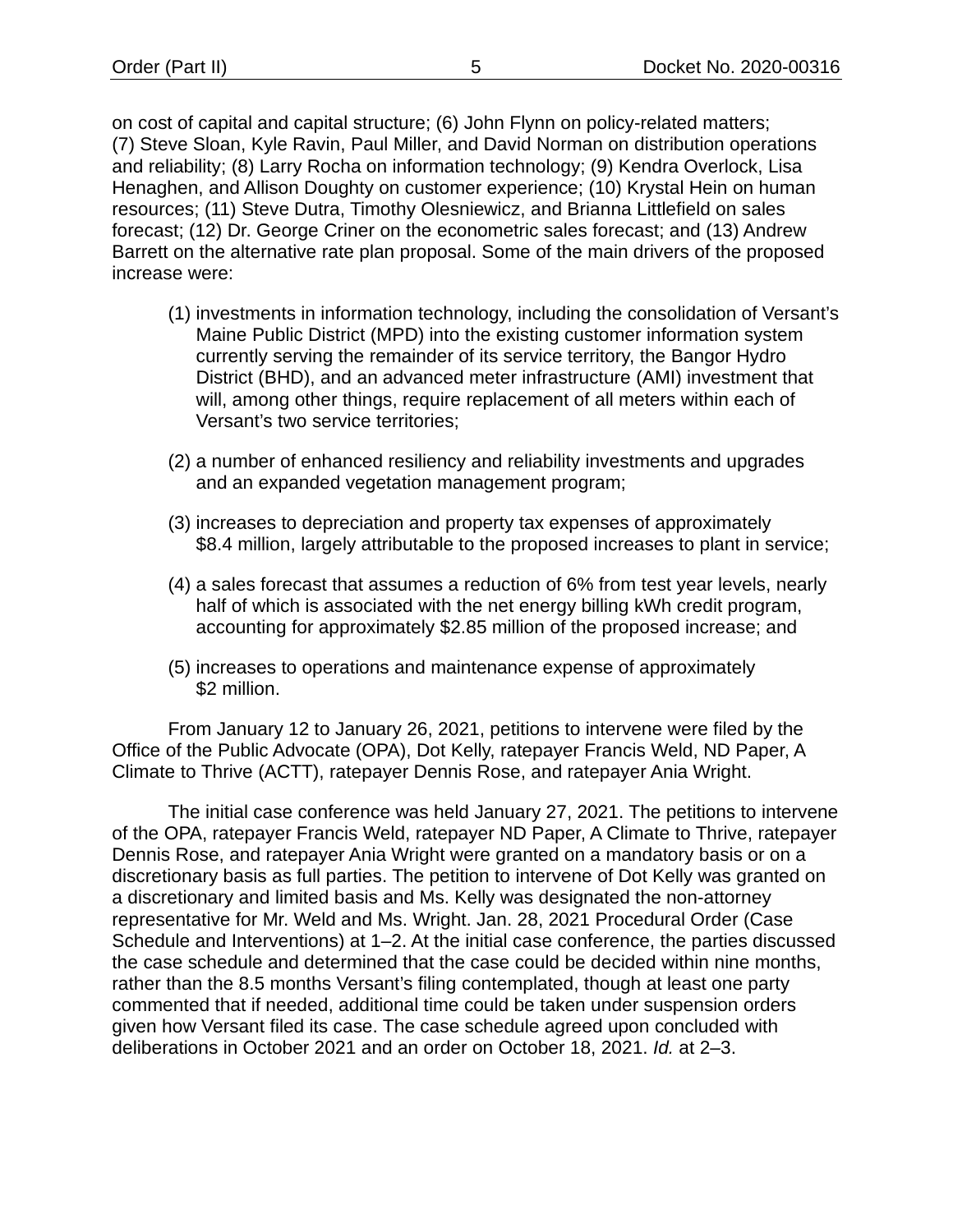on cost of capital and capital structure; (6) John Flynn on policy-related matters; (7) Steve Sloan, Kyle Ravin, Paul Miller, and David Norman on distribution operations and reliability; (8) Larry Rocha on information technology; (9) Kendra Overlock, Lisa Henaghen, and Allison Doughty on customer experience; (10) Krystal Hein on human resources; (11) Steve Dutra, Timothy Olesniewicz, and Brianna Littlefield on sales forecast; (12) Dr. George Criner on the econometric sales forecast; and (13) Andrew Barrett on the alternative rate plan proposal. Some of the main drivers of the proposed increase were:

- (1) investments in information technology, including the consolidation of Versant's Maine Public District (MPD) into the existing customer information system currently serving the remainder of its service territory, the Bangor Hydro District (BHD), and an advanced meter infrastructure (AMI) investment that will, among other things, require replacement of all meters within each of Versant's two service territories;
- (2) a number of enhanced resiliency and reliability investments and upgrades and an expanded vegetation management program;
- (3) increases to depreciation and property tax expenses of approximately \$8.4 million, largely attributable to the proposed increases to plant in service;
- (4) a sales forecast that assumes a reduction of 6% from test year levels, nearly half of which is associated with the net energy billing kWh credit program, accounting for approximately \$2.85 million of the proposed increase; and
- (5) increases to operations and maintenance expense of approximately \$2 million.

From January 12 to January 26, 2021, petitions to intervene were filed by the Office of the Public Advocate (OPA), Dot Kelly, ratepayer Francis Weld, ND Paper, A Climate to Thrive (ACTT), ratepayer Dennis Rose, and ratepayer Ania Wright.

The initial case conference was held January 27, 2021. The petitions to intervene of the OPA, ratepayer Francis Weld, ratepayer ND Paper, A Climate to Thrive, ratepayer Dennis Rose, and ratepayer Ania Wright were granted on a mandatory basis or on a discretionary basis as full parties. The petition to intervene of Dot Kelly was granted on a discretionary and limited basis and Ms. Kelly was designated the non-attorney representative for Mr. Weld and Ms. Wright. Jan. 28, 2021 Procedural Order (Case Schedule and Interventions) at 1–2. At the initial case conference, the parties discussed the case schedule and determined that the case could be decided within nine months, rather than the 8.5 months Versant's filing contemplated, though at least one party commented that if needed, additional time could be taken under suspension orders given how Versant filed its case. The case schedule agreed upon concluded with deliberations in October 2021 and an order on October 18, 2021. *Id.* at 2–3.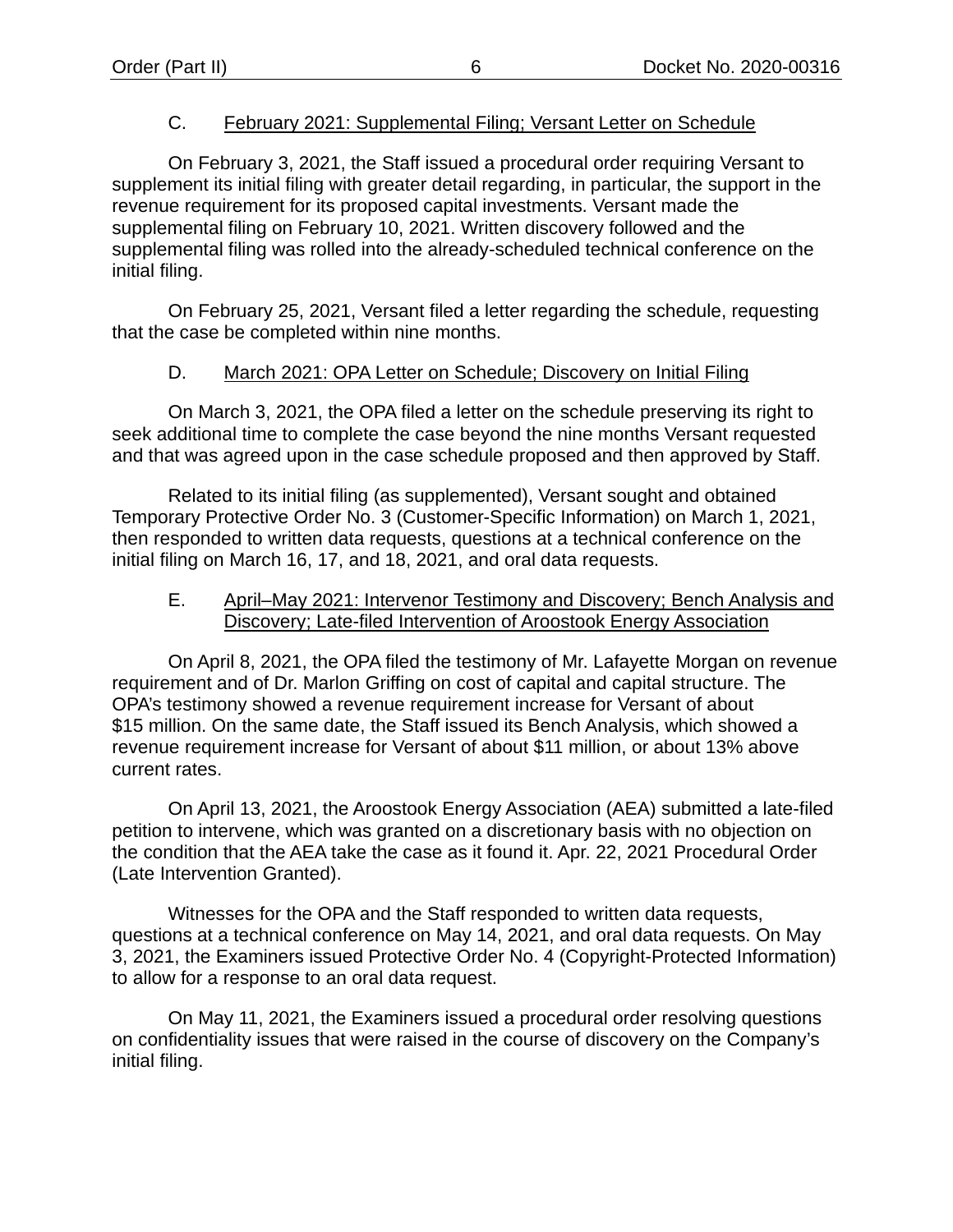### C. February 2021: Supplemental Filing; Versant Letter on Schedule

<span id="page-8-0"></span>On February 3, 2021, the Staff issued a procedural order requiring Versant to supplement its initial filing with greater detail regarding, in particular, the support in the revenue requirement for its proposed capital investments. Versant made the supplemental filing on February 10, 2021. Written discovery followed and the supplemental filing was rolled into the already-scheduled technical conference on the initial filing.

On February 25, 2021, Versant filed a letter regarding the schedule, requesting that the case be completed within nine months.

### D. March 2021: OPA Letter on Schedule; Discovery on Initial Filing

<span id="page-8-1"></span>On March 3, 2021, the OPA filed a letter on the schedule preserving its right to seek additional time to complete the case beyond the nine months Versant requested and that was agreed upon in the case schedule proposed and then approved by Staff.

Related to its initial filing (as supplemented), Versant sought and obtained Temporary Protective Order No. 3 (Customer-Specific Information) on March 1, 2021, then responded to written data requests, questions at a technical conference on the initial filing on March 16, 17, and 18, 2021, and oral data requests.

#### <span id="page-8-2"></span>E. April–May 2021: Intervenor Testimony and Discovery; Bench Analysis and Discovery; Late-filed Intervention of Aroostook Energy Association

On April 8, 2021, the OPA filed the testimony of Mr. Lafayette Morgan on revenue requirement and of Dr. Marlon Griffing on cost of capital and capital structure. The OPA's testimony showed a revenue requirement increase for Versant of about \$15 million. On the same date, the Staff issued its Bench Analysis, which showed a revenue requirement increase for Versant of about \$11 million, or about 13% above current rates.

On April 13, 2021, the Aroostook Energy Association (AEA) submitted a late-filed petition to intervene, which was granted on a discretionary basis with no objection on the condition that the AEA take the case as it found it. Apr. 22, 2021 Procedural Order (Late Intervention Granted).

Witnesses for the OPA and the Staff responded to written data requests, questions at a technical conference on May 14, 2021, and oral data requests. On May 3, 2021, the Examiners issued Protective Order No. 4 (Copyright-Protected Information) to allow for a response to an oral data request.

On May 11, 2021, the Examiners issued a procedural order resolving questions on confidentiality issues that were raised in the course of discovery on the Company's initial filing.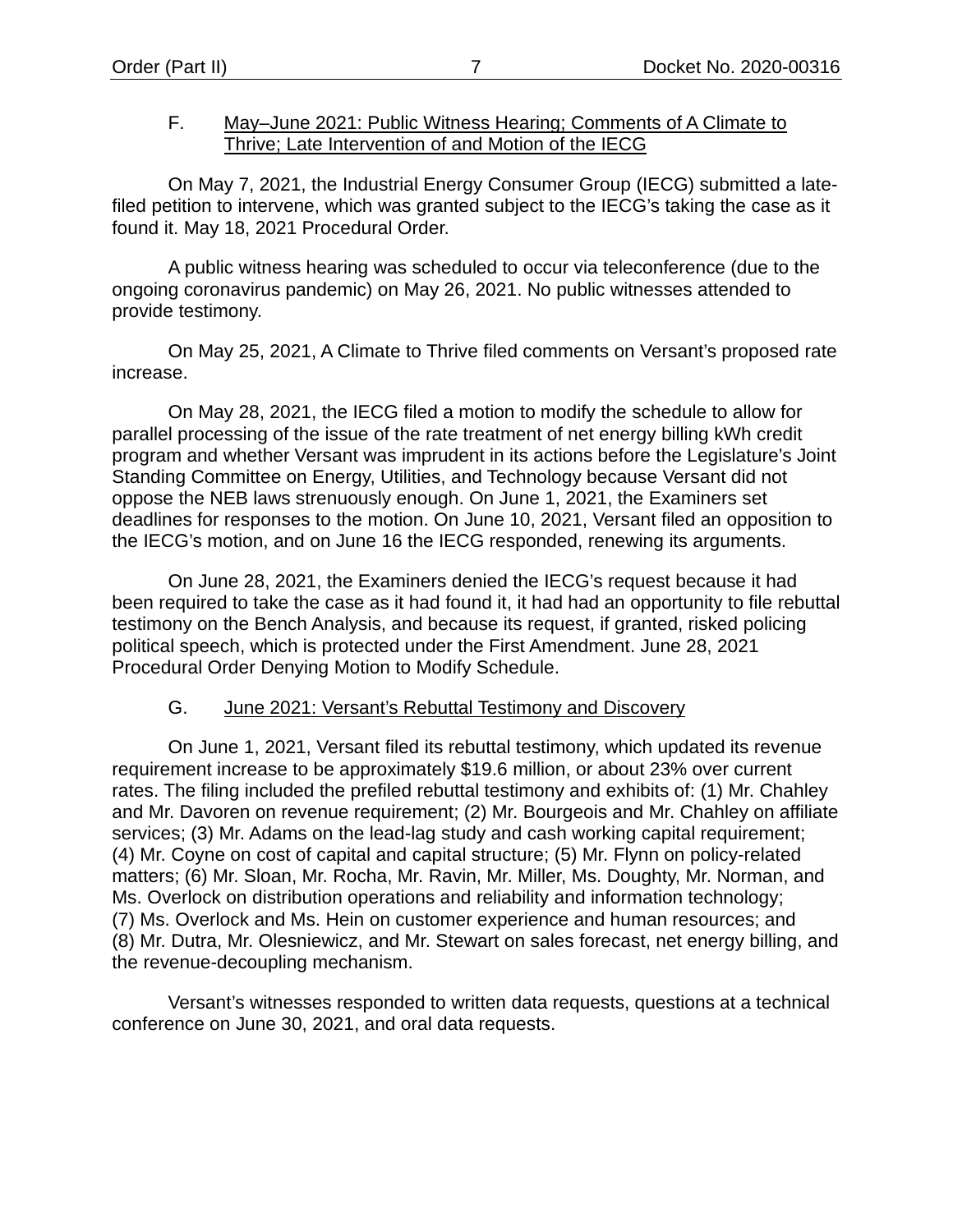#### <span id="page-9-0"></span>F. May–June 2021: Public Witness Hearing; Comments of A Climate to Thrive; Late Intervention of and Motion of the IECG

On May 7, 2021, the Industrial Energy Consumer Group (IECG) submitted a latefiled petition to intervene, which was granted subject to the IECG's taking the case as it found it. May 18, 2021 Procedural Order.

A public witness hearing was scheduled to occur via teleconference (due to the ongoing coronavirus pandemic) on May 26, 2021. No public witnesses attended to provide testimony.

On May 25, 2021, A Climate to Thrive filed comments on Versant's proposed rate increase.

On May 28, 2021, the IECG filed a motion to modify the schedule to allow for parallel processing of the issue of the rate treatment of net energy billing kWh credit program and whether Versant was imprudent in its actions before the Legislature's Joint Standing Committee on Energy, Utilities, and Technology because Versant did not oppose the NEB laws strenuously enough. On June 1, 2021, the Examiners set deadlines for responses to the motion. On June 10, 2021, Versant filed an opposition to the IECG's motion, and on June 16 the IECG responded, renewing its arguments.

On June 28, 2021, the Examiners denied the IECG's request because it had been required to take the case as it had found it, it had had an opportunity to file rebuttal testimony on the Bench Analysis, and because its request, if granted, risked policing political speech, which is protected under the First Amendment. June 28, 2021 Procedural Order Denying Motion to Modify Schedule.

#### G. June 2021: Versant's Rebuttal Testimony and Discovery

<span id="page-9-1"></span>On June 1, 2021, Versant filed its rebuttal testimony, which updated its revenue requirement increase to be approximately \$19.6 million, or about 23% over current rates. The filing included the prefiled rebuttal testimony and exhibits of: (1) Mr. Chahley and Mr. Davoren on revenue requirement; (2) Mr. Bourgeois and Mr. Chahley on affiliate services; (3) Mr. Adams on the lead-lag study and cash working capital requirement; (4) Mr. Coyne on cost of capital and capital structure; (5) Mr. Flynn on policy-related matters; (6) Mr. Sloan, Mr. Rocha, Mr. Ravin, Mr. Miller, Ms. Doughty, Mr. Norman, and Ms. Overlock on distribution operations and reliability and information technology; (7) Ms. Overlock and Ms. Hein on customer experience and human resources; and (8) Mr. Dutra, Mr. Olesniewicz, and Mr. Stewart on sales forecast, net energy billing, and the revenue-decoupling mechanism.

Versant's witnesses responded to written data requests, questions at a technical conference on June 30, 2021, and oral data requests.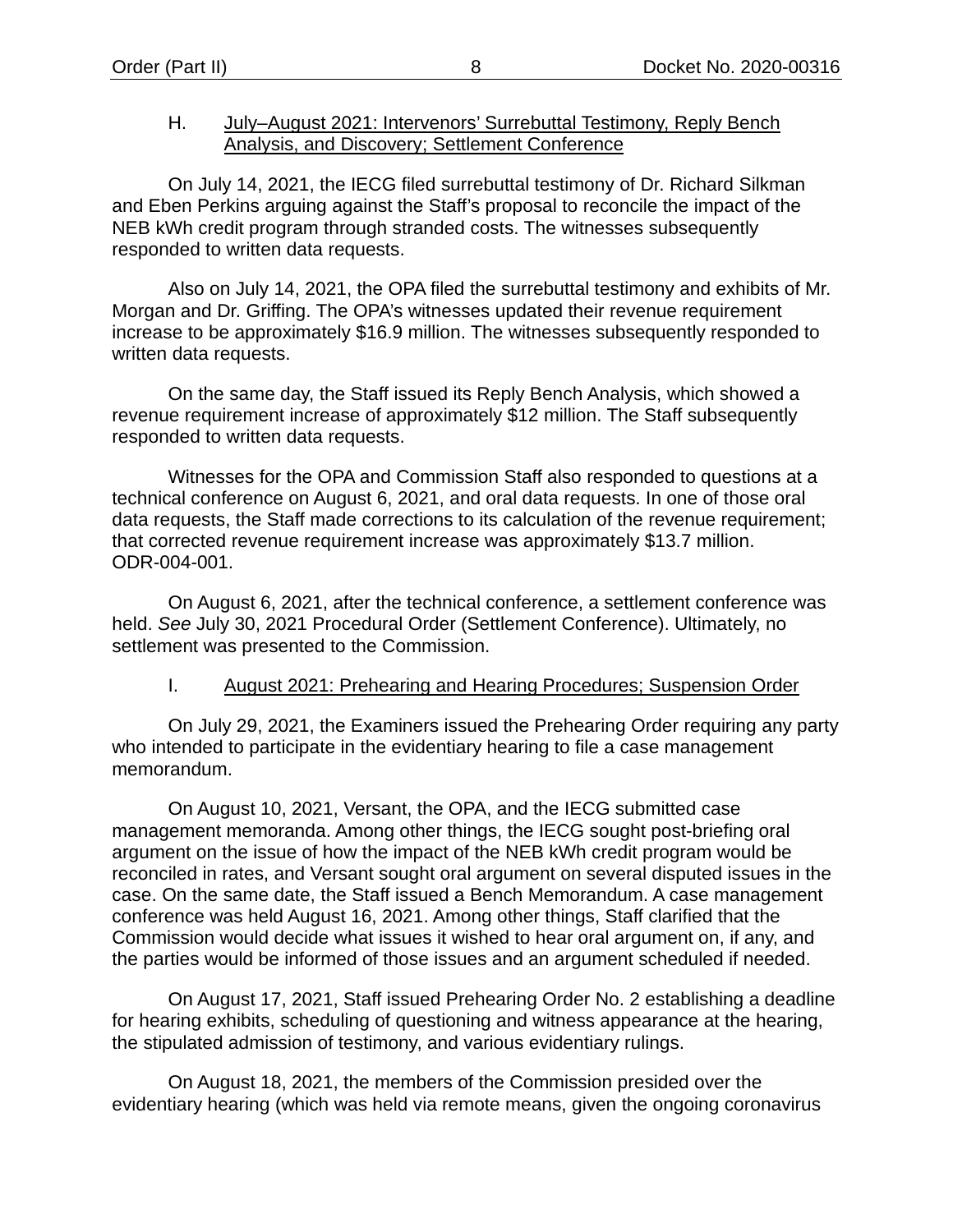#### <span id="page-10-0"></span>H. July–August 2021: Intervenors' Surrebuttal Testimony, Reply Bench Analysis, and Discovery; Settlement Conference

On July 14, 2021, the IECG filed surrebuttal testimony of Dr. Richard Silkman and Eben Perkins arguing against the Staff's proposal to reconcile the impact of the NEB kWh credit program through stranded costs. The witnesses subsequently responded to written data requests.

Also on July 14, 2021, the OPA filed the surrebuttal testimony and exhibits of Mr. Morgan and Dr. Griffing. The OPA's witnesses updated their revenue requirement increase to be approximately \$16.9 million. The witnesses subsequently responded to written data requests.

On the same day, the Staff issued its Reply Bench Analysis, which showed a revenue requirement increase of approximately \$12 million. The Staff subsequently responded to written data requests.

Witnesses for the OPA and Commission Staff also responded to questions at a technical conference on August 6, 2021, and oral data requests. In one of those oral data requests, the Staff made corrections to its calculation of the revenue requirement; that corrected revenue requirement increase was approximately \$13.7 million. ODR-004-001.

On August 6, 2021, after the technical conference, a settlement conference was held. *See* July 30, 2021 Procedural Order (Settlement Conference). Ultimately, no settlement was presented to the Commission.

#### I. August 2021: Prehearing and Hearing Procedures; Suspension Order

<span id="page-10-1"></span>On July 29, 2021, the Examiners issued the Prehearing Order requiring any party who intended to participate in the evidentiary hearing to file a case management memorandum.

On August 10, 2021, Versant, the OPA, and the IECG submitted case management memoranda. Among other things, the IECG sought post-briefing oral argument on the issue of how the impact of the NEB kWh credit program would be reconciled in rates, and Versant sought oral argument on several disputed issues in the case. On the same date, the Staff issued a Bench Memorandum. A case management conference was held August 16, 2021. Among other things, Staff clarified that the Commission would decide what issues it wished to hear oral argument on, if any, and the parties would be informed of those issues and an argument scheduled if needed.

On August 17, 2021, Staff issued Prehearing Order No. 2 establishing a deadline for hearing exhibits, scheduling of questioning and witness appearance at the hearing, the stipulated admission of testimony, and various evidentiary rulings.

On August 18, 2021, the members of the Commission presided over the evidentiary hearing (which was held via remote means, given the ongoing coronavirus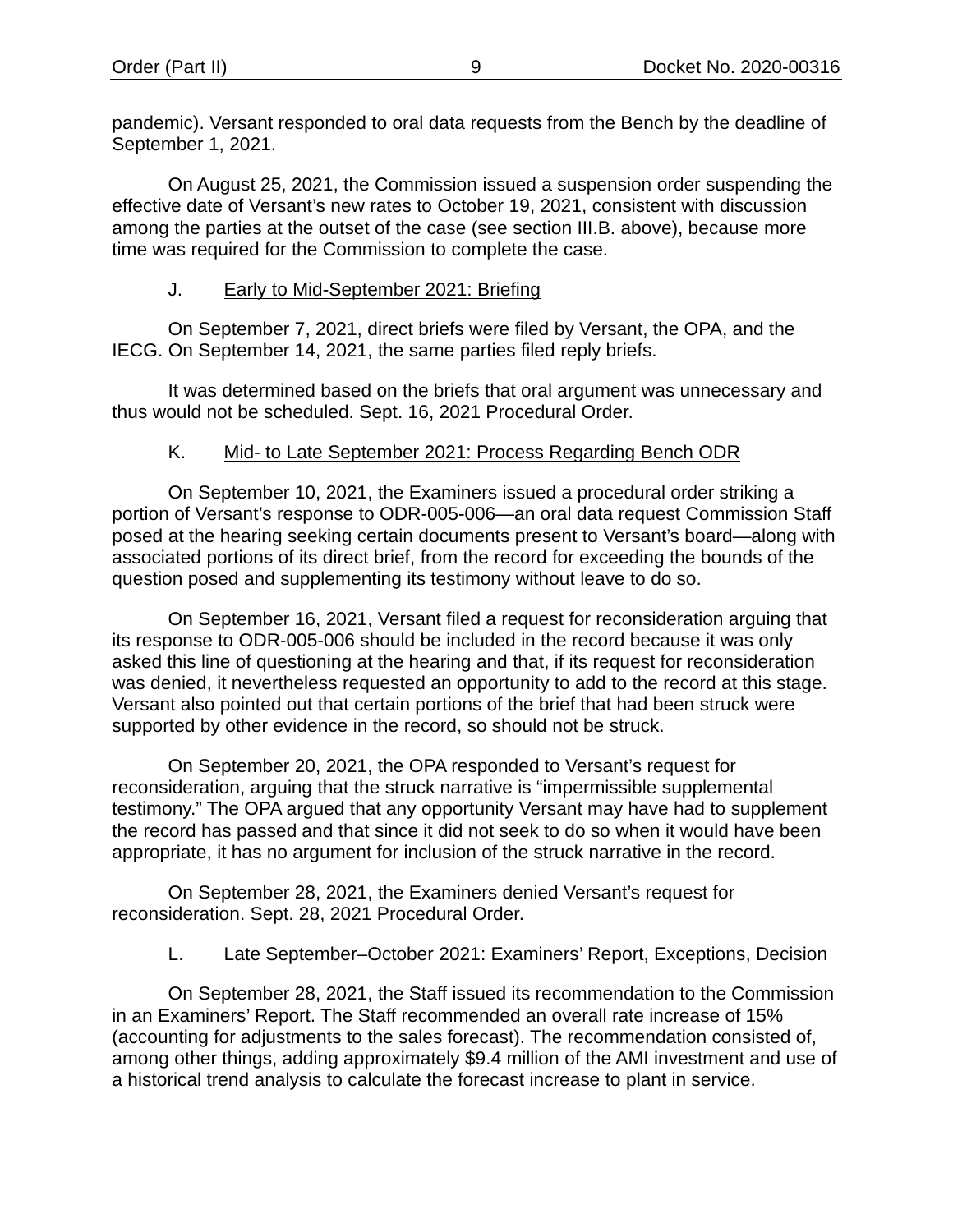pandemic). Versant responded to oral data requests from the Bench by the deadline of September 1, 2021.

On August 25, 2021, the Commission issued a suspension order suspending the effective date of Versant's new rates to October 19, 2021, consistent with discussion among the parties at the outset of the case (see section [III](#page-5-1)[.B.](#page-6-0) above), because more time was required for the Commission to complete the case.

#### J. Early to Mid-September 2021: Briefing

<span id="page-11-0"></span>On September 7, 2021, direct briefs were filed by Versant, the OPA, and the IECG. On September 14, 2021, the same parties filed reply briefs.

It was determined based on the briefs that oral argument was unnecessary and thus would not be scheduled. Sept. 16, 2021 Procedural Order.

### K. Mid- to Late September 2021: Process Regarding Bench ODR

<span id="page-11-1"></span>On September 10, 2021, the Examiners issued a procedural order striking a portion of Versant's response to ODR-005-006—an oral data request Commission Staff posed at the hearing seeking certain documents present to Versant's board—along with associated portions of its direct brief, from the record for exceeding the bounds of the question posed and supplementing its testimony without leave to do so.

On September 16, 2021, Versant filed a request for reconsideration arguing that its response to ODR-005-006 should be included in the record because it was only asked this line of questioning at the hearing and that, if its request for reconsideration was denied, it nevertheless requested an opportunity to add to the record at this stage. Versant also pointed out that certain portions of the brief that had been struck were supported by other evidence in the record, so should not be struck.

On September 20, 2021, the OPA responded to Versant's request for reconsideration, arguing that the struck narrative is "impermissible supplemental testimony." The OPA argued that any opportunity Versant may have had to supplement the record has passed and that since it did not seek to do so when it would have been appropriate, it has no argument for inclusion of the struck narrative in the record.

On September 28, 2021, the Examiners denied Versant's request for reconsideration. Sept. 28, 2021 Procedural Order.

#### L. Late September-October 2021: Examiners' Report, Exceptions, Decision

<span id="page-11-2"></span>On September 28, 2021, the Staff issued its recommendation to the Commission in an Examiners' Report. The Staff recommended an overall rate increase of 15% (accounting for adjustments to the sales forecast). The recommendation consisted of, among other things, adding approximately \$9.4 million of the AMI investment and use of a historical trend analysis to calculate the forecast increase to plant in service.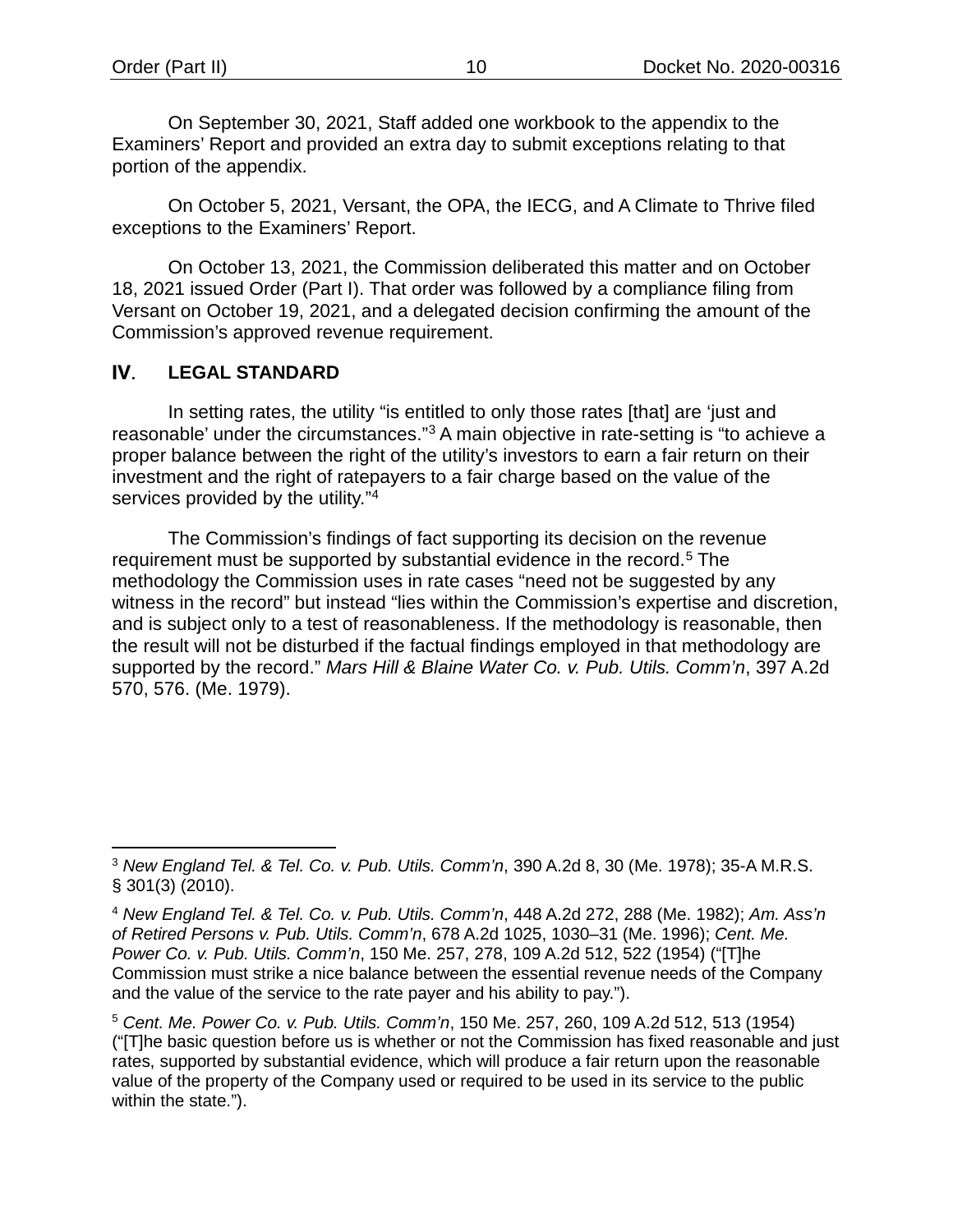On September 30, 2021, Staff added one workbook to the appendix to the Examiners' Report and provided an extra day to submit exceptions relating to that portion of the appendix.

On October 5, 2021, Versant, the OPA, the IECG, and A Climate to Thrive filed exceptions to the Examiners' Report.

On October 13, 2021, the Commission deliberated this matter and on October 18, 2021 issued Order (Part I). That order was followed by a compliance filing from Versant on October 19, 2021, and a delegated decision confirming the amount of the Commission's approved revenue requirement.

#### IV. **LEGAL STANDARD**

In setting rates, the utility "is entitled to only those rates [that] are 'just and reasonable' under the circumstances."[3](#page-12-0) A main objective in rate-setting is "to achieve a proper balance between the right of the utility's investors to earn a fair return on their investment and the right of ratepayers to a fair charge based on the value of the services provided by the utility."<sup>[4](#page-12-1)</sup>

The Commission's findings of fact supporting its decision on the revenue requirement must be supported by substantial evidence in the record.<sup>[5](#page-12-2)</sup> The methodology the Commission uses in rate cases "need not be suggested by any witness in the record" but instead "lies within the Commission's expertise and discretion, and is subject only to a test of reasonableness. If the methodology is reasonable, then the result will not be disturbed if the factual findings employed in that methodology are supported by the record." *Mars Hill & Blaine Water Co. v. Pub. Utils. Comm'n*, 397 A.2d 570, 576. (Me. 1979).

<span id="page-12-0"></span><sup>3</sup> *New England Tel. & Tel. Co. v. Pub. Utils. Comm'n*, 390 A.2d 8, 30 (Me. 1978); 35-A M.R.S. § 301(3) (2010).

<span id="page-12-1"></span><sup>4</sup> *New England Tel. & Tel. Co. v. Pub. Utils. Comm'n*, 448 A.2d 272, 288 (Me. 1982); *Am. Ass'n of Retired Persons v. Pub. Utils. Comm'n*, 678 A.2d 1025, 1030–31 (Me. 1996); *Cent. Me. Power Co. v. Pub. Utils. Comm'n*, 150 Me. 257, 278, 109 A.2d 512, 522 (1954) ("[T]he Commission must strike a nice balance between the essential revenue needs of the Company and the value of the service to the rate payer and his ability to pay.").

<span id="page-12-2"></span><sup>5</sup> *Cent. Me. Power Co. v. Pub. Utils. Comm'n*, 150 Me. 257, 260, 109 A.2d 512, 513 (1954) ("[T]he basic question before us is whether or not the Commission has fixed reasonable and just rates, supported by substantial evidence, which will produce a fair return upon the reasonable value of the property of the Company used or required to be used in its service to the public within the state.").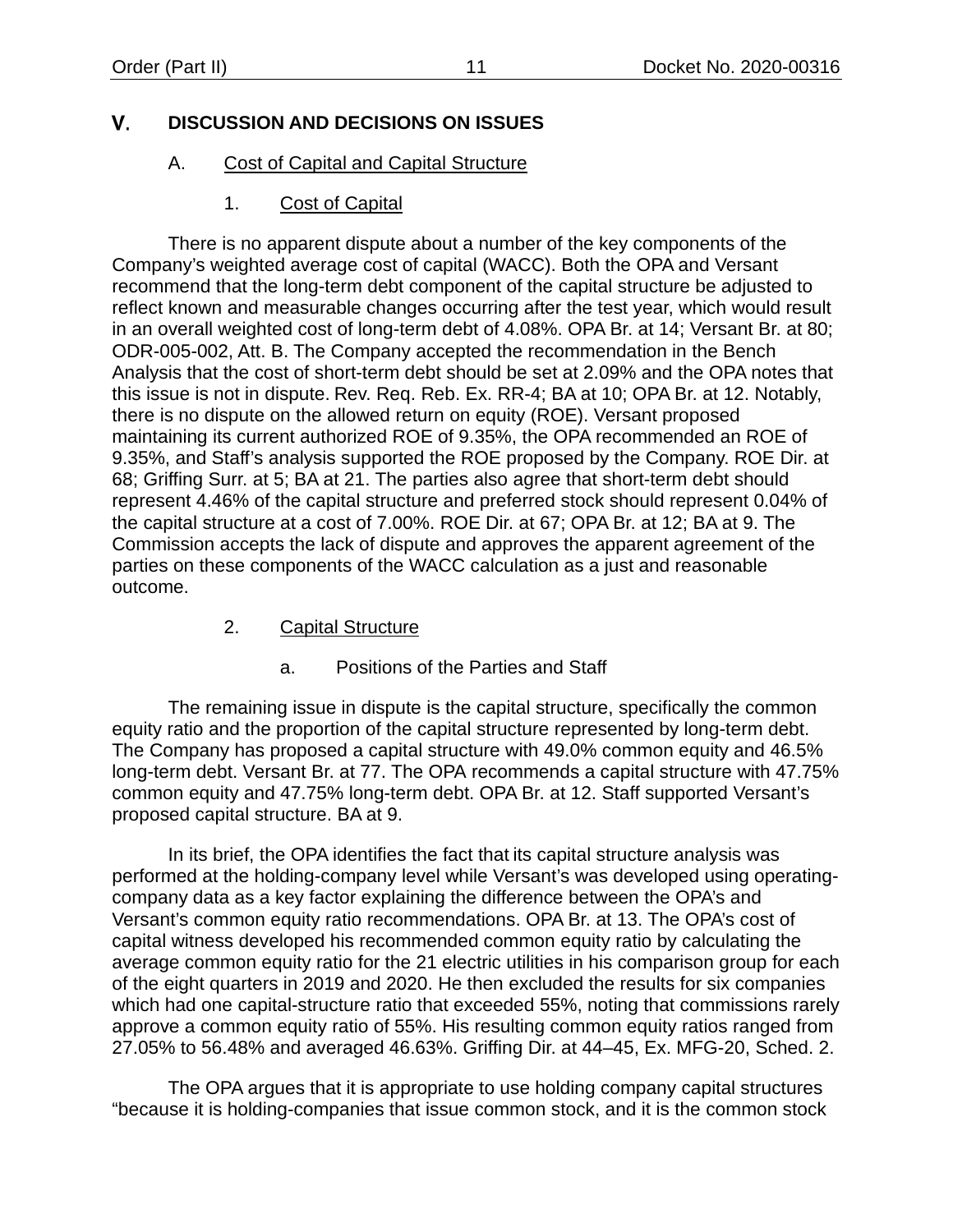#### <span id="page-13-3"></span><span id="page-13-0"></span>V. **DISCUSSION AND DECISIONS ON ISSUES**

### A. Cost of Capital and Capital Structure

### 1. Cost of Capital

<span id="page-13-1"></span>There is no apparent dispute about a number of the key components of the Company's weighted average cost of capital (WACC). Both the OPA and Versant recommend that the long-term debt component of the capital structure be adjusted to reflect known and measurable changes occurring after the test year, which would result in an overall weighted cost of long-term debt of 4.08%. OPA Br. at 14; Versant Br. at 80; ODR-005-002, Att. B. The Company accepted the recommendation in the Bench Analysis that the cost of short-term debt should be set at 2.09% and the OPA notes that this issue is not in dispute. Rev. Req. Reb. Ex. RR-4; BA at 10; OPA Br. at 12. Notably, there is no dispute on the allowed return on equity (ROE). Versant proposed maintaining its current authorized ROE of 9.35%, the OPA recommended an ROE of 9.35%, and Staff's analysis supported the ROE proposed by the Company. ROE Dir. at 68; Griffing Surr. at 5; BA at 21. The parties also agree that short-term debt should represent 4.46% of the capital structure and preferred stock should represent 0.04% of the capital structure at a cost of 7.00%. ROE Dir. at 67; OPA Br. at 12; BA at 9. The Commission accepts the lack of dispute and approves the apparent agreement of the parties on these components of the WACC calculation as a just and reasonable outcome.

#### 2. Capital Structure

# a. Positions of the Parties and Staff

<span id="page-13-2"></span>The remaining issue in dispute is the capital structure, specifically the common equity ratio and the proportion of the capital structure represented by long-term debt. The Company has proposed a capital structure with 49.0% common equity and 46.5% long-term debt. Versant Br. at 77. The OPA recommends a capital structure with 47.75% common equity and 47.75% long-term debt. OPA Br. at 12. Staff supported Versant's proposed capital structure. BA at 9.

In its brief, the OPA identifies the fact that its capital structure analysis was performed at the holding-company level while Versant's was developed using operatingcompany data as a key factor explaining the difference between the OPA's and Versant's common equity ratio recommendations. OPA Br. at 13. The OPA's cost of capital witness developed his recommended common equity ratio by calculating the average common equity ratio for the 21 electric utilities in his comparison group for each of the eight quarters in 2019 and 2020. He then excluded the results for six companies which had one capital-structure ratio that exceeded 55%, noting that commissions rarely approve a common equity ratio of 55%. His resulting common equity ratios ranged from 27.05% to 56.48% and averaged 46.63%. Griffing Dir. at 44–45, Ex. MFG-20, Sched. 2.

The OPA argues that it is appropriate to use holding company capital structures "because it is holding-companies that issue common stock, and it is the common stock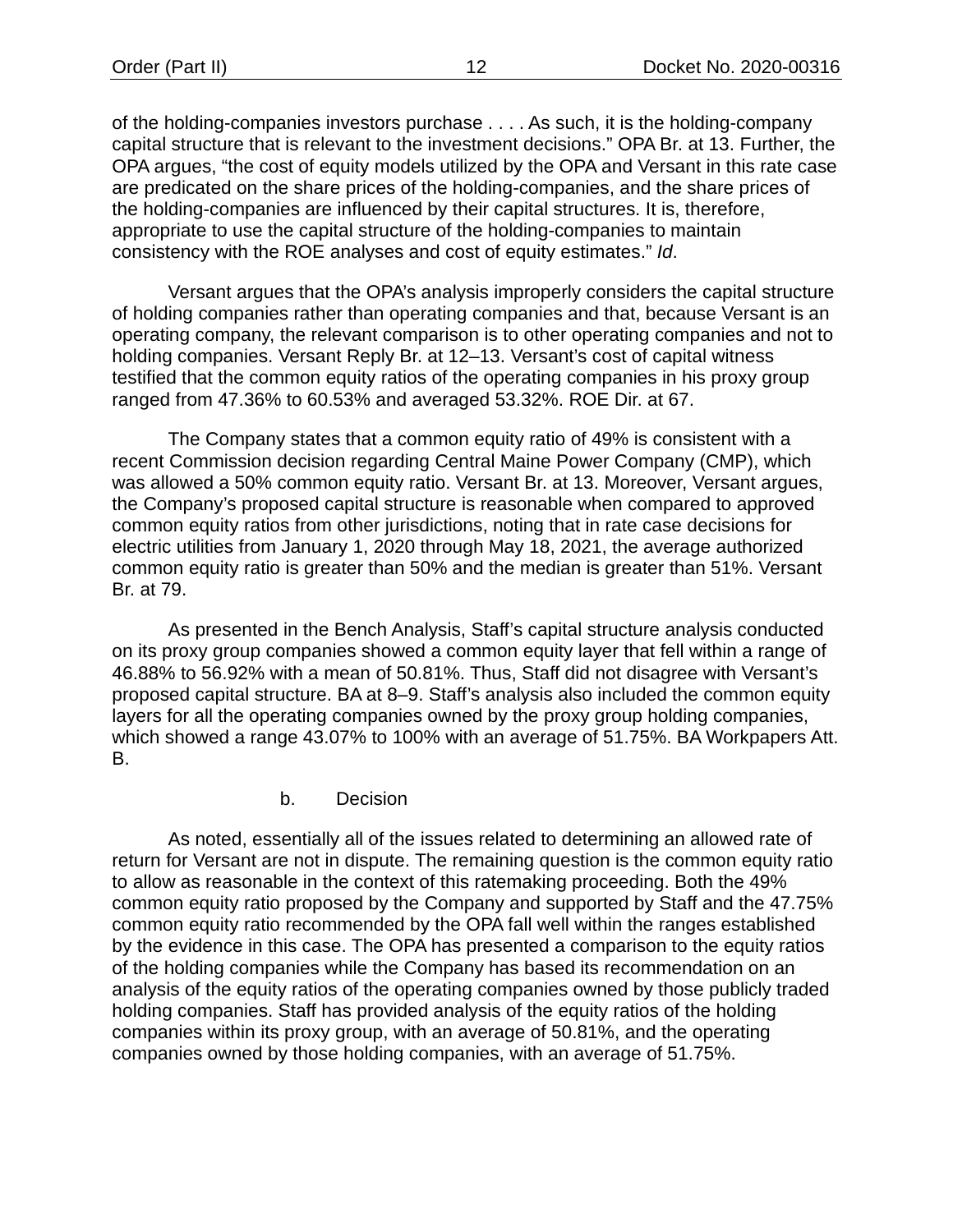of the holding-companies investors purchase . . . . As such, it is the holding-company capital structure that is relevant to the investment decisions." OPA Br. at 13. Further, the OPA argues, "the cost of equity models utilized by the OPA and Versant in this rate case are predicated on the share prices of the holding-companies, and the share prices of the holding-companies are influenced by their capital structures. It is, therefore, appropriate to use the capital structure of the holding-companies to maintain consistency with the ROE analyses and cost of equity estimates." *Id*.

Versant argues that the OPA's analysis improperly considers the capital structure of holding companies rather than operating companies and that, because Versant is an operating company, the relevant comparison is to other operating companies and not to holding companies. Versant Reply Br. at 12–13. Versant's cost of capital witness testified that the common equity ratios of the operating companies in his proxy group ranged from 47.36% to 60.53% and averaged 53.32%. ROE Dir. at 67.

The Company states that a common equity ratio of 49% is consistent with a recent Commission decision regarding Central Maine Power Company (CMP), which was allowed a 50% common equity ratio. Versant Br. at 13. Moreover, Versant argues, the Company's proposed capital structure is reasonable when compared to approved common equity ratios from other jurisdictions, noting that in rate case decisions for electric utilities from January 1, 2020 through May 18, 2021, the average authorized common equity ratio is greater than 50% and the median is greater than 51%. Versant Br. at 79.

As presented in the Bench Analysis, Staff's capital structure analysis conducted on its proxy group companies showed a common equity layer that fell within a range of 46.88% to 56.92% with a mean of 50.81%. Thus, Staff did not disagree with Versant's proposed capital structure. BA at 8–9. Staff's analysis also included the common equity layers for all the operating companies owned by the proxy group holding companies, which showed a range 43.07% to 100% with an average of 51.75%. BA Workpapers Att. B.

#### b. Decision

As noted, essentially all of the issues related to determining an allowed rate of return for Versant are not in dispute. The remaining question is the common equity ratio to allow as reasonable in the context of this ratemaking proceeding. Both the 49% common equity ratio proposed by the Company and supported by Staff and the 47.75% common equity ratio recommended by the OPA fall well within the ranges established by the evidence in this case. The OPA has presented a comparison to the equity ratios of the holding companies while the Company has based its recommendation on an analysis of the equity ratios of the operating companies owned by those publicly traded holding companies. Staff has provided analysis of the equity ratios of the holding companies within its proxy group, with an average of 50.81%, and the operating companies owned by those holding companies, with an average of 51.75%.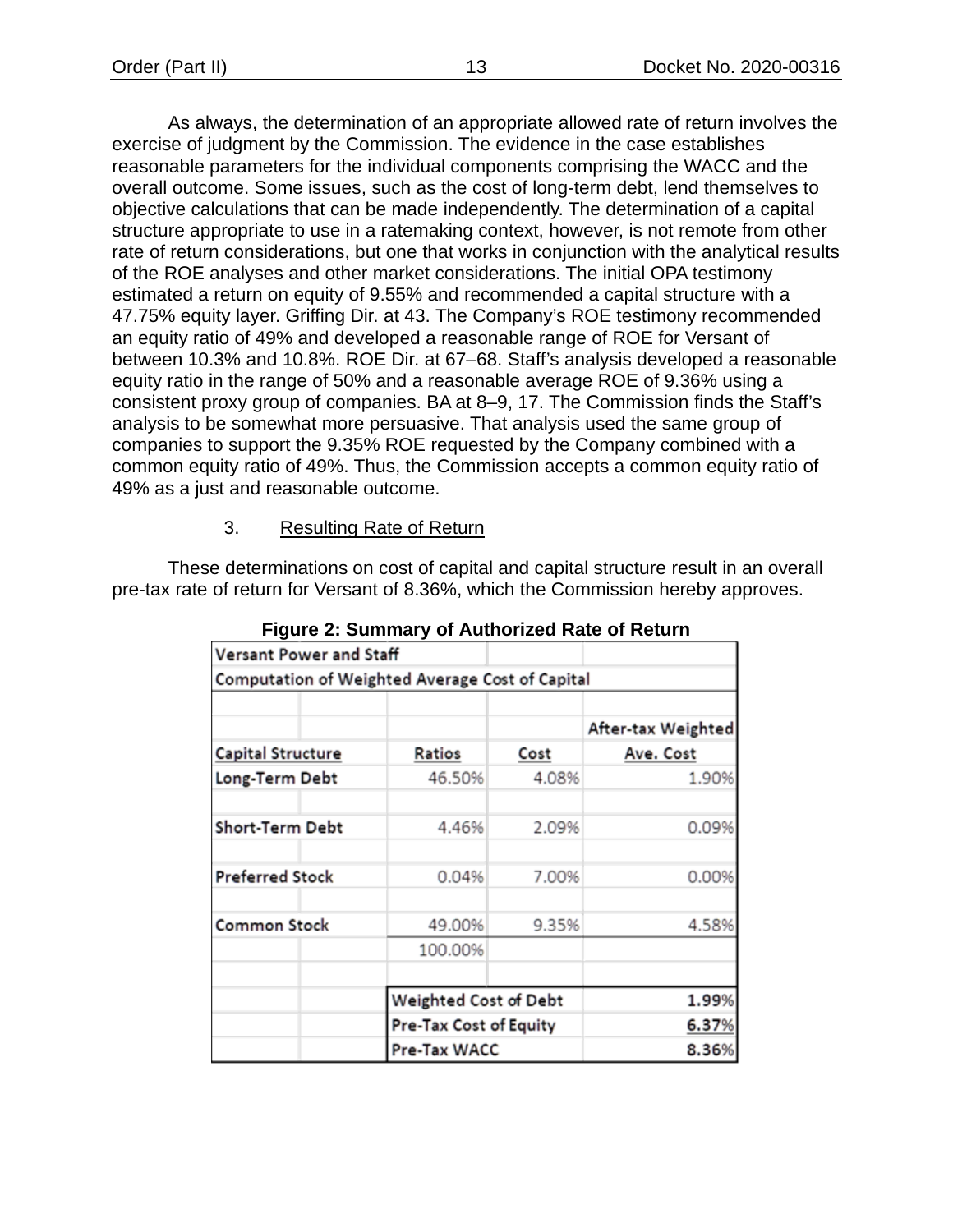As always, the determination of an appropriate allowed rate of return involves the exercise of judgment by the Commission. The evidence in the case establishes reasonable parameters for the individual components comprising the WACC and the overall outcome. Some issues, such as the cost of long-term debt, lend themselves to objective calculations that can be made independently. The determination of a capital structure appropriate to use in a ratemaking context, however, is not remote from other rate of return considerations, but one that works in conjunction with the analytical results of the ROE analyses and other market considerations. The initial OPA testimony estimated a return on equity of 9.55% and recommended a capital structure with a 47.75% equity layer. Griffing Dir. at 43. The Company's ROE testimony recommended an equity ratio of 49% and developed a reasonable range of ROE for Versant of between 10.3% and 10.8%. ROE Dir. at 67–68. Staff's analysis developed a reasonable equity ratio in the range of 50% and a reasonable average ROE of 9.36% using a consistent proxy group of companies. BA at 8–9, 17. The Commission finds the Staff's analysis to be somewhat more persuasive. That analysis used the same group of companies to support the 9.35% ROE requested by the Company combined with a common equity ratio of 49%. Thus, the Commission accepts a common equity ratio of 49% as a just and reasonable outcome.

#### 3. Resulting Rate of Return

<span id="page-15-1"></span><span id="page-15-0"></span>These determinations on cost of capital and capital structure result in an overall pre-tax rate of return for Versant of 8.36%, which the Commission hereby approves.

| Versant Power and Staff                         |                        |       |                    |
|-------------------------------------------------|------------------------|-------|--------------------|
| Computation of Weighted Average Cost of Capital |                        |       |                    |
|                                                 |                        |       | After-tax Weighted |
| Capital Structure                               | Ratios                 | Cost  | Ave. Cost          |
| Long-Term Debt                                  | 46.50%                 | 4.08% | 1.90%              |
| Short-Term Debt                                 | 4.46%                  | 2.09% | 0.09%              |
| <b>Preferred Stock</b>                          | 0.04%                  | 7.00% | 0.00%              |
| <b>Common Stock</b>                             | 49.00%                 | 9.35% | 4.58%              |
|                                                 | 100.00%                |       |                    |
|                                                 | Weighted Cost of Debt  |       | 1.99%              |
|                                                 | Pre-Tax Cost of Equity |       | 6.37%              |
|                                                 | Pre-Tax WACC           |       | 8.36%              |

**Figure 2: Summary of Authorized Rate of Return**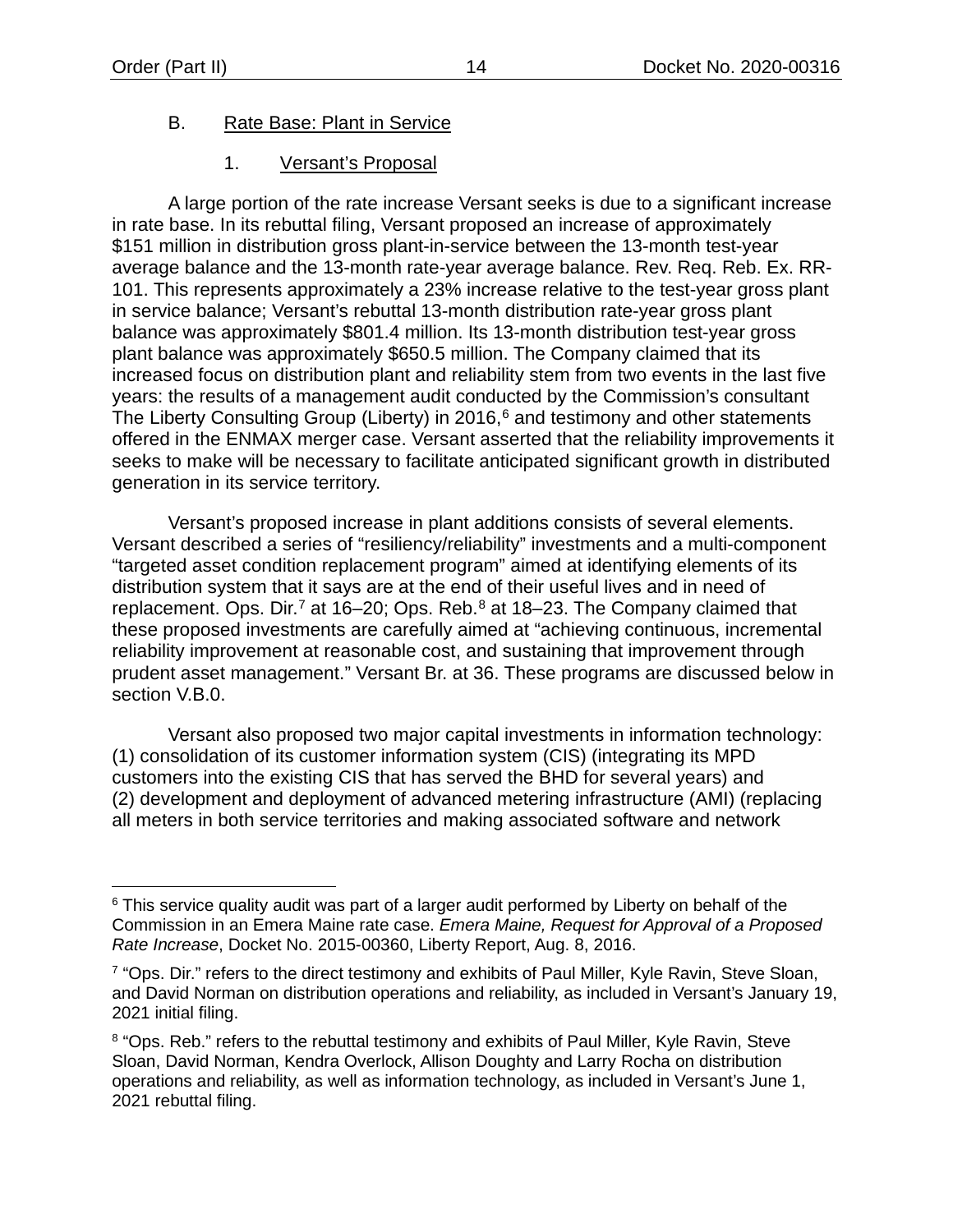### <span id="page-16-0"></span>B. Rate Base: Plant in Service

### 1. Versant's Proposal

<span id="page-16-1"></span>A large portion of the rate increase Versant seeks is due to a significant increase in rate base. In its rebuttal filing, Versant proposed an increase of approximately \$151 million in distribution gross plant-in-service between the 13-month test-year average balance and the 13-month rate-year average balance. Rev. Req. Reb. Ex. RR-101. This represents approximately a 23% increase relative to the test-year gross plant in service balance; Versant's rebuttal 13-month distribution rate-year gross plant balance was approximately \$801.4 million. Its 13-month distribution test-year gross plant balance was approximately \$650.5 million. The Company claimed that its increased focus on distribution plant and reliability stem from two events in the last five years: the results of a management audit conducted by the Commission's consultant The Liberty Consulting Group (Liberty) in 201[6](#page-16-2),<sup>6</sup> and testimony and other statements offered in the ENMAX merger case. Versant asserted that the reliability improvements it seeks to make will be necessary to facilitate anticipated significant growth in distributed generation in its service territory.

Versant's proposed increase in plant additions consists of several elements. Versant described a series of "resiliency/reliability" investments and a multi-component "targeted asset condition replacement program" aimed at identifying elements of its distribution system that it says are at the end of their useful lives and in need of replacement. Ops. Dir.<sup>[7](#page-16-3)</sup> at 16–20; Ops. Reb.<sup>[8](#page-16-4)</sup> at 18–23. The Company claimed that these proposed investments are carefully aimed at "achieving continuous, incremental reliability improvement at reasonable cost, and sustaining that improvement through prudent asset management." Versant Br. at 36. These programs are discussed below in section [V](#page-13-3)[.B.](#page-16-0)[0.](#page-37-0)

Versant also proposed two major capital investments in information technology: (1) consolidation of its customer information system (CIS) (integrating its MPD customers into the existing CIS that has served the BHD for several years) and (2) development and deployment of advanced metering infrastructure (AMI) (replacing all meters in both service territories and making associated software and network

<span id="page-16-2"></span><sup>&</sup>lt;sup>6</sup> This service quality audit was part of a larger audit performed by Liberty on behalf of the Commission in an Emera Maine rate case. *Emera Maine, Request for Approval of a Proposed Rate Increase*, Docket No. 2015-00360, Liberty Report, Aug. 8, 2016.

<span id="page-16-3"></span><sup>&</sup>lt;sup>7</sup> "Ops. Dir." refers to the direct testimony and exhibits of Paul Miller, Kyle Ravin, Steve Sloan, and David Norman on distribution operations and reliability, as included in Versant's January 19, 2021 initial filing.

<span id="page-16-4"></span><sup>&</sup>lt;sup>8</sup> "Ops. Reb." refers to the rebuttal testimony and exhibits of Paul Miller, Kyle Ravin, Steve Sloan, David Norman, Kendra Overlock, Allison Doughty and Larry Rocha on distribution operations and reliability, as well as information technology, as included in Versant's June 1, 2021 rebuttal filing.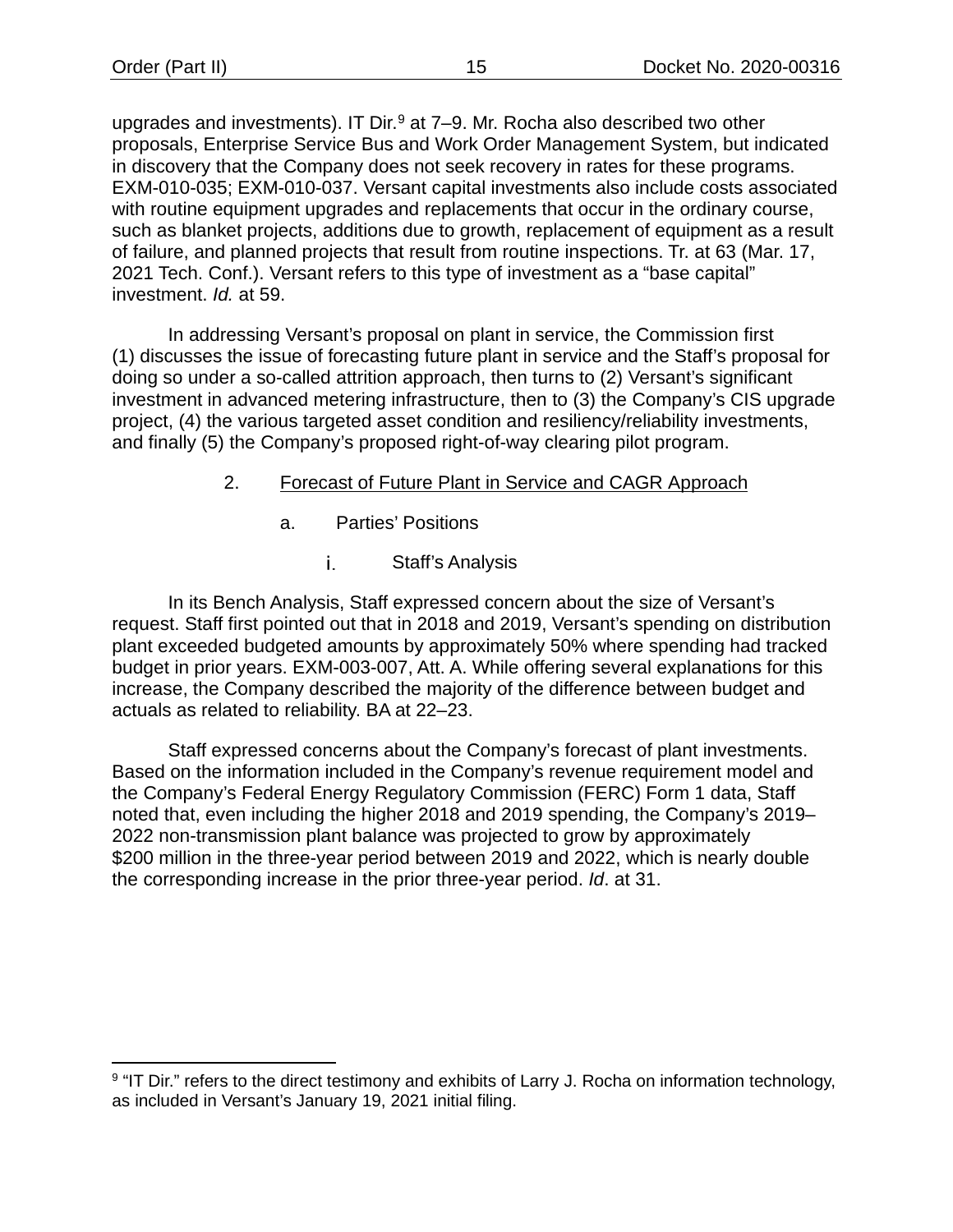upgrades and investments). IT Dir. $9$  at 7–9. Mr. Rocha also described two other proposals, Enterprise Service Bus and Work Order Management System, but indicated in discovery that the Company does not seek recovery in rates for these programs. EXM-010-035; EXM-010-037. Versant capital investments also include costs associated with routine equipment upgrades and replacements that occur in the ordinary course, such as blanket projects, additions due to growth, replacement of equipment as a result of failure, and planned projects that result from routine inspections. Tr. at 63 (Mar. 17, 2021 Tech. Conf.). Versant refers to this type of investment as a "base capital" investment. *Id.* at 59.

In addressing Versant's proposal on plant in service, the Commission first (1) discusses the issue of forecasting future plant in service and the Staff's proposal for doing so under a so-called attrition approach, then turns to (2) Versant's significant investment in advanced metering infrastructure, then to (3) the Company's CIS upgrade project, (4) the various targeted asset condition and resiliency/reliability investments, and finally (5) the Company's proposed right-of-way clearing pilot program.

# <span id="page-17-0"></span>2. Forecast of Future Plant in Service and CAGR Approach

- a. Parties' Positions
	- i. Staff's Analysis

In its Bench Analysis, Staff expressed concern about the size of Versant's request. Staff first pointed out that in 2018 and 2019, Versant's spending on distribution plant exceeded budgeted amounts by approximately 50% where spending had tracked budget in prior years. EXM-003-007, Att. A. While offering several explanations for this increase, the Company described the majority of the difference between budget and actuals as related to reliability. BA at 22–23.

Staff expressed concerns about the Company's forecast of plant investments. Based on the information included in the Company's revenue requirement model and the Company's Federal Energy Regulatory Commission (FERC) Form 1 data, Staff noted that, even including the higher 2018 and 2019 spending, the Company's 2019– 2022 non-transmission plant balance was projected to grow by approximately \$200 million in the three-year period between 2019 and 2022, which is nearly double the corresponding increase in the prior three-year period. *Id*. at 31.

<span id="page-17-1"></span><sup>&</sup>lt;sup>9</sup> "IT Dir." refers to the direct testimony and exhibits of Larry J. Rocha on information technology, as included in Versant's January 19, 2021 initial filing.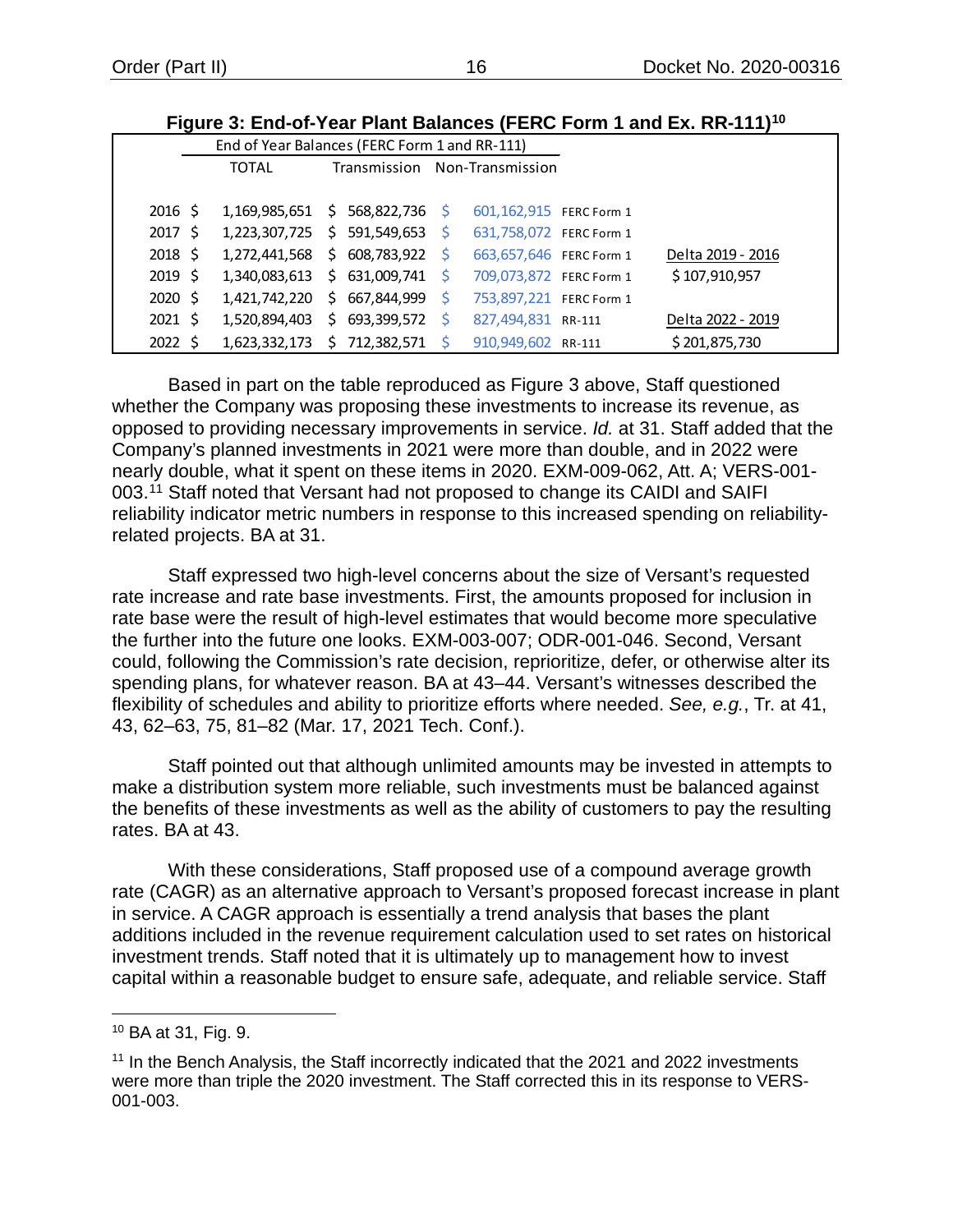<span id="page-18-0"></span>

|              |                                               |  |              |                               | riyult J. Lilu-VI-Ttal Fiallt Dalahtts (FLNG FUHIL Faily LX. NN-TTT) |
|--------------|-----------------------------------------------|--|--------------|-------------------------------|----------------------------------------------------------------------|
|              | End of Year Balances (FERC Form 1 and RR-111) |  |              |                               |                                                                      |
|              | <b>TOTAL</b>                                  |  |              | Transmission Non-Transmission |                                                                      |
|              |                                               |  |              |                               |                                                                      |
| $2016 \;$ \$ | $1,169,985,651$ \$ 568,822,736 \$             |  |              | 601,162,915 FERC Form 1       |                                                                      |
| $2017 \;$ \$ | 1,223,307,725 \$ 591,549,653 \$               |  |              | 631,758,072 FERC Form 1       |                                                                      |
| 2018 \$      | $1,272,441,568 \div 608,783,922 \div$         |  |              | 663,657,646 FERC Form 1       | Delta 2019 - 2016                                                    |
| 2019 \$      | $1,340,083,613 \div 631,009,741 \div$         |  |              | 709,073,872 FERC Form 1       | \$107,910,957                                                        |
| 2020 \$      | 1,421,742,220 \$ 667,844,999                  |  | -S           | 753,897,221 FERC Form 1       |                                                                      |
| $2021 \;$ \$ | 1,520,894,403 \$ 693,399,572                  |  |              | 827,494,831 RR-111            | Delta 2022 - 2019                                                    |
| $2022 \;$ \$ | 1,623,332,173 \$ 712,382,571                  |  | <sub>S</sub> | 910,949,602 RR-111            | \$201,875,730                                                        |

**Figure 3: End-of-Year Plant Balances (FERC Form 1 and Ex. RR-111)[10](#page-18-1)**

Based in part on the table reproduced as [Figure 3](#page-18-0) above, Staff questioned whether the Company was proposing these investments to increase its revenue, as opposed to providing necessary improvements in service. *Id.* at 31. Staff added that the Company's planned investments in 2021 were more than double, and in 2022 were nearly double, what it spent on these items in 2020. EXM-009-062, Att. A; VERS-001- 003. [11](#page-18-2) Staff noted that Versant had not proposed to change its CAIDI and SAIFI reliability indicator metric numbers in response to this increased spending on reliabilityrelated projects. BA at 31.

Staff expressed two high-level concerns about the size of Versant's requested rate increase and rate base investments. First, the amounts proposed for inclusion in rate base were the result of high-level estimates that would become more speculative the further into the future one looks. EXM-003-007; ODR-001-046. Second, Versant could, following the Commission's rate decision, reprioritize, defer, or otherwise alter its spending plans, for whatever reason. BA at 43–44. Versant's witnesses described the flexibility of schedules and ability to prioritize efforts where needed. *See, e.g.*, Tr. at 41, 43, 62–63, 75, 81–82 (Mar. 17, 2021 Tech. Conf.).

Staff pointed out that although unlimited amounts may be invested in attempts to make a distribution system more reliable, such investments must be balanced against the benefits of these investments as well as the ability of customers to pay the resulting rates. BA at 43.

With these considerations, Staff proposed use of a compound average growth rate (CAGR) as an alternative approach to Versant's proposed forecast increase in plant in service. A CAGR approach is essentially a trend analysis that bases the plant additions included in the revenue requirement calculation used to set rates on historical investment trends. Staff noted that it is ultimately up to management how to invest capital within a reasonable budget to ensure safe, adequate, and reliable service. Staff

<span id="page-18-1"></span><sup>10</sup> BA at 31, Fig. 9.

<span id="page-18-2"></span><sup>&</sup>lt;sup>11</sup> In the Bench Analysis, the Staff incorrectly indicated that the 2021 and 2022 investments were more than triple the 2020 investment. The Staff corrected this in its response to VERS-001-003.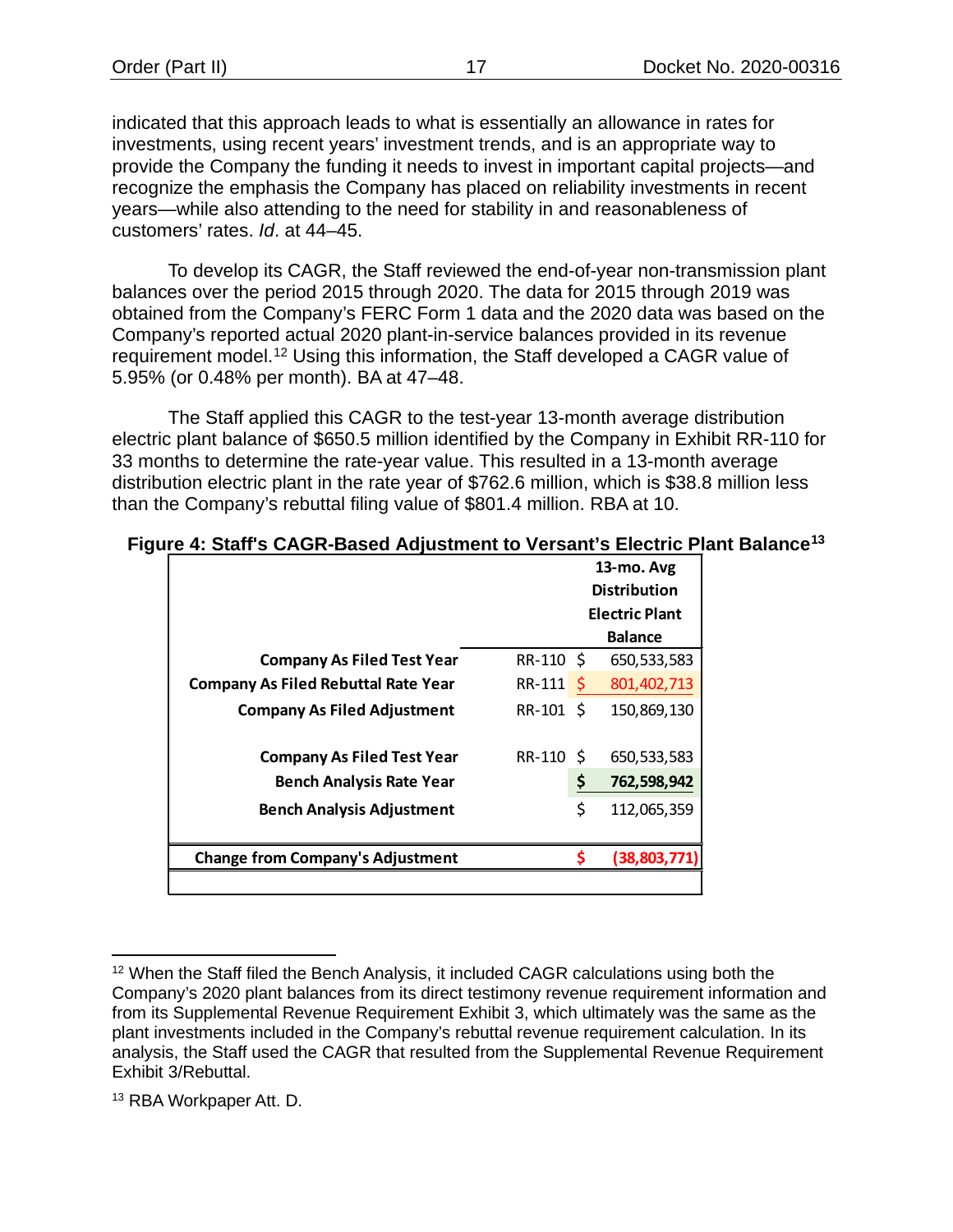indicated that this approach leads to what is essentially an allowance in rates for investments, using recent years' investment trends, and is an appropriate way to provide the Company the funding it needs to invest in important capital projects—and recognize the emphasis the Company has placed on reliability investments in recent years—while also attending to the need for stability in and reasonableness of customers' rates. *Id*. at 44–45.

To develop its CAGR, the Staff reviewed the end-of-year non-transmission plant balances over the period 2015 through 2020. The data for 2015 through 2019 was obtained from the Company's FERC Form 1 data and the 2020 data was based on the Company's reported actual 2020 plant-in-service balances provided in its revenue requirement model.[12](#page-19-1) Using this information, the Staff developed a CAGR value of 5.95% (or 0.48% per month). BA at 47–48.

The Staff applied this CAGR to the test-year 13-month average distribution electric plant balance of \$650.5 million identified by the Company in Exhibit RR-110 for 33 months to determine the rate-year value. This resulted in a 13-month average distribution electric plant in the rate year of \$762.6 million, which is \$38.8 million less than the Company's rebuttal filing value of \$801.4 million. RBA at 10.

|                                            |           |              | 13-mo. Avg<br><b>Distribution</b> |
|--------------------------------------------|-----------|--------------|-----------------------------------|
|                                            |           |              | <b>Electric Plant</b>             |
|                                            |           |              | <b>Balance</b>                    |
| <b>Company As Filed Test Year</b>          | RR-110 \$ |              | 650,533,583                       |
| <b>Company As Filed Rebuttal Rate Year</b> | RR-111    | <sub>S</sub> | 801,402,713                       |
| <b>Company As Filed Adjustment</b>         | RR-101 \$ |              | 150,869,130                       |
|                                            |           |              |                                   |
| <b>Company As Filed Test Year</b>          | RR-110 \$ |              | 650,533,583                       |
| <b>Bench Analysis Rate Year</b>            |           | \$           | 762,598,942                       |
| <b>Bench Analysis Adjustment</b>           |           | \$           | 112,065,359                       |
|                                            |           |              |                                   |
| <b>Change from Company's Adjustment</b>    |           |              | (38,803,771                       |
|                                            |           |              |                                   |

#### <span id="page-19-0"></span>**Figure 4: Staff's CAGR-Based Adjustment to Versant's Electric Plant Balance[13](#page-19-2)**

<span id="page-19-1"></span><sup>&</sup>lt;sup>12</sup> When the Staff filed the Bench Analysis, it included CAGR calculations using both the Company's 2020 plant balances from its direct testimony revenue requirement information and from its Supplemental Revenue Requirement Exhibit 3, which ultimately was the same as the plant investments included in the Company's rebuttal revenue requirement calculation. In its analysis, the Staff used the CAGR that resulted from the Supplemental Revenue Requirement Exhibit 3/Rebuttal.

<span id="page-19-2"></span><sup>13</sup> RBA Workpaper Att. D.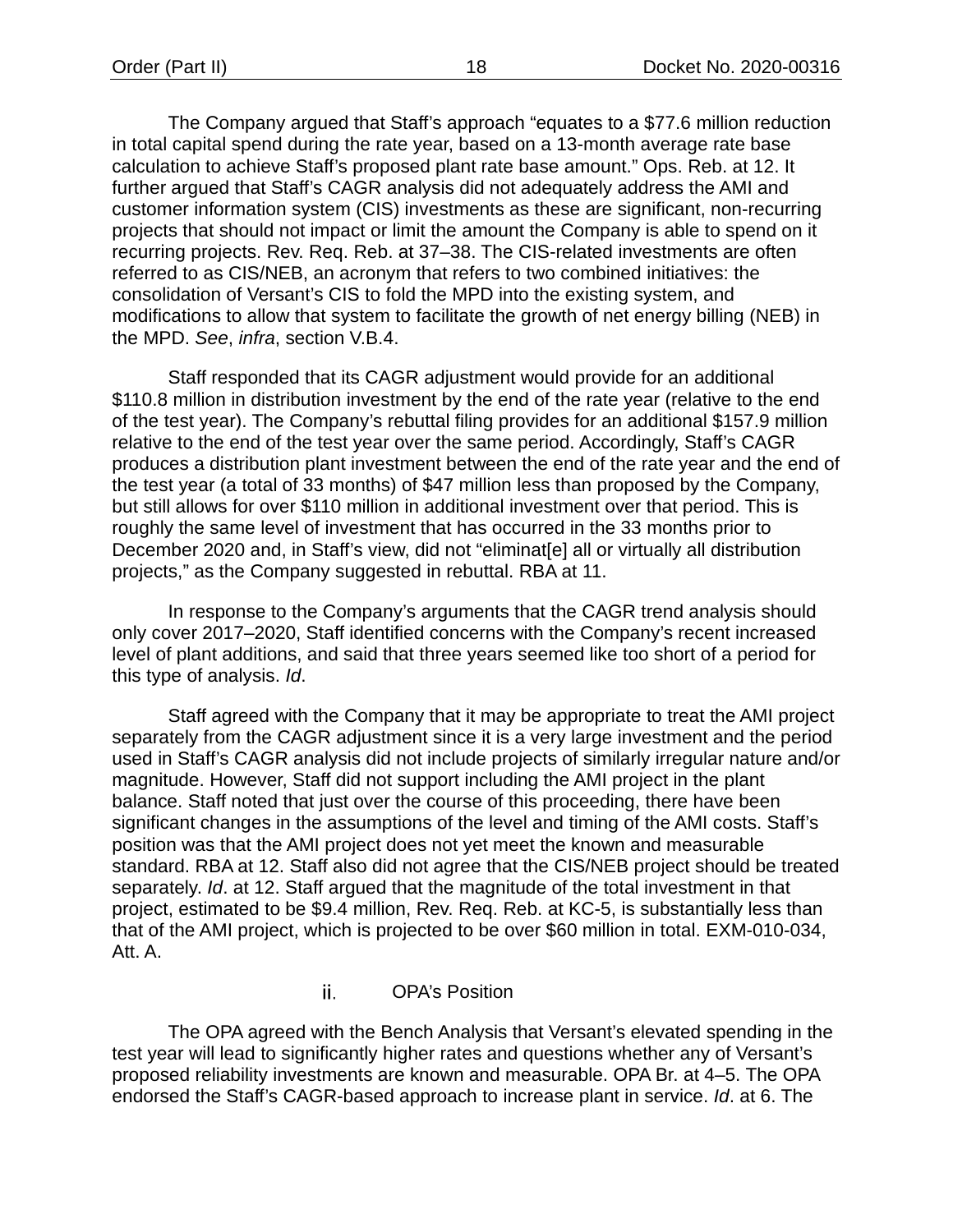The Company argued that Staff's approach "equates to a \$77.6 million reduction in total capital spend during the rate year, based on a 13-month average rate base calculation to achieve Staff's proposed plant rate base amount." Ops. Reb. at 12. It further argued that Staff's CAGR analysis did not adequately address the AMI and customer information system (CIS) investments as these are significant, non-recurring projects that should not impact or limit the amount the Company is able to spend on it recurring projects. Rev. Req. Reb. at 37–38. The CIS-related investments are often referred to as CIS/NEB, an acronym that refers to two combined initiatives: the consolidation of Versant's CIS to fold the MPD into the existing system, and modifications to allow that system to facilitate the growth of net energy billing (NEB) in the MPD. *See*, *infra*, section V.B.4.

Staff responded that its CAGR adjustment would provide for an additional \$110.8 million in distribution investment by the end of the rate year (relative to the end of the test year). The Company's rebuttal filing provides for an additional \$157.9 million relative to the end of the test year over the same period. Accordingly, Staff's CAGR produces a distribution plant investment between the end of the rate year and the end of the test year (a total of 33 months) of \$47 million less than proposed by the Company, but still allows for over \$110 million in additional investment over that period. This is roughly the same level of investment that has occurred in the 33 months prior to December 2020 and, in Staff's view, did not "eliminat[e] all or virtually all distribution projects," as the Company suggested in rebuttal. RBA at 11.

In response to the Company's arguments that the CAGR trend analysis should only cover 2017–2020, Staff identified concerns with the Company's recent increased level of plant additions, and said that three years seemed like too short of a period for this type of analysis. *Id*.

Staff agreed with the Company that it may be appropriate to treat the AMI project separately from the CAGR adjustment since it is a very large investment and the period used in Staff's CAGR analysis did not include projects of similarly irregular nature and/or magnitude. However, Staff did not support including the AMI project in the plant balance. Staff noted that just over the course of this proceeding, there have been significant changes in the assumptions of the level and timing of the AMI costs. Staff's position was that the AMI project does not yet meet the known and measurable standard. RBA at 12. Staff also did not agree that the CIS/NEB project should be treated separately. *Id*. at 12. Staff argued that the magnitude of the total investment in that project, estimated to be \$9.4 million, Rev. Req. Reb. at KC-5, is substantially less than that of the AMI project, which is projected to be over \$60 million in total. EXM-010-034, Att. A.

#### ii. OPA's Position

The OPA agreed with the Bench Analysis that Versant's elevated spending in the test year will lead to significantly higher rates and questions whether any of Versant's proposed reliability investments are known and measurable. OPA Br. at 4–5. The OPA endorsed the Staff's CAGR-based approach to increase plant in service. *Id*. at 6. The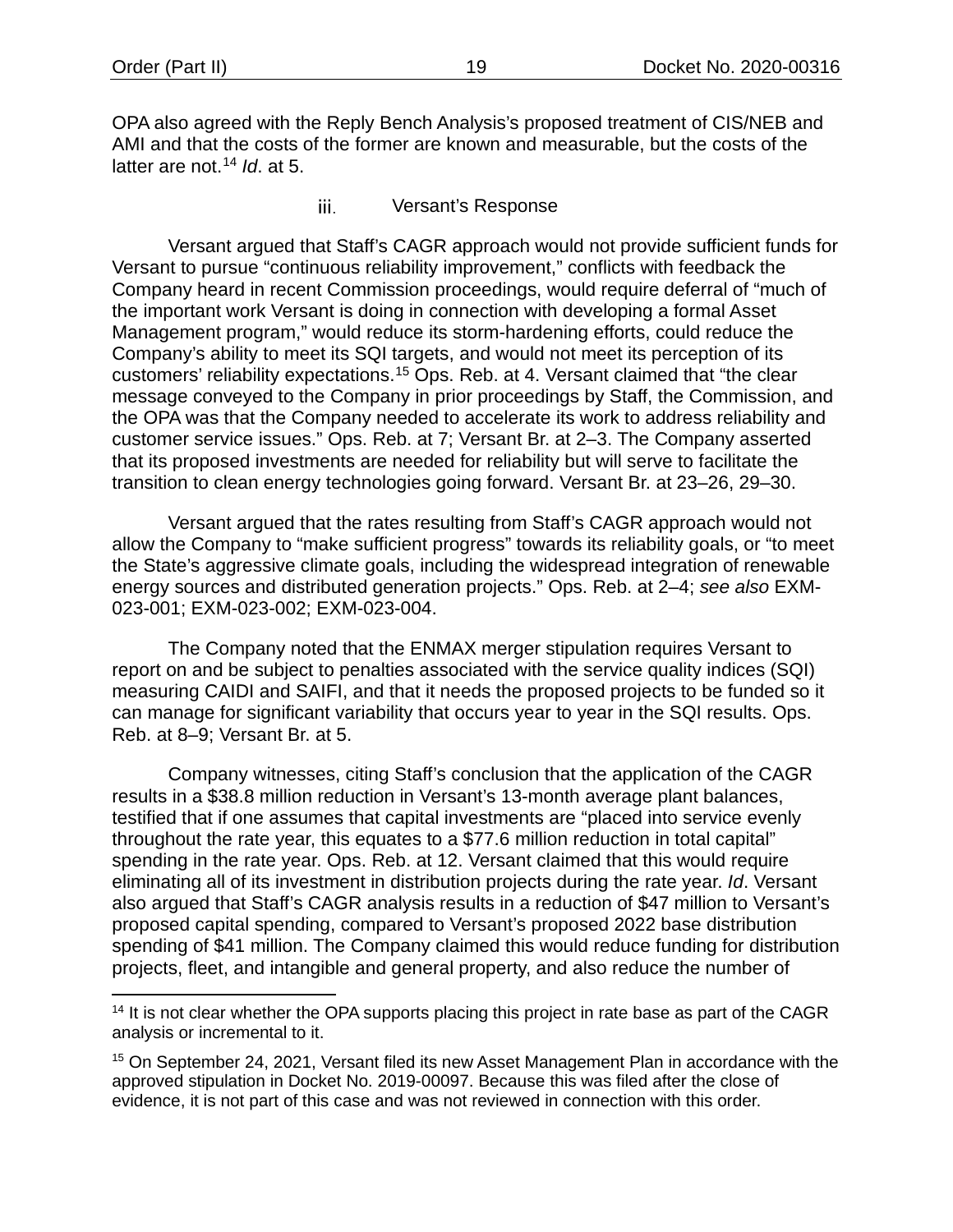OPA also agreed with the Reply Bench Analysis's proposed treatment of CIS/NEB and AMI and that the costs of the former are known and measurable, but the costs of the latter are not. [14](#page-21-0) *Id*. at 5.

> iii. Versant's Response

Versant argued that Staff's CAGR approach would not provide sufficient funds for Versant to pursue "continuous reliability improvement," conflicts with feedback the Company heard in recent Commission proceedings, would require deferral of "much of the important work Versant is doing in connection with developing a formal Asset Management program," would reduce its storm-hardening efforts, could reduce the Company's ability to meet its SQI targets, and would not meet its perception of its customers' reliability expectations.[15](#page-21-1) Ops. Reb. at 4. Versant claimed that "the clear message conveyed to the Company in prior proceedings by Staff, the Commission, and the OPA was that the Company needed to accelerate its work to address reliability and customer service issues." Ops. Reb. at 7; Versant Br. at 2–3. The Company asserted that its proposed investments are needed for reliability but will serve to facilitate the transition to clean energy technologies going forward. Versant Br. at 23–26, 29–30.

Versant argued that the rates resulting from Staff's CAGR approach would not allow the Company to "make sufficient progress" towards its reliability goals, or "to meet the State's aggressive climate goals, including the widespread integration of renewable energy sources and distributed generation projects." Ops. Reb. at 2–4; *see also* EXM-023-001; EXM-023-002; EXM-023-004.

The Company noted that the ENMAX merger stipulation requires Versant to report on and be subject to penalties associated with the service quality indices (SQI) measuring CAIDI and SAIFI, and that it needs the proposed projects to be funded so it can manage for significant variability that occurs year to year in the SQI results. Ops. Reb. at 8–9; Versant Br. at 5.

Company witnesses, citing Staff's conclusion that the application of the CAGR results in a \$38.8 million reduction in Versant's 13-month average plant balances, testified that if one assumes that capital investments are "placed into service evenly throughout the rate year, this equates to a \$77.6 million reduction in total capital" spending in the rate year. Ops. Reb. at 12. Versant claimed that this would require eliminating all of its investment in distribution projects during the rate year. *Id*. Versant also argued that Staff's CAGR analysis results in a reduction of \$47 million to Versant's proposed capital spending, compared to Versant's proposed 2022 base distribution spending of \$41 million. The Company claimed this would reduce funding for distribution projects, fleet, and intangible and general property, and also reduce the number of

<span id="page-21-0"></span> $14$  It is not clear whether the OPA supports placing this project in rate base as part of the CAGR analysis or incremental to it.

<span id="page-21-1"></span><sup>&</sup>lt;sup>15</sup> On September 24, 2021, Versant filed its new Asset Management Plan in accordance with the approved stipulation in Docket No. 2019-00097. Because this was filed after the close of evidence, it is not part of this case and was not reviewed in connection with this order.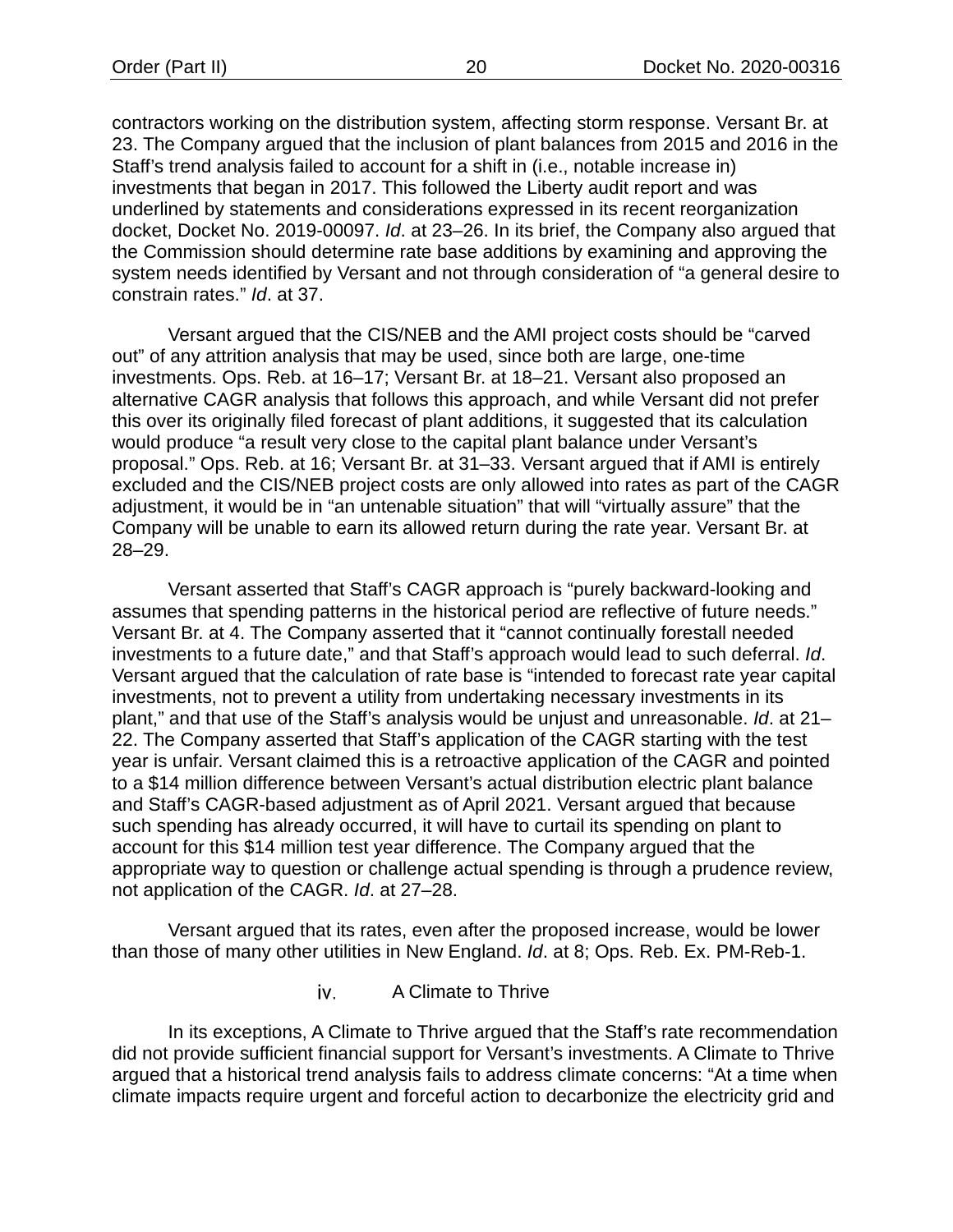contractors working on the distribution system, affecting storm response. Versant Br. at 23. The Company argued that the inclusion of plant balances from 2015 and 2016 in the Staff's trend analysis failed to account for a shift in (i.e., notable increase in) investments that began in 2017. This followed the Liberty audit report and was underlined by statements and considerations expressed in its recent reorganization docket, Docket No. 2019-00097. *Id*. at 23–26. In its brief, the Company also argued that the Commission should determine rate base additions by examining and approving the system needs identified by Versant and not through consideration of "a general desire to constrain rates." *Id*. at 37.

Versant argued that the CIS/NEB and the AMI project costs should be "carved out" of any attrition analysis that may be used, since both are large, one-time investments. Ops. Reb. at 16–17; Versant Br. at 18–21. Versant also proposed an alternative CAGR analysis that follows this approach, and while Versant did not prefer this over its originally filed forecast of plant additions, it suggested that its calculation would produce "a result very close to the capital plant balance under Versant's proposal." Ops. Reb. at 16; Versant Br. at 31–33. Versant argued that if AMI is entirely excluded and the CIS/NEB project costs are only allowed into rates as part of the CAGR adjustment, it would be in "an untenable situation" that will "virtually assure" that the Company will be unable to earn its allowed return during the rate year. Versant Br. at 28–29.

Versant asserted that Staff's CAGR approach is "purely backward-looking and assumes that spending patterns in the historical period are reflective of future needs." Versant Br. at 4. The Company asserted that it "cannot continually forestall needed investments to a future date," and that Staff's approach would lead to such deferral. *Id*. Versant argued that the calculation of rate base is "intended to forecast rate year capital investments, not to prevent a utility from undertaking necessary investments in its plant," and that use of the Staff's analysis would be unjust and unreasonable. *Id*. at 21– 22. The Company asserted that Staff's application of the CAGR starting with the test year is unfair. Versant claimed this is a retroactive application of the CAGR and pointed to a \$14 million difference between Versant's actual distribution electric plant balance and Staff's CAGR-based adjustment as of April 2021. Versant argued that because such spending has already occurred, it will have to curtail its spending on plant to account for this \$14 million test year difference. The Company argued that the appropriate way to question or challenge actual spending is through a prudence review, not application of the CAGR. *Id*. at 27–28.

Versant argued that its rates, even after the proposed increase, would be lower than those of many other utilities in New England. *Id*. at 8; Ops. Reb. Ex. PM-Reb-1.

> iv. A Climate to Thrive

In its exceptions, A Climate to Thrive argued that the Staff's rate recommendation did not provide sufficient financial support for Versant's investments. A Climate to Thrive argued that a historical trend analysis fails to address climate concerns: "At a time when climate impacts require urgent and forceful action to decarbonize the electricity grid and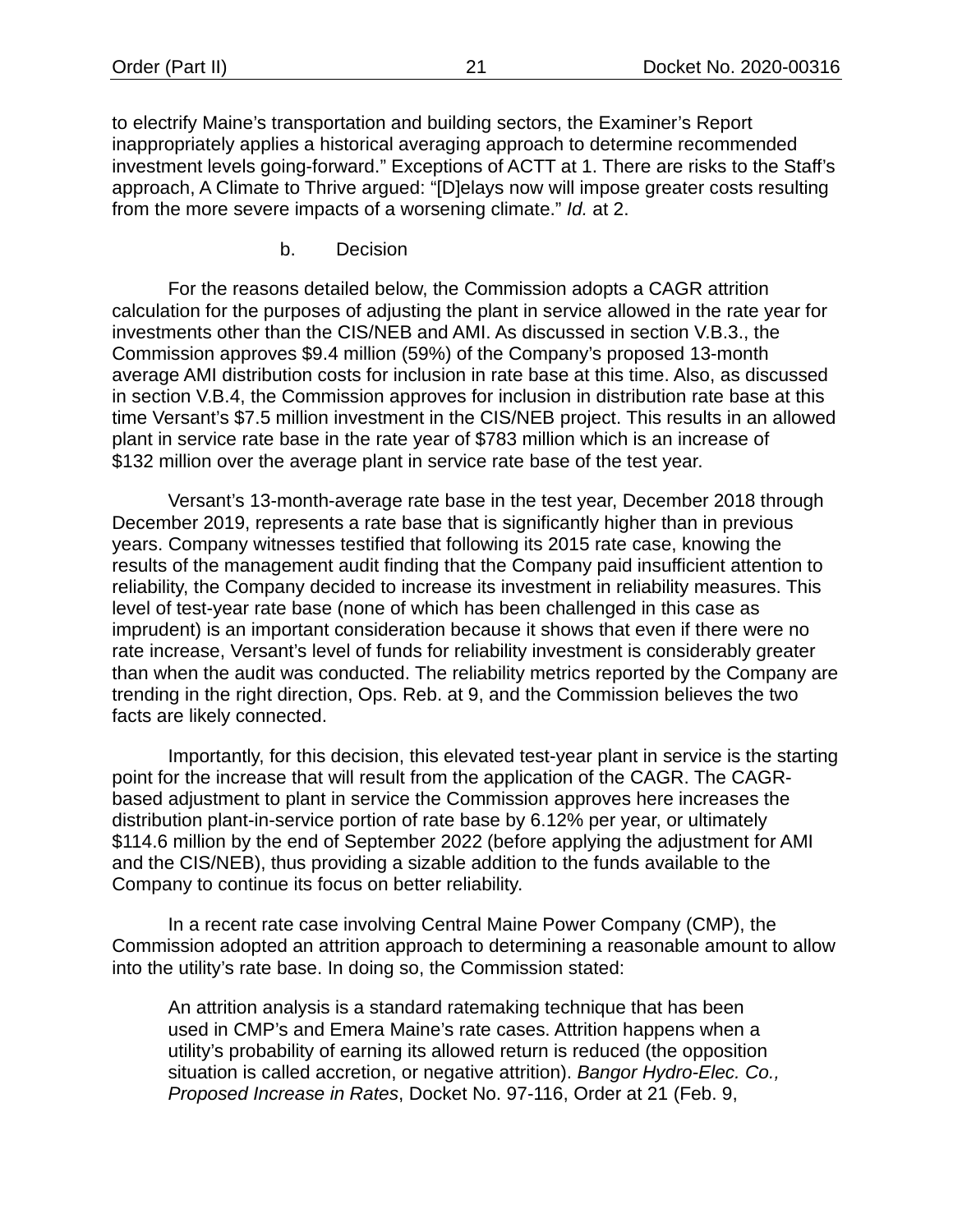to electrify Maine's transportation and building sectors, the Examiner's Report inappropriately applies a historical averaging approach to determine recommended investment levels going-forward." Exceptions of ACTT at 1. There are risks to the Staff's approach, A Climate to Thrive argued: "[D]elays now will impose greater costs resulting from the more severe impacts of a worsening climate." *Id.* at 2.

b. Decision

For the reasons detailed below, the Commission adopts a CAGR attrition calculation for the purposes of adjusting the plant in service allowed in the rate year for investments other than the CIS/NEB and AMI. As discussed in section [V](#page-13-3)[.B.](#page-16-0)[3.](#page-27-0), the Commission approves \$9.4 million (59%) of the Company's proposed 13-month average AMI distribution costs for inclusion in rate base at this time. Also, as discussed in section V.B.4, the Commission approves for inclusion in distribution rate base at this time Versant's \$7.5 million investment in the CIS/NEB project. This results in an allowed plant in service rate base in the rate year of \$783 million which is an increase of \$132 million over the average plant in service rate base of the test year.

Versant's 13-month-average rate base in the test year, December 2018 through December 2019, represents a rate base that is significantly higher than in previous years. Company witnesses testified that following its 2015 rate case, knowing the results of the management audit finding that the Company paid insufficient attention to reliability, the Company decided to increase its investment in reliability measures. This level of test-year rate base (none of which has been challenged in this case as imprudent) is an important consideration because it shows that even if there were no rate increase, Versant's level of funds for reliability investment is considerably greater than when the audit was conducted. The reliability metrics reported by the Company are trending in the right direction, Ops. Reb. at 9, and the Commission believes the two facts are likely connected.

Importantly, for this decision, this elevated test-year plant in service is the starting point for the increase that will result from the application of the CAGR. The CAGRbased adjustment to plant in service the Commission approves here increases the distribution plant-in-service portion of rate base by 6.12% per year, or ultimately \$114.6 million by the end of September 2022 (before applying the adjustment for AMI and the CIS/NEB), thus providing a sizable addition to the funds available to the Company to continue its focus on better reliability.

In a recent rate case involving Central Maine Power Company (CMP), the Commission adopted an attrition approach to determining a reasonable amount to allow into the utility's rate base. In doing so, the Commission stated:

An attrition analysis is a standard ratemaking technique that has been used in CMP's and Emera Maine's rate cases. Attrition happens when a utility's probability of earning its allowed return is reduced (the opposition situation is called accretion, or negative attrition). *Bangor Hydro-Elec. Co., Proposed Increase in Rates*, Docket No. 97-116, Order at 21 (Feb. 9,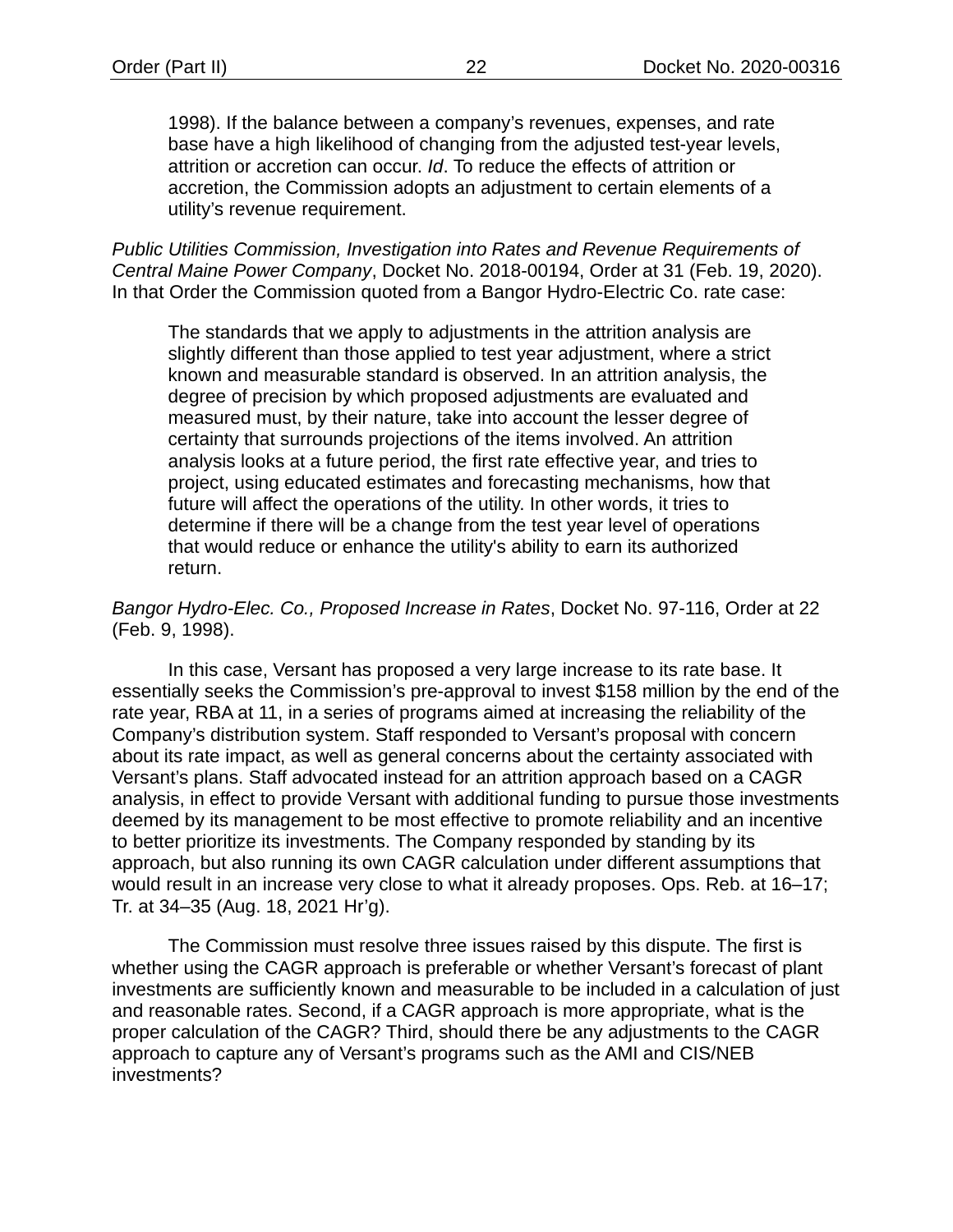1998). If the balance between a company's revenues, expenses, and rate base have a high likelihood of changing from the adjusted test-year levels, attrition or accretion can occur. *Id*. To reduce the effects of attrition or accretion, the Commission adopts an adjustment to certain elements of a utility's revenue requirement.

*Public Utilities Commission, Investigation into Rates and Revenue Requirements of Central Maine Power Company*, Docket No. 2018-00194, Order at 31 (Feb. 19, 2020). In that Order the Commission quoted from a Bangor Hydro-Electric Co. rate case:

The standards that we apply to adjustments in the attrition analysis are slightly different than those applied to test year adjustment, where a strict known and measurable standard is observed. In an attrition analysis, the degree of precision by which proposed adjustments are evaluated and measured must, by their nature, take into account the lesser degree of certainty that surrounds projections of the items involved. An attrition analysis looks at a future period, the first rate effective year, and tries to project, using educated estimates and forecasting mechanisms, how that future will affect the operations of the utility. In other words, it tries to determine if there will be a change from the test year level of operations that would reduce or enhance the utility's ability to earn its authorized return.

#### *Bangor Hydro-Elec. Co., Proposed Increase in Rates*, Docket No. 97-116, Order at 22 (Feb. 9, 1998).

In this case, Versant has proposed a very large increase to its rate base. It essentially seeks the Commission's pre-approval to invest \$158 million by the end of the rate year, RBA at 11, in a series of programs aimed at increasing the reliability of the Company's distribution system. Staff responded to Versant's proposal with concern about its rate impact, as well as general concerns about the certainty associated with Versant's plans. Staff advocated instead for an attrition approach based on a CAGR analysis, in effect to provide Versant with additional funding to pursue those investments deemed by its management to be most effective to promote reliability and an incentive to better prioritize its investments. The Company responded by standing by its approach, but also running its own CAGR calculation under different assumptions that would result in an increase very close to what it already proposes. Ops. Reb. at 16–17; Tr. at 34–35 (Aug. 18, 2021 Hr'g).

The Commission must resolve three issues raised by this dispute. The first is whether using the CAGR approach is preferable or whether Versant's forecast of plant investments are sufficiently known and measurable to be included in a calculation of just and reasonable rates. Second, if a CAGR approach is more appropriate, what is the proper calculation of the CAGR? Third, should there be any adjustments to the CAGR approach to capture any of Versant's programs such as the AMI and CIS/NEB investments?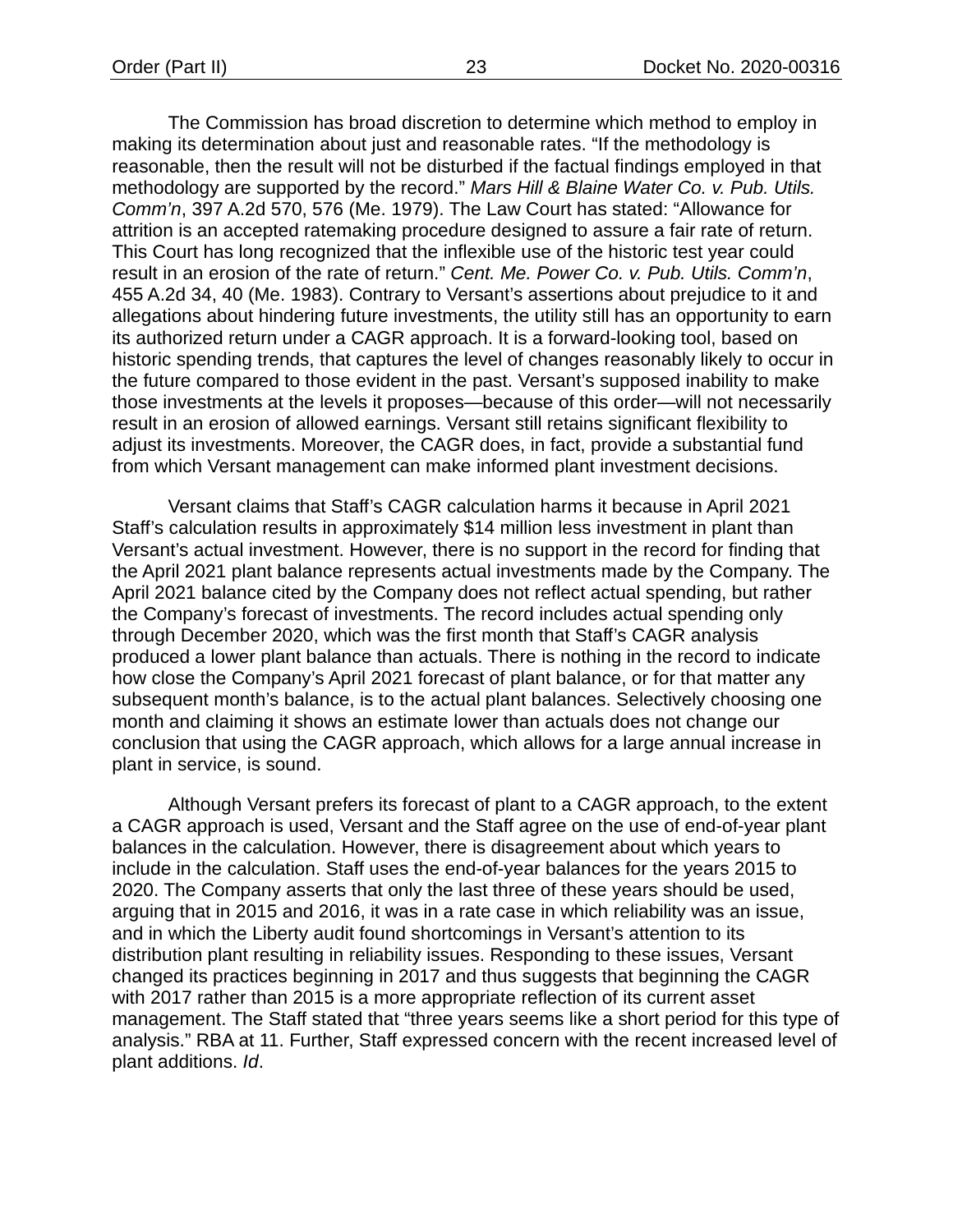The Commission has broad discretion to determine which method to employ in making its determination about just and reasonable rates. "If the methodology is reasonable, then the result will not be disturbed if the factual findings employed in that methodology are supported by the record." *Mars Hill & Blaine Water Co. v. Pub. Utils. Comm'n*, 397 A.2d 570, 576 (Me. 1979). The Law Court has stated: "Allowance for attrition is an accepted ratemaking procedure designed to assure a fair rate of return. This Court has long recognized that the inflexible use of the historic test year could result in an erosion of the rate of return." *Cent. Me. Power Co. v. Pub. Utils. Comm'n*, 455 A.2d 34, 40 (Me. 1983). Contrary to Versant's assertions about prejudice to it and allegations about hindering future investments, the utility still has an opportunity to earn its authorized return under a CAGR approach. It is a forward-looking tool, based on historic spending trends, that captures the level of changes reasonably likely to occur in the future compared to those evident in the past. Versant's supposed inability to make those investments at the levels it proposes—because of this order—will not necessarily result in an erosion of allowed earnings. Versant still retains significant flexibility to adjust its investments. Moreover, the CAGR does, in fact, provide a substantial fund from which Versant management can make informed plant investment decisions.

Versant claims that Staff's CAGR calculation harms it because in April 2021 Staff's calculation results in approximately \$14 million less investment in plant than Versant's actual investment. However, there is no support in the record for finding that the April 2021 plant balance represents actual investments made by the Company. The April 2021 balance cited by the Company does not reflect actual spending, but rather the Company's forecast of investments. The record includes actual spending only through December 2020, which was the first month that Staff's CAGR analysis produced a lower plant balance than actuals. There is nothing in the record to indicate how close the Company's April 2021 forecast of plant balance, or for that matter any subsequent month's balance, is to the actual plant balances. Selectively choosing one month and claiming it shows an estimate lower than actuals does not change our conclusion that using the CAGR approach, which allows for a large annual increase in plant in service, is sound.

Although Versant prefers its forecast of plant to a CAGR approach, to the extent a CAGR approach is used, Versant and the Staff agree on the use of end-of-year plant balances in the calculation. However, there is disagreement about which years to include in the calculation. Staff uses the end-of-year balances for the years 2015 to 2020. The Company asserts that only the last three of these years should be used, arguing that in 2015 and 2016, it was in a rate case in which reliability was an issue, and in which the Liberty audit found shortcomings in Versant's attention to its distribution plant resulting in reliability issues. Responding to these issues, Versant changed its practices beginning in 2017 and thus suggests that beginning the CAGR with 2017 rather than 2015 is a more appropriate reflection of its current asset management. The Staff stated that "three years seems like a short period for this type of analysis." RBA at 11. Further, Staff expressed concern with the recent increased level of plant additions. *Id*.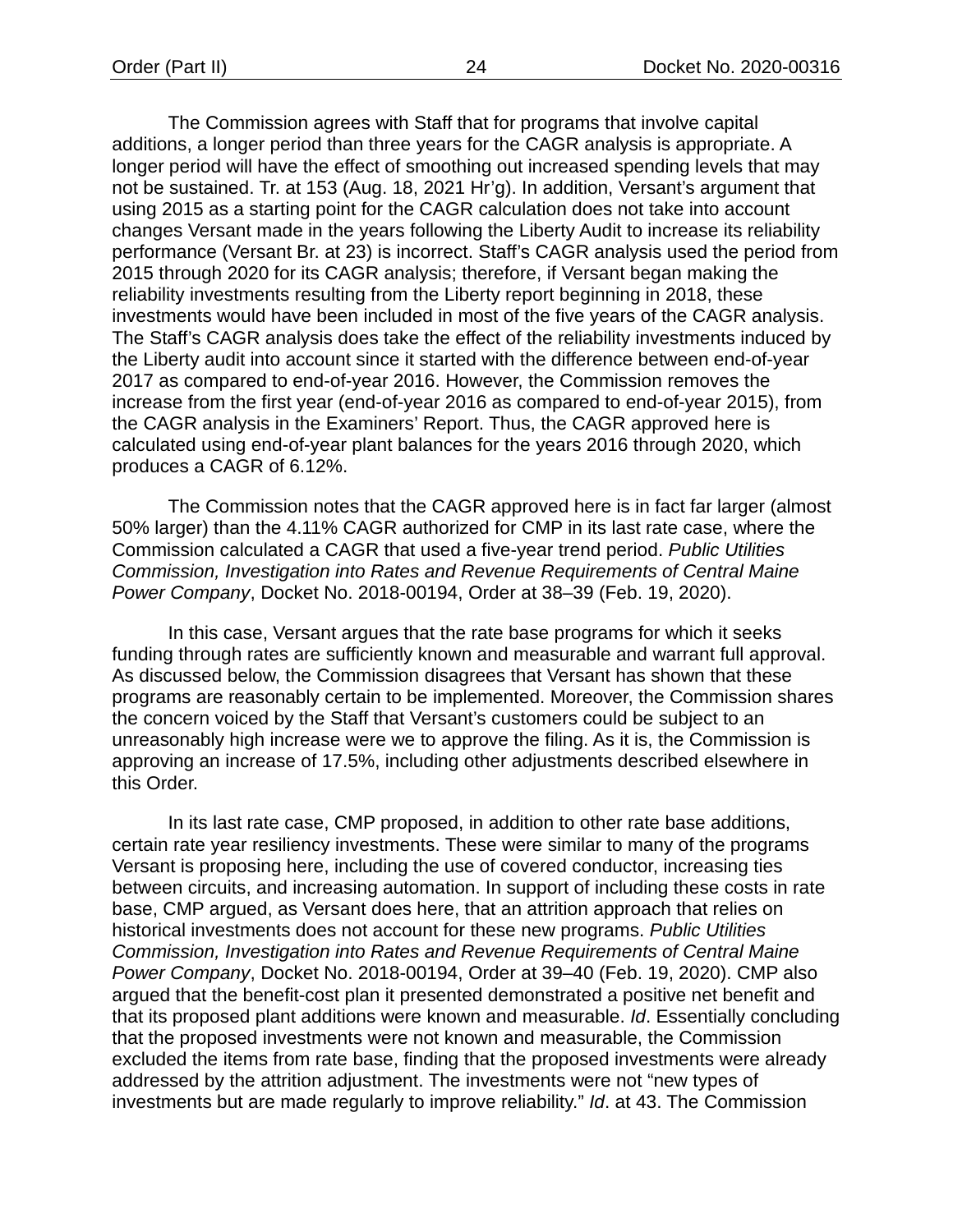The Commission agrees with Staff that for programs that involve capital additions, a longer period than three years for the CAGR analysis is appropriate. A longer period will have the effect of smoothing out increased spending levels that may not be sustained. Tr. at 153 (Aug. 18, 2021 Hr'g). In addition, Versant's argument that using 2015 as a starting point for the CAGR calculation does not take into account changes Versant made in the years following the Liberty Audit to increase its reliability performance (Versant Br. at 23) is incorrect. Staff's CAGR analysis used the period from 2015 through 2020 for its CAGR analysis; therefore, if Versant began making the reliability investments resulting from the Liberty report beginning in 2018, these investments would have been included in most of the five years of the CAGR analysis. The Staff's CAGR analysis does take the effect of the reliability investments induced by the Liberty audit into account since it started with the difference between end-of-year 2017 as compared to end-of-year 2016. However, the Commission removes the increase from the first year (end-of-year 2016 as compared to end-of-year 2015), from the CAGR analysis in the Examiners' Report. Thus, the CAGR approved here is calculated using end-of-year plant balances for the years 2016 through 2020, which produces a CAGR of 6.12%.

The Commission notes that the CAGR approved here is in fact far larger (almost 50% larger) than the 4.11% CAGR authorized for CMP in its last rate case, where the Commission calculated a CAGR that used a five-year trend period. *Public Utilities Commission, Investigation into Rates and Revenue Requirements of Central Maine Power Company*, Docket No. 2018-00194, Order at 38–39 (Feb. 19, 2020).

In this case, Versant argues that the rate base programs for which it seeks funding through rates are sufficiently known and measurable and warrant full approval. As discussed below, the Commission disagrees that Versant has shown that these programs are reasonably certain to be implemented. Moreover, the Commission shares the concern voiced by the Staff that Versant's customers could be subject to an unreasonably high increase were we to approve the filing. As it is, the Commission is approving an increase of 17.5%, including other adjustments described elsewhere in this Order.

In its last rate case, CMP proposed, in addition to other rate base additions, certain rate year resiliency investments. These were similar to many of the programs Versant is proposing here, including the use of covered conductor, increasing ties between circuits, and increasing automation. In support of including these costs in rate base, CMP argued, as Versant does here, that an attrition approach that relies on historical investments does not account for these new programs. *Public Utilities Commission, Investigation into Rates and Revenue Requirements of Central Maine Power Company*, Docket No. 2018-00194, Order at 39–40 (Feb. 19, 2020). CMP also argued that the benefit-cost plan it presented demonstrated a positive net benefit and that its proposed plant additions were known and measurable. *Id*. Essentially concluding that the proposed investments were not known and measurable, the Commission excluded the items from rate base, finding that the proposed investments were already addressed by the attrition adjustment. The investments were not "new types of investments but are made regularly to improve reliability." *Id*. at 43. The Commission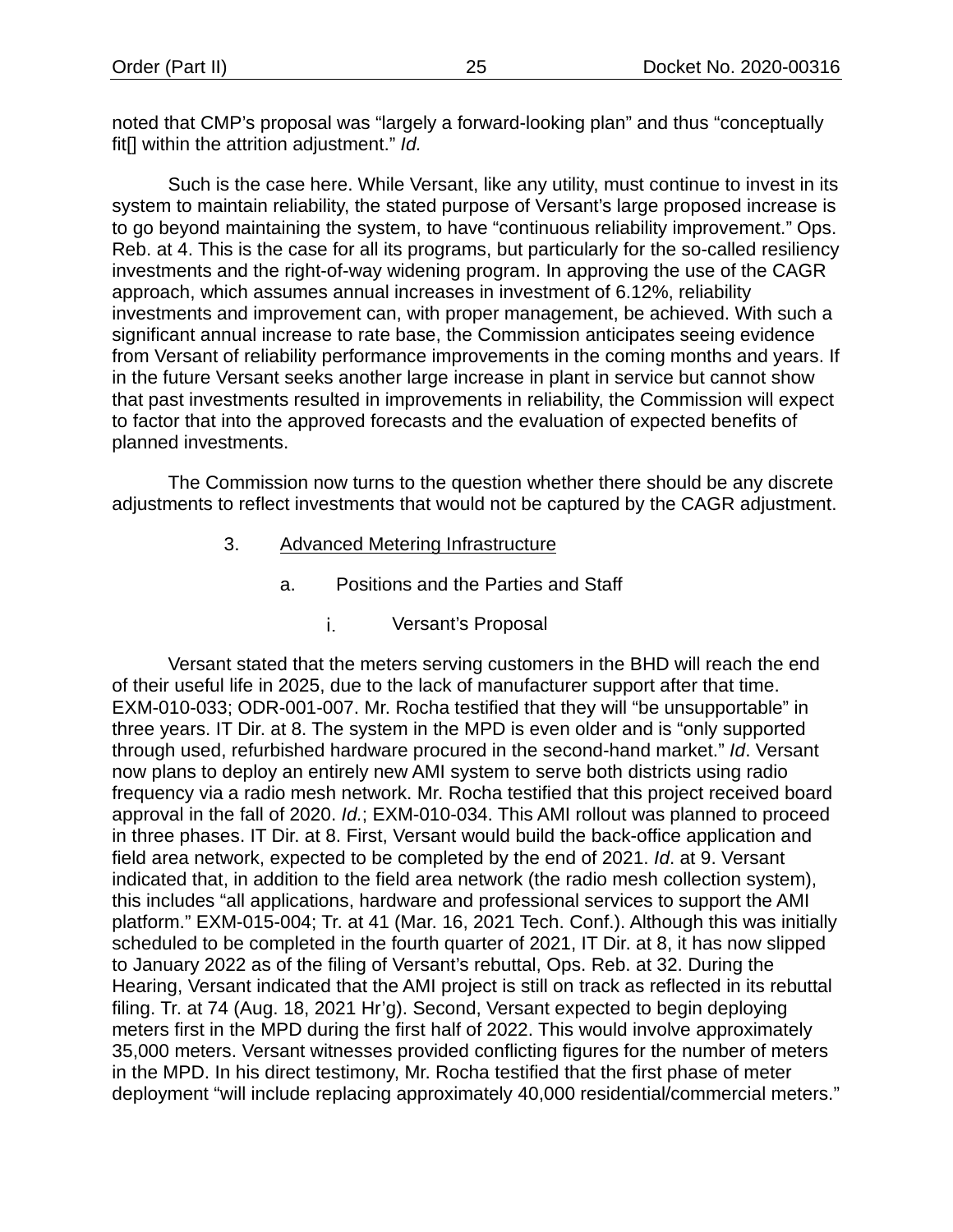noted that CMP's proposal was "largely a forward-looking plan" and thus "conceptually fit[] within the attrition adjustment." *Id.*

Such is the case here. While Versant, like any utility, must continue to invest in its system to maintain reliability, the stated purpose of Versant's large proposed increase is to go beyond maintaining the system, to have "continuous reliability improvement." Ops. Reb. at 4. This is the case for all its programs, but particularly for the so-called resiliency investments and the right-of-way widening program. In approving the use of the CAGR approach, which assumes annual increases in investment of 6.12%, reliability investments and improvement can, with proper management, be achieved. With such a significant annual increase to rate base, the Commission anticipates seeing evidence from Versant of reliability performance improvements in the coming months and years. If in the future Versant seeks another large increase in plant in service but cannot show that past investments resulted in improvements in reliability, the Commission will expect to factor that into the approved forecasts and the evaluation of expected benefits of planned investments.

<span id="page-27-0"></span>The Commission now turns to the question whether there should be any discrete adjustments to reflect investments that would not be captured by the CAGR adjustment.

- 3. Advanced Metering Infrastructure
	- a. Positions and the Parties and Staff
		- i. Versant's Proposal

Versant stated that the meters serving customers in the BHD will reach the end of their useful life in 2025, due to the lack of manufacturer support after that time. EXM-010-033; ODR-001-007. Mr. Rocha testified that they will "be unsupportable" in three years. IT Dir. at 8. The system in the MPD is even older and is "only supported through used, refurbished hardware procured in the second-hand market." *Id*. Versant now plans to deploy an entirely new AMI system to serve both districts using radio frequency via a radio mesh network. Mr. Rocha testified that this project received board approval in the fall of 2020. *Id.*; EXM-010-034. This AMI rollout was planned to proceed in three phases. IT Dir. at 8. First, Versant would build the back-office application and field area network, expected to be completed by the end of 2021. *Id*. at 9. Versant indicated that, in addition to the field area network (the radio mesh collection system), this includes "all applications, hardware and professional services to support the AMI platform." EXM-015-004; Tr. at 41 (Mar. 16, 2021 Tech. Conf.). Although this was initially scheduled to be completed in the fourth quarter of 2021, IT Dir. at 8, it has now slipped to January 2022 as of the filing of Versant's rebuttal, Ops. Reb. at 32. During the Hearing, Versant indicated that the AMI project is still on track as reflected in its rebuttal filing. Tr. at 74 (Aug. 18, 2021 Hr'g). Second, Versant expected to begin deploying meters first in the MPD during the first half of 2022. This would involve approximately 35,000 meters. Versant witnesses provided conflicting figures for the number of meters in the MPD. In his direct testimony, Mr. Rocha testified that the first phase of meter deployment "will include replacing approximately 40,000 residential/commercial meters."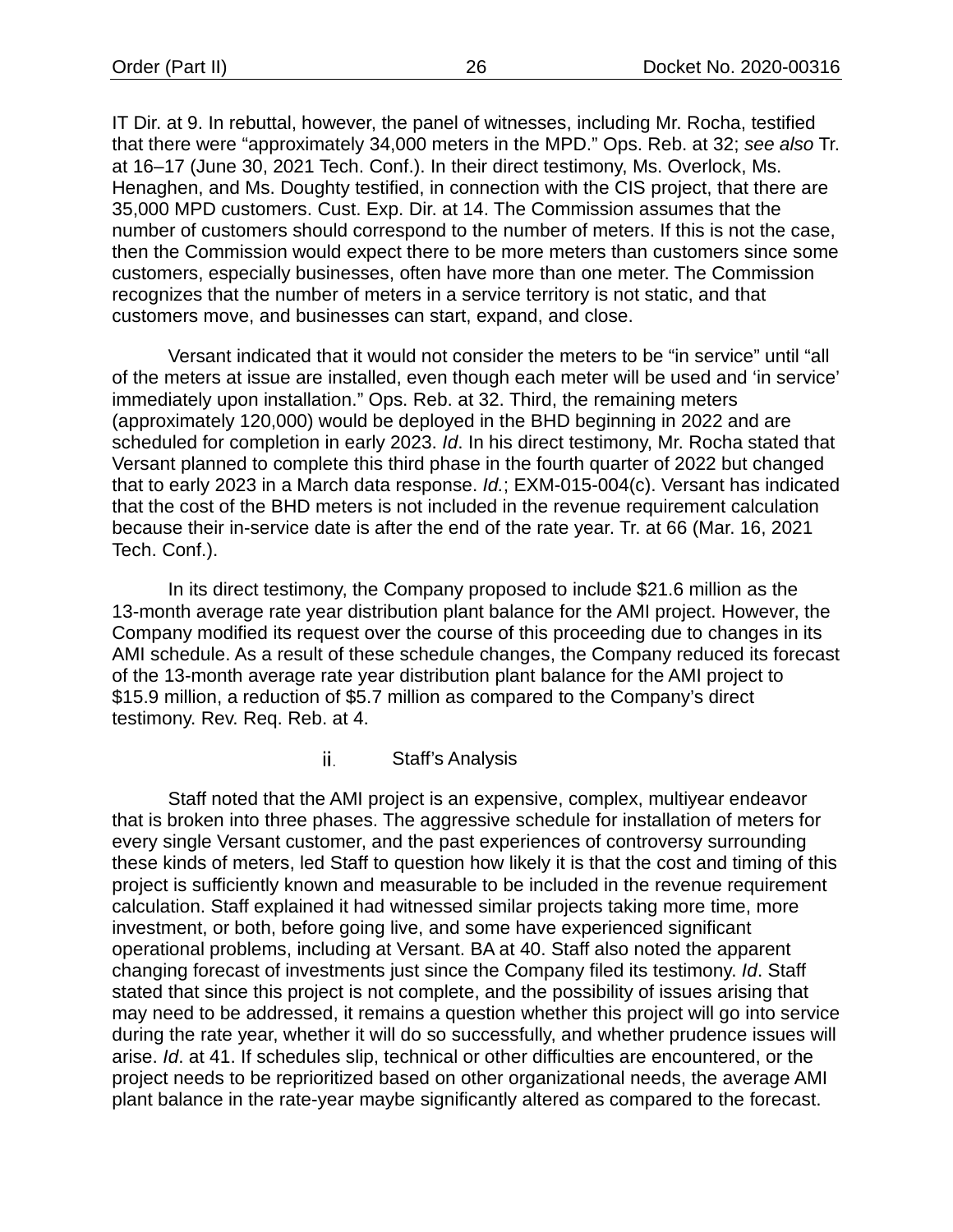IT Dir. at 9. In rebuttal, however, the panel of witnesses, including Mr. Rocha, testified that there were "approximately 34,000 meters in the MPD." Ops. Reb. at 32; *see also* Tr. at 16–17 (June 30, 2021 Tech. Conf.). In their direct testimony, Ms. Overlock, Ms. Henaghen, and Ms. Doughty testified, in connection with the CIS project, that there are 35,000 MPD customers. Cust. Exp. Dir. at 14. The Commission assumes that the number of customers should correspond to the number of meters. If this is not the case, then the Commission would expect there to be more meters than customers since some customers, especially businesses, often have more than one meter. The Commission recognizes that the number of meters in a service territory is not static, and that customers move, and businesses can start, expand, and close.

Versant indicated that it would not consider the meters to be "in service" until "all of the meters at issue are installed, even though each meter will be used and 'in service' immediately upon installation." Ops. Reb. at 32. Third, the remaining meters (approximately 120,000) would be deployed in the BHD beginning in 2022 and are scheduled for completion in early 2023. *Id*. In his direct testimony, Mr. Rocha stated that Versant planned to complete this third phase in the fourth quarter of 2022 but changed that to early 2023 in a March data response. *Id.*; EXM-015-004(c). Versant has indicated that the cost of the BHD meters is not included in the revenue requirement calculation because their in-service date is after the end of the rate year. Tr. at 66 (Mar. 16, 2021 Tech. Conf.).

In its direct testimony, the Company proposed to include \$21.6 million as the 13-month average rate year distribution plant balance for the AMI project. However, the Company modified its request over the course of this proceeding due to changes in its AMI schedule. As a result of these schedule changes, the Company reduced its forecast of the 13-month average rate year distribution plant balance for the AMI project to \$15.9 million, a reduction of \$5.7 million as compared to the Company's direct testimony. Rev. Req. Reb. at 4.

#### ii. Staff's Analysis

Staff noted that the AMI project is an expensive, complex, multiyear endeavor that is broken into three phases. The aggressive schedule for installation of meters for every single Versant customer, and the past experiences of controversy surrounding these kinds of meters, led Staff to question how likely it is that the cost and timing of this project is sufficiently known and measurable to be included in the revenue requirement calculation. Staff explained it had witnessed similar projects taking more time, more investment, or both, before going live, and some have experienced significant operational problems, including at Versant. BA at 40. Staff also noted the apparent changing forecast of investments just since the Company filed its testimony. *Id*. Staff stated that since this project is not complete, and the possibility of issues arising that may need to be addressed, it remains a question whether this project will go into service during the rate year, whether it will do so successfully, and whether prudence issues will arise. *Id*. at 41. If schedules slip, technical or other difficulties are encountered, or the project needs to be reprioritized based on other organizational needs, the average AMI plant balance in the rate-year maybe significantly altered as compared to the forecast.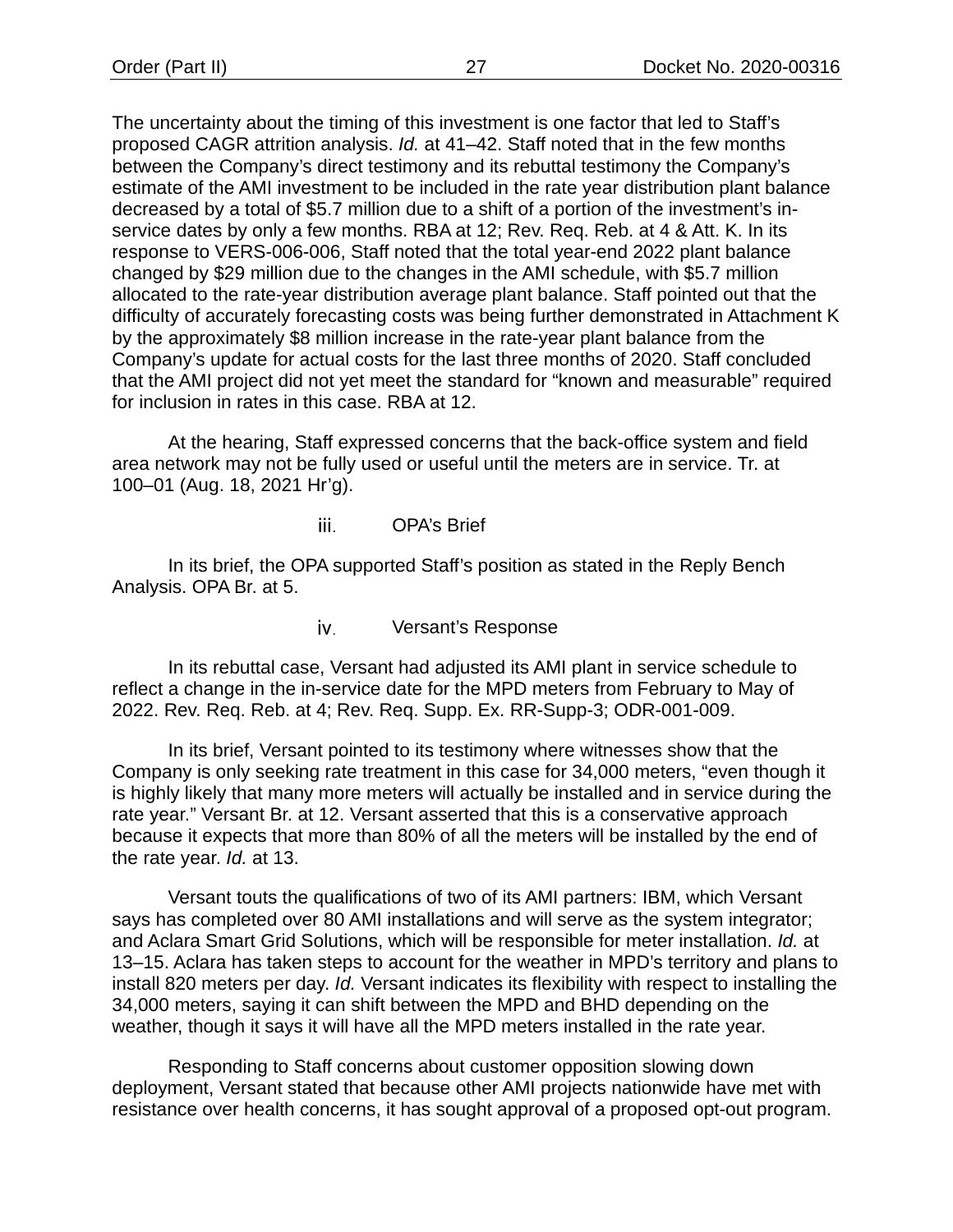The uncertainty about the timing of this investment is one factor that led to Staff's proposed CAGR attrition analysis. *Id.* at 41–42. Staff noted that in the few months between the Company's direct testimony and its rebuttal testimony the Company's estimate of the AMI investment to be included in the rate year distribution plant balance decreased by a total of \$5.7 million due to a shift of a portion of the investment's inservice dates by only a few months. RBA at 12; Rev. Req. Reb. at 4 & Att. K. In its response to VERS-006-006, Staff noted that the total year-end 2022 plant balance changed by \$29 million due to the changes in the AMI schedule, with \$5.7 million allocated to the rate-year distribution average plant balance. Staff pointed out that the difficulty of accurately forecasting costs was being further demonstrated in Attachment K by the approximately \$8 million increase in the rate-year plant balance from the Company's update for actual costs for the last three months of 2020. Staff concluded that the AMI project did not yet meet the standard for "known and measurable" required for inclusion in rates in this case. RBA at 12.

At the hearing, Staff expressed concerns that the back-office system and field area network may not be fully used or useful until the meters are in service. Tr. at 100–01 (Aug. 18, 2021 Hr'g).

> OPA's Brief iii.

In its brief, the OPA supported Staff's position as stated in the Reply Bench Analysis. OPA Br. at 5.

> Versant's Response iv.

In its rebuttal case, Versant had adjusted its AMI plant in service schedule to reflect a change in the in-service date for the MPD meters from February to May of 2022. Rev. Req. Reb. at 4; Rev. Req. Supp. Ex. RR-Supp-3; ODR-001-009.

In its brief, Versant pointed to its testimony where witnesses show that the Company is only seeking rate treatment in this case for 34,000 meters, "even though it is highly likely that many more meters will actually be installed and in service during the rate year." Versant Br. at 12. Versant asserted that this is a conservative approach because it expects that more than 80% of all the meters will be installed by the end of the rate year. *Id.* at 13.

Versant touts the qualifications of two of its AMI partners: IBM, which Versant says has completed over 80 AMI installations and will serve as the system integrator; and Aclara Smart Grid Solutions, which will be responsible for meter installation. *Id.* at 13–15. Aclara has taken steps to account for the weather in MPD's territory and plans to install 820 meters per day. *Id.* Versant indicates its flexibility with respect to installing the 34,000 meters, saying it can shift between the MPD and BHD depending on the weather, though it says it will have all the MPD meters installed in the rate year.

Responding to Staff concerns about customer opposition slowing down deployment, Versant stated that because other AMI projects nationwide have met with resistance over health concerns, it has sought approval of a proposed opt-out program.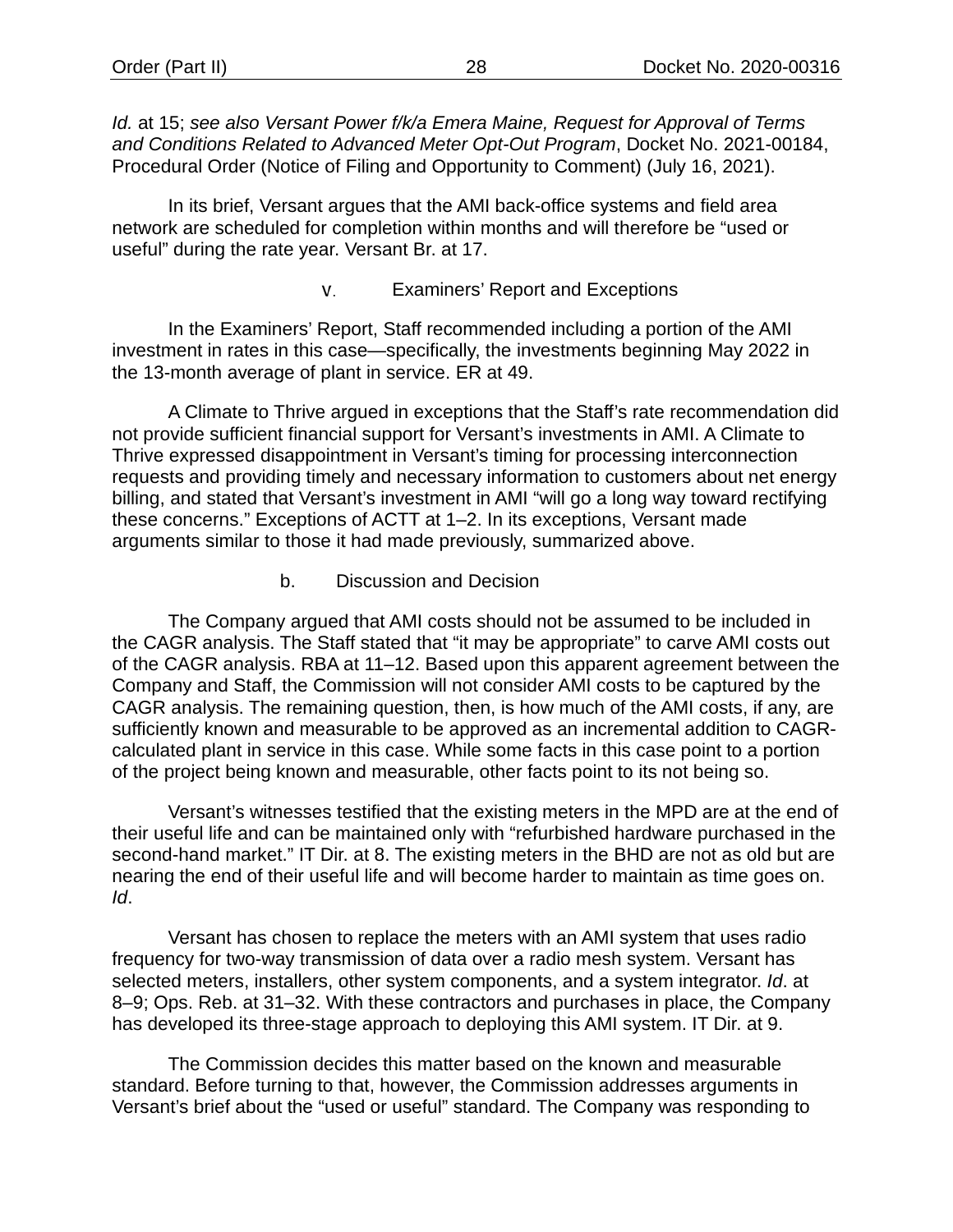*Id.* at 15; *see also Versant Power f/k/a Emera Maine, Request for Approval of Terms and Conditions Related to Advanced Meter Opt-Out Program*, Docket No. 2021-00184, Procedural Order (Notice of Filing and Opportunity to Comment) (July 16, 2021).

In its brief, Versant argues that the AMI back-office systems and field area network are scheduled for completion within months and will therefore be "used or useful" during the rate year. Versant Br. at 17.

#### Examiners' Report and Exceptions v.

In the Examiners' Report, Staff recommended including a portion of the AMI investment in rates in this case—specifically, the investments beginning May 2022 in the 13-month average of plant in service. ER at 49.

A Climate to Thrive argued in exceptions that the Staff's rate recommendation did not provide sufficient financial support for Versant's investments in AMI. A Climate to Thrive expressed disappointment in Versant's timing for processing interconnection requests and providing timely and necessary information to customers about net energy billing, and stated that Versant's investment in AMI "will go a long way toward rectifying these concerns." Exceptions of ACTT at 1–2. In its exceptions, Versant made arguments similar to those it had made previously, summarized above.

#### b. Discussion and Decision

The Company argued that AMI costs should not be assumed to be included in the CAGR analysis. The Staff stated that "it may be appropriate" to carve AMI costs out of the CAGR analysis. RBA at 11–12. Based upon this apparent agreement between the Company and Staff, the Commission will not consider AMI costs to be captured by the CAGR analysis. The remaining question, then, is how much of the AMI costs, if any, are sufficiently known and measurable to be approved as an incremental addition to CAGRcalculated plant in service in this case. While some facts in this case point to a portion of the project being known and measurable, other facts point to its not being so.

Versant's witnesses testified that the existing meters in the MPD are at the end of their useful life and can be maintained only with "refurbished hardware purchased in the second-hand market." IT Dir. at 8. The existing meters in the BHD are not as old but are nearing the end of their useful life and will become harder to maintain as time goes on. *Id*.

Versant has chosen to replace the meters with an AMI system that uses radio frequency for two-way transmission of data over a radio mesh system. Versant has selected meters, installers, other system components, and a system integrator. *Id*. at 8–9; Ops. Reb. at 31–32. With these contractors and purchases in place, the Company has developed its three-stage approach to deploying this AMI system. IT Dir. at 9.

The Commission decides this matter based on the known and measurable standard. Before turning to that, however, the Commission addresses arguments in Versant's brief about the "used or useful" standard. The Company was responding to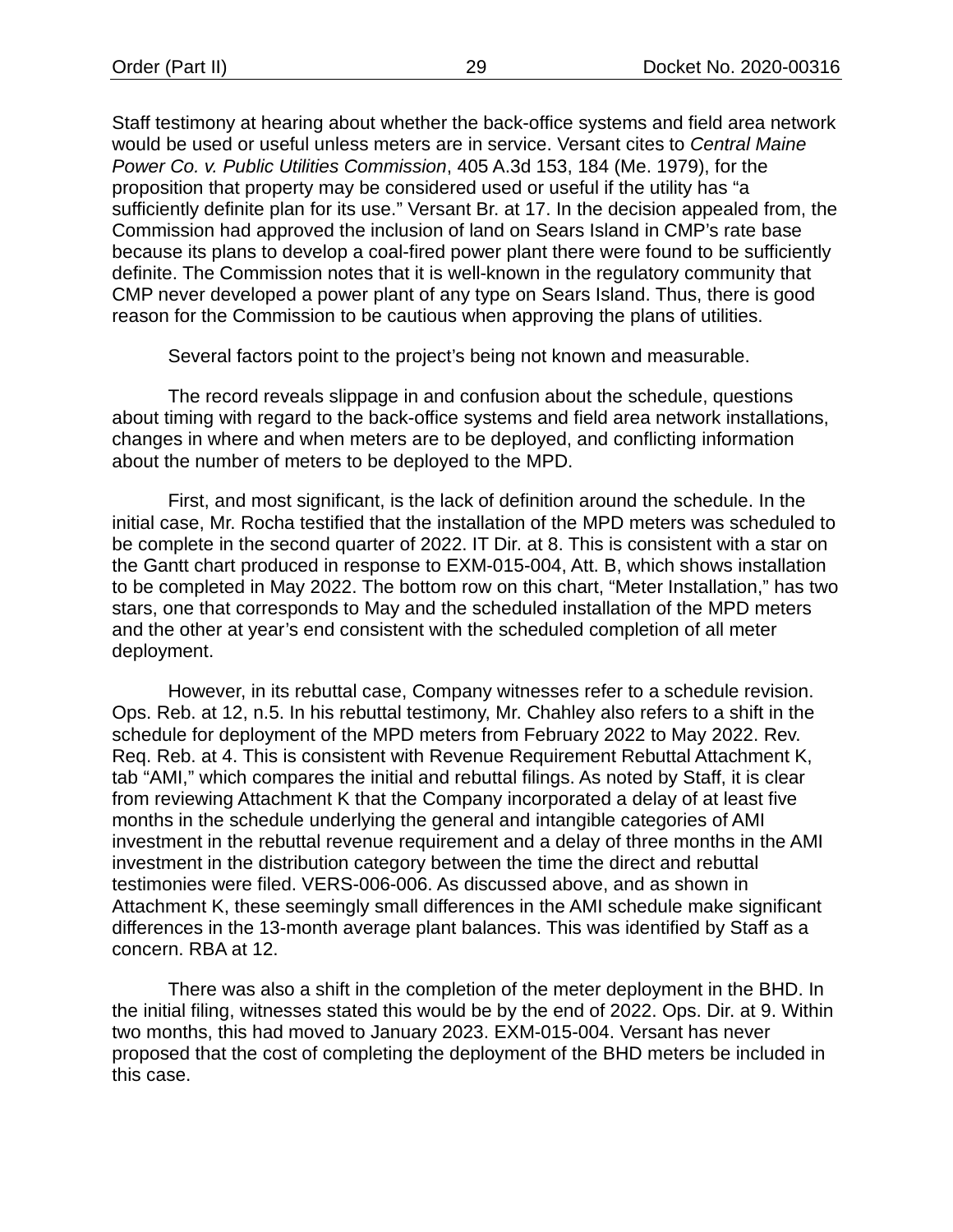Staff testimony at hearing about whether the back-office systems and field area network would be used or useful unless meters are in service. Versant cites to *Central Maine Power Co. v. Public Utilities Commission*, 405 A.3d 153, 184 (Me. 1979), for the proposition that property may be considered used or useful if the utility has "a sufficiently definite plan for its use." Versant Br. at 17. In the decision appealed from, the Commission had approved the inclusion of land on Sears Island in CMP's rate base because its plans to develop a coal-fired power plant there were found to be sufficiently definite. The Commission notes that it is well-known in the regulatory community that CMP never developed a power plant of any type on Sears Island. Thus, there is good reason for the Commission to be cautious when approving the plans of utilities.

Several factors point to the project's being not known and measurable.

The record reveals slippage in and confusion about the schedule, questions about timing with regard to the back-office systems and field area network installations, changes in where and when meters are to be deployed, and conflicting information about the number of meters to be deployed to the MPD.

First, and most significant, is the lack of definition around the schedule. In the initial case, Mr. Rocha testified that the installation of the MPD meters was scheduled to be complete in the second quarter of 2022. IT Dir. at 8. This is consistent with a star on the Gantt chart produced in response to EXM-015-004, Att. B, which shows installation to be completed in May 2022. The bottom row on this chart, "Meter Installation," has two stars, one that corresponds to May and the scheduled installation of the MPD meters and the other at year's end consistent with the scheduled completion of all meter deployment.

However, in its rebuttal case, Company witnesses refer to a schedule revision. Ops. Reb. at 12, n.5. In his rebuttal testimony, Mr. Chahley also refers to a shift in the schedule for deployment of the MPD meters from February 2022 to May 2022. Rev. Req. Reb. at 4. This is consistent with Revenue Requirement Rebuttal Attachment K, tab "AMI," which compares the initial and rebuttal filings. As noted by Staff, it is clear from reviewing Attachment K that the Company incorporated a delay of at least five months in the schedule underlying the general and intangible categories of AMI investment in the rebuttal revenue requirement and a delay of three months in the AMI investment in the distribution category between the time the direct and rebuttal testimonies were filed. VERS-006-006. As discussed above, and as shown in Attachment K, these seemingly small differences in the AMI schedule make significant differences in the 13-month average plant balances. This was identified by Staff as a concern. RBA at 12.

There was also a shift in the completion of the meter deployment in the BHD. In the initial filing, witnesses stated this would be by the end of 2022. Ops. Dir. at 9. Within two months, this had moved to January 2023. EXM-015-004. Versant has never proposed that the cost of completing the deployment of the BHD meters be included in this case.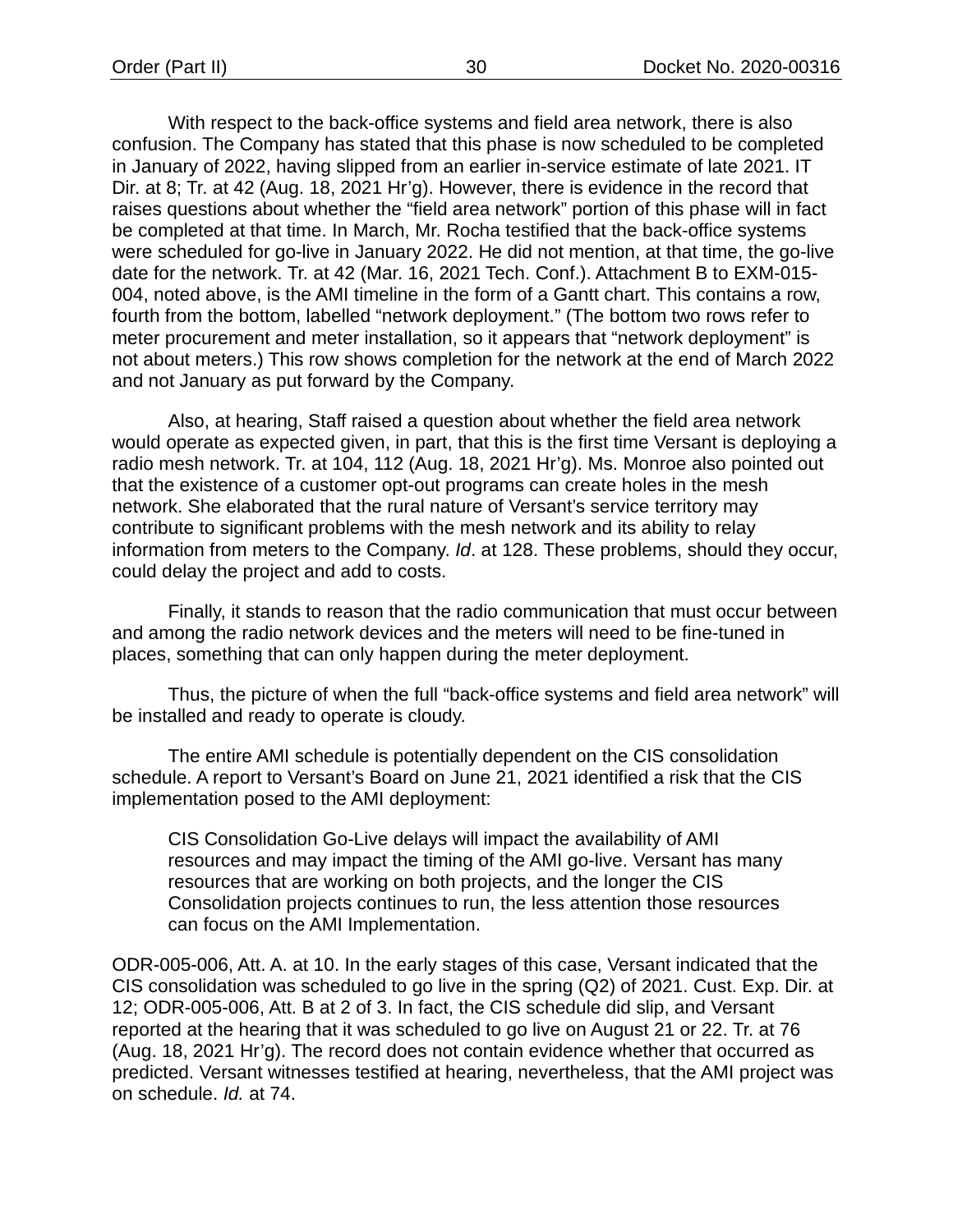With respect to the back-office systems and field area network, there is also confusion. The Company has stated that this phase is now scheduled to be completed in January of 2022, having slipped from an earlier in-service estimate of late 2021. IT Dir. at 8; Tr. at 42 (Aug. 18, 2021 Hr'g). However, there is evidence in the record that raises questions about whether the "field area network" portion of this phase will in fact be completed at that time. In March, Mr. Rocha testified that the back-office systems were scheduled for go-live in January 2022. He did not mention, at that time, the go-live date for the network. Tr. at 42 (Mar. 16, 2021 Tech. Conf.). Attachment B to EXM-015- 004, noted above, is the AMI timeline in the form of a Gantt chart. This contains a row, fourth from the bottom, labelled "network deployment." (The bottom two rows refer to meter procurement and meter installation, so it appears that "network deployment" is not about meters.) This row shows completion for the network at the end of March 2022 and not January as put forward by the Company.

Also, at hearing, Staff raised a question about whether the field area network would operate as expected given, in part, that this is the first time Versant is deploying a radio mesh network. Tr. at 104, 112 (Aug. 18, 2021 Hr'g). Ms. Monroe also pointed out that the existence of a customer opt-out programs can create holes in the mesh network. She elaborated that the rural nature of Versant's service territory may contribute to significant problems with the mesh network and its ability to relay information from meters to the Company. *Id*. at 128. These problems, should they occur, could delay the project and add to costs.

Finally, it stands to reason that the radio communication that must occur between and among the radio network devices and the meters will need to be fine-tuned in places, something that can only happen during the meter deployment.

Thus, the picture of when the full "back-office systems and field area network" will be installed and ready to operate is cloudy.

The entire AMI schedule is potentially dependent on the CIS consolidation schedule. A report to Versant's Board on June 21, 2021 identified a risk that the CIS implementation posed to the AMI deployment:

CIS Consolidation Go-Live delays will impact the availability of AMI resources and may impact the timing of the AMI go-live. Versant has many resources that are working on both projects, and the longer the CIS Consolidation projects continues to run, the less attention those resources can focus on the AMI Implementation.

ODR-005-006, Att. A. at 10. In the early stages of this case, Versant indicated that the CIS consolidation was scheduled to go live in the spring (Q2) of 2021. Cust. Exp. Dir. at 12; ODR-005-006, Att. B at 2 of 3. In fact, the CIS schedule did slip, and Versant reported at the hearing that it was scheduled to go live on August 21 or 22. Tr. at 76 (Aug. 18, 2021 Hr'g). The record does not contain evidence whether that occurred as predicted. Versant witnesses testified at hearing, nevertheless, that the AMI project was on schedule. *Id.* at 74.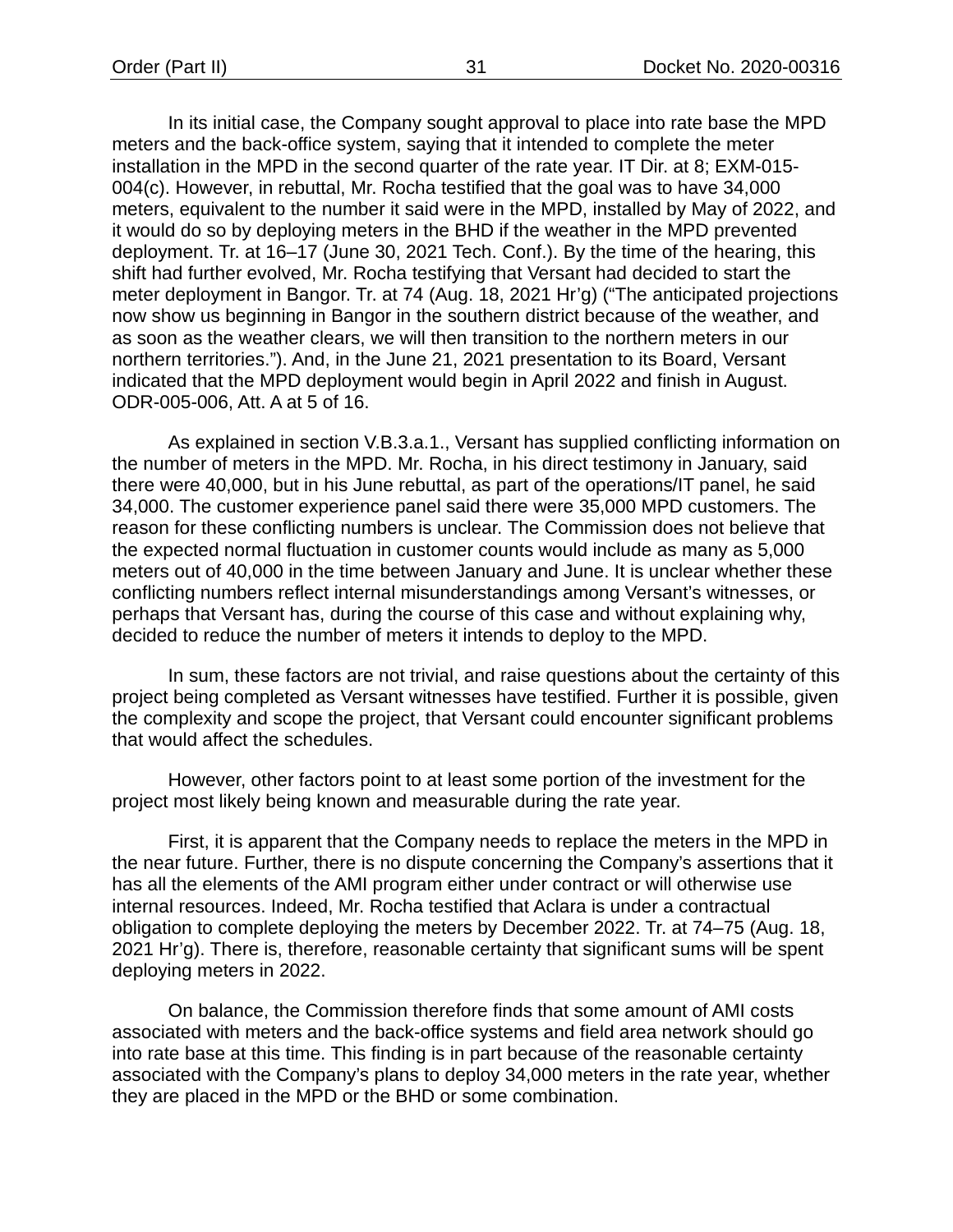In its initial case, the Company sought approval to place into rate base the MPD meters and the back-office system, saying that it intended to complete the meter installation in the MPD in the second quarter of the rate year. IT Dir. at 8; EXM-015- 004(c). However, in rebuttal, Mr. Rocha testified that the goal was to have 34,000 meters, equivalent to the number it said were in the MPD, installed by May of 2022, and it would do so by deploying meters in the BHD if the weather in the MPD prevented deployment. Tr. at 16–17 (June 30, 2021 Tech. Conf.). By the time of the hearing, this shift had further evolved, Mr. Rocha testifying that Versant had decided to start the meter deployment in Bangor. Tr. at 74 (Aug. 18, 2021 Hr'g) ("The anticipated projections now show us beginning in Bangor in the southern district because of the weather, and as soon as the weather clears, we will then transition to the northern meters in our northern territories."). And, in the June 21, 2021 presentation to its Board, Versant indicated that the MPD deployment would begin in April 2022 and finish in August. ODR-005-006, Att. A at 5 of 16.

As explained in section V.B.3.a.1., Versant has supplied conflicting information on the number of meters in the MPD. Mr. Rocha, in his direct testimony in January, said there were 40,000, but in his June rebuttal, as part of the operations/IT panel, he said 34,000. The customer experience panel said there were 35,000 MPD customers. The reason for these conflicting numbers is unclear. The Commission does not believe that the expected normal fluctuation in customer counts would include as many as 5,000 meters out of 40,000 in the time between January and June. It is unclear whether these conflicting numbers reflect internal misunderstandings among Versant's witnesses, or perhaps that Versant has, during the course of this case and without explaining why, decided to reduce the number of meters it intends to deploy to the MPD.

In sum, these factors are not trivial, and raise questions about the certainty of this project being completed as Versant witnesses have testified. Further it is possible, given the complexity and scope the project, that Versant could encounter significant problems that would affect the schedules.

However, other factors point to at least some portion of the investment for the project most likely being known and measurable during the rate year.

First, it is apparent that the Company needs to replace the meters in the MPD in the near future. Further, there is no dispute concerning the Company's assertions that it has all the elements of the AMI program either under contract or will otherwise use internal resources. Indeed, Mr. Rocha testified that Aclara is under a contractual obligation to complete deploying the meters by December 2022. Tr. at 74–75 (Aug. 18, 2021 Hr'g). There is, therefore, reasonable certainty that significant sums will be spent deploying meters in 2022.

On balance, the Commission therefore finds that some amount of AMI costs associated with meters and the back-office systems and field area network should go into rate base at this time. This finding is in part because of the reasonable certainty associated with the Company's plans to deploy 34,000 meters in the rate year, whether they are placed in the MPD or the BHD or some combination.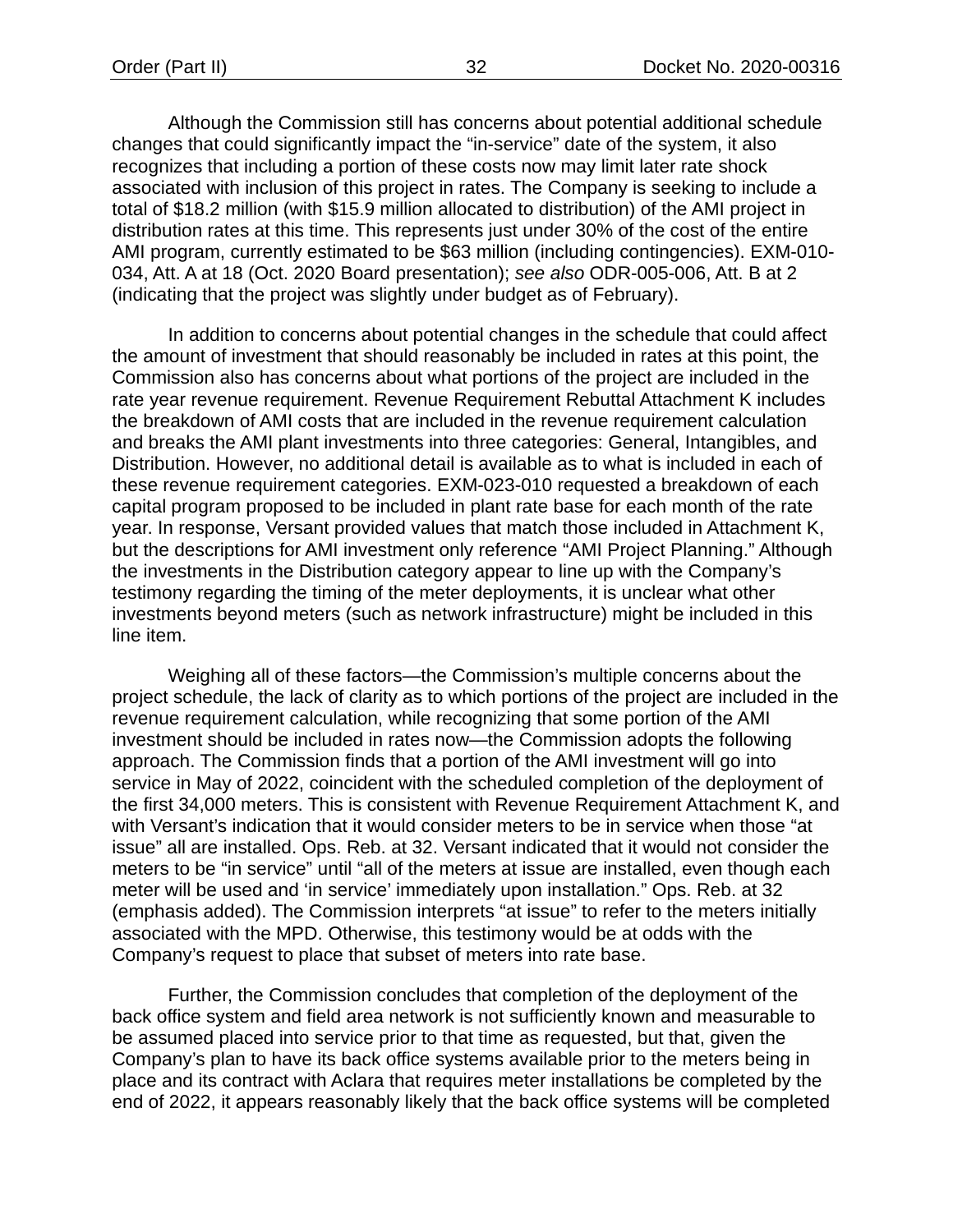Although the Commission still has concerns about potential additional schedule changes that could significantly impact the "in-service" date of the system, it also recognizes that including a portion of these costs now may limit later rate shock associated with inclusion of this project in rates. The Company is seeking to include a total of \$18.2 million (with \$15.9 million allocated to distribution) of the AMI project in distribution rates at this time. This represents just under 30% of the cost of the entire AMI program, currently estimated to be \$63 million (including contingencies). EXM-010- 034, Att. A at 18 (Oct. 2020 Board presentation); *see also* ODR-005-006, Att. B at 2 (indicating that the project was slightly under budget as of February).

In addition to concerns about potential changes in the schedule that could affect the amount of investment that should reasonably be included in rates at this point, the Commission also has concerns about what portions of the project are included in the rate year revenue requirement. Revenue Requirement Rebuttal Attachment K includes the breakdown of AMI costs that are included in the revenue requirement calculation and breaks the AMI plant investments into three categories: General, Intangibles, and Distribution. However, no additional detail is available as to what is included in each of these revenue requirement categories. EXM-023-010 requested a breakdown of each capital program proposed to be included in plant rate base for each month of the rate year. In response, Versant provided values that match those included in Attachment K, but the descriptions for AMI investment only reference "AMI Project Planning." Although the investments in the Distribution category appear to line up with the Company's testimony regarding the timing of the meter deployments, it is unclear what other investments beyond meters (such as network infrastructure) might be included in this line item.

Weighing all of these factors—the Commission's multiple concerns about the project schedule, the lack of clarity as to which portions of the project are included in the revenue requirement calculation, while recognizing that some portion of the AMI investment should be included in rates now—the Commission adopts the following approach. The Commission finds that a portion of the AMI investment will go into service in May of 2022, coincident with the scheduled completion of the deployment of the first 34,000 meters. This is consistent with Revenue Requirement Attachment K, and with Versant's indication that it would consider meters to be in service when those "at issue" all are installed. Ops. Reb. at 32. Versant indicated that it would not consider the meters to be "in service" until "all of the meters at issue are installed, even though each meter will be used and 'in service' immediately upon installation." Ops. Reb. at 32 (emphasis added). The Commission interprets "at issue" to refer to the meters initially associated with the MPD. Otherwise, this testimony would be at odds with the Company's request to place that subset of meters into rate base.

Further, the Commission concludes that completion of the deployment of the back office system and field area network is not sufficiently known and measurable to be assumed placed into service prior to that time as requested, but that, given the Company's plan to have its back office systems available prior to the meters being in place and its contract with Aclara that requires meter installations be completed by the end of 2022, it appears reasonably likely that the back office systems will be completed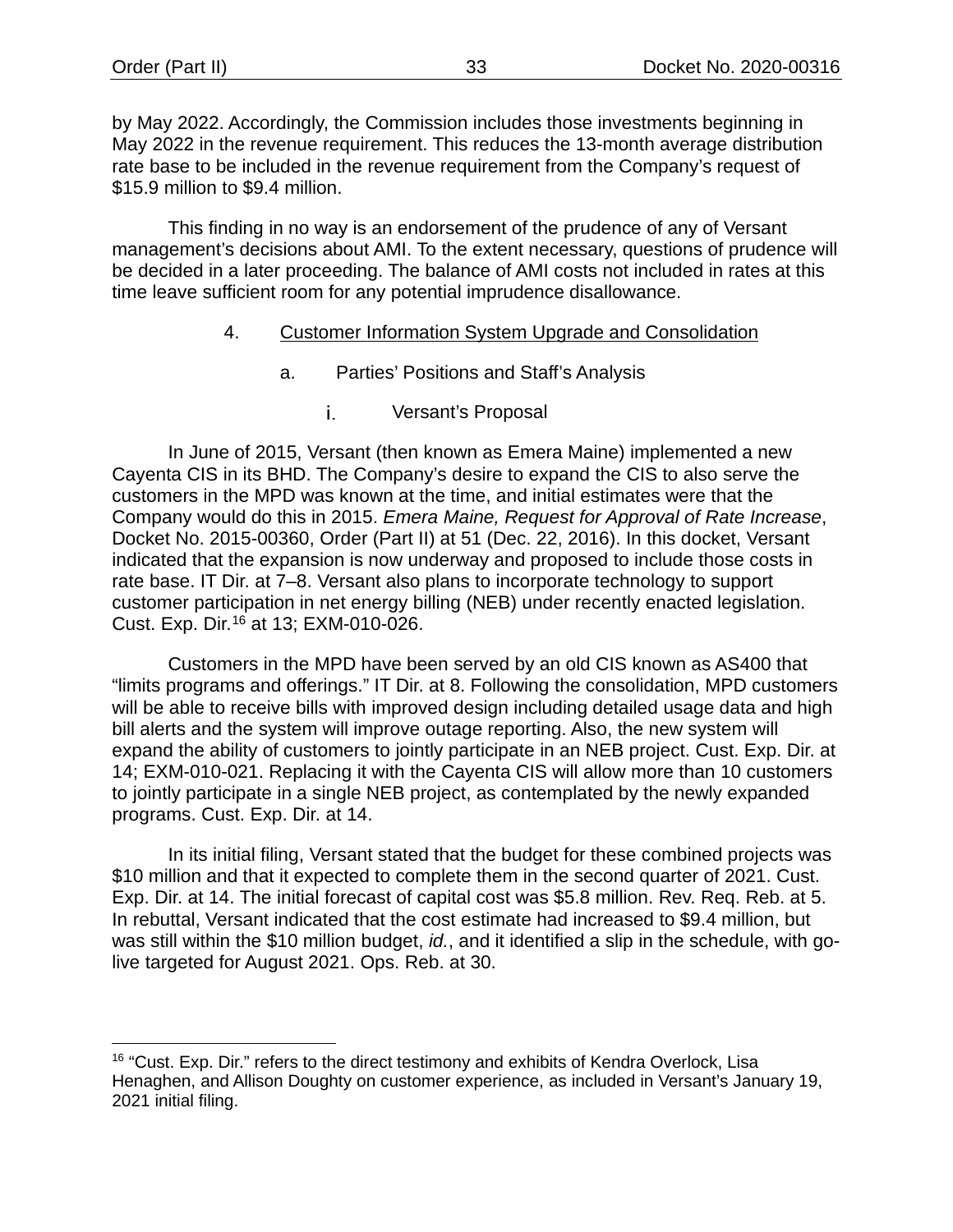by May 2022. Accordingly, the Commission includes those investments beginning in May 2022 in the revenue requirement. This reduces the 13-month average distribution rate base to be included in the revenue requirement from the Company's request of \$15.9 million to \$9.4 million.

<span id="page-35-0"></span>This finding in no way is an endorsement of the prudence of any of Versant management's decisions about AMI. To the extent necessary, questions of prudence will be decided in a later proceeding. The balance of AMI costs not included in rates at this time leave sufficient room for any potential imprudence disallowance.

#### 4. Customer Information System Upgrade and Consolidation

- a. Parties' Positions and Staff's Analysis
	- i. Versant's Proposal

In June of 2015, Versant (then known as Emera Maine) implemented a new Cayenta CIS in its BHD. The Company's desire to expand the CIS to also serve the customers in the MPD was known at the time, and initial estimates were that the Company would do this in 2015. *Emera Maine, Request for Approval of Rate Increase*, Docket No. 2015-00360, Order (Part II) at 51 (Dec. 22, 2016). In this docket, Versant indicated that the expansion is now underway and proposed to include those costs in rate base. IT Dir. at 7–8. Versant also plans to incorporate technology to support customer participation in net energy billing (NEB) under recently enacted legislation. Cust. Exp. Dir. [16](#page-35-1) at 13; EXM-010-026.

Customers in the MPD have been served by an old CIS known as AS400 that "limits programs and offerings." IT Dir. at 8. Following the consolidation, MPD customers will be able to receive bills with improved design including detailed usage data and high bill alerts and the system will improve outage reporting. Also, the new system will expand the ability of customers to jointly participate in an NEB project. Cust. Exp. Dir. at 14; EXM-010-021. Replacing it with the Cayenta CIS will allow more than 10 customers to jointly participate in a single NEB project, as contemplated by the newly expanded programs. Cust. Exp. Dir. at 14.

In its initial filing, Versant stated that the budget for these combined projects was \$10 million and that it expected to complete them in the second quarter of 2021. Cust. Exp. Dir. at 14. The initial forecast of capital cost was \$5.8 million. Rev. Req. Reb. at 5. In rebuttal, Versant indicated that the cost estimate had increased to \$9.4 million, but was still within the \$10 million budget, *id.*, and it identified a slip in the schedule, with golive targeted for August 2021. Ops. Reb. at 30.

<span id="page-35-1"></span><sup>&</sup>lt;sup>16</sup> "Cust. Exp. Dir." refers to the direct testimony and exhibits of Kendra Overlock, Lisa Henaghen, and Allison Doughty on customer experience, as included in Versant's January 19, 2021 initial filing.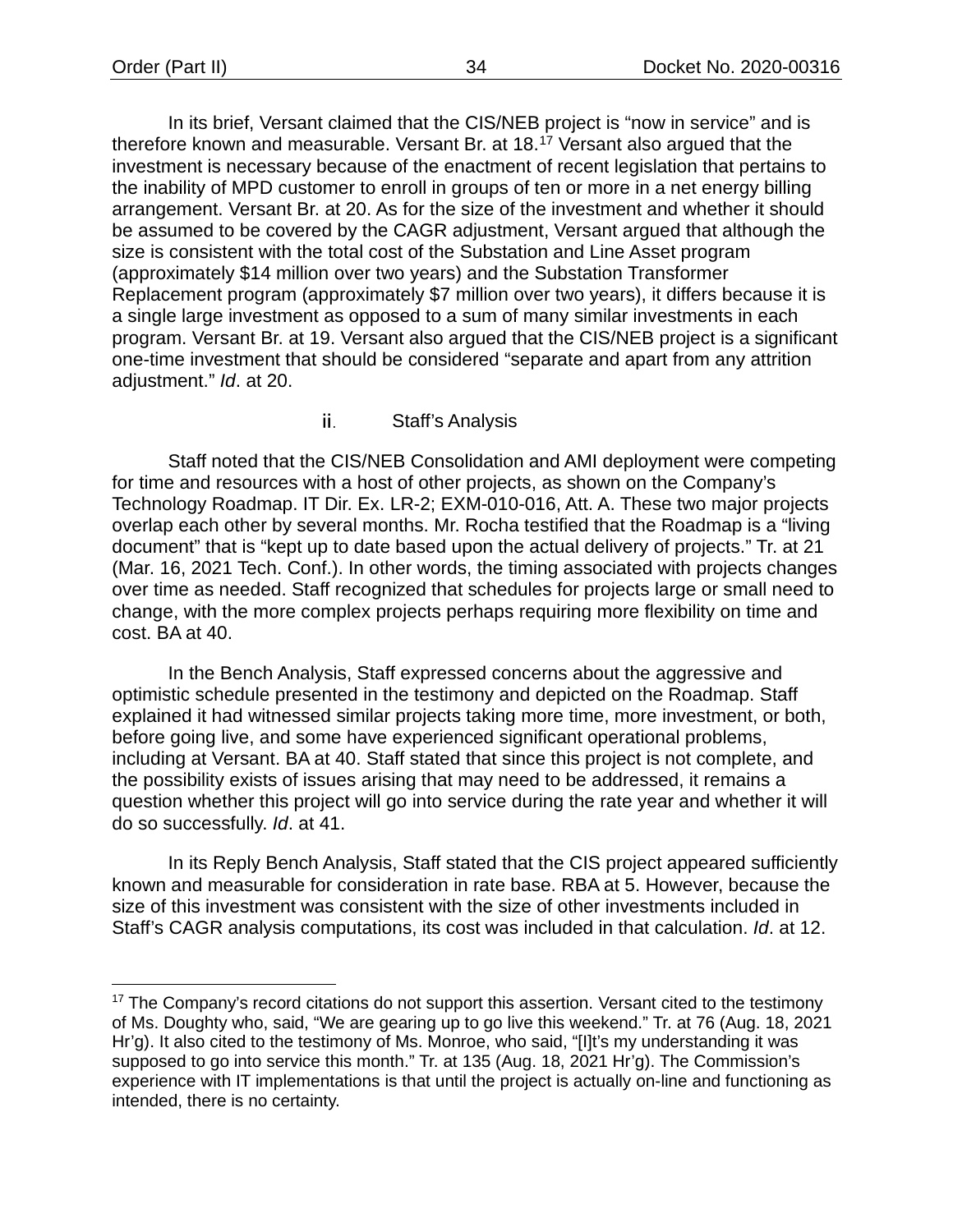In its brief, Versant claimed that the CIS/NEB project is "now in service" and is therefore known and measurable. Versant Br. at 18.[17](#page-36-0) Versant also argued that the investment is necessary because of the enactment of recent legislation that pertains to the inability of MPD customer to enroll in groups of ten or more in a net energy billing arrangement. Versant Br. at 20. As for the size of the investment and whether it should be assumed to be covered by the CAGR adjustment, Versant argued that although the size is consistent with the total cost of the Substation and Line Asset program (approximately \$14 million over two years) and the Substation Transformer Replacement program (approximately \$7 million over two years), it differs because it is a single large investment as opposed to a sum of many similar investments in each program. Versant Br. at 19. Versant also argued that the CIS/NEB project is a significant one-time investment that should be considered "separate and apart from any attrition adjustment." *Id*. at 20.

### Staff's Analysis ii.

Staff noted that the CIS/NEB Consolidation and AMI deployment were competing for time and resources with a host of other projects, as shown on the Company's Technology Roadmap. IT Dir. Ex. LR-2; EXM-010-016, Att. A. These two major projects overlap each other by several months. Mr. Rocha testified that the Roadmap is a "living document" that is "kept up to date based upon the actual delivery of projects." Tr. at 21 (Mar. 16, 2021 Tech. Conf.). In other words, the timing associated with projects changes over time as needed. Staff recognized that schedules for projects large or small need to change, with the more complex projects perhaps requiring more flexibility on time and cost. BA at 40.

In the Bench Analysis, Staff expressed concerns about the aggressive and optimistic schedule presented in the testimony and depicted on the Roadmap. Staff explained it had witnessed similar projects taking more time, more investment, or both, before going live, and some have experienced significant operational problems, including at Versant. BA at 40. Staff stated that since this project is not complete, and the possibility exists of issues arising that may need to be addressed, it remains a question whether this project will go into service during the rate year and whether it will do so successfully. *Id*. at 41.

In its Reply Bench Analysis, Staff stated that the CIS project appeared sufficiently known and measurable for consideration in rate base. RBA at 5. However, because the size of this investment was consistent with the size of other investments included in Staff's CAGR analysis computations, its cost was included in that calculation. *Id*. at 12.

<span id="page-36-0"></span><sup>&</sup>lt;sup>17</sup> The Company's record citations do not support this assertion. Versant cited to the testimony of Ms. Doughty who, said, "We are gearing up to go live this weekend." Tr. at 76 (Aug. 18, 2021 Hr'g). It also cited to the testimony of Ms. Monroe, who said, "[I]t's my understanding it was supposed to go into service this month." Tr. at 135 (Aug. 18, 2021 Hr'g). The Commission's experience with IT implementations is that until the project is actually on-line and functioning as intended, there is no certainty.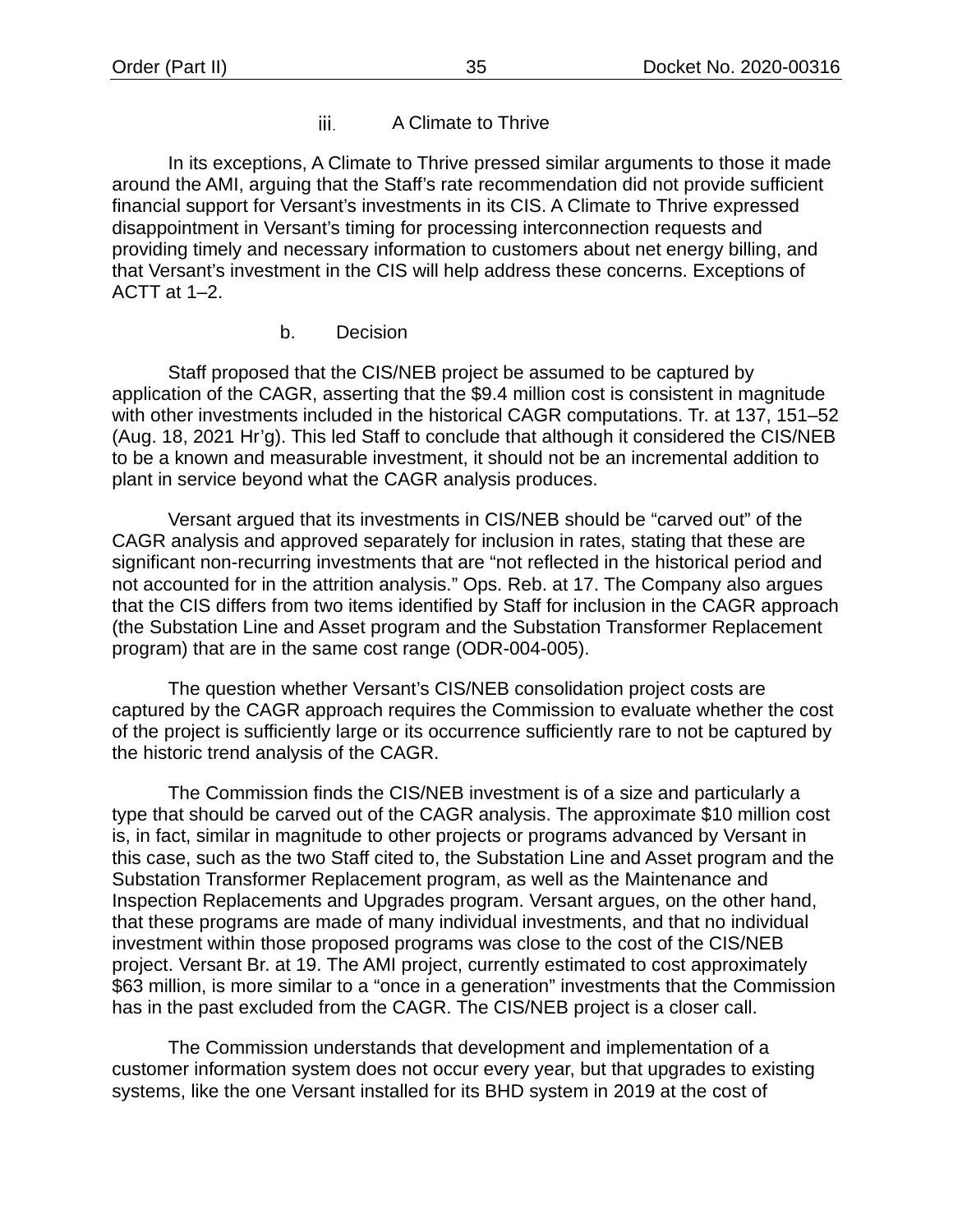### A Climate to Thrive iii.

In its exceptions, A Climate to Thrive pressed similar arguments to those it made around the AMI, arguing that the Staff's rate recommendation did not provide sufficient financial support for Versant's investments in its CIS. A Climate to Thrive expressed disappointment in Versant's timing for processing interconnection requests and providing timely and necessary information to customers about net energy billing, and that Versant's investment in the CIS will help address these concerns. Exceptions of  $ACTT$  at 1–2.

### b. Decision

Staff proposed that the CIS/NEB project be assumed to be captured by application of the CAGR, asserting that the \$9.4 million cost is consistent in magnitude with other investments included in the historical CAGR computations. Tr. at 137, 151–52 (Aug. 18, 2021 Hr'g). This led Staff to conclude that although it considered the CIS/NEB to be a known and measurable investment, it should not be an incremental addition to plant in service beyond what the CAGR analysis produces.

Versant argued that its investments in CIS/NEB should be "carved out" of the CAGR analysis and approved separately for inclusion in rates, stating that these are significant non-recurring investments that are "not reflected in the historical period and not accounted for in the attrition analysis." Ops. Reb. at 17. The Company also argues that the CIS differs from two items identified by Staff for inclusion in the CAGR approach (the Substation Line and Asset program and the Substation Transformer Replacement program) that are in the same cost range (ODR-004-005).

The question whether Versant's CIS/NEB consolidation project costs are captured by the CAGR approach requires the Commission to evaluate whether the cost of the project is sufficiently large or its occurrence sufficiently rare to not be captured by the historic trend analysis of the CAGR.

The Commission finds the CIS/NEB investment is of a size and particularly a type that should be carved out of the CAGR analysis. The approximate \$10 million cost is, in fact, similar in magnitude to other projects or programs advanced by Versant in this case, such as the two Staff cited to, the Substation Line and Asset program and the Substation Transformer Replacement program, as well as the Maintenance and Inspection Replacements and Upgrades program. Versant argues, on the other hand, that these programs are made of many individual investments, and that no individual investment within those proposed programs was close to the cost of the CIS/NEB project. Versant Br. at 19. The AMI project, currently estimated to cost approximately \$63 million, is more similar to a "once in a generation" investments that the Commission has in the past excluded from the CAGR. The CIS/NEB project is a closer call.

The Commission understands that development and implementation of a customer information system does not occur every year, but that upgrades to existing systems, like the one Versant installed for its BHD system in 2019 at the cost of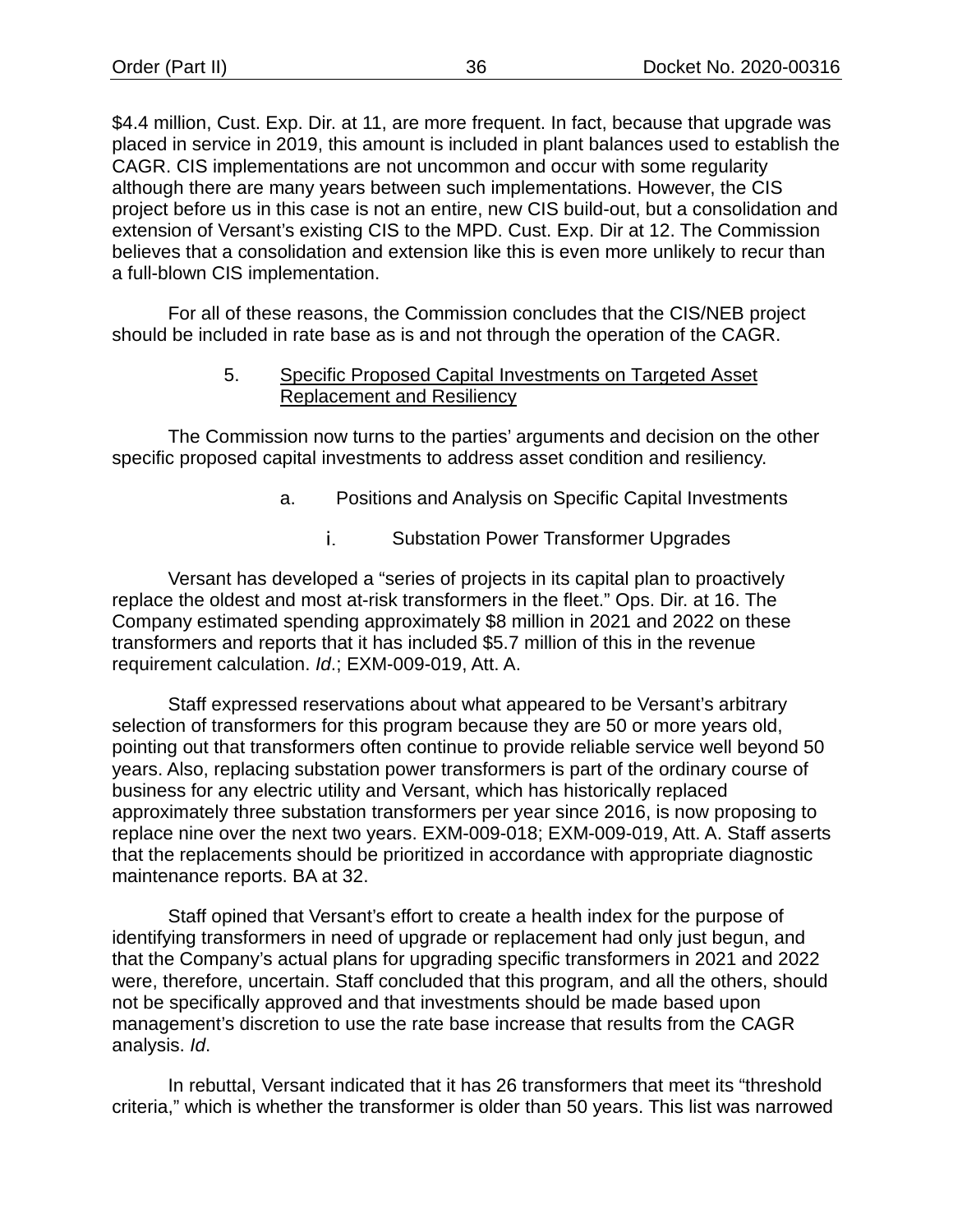\$4.4 million, Cust. Exp. Dir. at 11, are more frequent. In fact, because that upgrade was placed in service in 2019, this amount is included in plant balances used to establish the CAGR. CIS implementations are not uncommon and occur with some regularity although there are many years between such implementations. However, the CIS project before us in this case is not an entire, new CIS build-out, but a consolidation and extension of Versant's existing CIS to the MPD. Cust. Exp. Dir at 12. The Commission believes that a consolidation and extension like this is even more unlikely to recur than a full-blown CIS implementation.

For all of these reasons, the Commission concludes that the CIS/NEB project should be included in rate base as is and not through the operation of the CAGR.

# 5. Specific Proposed Capital Investments on Targeted Asset Replacement and Resiliency

The Commission now turns to the parties' arguments and decision on the other specific proposed capital investments to address asset condition and resiliency.

- a. Positions and Analysis on Specific Capital Investments
	- i. Substation Power Transformer Upgrades

Versant has developed a "series of projects in its capital plan to proactively replace the oldest and most at-risk transformers in the fleet." Ops. Dir. at 16. The Company estimated spending approximately \$8 million in 2021 and 2022 on these transformers and reports that it has included \$5.7 million of this in the revenue requirement calculation. *Id*.; EXM-009-019, Att. A.

Staff expressed reservations about what appeared to be Versant's arbitrary selection of transformers for this program because they are 50 or more years old, pointing out that transformers often continue to provide reliable service well beyond 50 years. Also, replacing substation power transformers is part of the ordinary course of business for any electric utility and Versant, which has historically replaced approximately three substation transformers per year since 2016, is now proposing to replace nine over the next two years. EXM-009-018; EXM-009-019, Att. A. Staff asserts that the replacements should be prioritized in accordance with appropriate diagnostic maintenance reports. BA at 32.

Staff opined that Versant's effort to create a health index for the purpose of identifying transformers in need of upgrade or replacement had only just begun, and that the Company's actual plans for upgrading specific transformers in 2021 and 2022 were, therefore, uncertain. Staff concluded that this program, and all the others, should not be specifically approved and that investments should be made based upon management's discretion to use the rate base increase that results from the CAGR analysis. *Id*.

In rebuttal, Versant indicated that it has 26 transformers that meet its "threshold criteria," which is whether the transformer is older than 50 years. This list was narrowed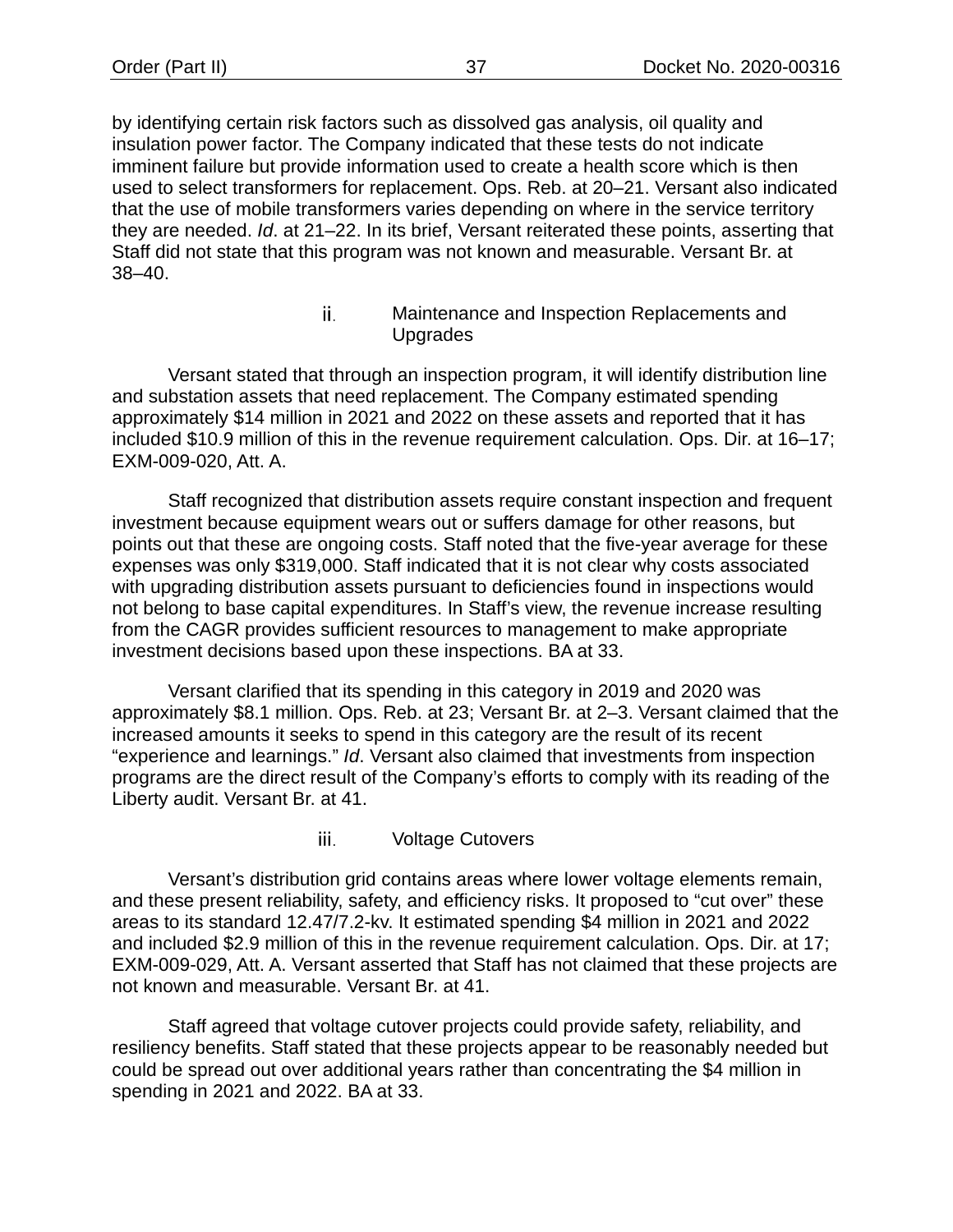by identifying certain risk factors such as dissolved gas analysis, oil quality and insulation power factor. The Company indicated that these tests do not indicate imminent failure but provide information used to create a health score which is then used to select transformers for replacement. Ops. Reb. at 20–21. Versant also indicated that the use of mobile transformers varies depending on where in the service territory they are needed. *Id*. at 21–22. In its brief, Versant reiterated these points, asserting that Staff did not state that this program was not known and measurable. Versant Br. at 38–40.

> ii. Maintenance and Inspection Replacements and **Upgrades**

Versant stated that through an inspection program, it will identify distribution line and substation assets that need replacement. The Company estimated spending approximately \$14 million in 2021 and 2022 on these assets and reported that it has included \$10.9 million of this in the revenue requirement calculation. Ops. Dir. at 16–17; EXM-009-020, Att. A.

Staff recognized that distribution assets require constant inspection and frequent investment because equipment wears out or suffers damage for other reasons, but points out that these are ongoing costs. Staff noted that the five-year average for these expenses was only \$319,000. Staff indicated that it is not clear why costs associated with upgrading distribution assets pursuant to deficiencies found in inspections would not belong to base capital expenditures. In Staff's view, the revenue increase resulting from the CAGR provides sufficient resources to management to make appropriate investment decisions based upon these inspections. BA at 33.

Versant clarified that its spending in this category in 2019 and 2020 was approximately \$8.1 million. Ops. Reb. at 23; Versant Br. at 2–3. Versant claimed that the increased amounts it seeks to spend in this category are the result of its recent "experience and learnings." *Id*. Versant also claimed that investments from inspection programs are the direct result of the Company's efforts to comply with its reading of the Liberty audit. Versant Br. at 41.

> iii. Voltage Cutovers

Versant's distribution grid contains areas where lower voltage elements remain, and these present reliability, safety, and efficiency risks. It proposed to "cut over" these areas to its standard 12.47/7.2-kv. It estimated spending \$4 million in 2021 and 2022 and included \$2.9 million of this in the revenue requirement calculation. Ops. Dir. at 17; EXM-009-029, Att. A. Versant asserted that Staff has not claimed that these projects are not known and measurable. Versant Br. at 41.

Staff agreed that voltage cutover projects could provide safety, reliability, and resiliency benefits. Staff stated that these projects appear to be reasonably needed but could be spread out over additional years rather than concentrating the \$4 million in spending in 2021 and 2022. BA at 33.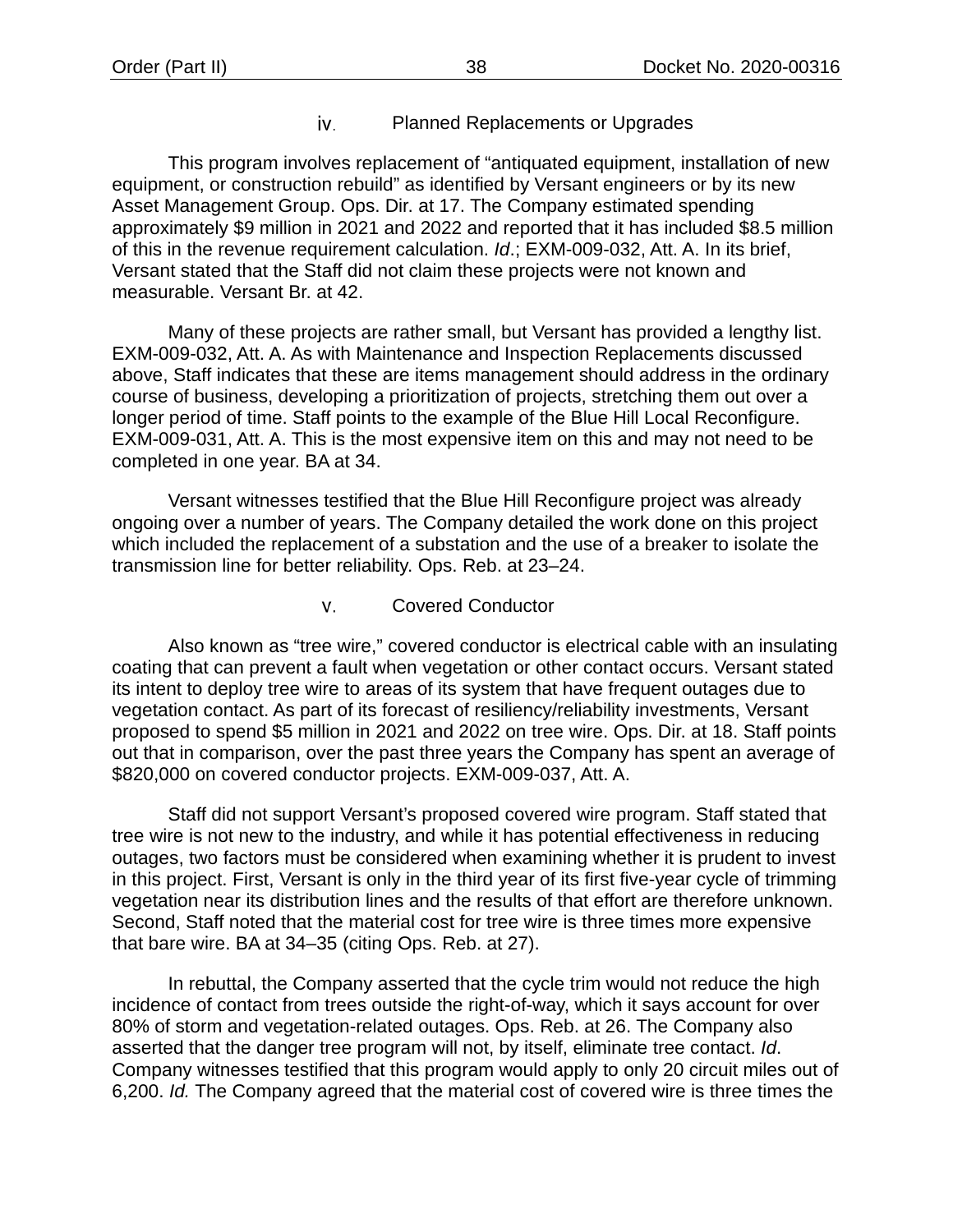### Planned Replacements or Upgrades iv.

This program involves replacement of "antiquated equipment, installation of new equipment, or construction rebuild" as identified by Versant engineers or by its new Asset Management Group. Ops. Dir. at 17. The Company estimated spending approximately \$9 million in 2021 and 2022 and reported that it has included \$8.5 million of this in the revenue requirement calculation. *Id*.; EXM-009-032, Att. A. In its brief, Versant stated that the Staff did not claim these projects were not known and measurable. Versant Br. at 42.

Many of these projects are rather small, but Versant has provided a lengthy list. EXM-009-032, Att. A. As with Maintenance and Inspection Replacements discussed above, Staff indicates that these are items management should address in the ordinary course of business, developing a prioritization of projects, stretching them out over a longer period of time. Staff points to the example of the Blue Hill Local Reconfigure. EXM-009-031, Att. A. This is the most expensive item on this and may not need to be completed in one year. BA at 34.

Versant witnesses testified that the Blue Hill Reconfigure project was already ongoing over a number of years. The Company detailed the work done on this project which included the replacement of a substation and the use of a breaker to isolate the transmission line for better reliability. Ops. Reb. at 23–24.

### v. Covered Conductor

Also known as "tree wire," covered conductor is electrical cable with an insulating coating that can prevent a fault when vegetation or other contact occurs. Versant stated its intent to deploy tree wire to areas of its system that have frequent outages due to vegetation contact. As part of its forecast of resiliency/reliability investments, Versant proposed to spend \$5 million in 2021 and 2022 on tree wire. Ops. Dir. at 18. Staff points out that in comparison, over the past three years the Company has spent an average of \$820,000 on covered conductor projects. EXM-009-037, Att. A.

Staff did not support Versant's proposed covered wire program. Staff stated that tree wire is not new to the industry, and while it has potential effectiveness in reducing outages, two factors must be considered when examining whether it is prudent to invest in this project. First, Versant is only in the third year of its first five-year cycle of trimming vegetation near its distribution lines and the results of that effort are therefore unknown. Second, Staff noted that the material cost for tree wire is three times more expensive that bare wire. BA at 34–35 (citing Ops. Reb. at 27).

In rebuttal, the Company asserted that the cycle trim would not reduce the high incidence of contact from trees outside the right-of-way, which it says account for over 80% of storm and vegetation-related outages. Ops. Reb. at 26. The Company also asserted that the danger tree program will not, by itself, eliminate tree contact. *Id*. Company witnesses testified that this program would apply to only 20 circuit miles out of 6,200. *Id.* The Company agreed that the material cost of covered wire is three times the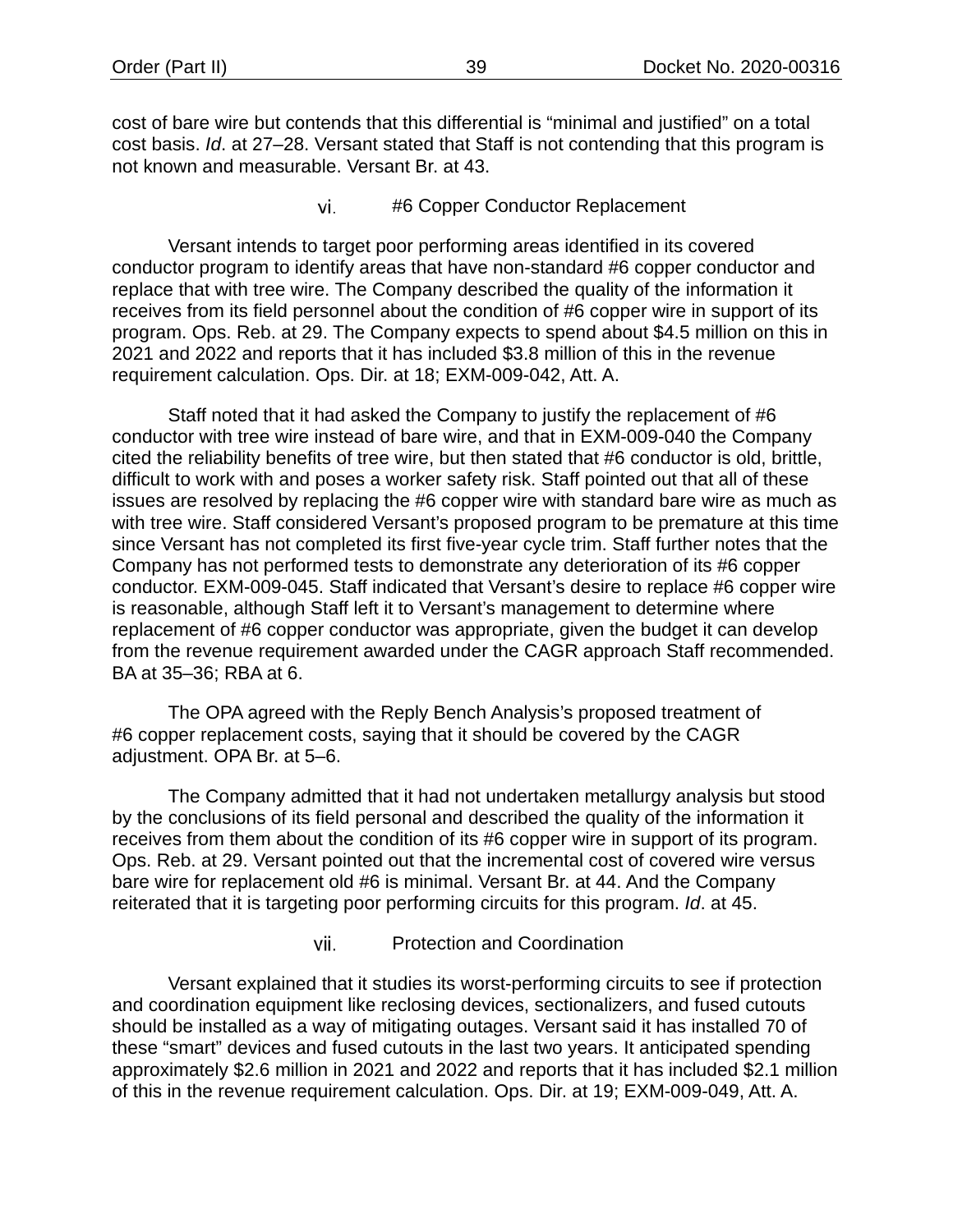cost of bare wire but contends that this differential is "minimal and justified" on a total cost basis. *Id*. at 27–28. Versant stated that Staff is not contending that this program is not known and measurable. Versant Br. at 43.

> vi. #6 Copper Conductor Replacement

Versant intends to target poor performing areas identified in its covered conductor program to identify areas that have non-standard #6 copper conductor and replace that with tree wire. The Company described the quality of the information it receives from its field personnel about the condition of #6 copper wire in support of its program. Ops. Reb. at 29. The Company expects to spend about \$4.5 million on this in 2021 and 2022 and reports that it has included \$3.8 million of this in the revenue requirement calculation. Ops. Dir. at 18; EXM-009-042, Att. A.

Staff noted that it had asked the Company to justify the replacement of #6 conductor with tree wire instead of bare wire, and that in EXM-009-040 the Company cited the reliability benefits of tree wire, but then stated that #6 conductor is old, brittle, difficult to work with and poses a worker safety risk. Staff pointed out that all of these issues are resolved by replacing the #6 copper wire with standard bare wire as much as with tree wire. Staff considered Versant's proposed program to be premature at this time since Versant has not completed its first five-year cycle trim. Staff further notes that the Company has not performed tests to demonstrate any deterioration of its #6 copper conductor. EXM-009-045. Staff indicated that Versant's desire to replace #6 copper wire is reasonable, although Staff left it to Versant's management to determine where replacement of #6 copper conductor was appropriate, given the budget it can develop from the revenue requirement awarded under the CAGR approach Staff recommended. BA at 35–36; RBA at 6.

The OPA agreed with the Reply Bench Analysis's proposed treatment of #6 copper replacement costs, saying that it should be covered by the CAGR adjustment. OPA Br. at 5–6.

The Company admitted that it had not undertaken metallurgy analysis but stood by the conclusions of its field personal and described the quality of the information it receives from them about the condition of its #6 copper wire in support of its program. Ops. Reb. at 29. Versant pointed out that the incremental cost of covered wire versus bare wire for replacement old #6 is minimal. Versant Br. at 44. And the Company reiterated that it is targeting poor performing circuits for this program. *Id*. at 45.

> Protection and Coordination vii.

Versant explained that it studies its worst-performing circuits to see if protection and coordination equipment like reclosing devices, sectionalizers, and fused cutouts should be installed as a way of mitigating outages. Versant said it has installed 70 of these "smart" devices and fused cutouts in the last two years. It anticipated spending approximately \$2.6 million in 2021 and 2022 and reports that it has included \$2.1 million of this in the revenue requirement calculation. Ops. Dir. at 19; EXM-009-049, Att. A.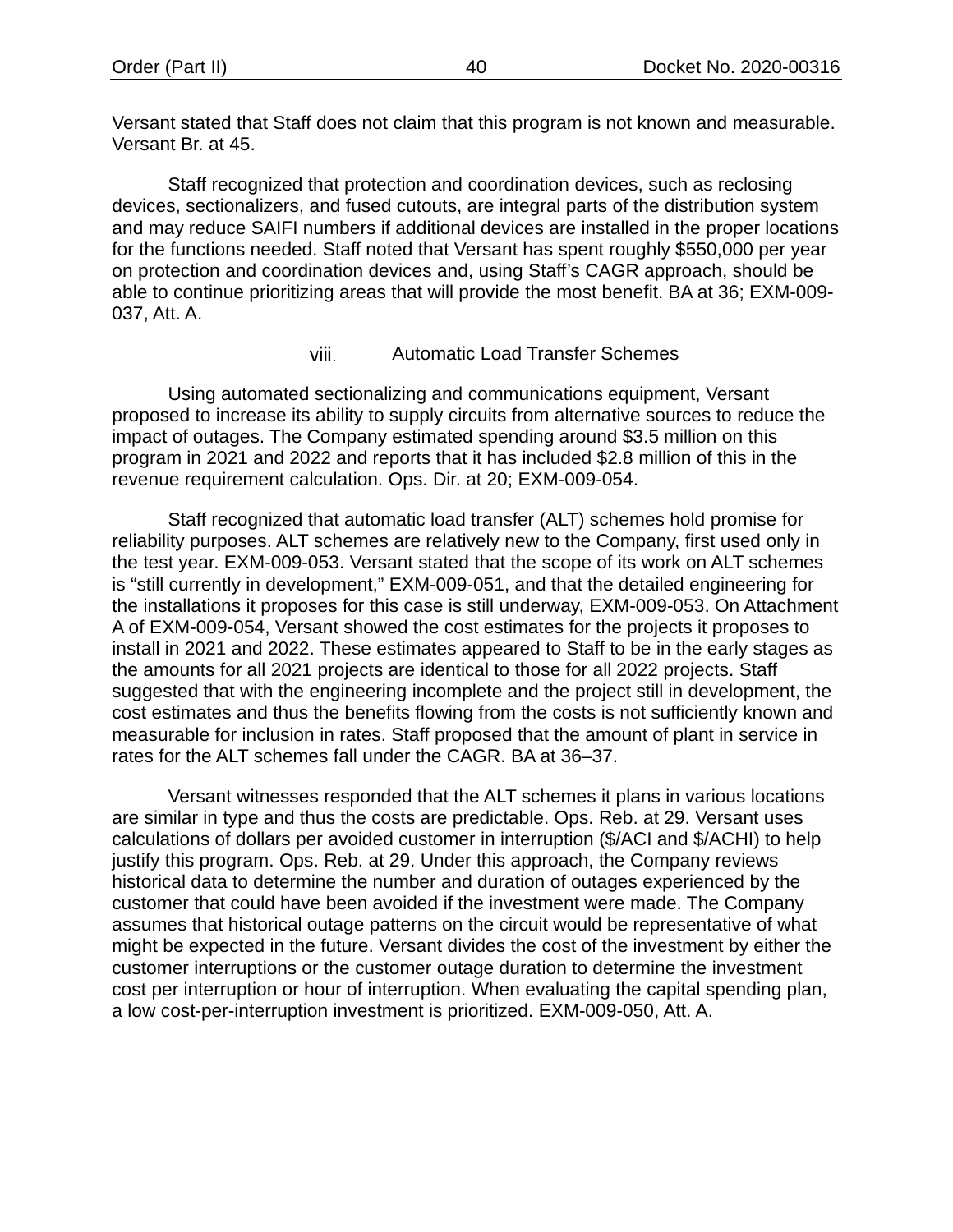Versant stated that Staff does not claim that this program is not known and measurable. Versant Br. at 45.

Staff recognized that protection and coordination devices, such as reclosing devices, sectionalizers, and fused cutouts, are integral parts of the distribution system and may reduce SAIFI numbers if additional devices are installed in the proper locations for the functions needed. Staff noted that Versant has spent roughly \$550,000 per year on protection and coordination devices and, using Staff's CAGR approach, should be able to continue prioritizing areas that will provide the most benefit. BA at 36; EXM-009- 037, Att. A.

### viii. Automatic Load Transfer Schemes

Using automated sectionalizing and communications equipment, Versant proposed to increase its ability to supply circuits from alternative sources to reduce the impact of outages. The Company estimated spending around \$3.5 million on this program in 2021 and 2022 and reports that it has included \$2.8 million of this in the revenue requirement calculation. Ops. Dir. at 20; EXM-009-054.

Staff recognized that automatic load transfer (ALT) schemes hold promise for reliability purposes. ALT schemes are relatively new to the Company, first used only in the test year. EXM-009-053. Versant stated that the scope of its work on ALT schemes is "still currently in development," EXM-009-051, and that the detailed engineering for the installations it proposes for this case is still underway, EXM-009-053. On Attachment A of EXM-009-054, Versant showed the cost estimates for the projects it proposes to install in 2021 and 2022. These estimates appeared to Staff to be in the early stages as the amounts for all 2021 projects are identical to those for all 2022 projects. Staff suggested that with the engineering incomplete and the project still in development, the cost estimates and thus the benefits flowing from the costs is not sufficiently known and measurable for inclusion in rates. Staff proposed that the amount of plant in service in rates for the ALT schemes fall under the CAGR. BA at 36–37.

Versant witnesses responded that the ALT schemes it plans in various locations are similar in type and thus the costs are predictable. Ops. Reb. at 29. Versant uses calculations of dollars per avoided customer in interruption (\$/ACI and \$/ACHI) to help justify this program. Ops. Reb. at 29. Under this approach, the Company reviews historical data to determine the number and duration of outages experienced by the customer that could have been avoided if the investment were made. The Company assumes that historical outage patterns on the circuit would be representative of what might be expected in the future. Versant divides the cost of the investment by either the customer interruptions or the customer outage duration to determine the investment cost per interruption or hour of interruption. When evaluating the capital spending plan, a low cost-per-interruption investment is prioritized. EXM-009-050, Att. A.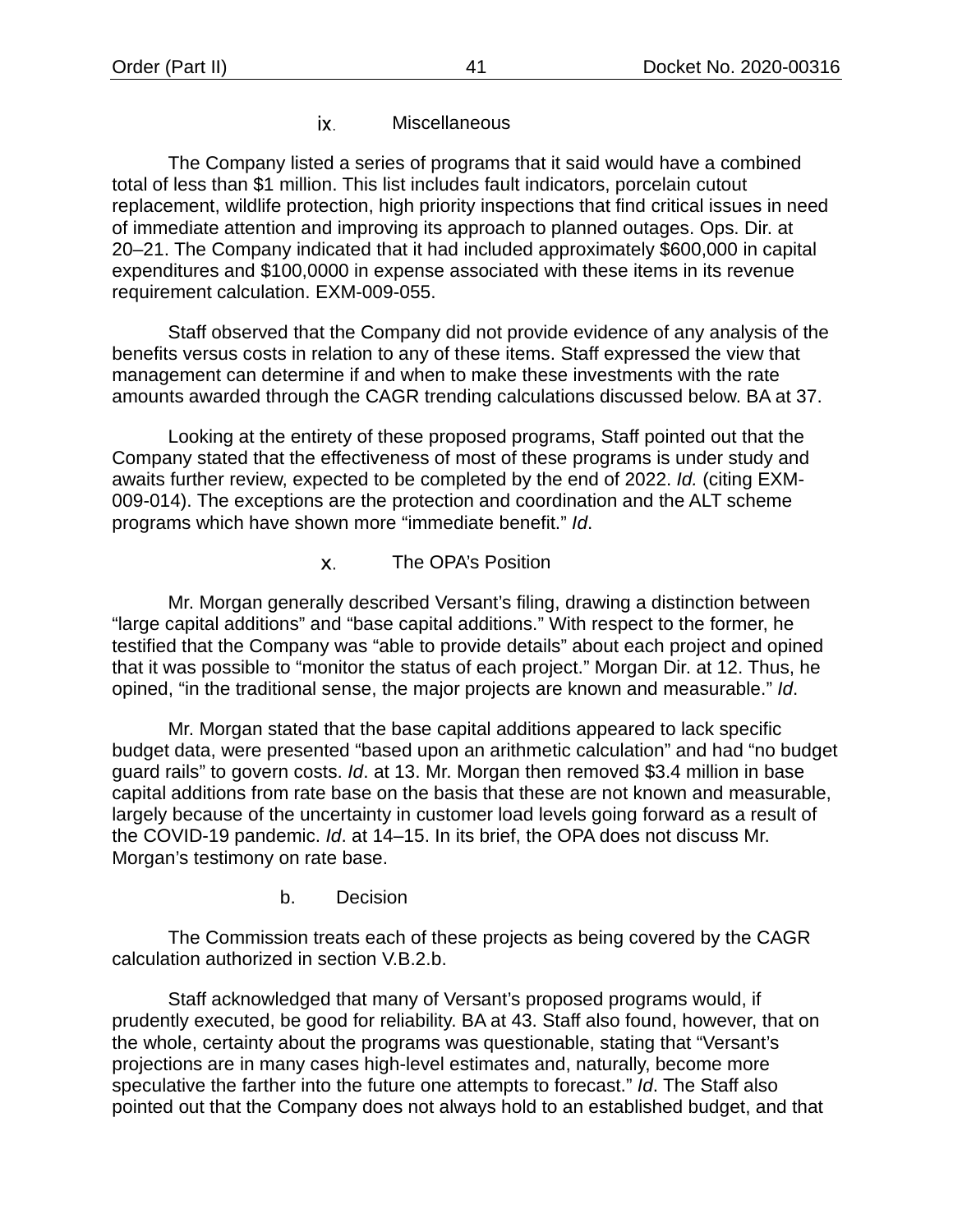### ix. **Miscellaneous**

The Company listed a series of programs that it said would have a combined total of less than \$1 million. This list includes fault indicators, porcelain cutout replacement, wildlife protection, high priority inspections that find critical issues in need of immediate attention and improving its approach to planned outages. Ops. Dir. at 20–21. The Company indicated that it had included approximately \$600,000 in capital expenditures and \$100,0000 in expense associated with these items in its revenue requirement calculation. EXM-009-055.

Staff observed that the Company did not provide evidence of any analysis of the benefits versus costs in relation to any of these items. Staff expressed the view that management can determine if and when to make these investments with the rate amounts awarded through the CAGR trending calculations discussed below. BA at 37.

Looking at the entirety of these proposed programs, Staff pointed out that the Company stated that the effectiveness of most of these programs is under study and awaits further review, expected to be completed by the end of 2022. *Id.* (citing EXM-009-014). The exceptions are the protection and coordination and the ALT scheme programs which have shown more "immediate benefit." *Id*.

### Х. The OPA's Position

Mr. Morgan generally described Versant's filing, drawing a distinction between "large capital additions" and "base capital additions." With respect to the former, he testified that the Company was "able to provide details" about each project and opined that it was possible to "monitor the status of each project." Morgan Dir. at 12. Thus, he opined, "in the traditional sense, the major projects are known and measurable." *Id*.

Mr. Morgan stated that the base capital additions appeared to lack specific budget data, were presented "based upon an arithmetic calculation" and had "no budget guard rails" to govern costs. *Id*. at 13. Mr. Morgan then removed \$3.4 million in base capital additions from rate base on the basis that these are not known and measurable, largely because of the uncertainty in customer load levels going forward as a result of the COVID-19 pandemic. *Id*. at 14–15. In its brief, the OPA does not discuss Mr. Morgan's testimony on rate base.

b. Decision

The Commission treats each of these projects as being covered by the CAGR calculation authorized in section [V](#page-13-0)[.B.](#page-16-0)[2.](#page-17-0)[b.](#page-23-0)

Staff acknowledged that many of Versant's proposed programs would, if prudently executed, be good for reliability. BA at 43. Staff also found, however, that on the whole, certainty about the programs was questionable, stating that "Versant's projections are in many cases high-level estimates and, naturally, become more speculative the farther into the future one attempts to forecast." *Id*. The Staff also pointed out that the Company does not always hold to an established budget, and that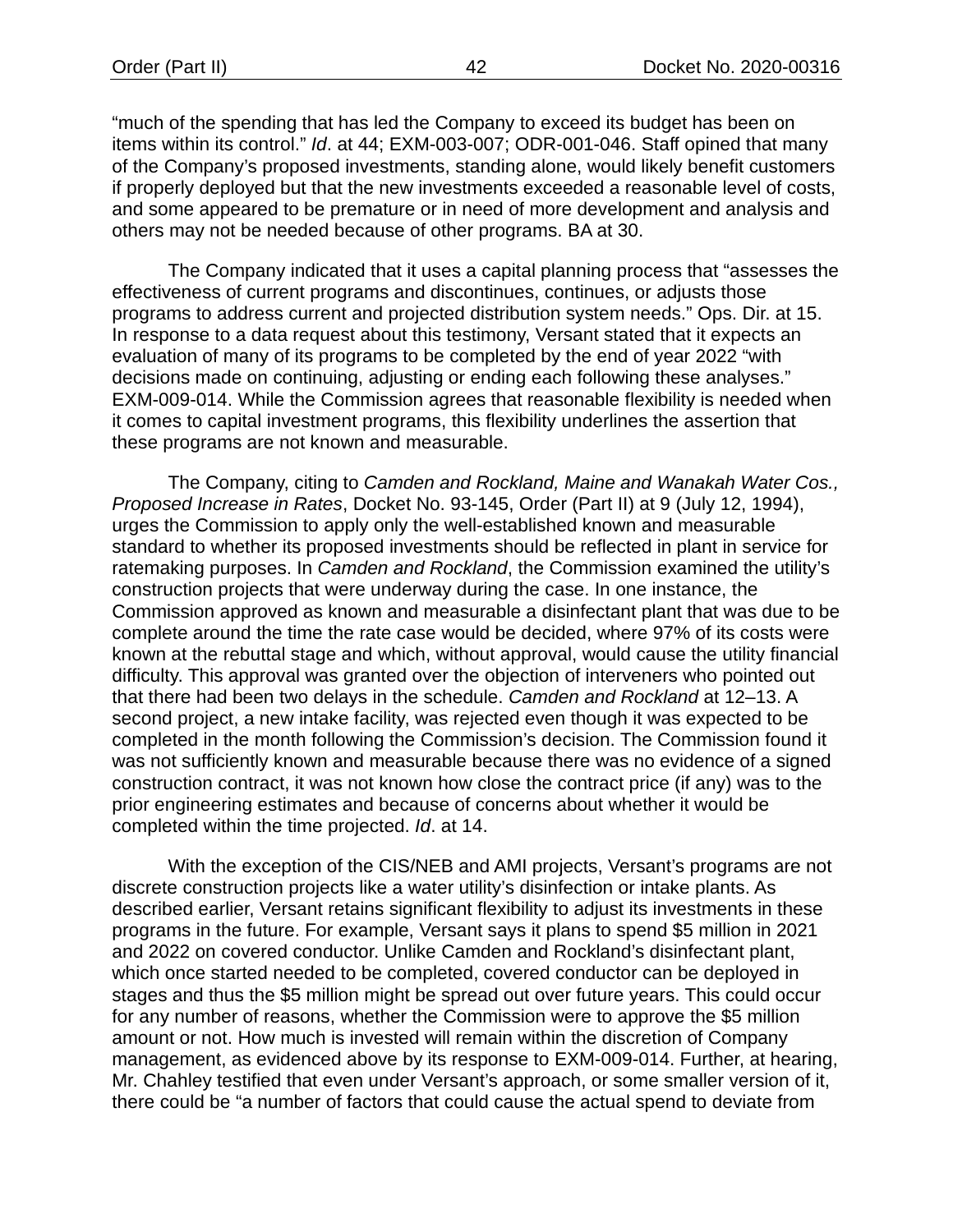"much of the spending that has led the Company to exceed its budget has been on items within its control." *Id*. at 44; EXM-003-007; ODR-001-046. Staff opined that many of the Company's proposed investments, standing alone, would likely benefit customers if properly deployed but that the new investments exceeded a reasonable level of costs, and some appeared to be premature or in need of more development and analysis and others may not be needed because of other programs. BA at 30.

The Company indicated that it uses a capital planning process that "assesses the effectiveness of current programs and discontinues, continues, or adjusts those programs to address current and projected distribution system needs." Ops. Dir. at 15. In response to a data request about this testimony, Versant stated that it expects an evaluation of many of its programs to be completed by the end of year 2022 "with decisions made on continuing, adjusting or ending each following these analyses." EXM-009-014. While the Commission agrees that reasonable flexibility is needed when it comes to capital investment programs, this flexibility underlines the assertion that these programs are not known and measurable.

The Company, citing to *Camden and Rockland, Maine and Wanakah Water Cos., Proposed Increase in Rates*, Docket No. 93-145, Order (Part II) at 9 (July 12, 1994), urges the Commission to apply only the well-established known and measurable standard to whether its proposed investments should be reflected in plant in service for ratemaking purposes. In *Camden and Rockland*, the Commission examined the utility's construction projects that were underway during the case. In one instance, the Commission approved as known and measurable a disinfectant plant that was due to be complete around the time the rate case would be decided, where 97% of its costs were known at the rebuttal stage and which, without approval, would cause the utility financial difficulty. This approval was granted over the objection of interveners who pointed out that there had been two delays in the schedule. *Camden and Rockland* at 12–13. A second project, a new intake facility, was rejected even though it was expected to be completed in the month following the Commission's decision. The Commission found it was not sufficiently known and measurable because there was no evidence of a signed construction contract, it was not known how close the contract price (if any) was to the prior engineering estimates and because of concerns about whether it would be completed within the time projected. *Id*. at 14.

With the exception of the CIS/NEB and AMI projects, Versant's programs are not discrete construction projects like a water utility's disinfection or intake plants. As described earlier, Versant retains significant flexibility to adjust its investments in these programs in the future. For example, Versant says it plans to spend \$5 million in 2021 and 2022 on covered conductor. Unlike Camden and Rockland's disinfectant plant, which once started needed to be completed, covered conductor can be deployed in stages and thus the \$5 million might be spread out over future years. This could occur for any number of reasons, whether the Commission were to approve the \$5 million amount or not. How much is invested will remain within the discretion of Company management, as evidenced above by its response to EXM-009-014. Further, at hearing, Mr. Chahley testified that even under Versant's approach, or some smaller version of it, there could be "a number of factors that could cause the actual spend to deviate from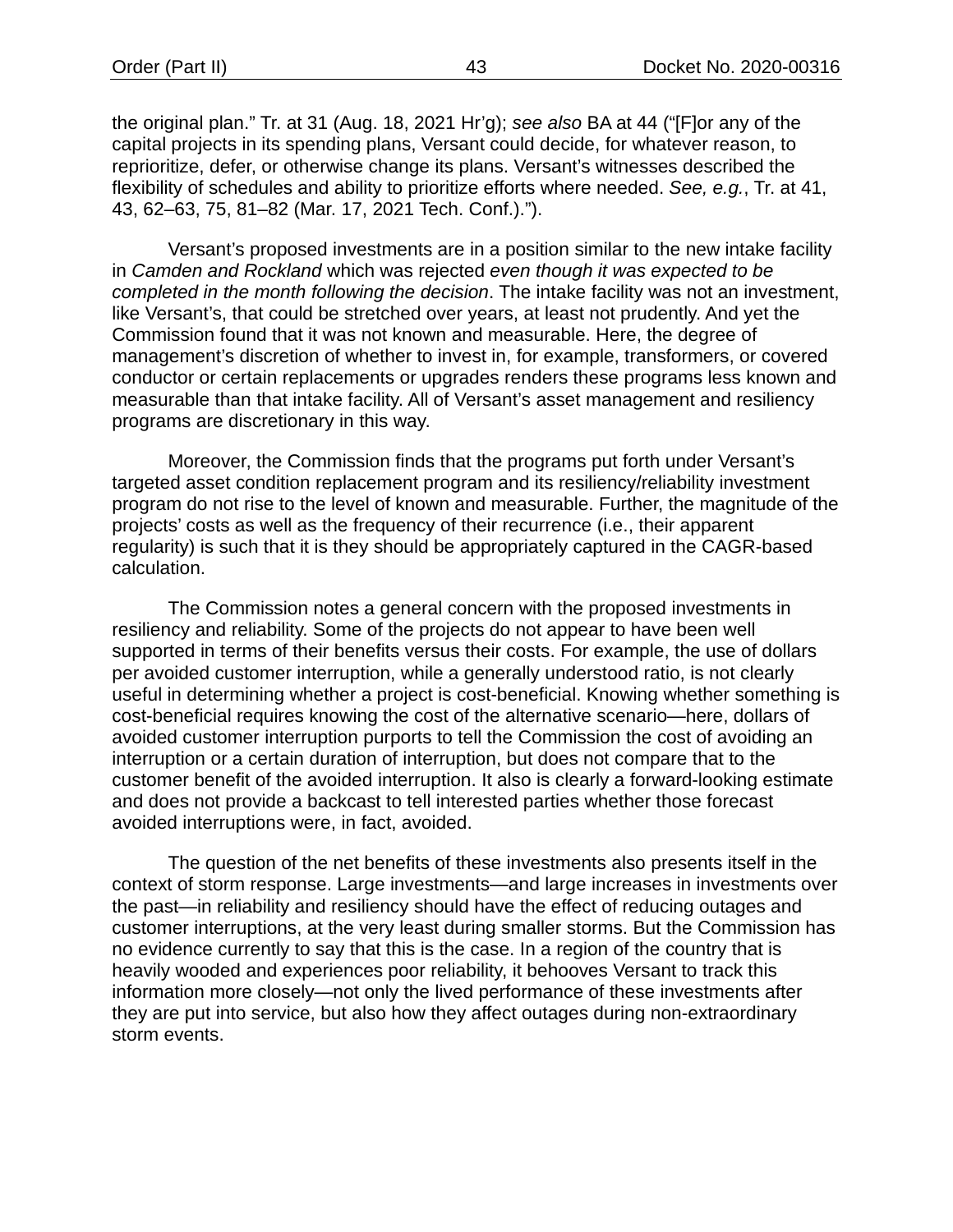the original plan." Tr. at 31 (Aug. 18, 2021 Hr'g); *see also* BA at 44 ("[F]or any of the capital projects in its spending plans, Versant could decide, for whatever reason, to reprioritize, defer, or otherwise change its plans. Versant's witnesses described the flexibility of schedules and ability to prioritize efforts where needed. *See, e.g.*, Tr. at 41, 43, 62–63, 75, 81–82 (Mar. 17, 2021 Tech. Conf.).").

Versant's proposed investments are in a position similar to the new intake facility in *Camden and Rockland* which was rejected *even though it was expected to be completed in the month following the decision*. The intake facility was not an investment, like Versant's, that could be stretched over years, at least not prudently. And yet the Commission found that it was not known and measurable. Here, the degree of management's discretion of whether to invest in, for example, transformers, or covered conductor or certain replacements or upgrades renders these programs less known and measurable than that intake facility. All of Versant's asset management and resiliency programs are discretionary in this way.

Moreover, the Commission finds that the programs put forth under Versant's targeted asset condition replacement program and its resiliency/reliability investment program do not rise to the level of known and measurable. Further, the magnitude of the projects' costs as well as the frequency of their recurrence (i.e., their apparent regularity) is such that it is they should be appropriately captured in the CAGR-based calculation.

The Commission notes a general concern with the proposed investments in resiliency and reliability. Some of the projects do not appear to have been well supported in terms of their benefits versus their costs. For example, the use of dollars per avoided customer interruption, while a generally understood ratio, is not clearly useful in determining whether a project is cost-beneficial. Knowing whether something is cost-beneficial requires knowing the cost of the alternative scenario—here, dollars of avoided customer interruption purports to tell the Commission the cost of avoiding an interruption or a certain duration of interruption, but does not compare that to the customer benefit of the avoided interruption. It also is clearly a forward-looking estimate and does not provide a backcast to tell interested parties whether those forecast avoided interruptions were, in fact, avoided.

The question of the net benefits of these investments also presents itself in the context of storm response. Large investments—and large increases in investments over the past—in reliability and resiliency should have the effect of reducing outages and customer interruptions, at the very least during smaller storms. But the Commission has no evidence currently to say that this is the case. In a region of the country that is heavily wooded and experiences poor reliability, it behooves Versant to track this information more closely—not only the lived performance of these investments after they are put into service, but also how they affect outages during non-extraordinary storm events.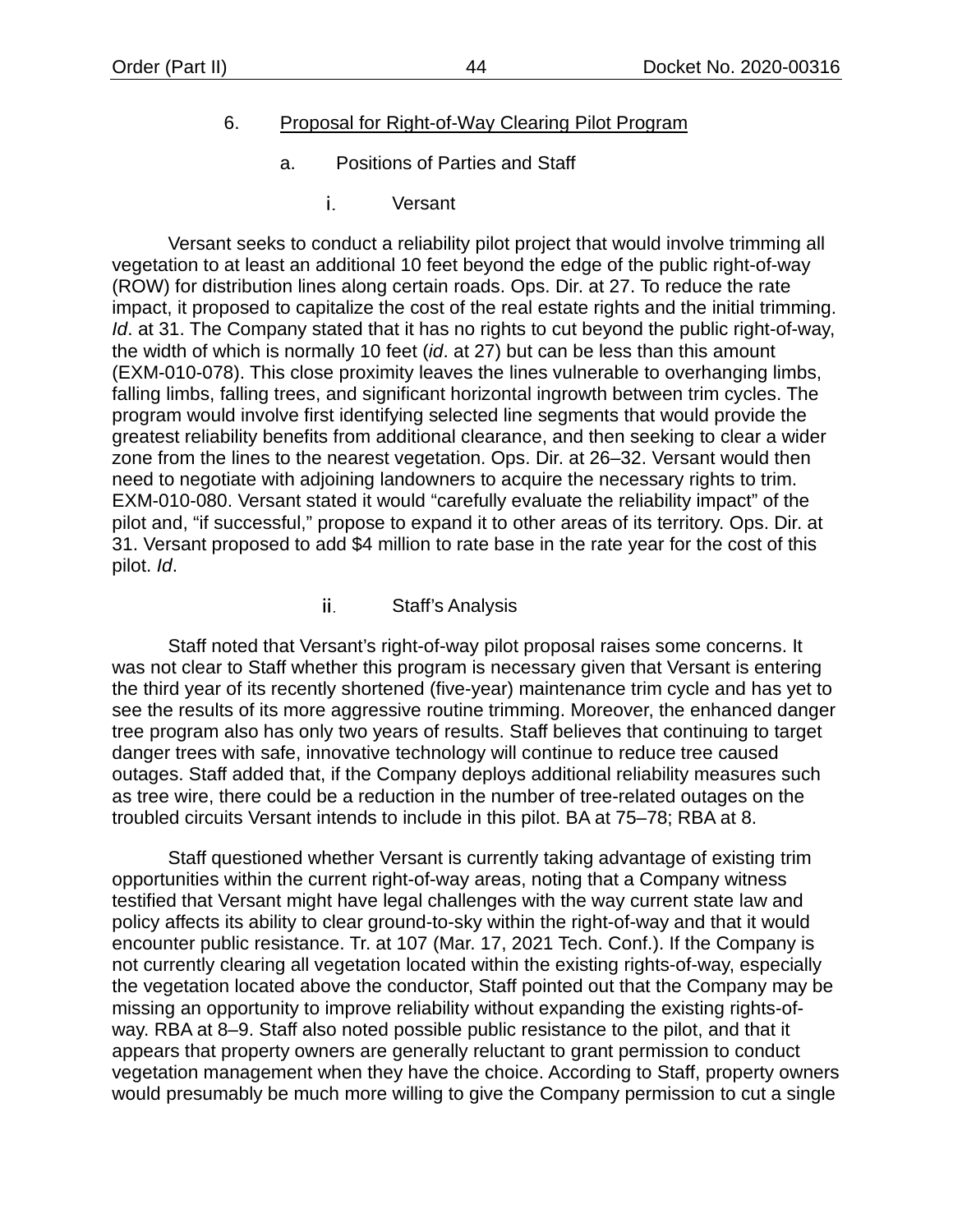# 6. Proposal for Right-of-Way Clearing Pilot Program

- a. Positions of Parties and Staff
	- i. Versant

Versant seeks to conduct a reliability pilot project that would involve trimming all vegetation to at least an additional 10 feet beyond the edge of the public right-of-way (ROW) for distribution lines along certain roads. Ops. Dir. at 27. To reduce the rate impact, it proposed to capitalize the cost of the real estate rights and the initial trimming. *Id*. at 31. The Company stated that it has no rights to cut beyond the public right-of-way, the width of which is normally 10 feet (*id*. at 27) but can be less than this amount (EXM-010-078). This close proximity leaves the lines vulnerable to overhanging limbs, falling limbs, falling trees, and significant horizontal ingrowth between trim cycles. The program would involve first identifying selected line segments that would provide the greatest reliability benefits from additional clearance, and then seeking to clear a wider zone from the lines to the nearest vegetation. Ops. Dir. at 26–32. Versant would then need to negotiate with adjoining landowners to acquire the necessary rights to trim. EXM-010-080. Versant stated it would "carefully evaluate the reliability impact" of the pilot and, "if successful," propose to expand it to other areas of its territory. Ops. Dir. at 31. Versant proposed to add \$4 million to rate base in the rate year for the cost of this pilot. *Id*.

### ii. Staff's Analysis

Staff noted that Versant's right-of-way pilot proposal raises some concerns. It was not clear to Staff whether this program is necessary given that Versant is entering the third year of its recently shortened (five-year) maintenance trim cycle and has yet to see the results of its more aggressive routine trimming. Moreover, the enhanced danger tree program also has only two years of results. Staff believes that continuing to target danger trees with safe, innovative technology will continue to reduce tree caused outages. Staff added that, if the Company deploys additional reliability measures such as tree wire, there could be a reduction in the number of tree-related outages on the troubled circuits Versant intends to include in this pilot. BA at 75–78; RBA at 8.

Staff questioned whether Versant is currently taking advantage of existing trim opportunities within the current right-of-way areas, noting that a Company witness testified that Versant might have legal challenges with the way current state law and policy affects its ability to clear ground-to-sky within the right-of-way and that it would encounter public resistance. Tr. at 107 (Mar. 17, 2021 Tech. Conf.). If the Company is not currently clearing all vegetation located within the existing rights-of-way, especially the vegetation located above the conductor, Staff pointed out that the Company may be missing an opportunity to improve reliability without expanding the existing rights-ofway. RBA at 8–9. Staff also noted possible public resistance to the pilot, and that it appears that property owners are generally reluctant to grant permission to conduct vegetation management when they have the choice. According to Staff, property owners would presumably be much more willing to give the Company permission to cut a single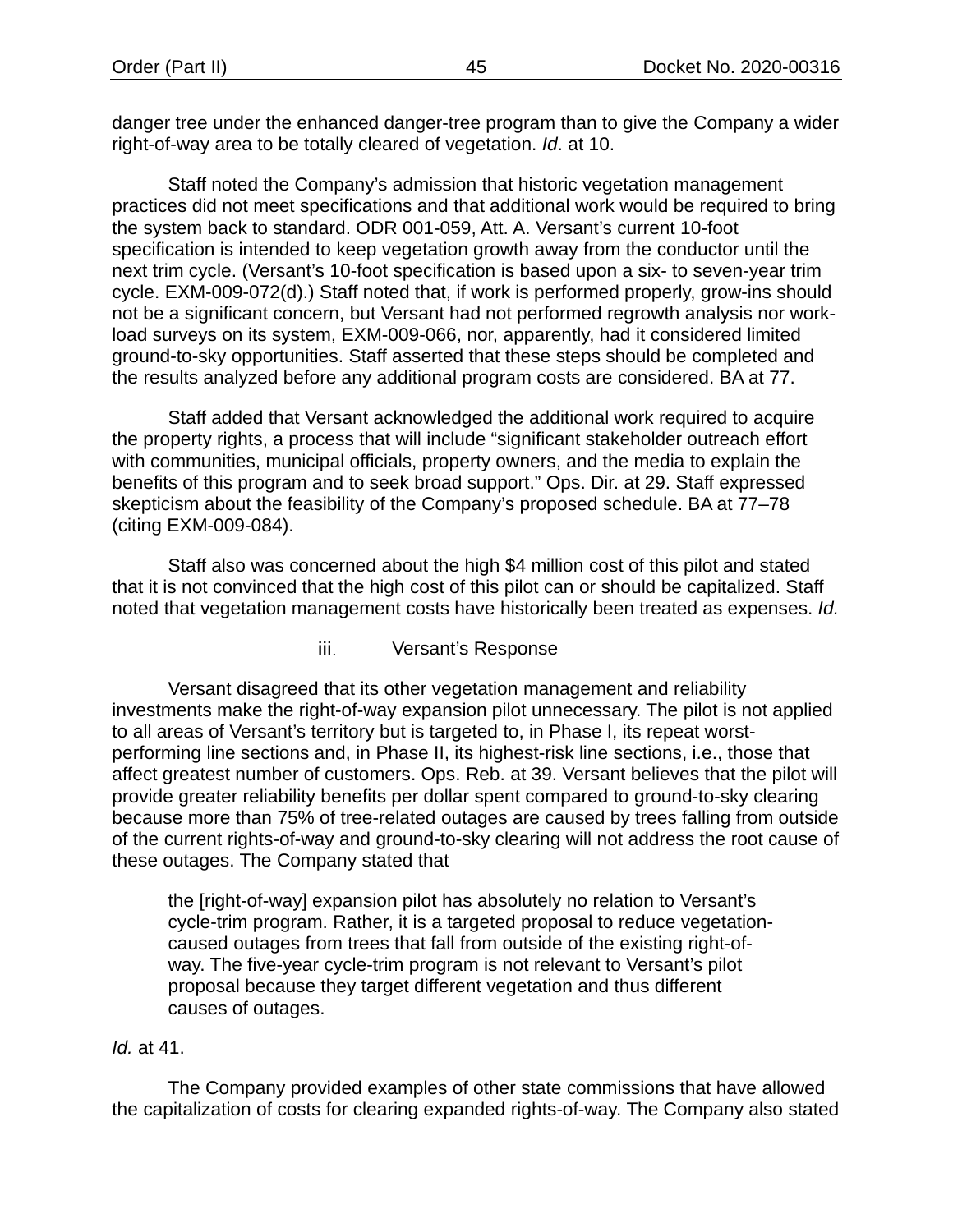danger tree under the enhanced danger-tree program than to give the Company a wider right-of-way area to be totally cleared of vegetation. *Id*. at 10.

Staff noted the Company's admission that historic vegetation management practices did not meet specifications and that additional work would be required to bring the system back to standard. ODR 001-059, Att. A. Versant's current 10-foot specification is intended to keep vegetation growth away from the conductor until the next trim cycle. (Versant's 10-foot specification is based upon a six- to seven-year trim cycle. EXM-009-072(d).) Staff noted that, if work is performed properly, grow-ins should not be a significant concern, but Versant had not performed regrowth analysis nor workload surveys on its system, EXM-009-066, nor, apparently, had it considered limited ground-to-sky opportunities. Staff asserted that these steps should be completed and the results analyzed before any additional program costs are considered. BA at 77.

Staff added that Versant acknowledged the additional work required to acquire the property rights, a process that will include "significant stakeholder outreach effort with communities, municipal officials, property owners, and the media to explain the benefits of this program and to seek broad support." Ops. Dir. at 29. Staff expressed skepticism about the feasibility of the Company's proposed schedule. BA at 77–78 (citing EXM-009-084).

Staff also was concerned about the high \$4 million cost of this pilot and stated that it is not convinced that the high cost of this pilot can or should be capitalized. Staff noted that vegetation management costs have historically been treated as expenses. *Id.*

### iii. Versant's Response

Versant disagreed that its other vegetation management and reliability investments make the right-of-way expansion pilot unnecessary. The pilot is not applied to all areas of Versant's territory but is targeted to, in Phase I, its repeat worstperforming line sections and, in Phase II, its highest-risk line sections, i.e., those that affect greatest number of customers. Ops. Reb. at 39. Versant believes that the pilot will provide greater reliability benefits per dollar spent compared to ground-to-sky clearing because more than 75% of tree-related outages are caused by trees falling from outside of the current rights-of-way and ground-to-sky clearing will not address the root cause of these outages. The Company stated that

the [right-of-way] expansion pilot has absolutely no relation to Versant's cycle-trim program. Rather, it is a targeted proposal to reduce vegetationcaused outages from trees that fall from outside of the existing right-ofway. The five-year cycle-trim program is not relevant to Versant's pilot proposal because they target different vegetation and thus different causes of outages.

### *Id.* at 41.

The Company provided examples of other state commissions that have allowed the capitalization of costs for clearing expanded rights-of-way. The Company also stated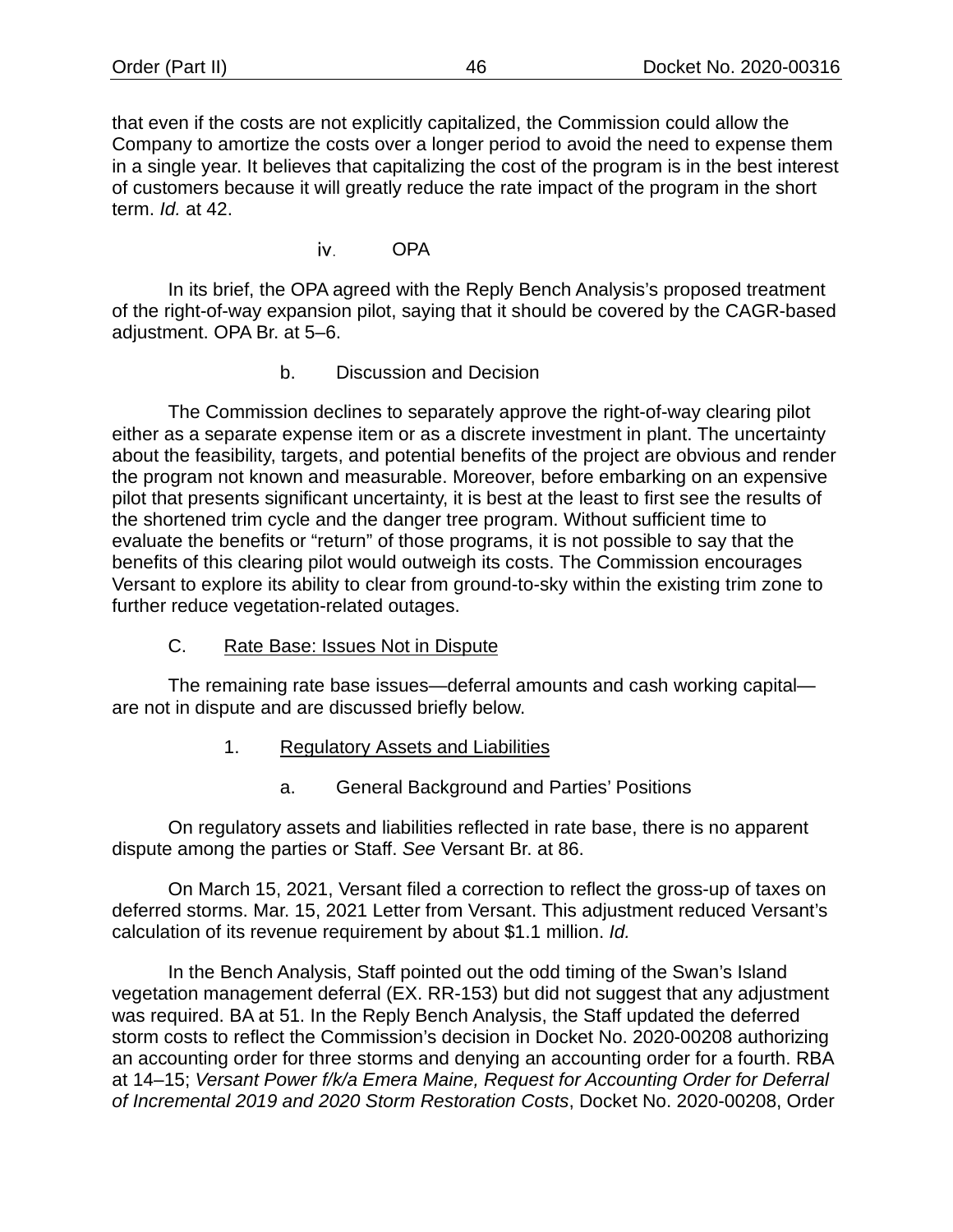that even if the costs are not explicitly capitalized, the Commission could allow the Company to amortize the costs over a longer period to avoid the need to expense them in a single year. It believes that capitalizing the cost of the program is in the best interest of customers because it will greatly reduce the rate impact of the program in the short term. *Id.* at 42.

> OPA iv.

In its brief, the OPA agreed with the Reply Bench Analysis's proposed treatment of the right-of-way expansion pilot, saying that it should be covered by the CAGR-based adjustment. OPA Br. at 5–6.

b. Discussion and Decision

The Commission declines to separately approve the right-of-way clearing pilot either as a separate expense item or as a discrete investment in plant. The uncertainty about the feasibility, targets, and potential benefits of the project are obvious and render the program not known and measurable. Moreover, before embarking on an expensive pilot that presents significant uncertainty, it is best at the least to first see the results of the shortened trim cycle and the danger tree program. Without sufficient time to evaluate the benefits or "return" of those programs, it is not possible to say that the benefits of this clearing pilot would outweigh its costs. The Commission encourages Versant to explore its ability to clear from ground-to-sky within the existing trim zone to further reduce vegetation-related outages.

C. Rate Base: Issues Not in Dispute

The remaining rate base issues—deferral amounts and cash working capital are not in dispute and are discussed briefly below.

- 1. Regulatory Assets and Liabilities
	- a. General Background and Parties' Positions

On regulatory assets and liabilities reflected in rate base, there is no apparent dispute among the parties or Staff. *See* Versant Br. at 86.

On March 15, 2021, Versant filed a correction to reflect the gross-up of taxes on deferred storms. Mar. 15, 2021 Letter from Versant. This adjustment reduced Versant's calculation of its revenue requirement by about \$1.1 million. *Id.*

In the Bench Analysis, Staff pointed out the odd timing of the Swan's Island vegetation management deferral (EX. RR-153) but did not suggest that any adjustment was required. BA at 51. In the Reply Bench Analysis, the Staff updated the deferred storm costs to reflect the Commission's decision in Docket No. 2020-00208 authorizing an accounting order for three storms and denying an accounting order for a fourth. RBA at 14–15; *Versant Power f/k/a Emera Maine, Request for Accounting Order for Deferral of Incremental 2019 and 2020 Storm Restoration Costs*, Docket No. 2020-00208, Order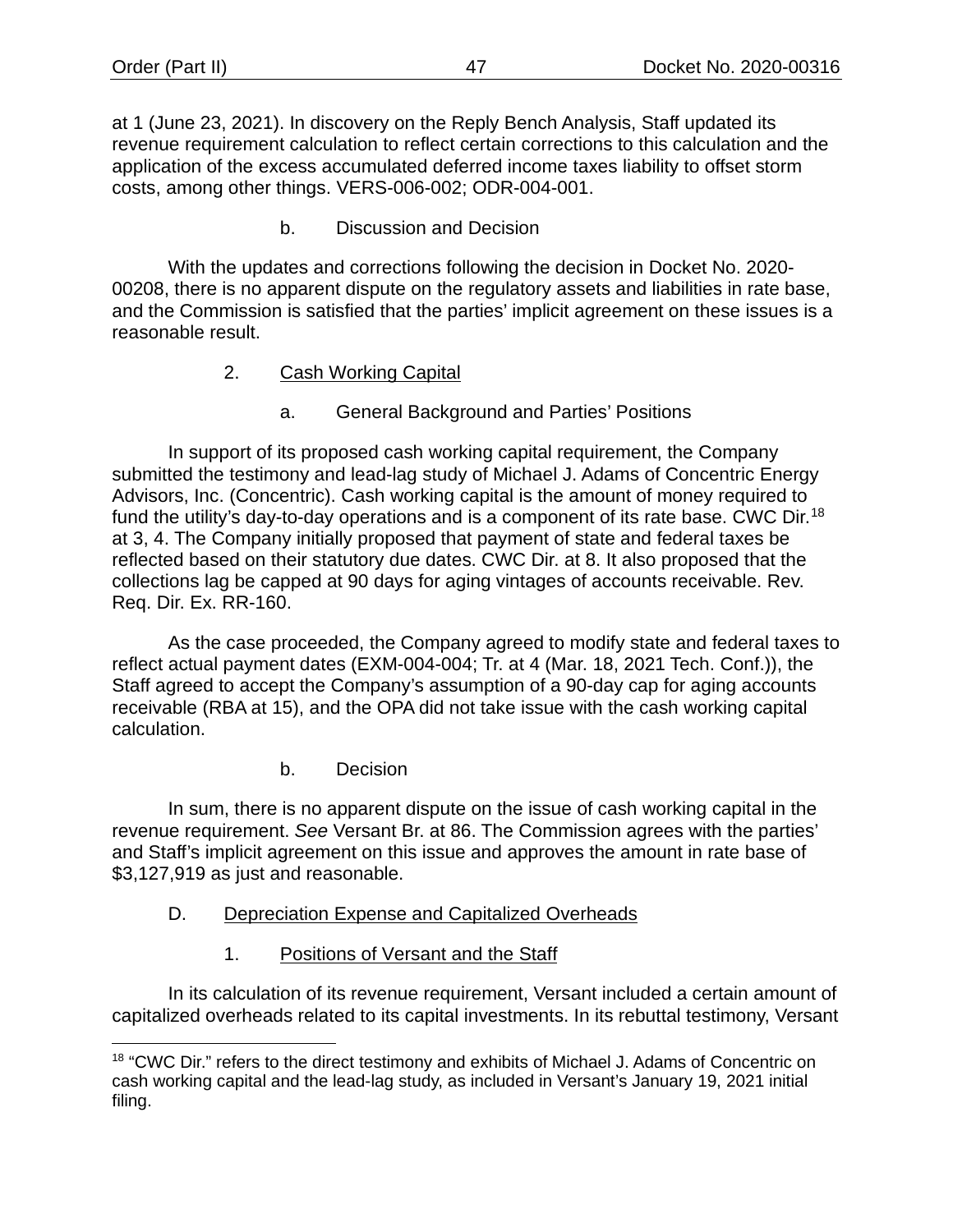at 1 (June 23, 2021). In discovery on the Reply Bench Analysis, Staff updated its revenue requirement calculation to reflect certain corrections to this calculation and the application of the excess accumulated deferred income taxes liability to offset storm costs, among other things. VERS-006-002; ODR-004-001.

b. Discussion and Decision

With the updates and corrections following the decision in Docket No. 2020- 00208, there is no apparent dispute on the regulatory assets and liabilities in rate base, and the Commission is satisfied that the parties' implicit agreement on these issues is a reasonable result.

- 2. Cash Working Capital
	- a. General Background and Parties' Positions

In support of its proposed cash working capital requirement, the Company submitted the testimony and lead-lag study of Michael J. Adams of Concentric Energy Advisors, Inc. (Concentric). Cash working capital is the amount of money required to fund the utility's day-to-day operations and is a component of its rate base. CWC Dir.<sup>[18](#page-49-0)</sup> at 3, 4. The Company initially proposed that payment of state and federal taxes be reflected based on their statutory due dates. CWC Dir. at 8. It also proposed that the collections lag be capped at 90 days for aging vintages of accounts receivable. Rev. Req. Dir. Ex. RR-160.

As the case proceeded, the Company agreed to modify state and federal taxes to reflect actual payment dates (EXM-004-004; Tr. at 4 (Mar. 18, 2021 Tech. Conf.)), the Staff agreed to accept the Company's assumption of a 90-day cap for aging accounts receivable (RBA at 15), and the OPA did not take issue with the cash working capital calculation.

b. Decision

In sum, there is no apparent dispute on the issue of cash working capital in the revenue requirement. *See* Versant Br. at 86. The Commission agrees with the parties' and Staff's implicit agreement on this issue and approves the amount in rate base of \$3,127,919 as just and reasonable.

- D. Depreciation Expense and Capitalized Overheads
	- 1. Positions of Versant and the Staff

In its calculation of its revenue requirement, Versant included a certain amount of capitalized overheads related to its capital investments. In its rebuttal testimony, Versant

<span id="page-49-0"></span><sup>&</sup>lt;sup>18</sup> "CWC Dir." refers to the direct testimony and exhibits of Michael J. Adams of Concentric on cash working capital and the lead-lag study, as included in Versant's January 19, 2021 initial filing.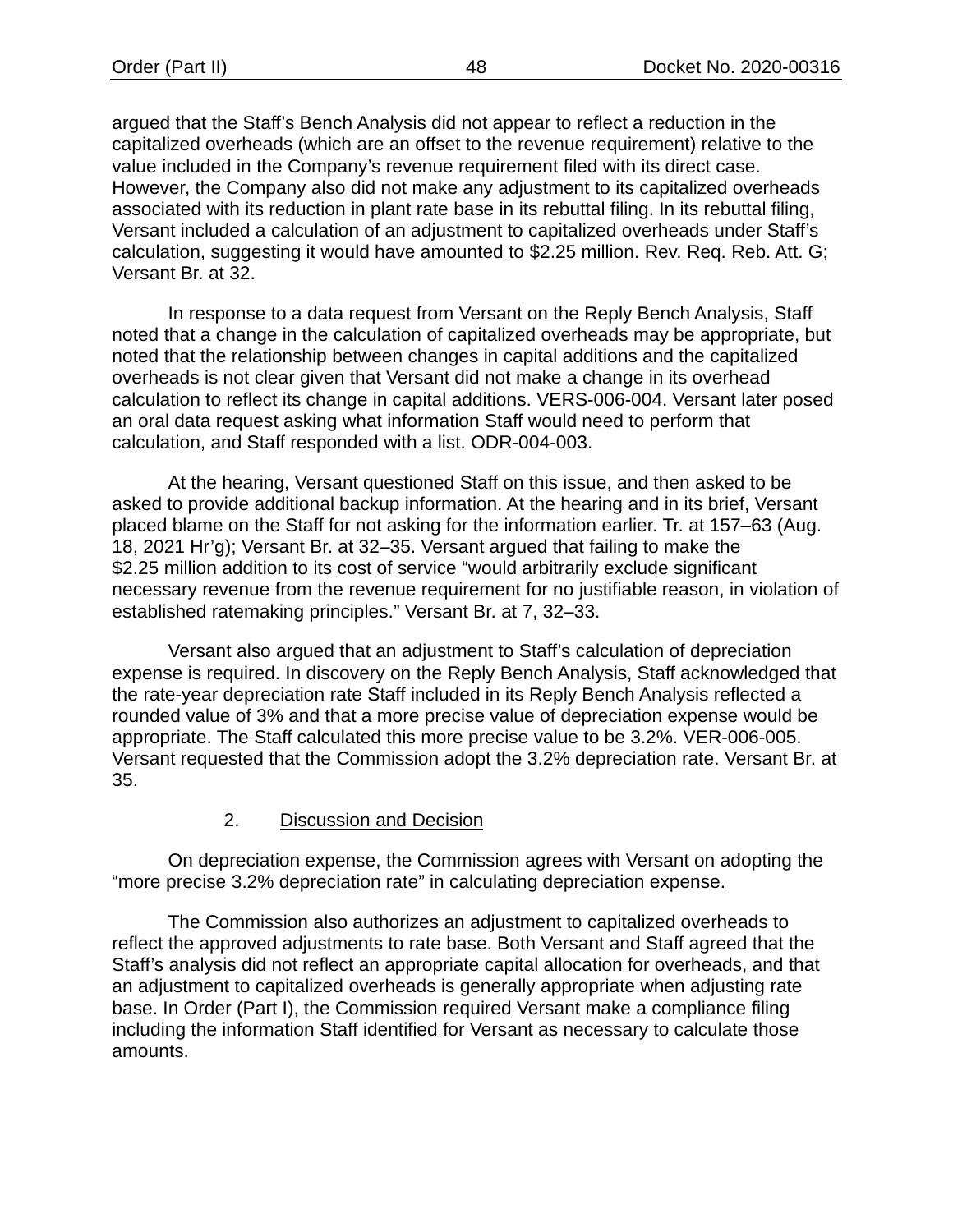argued that the Staff's Bench Analysis did not appear to reflect a reduction in the capitalized overheads (which are an offset to the revenue requirement) relative to the value included in the Company's revenue requirement filed with its direct case. However, the Company also did not make any adjustment to its capitalized overheads associated with its reduction in plant rate base in its rebuttal filing. In its rebuttal filing, Versant included a calculation of an adjustment to capitalized overheads under Staff's calculation, suggesting it would have amounted to \$2.25 million. Rev. Req. Reb. Att. G; Versant Br. at 32.

In response to a data request from Versant on the Reply Bench Analysis, Staff noted that a change in the calculation of capitalized overheads may be appropriate, but noted that the relationship between changes in capital additions and the capitalized overheads is not clear given that Versant did not make a change in its overhead calculation to reflect its change in capital additions. VERS-006-004. Versant later posed an oral data request asking what information Staff would need to perform that calculation, and Staff responded with a list. ODR-004-003.

At the hearing, Versant questioned Staff on this issue, and then asked to be asked to provide additional backup information. At the hearing and in its brief, Versant placed blame on the Staff for not asking for the information earlier. Tr. at 157–63 (Aug. 18, 2021 Hr'g); Versant Br. at 32–35. Versant argued that failing to make the \$2.25 million addition to its cost of service "would arbitrarily exclude significant necessary revenue from the revenue requirement for no justifiable reason, in violation of established ratemaking principles." Versant Br. at 7, 32–33.

Versant also argued that an adjustment to Staff's calculation of depreciation expense is required. In discovery on the Reply Bench Analysis, Staff acknowledged that the rate-year depreciation rate Staff included in its Reply Bench Analysis reflected a rounded value of 3% and that a more precise value of depreciation expense would be appropriate. The Staff calculated this more precise value to be 3.2%. VER-006-005. Versant requested that the Commission adopt the 3.2% depreciation rate. Versant Br. at 35.

# 2. Discussion and Decision

On depreciation expense, the Commission agrees with Versant on adopting the "more precise 3.2% depreciation rate" in calculating depreciation expense.

The Commission also authorizes an adjustment to capitalized overheads to reflect the approved adjustments to rate base. Both Versant and Staff agreed that the Staff's analysis did not reflect an appropriate capital allocation for overheads, and that an adjustment to capitalized overheads is generally appropriate when adjusting rate base. In Order (Part I), the Commission required Versant make a compliance filing including the information Staff identified for Versant as necessary to calculate those amounts.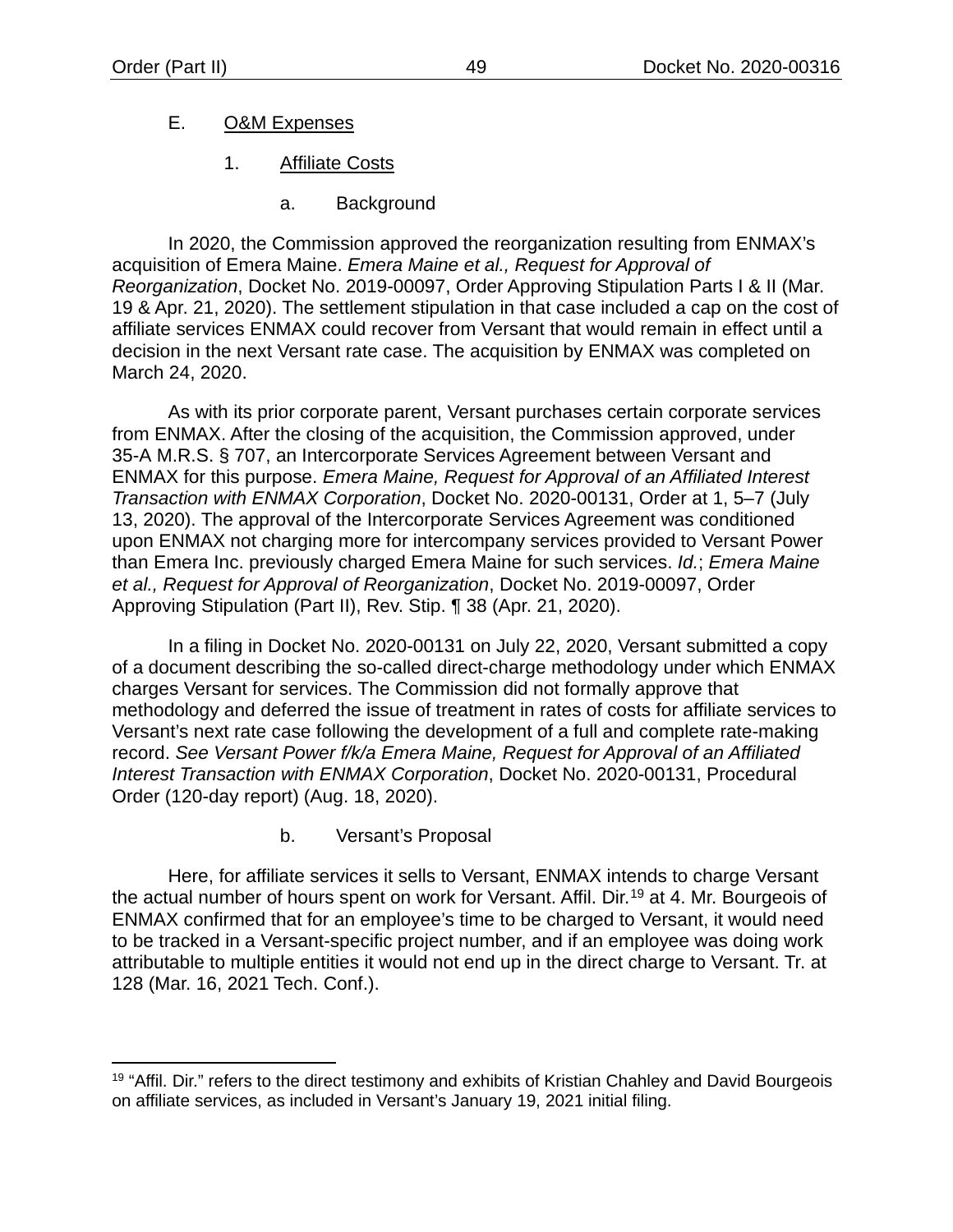# E. O&M Expenses

- 1. Affiliate Costs
	- a. Background

In 2020, the Commission approved the reorganization resulting from ENMAX's acquisition of Emera Maine. *Emera Maine et al., Request for Approval of Reorganization*, Docket No. 2019-00097, Order Approving Stipulation Parts I & II (Mar. 19 & Apr. 21, 2020). The settlement stipulation in that case included a cap on the cost of affiliate services ENMAX could recover from Versant that would remain in effect until a decision in the next Versant rate case. The acquisition by ENMAX was completed on March 24, 2020.

As with its prior corporate parent, Versant purchases certain corporate services from ENMAX. After the closing of the acquisition, the Commission approved, under 35-A M.R.S. § 707, an Intercorporate Services Agreement between Versant and ENMAX for this purpose. *Emera Maine, Request for Approval of an Affiliated Interest Transaction with ENMAX Corporation*, Docket No. 2020-00131, Order at 1, 5–7 (July 13, 2020). The approval of the Intercorporate Services Agreement was conditioned upon ENMAX not charging more for intercompany services provided to Versant Power than Emera Inc. previously charged Emera Maine for such services. *Id.*; *Emera Maine et al., Request for Approval of Reorganization*, Docket No. 2019-00097, Order Approving Stipulation (Part II), Rev. Stip. ¶ 38 (Apr. 21, 2020).

In a filing in Docket No. 2020-00131 on July 22, 2020, Versant submitted a copy of a document describing the so-called direct-charge methodology under which ENMAX charges Versant for services. The Commission did not formally approve that methodology and deferred the issue of treatment in rates of costs for affiliate services to Versant's next rate case following the development of a full and complete rate-making record. *See Versant Power f/k/a Emera Maine, Request for Approval of an Affiliated Interest Transaction with ENMAX Corporation*, Docket No. 2020-00131, Procedural Order (120-day report) (Aug. 18, 2020).

b. Versant's Proposal

Here, for affiliate services it sells to Versant, ENMAX intends to charge Versant the actual number of hours spent on work for Versant. Affil. Dir.[19](#page-51-0) at 4. Mr. Bourgeois of ENMAX confirmed that for an employee's time to be charged to Versant, it would need to be tracked in a Versant-specific project number, and if an employee was doing work attributable to multiple entities it would not end up in the direct charge to Versant. Tr. at 128 (Mar. 16, 2021 Tech. Conf.).

<span id="page-51-0"></span> $19$  "Affil. Dir." refers to the direct testimony and exhibits of Kristian Chahley and David Bourgeois on affiliate services, as included in Versant's January 19, 2021 initial filing.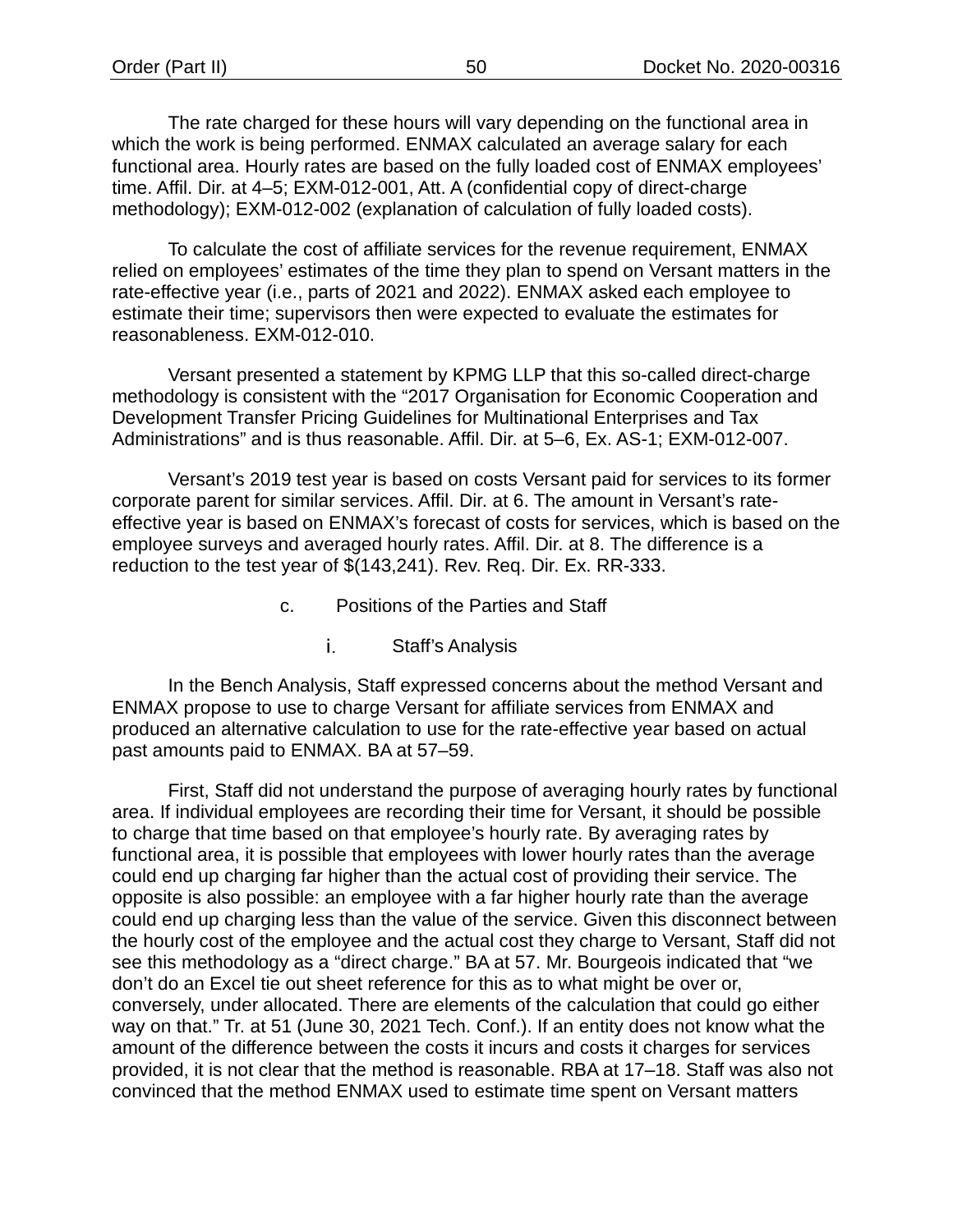The rate charged for these hours will vary depending on the functional area in which the work is being performed. ENMAX calculated an average salary for each functional area. Hourly rates are based on the fully loaded cost of ENMAX employees' time. Affil. Dir. at 4–5; EXM-012-001, Att. A (confidential copy of direct-charge methodology); EXM-012-002 (explanation of calculation of fully loaded costs).

To calculate the cost of affiliate services for the revenue requirement, ENMAX relied on employees' estimates of the time they plan to spend on Versant matters in the rate-effective year (i.e., parts of 2021 and 2022). ENMAX asked each employee to estimate their time; supervisors then were expected to evaluate the estimates for reasonableness. EXM-012-010.

Versant presented a statement by KPMG LLP that this so-called direct-charge methodology is consistent with the "2017 Organisation for Economic Cooperation and Development Transfer Pricing Guidelines for Multinational Enterprises and Tax Administrations" and is thus reasonable. Affil. Dir. at 5–6, Ex. AS-1; EXM-012-007.

Versant's 2019 test year is based on costs Versant paid for services to its former corporate parent for similar services. Affil. Dir. at 6. The amount in Versant's rateeffective year is based on ENMAX's forecast of costs for services, which is based on the employee surveys and averaged hourly rates. Affil. Dir. at 8. The difference is a reduction to the test year of \$(143,241). Rev. Req. Dir. Ex. RR-333.

- c. Positions of the Parties and Staff
	- i. Staff's Analysis

In the Bench Analysis, Staff expressed concerns about the method Versant and ENMAX propose to use to charge Versant for affiliate services from ENMAX and produced an alternative calculation to use for the rate-effective year based on actual past amounts paid to ENMAX. BA at 57–59.

First, Staff did not understand the purpose of averaging hourly rates by functional area. If individual employees are recording their time for Versant, it should be possible to charge that time based on that employee's hourly rate. By averaging rates by functional area, it is possible that employees with lower hourly rates than the average could end up charging far higher than the actual cost of providing their service. The opposite is also possible: an employee with a far higher hourly rate than the average could end up charging less than the value of the service. Given this disconnect between the hourly cost of the employee and the actual cost they charge to Versant, Staff did not see this methodology as a "direct charge." BA at 57. Mr. Bourgeois indicated that "we don't do an Excel tie out sheet reference for this as to what might be over or, conversely, under allocated. There are elements of the calculation that could go either way on that." Tr. at 51 (June 30, 2021 Tech. Conf.). If an entity does not know what the amount of the difference between the costs it incurs and costs it charges for services provided, it is not clear that the method is reasonable. RBA at 17–18. Staff was also not convinced that the method ENMAX used to estimate time spent on Versant matters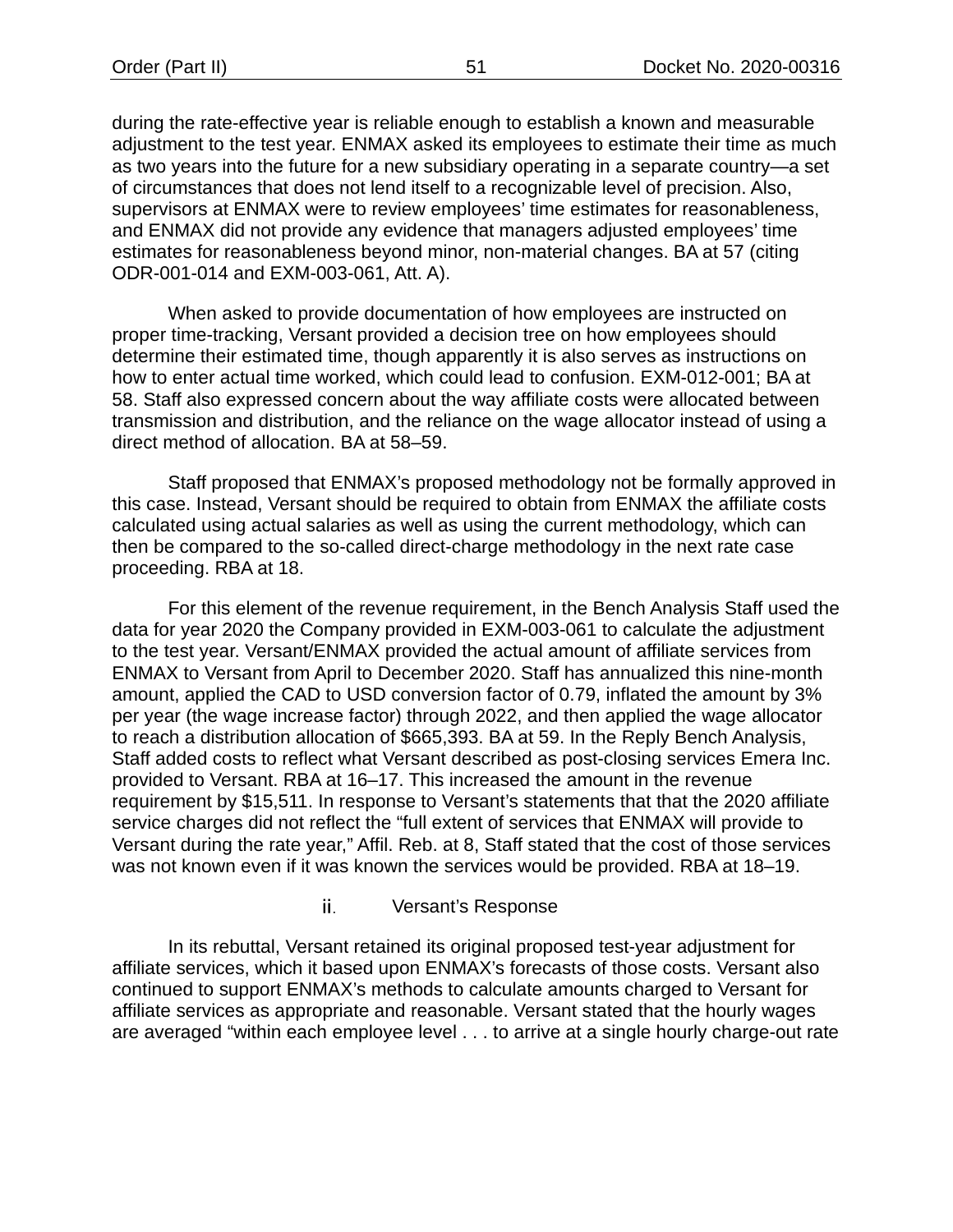during the rate-effective year is reliable enough to establish a known and measurable adjustment to the test year. ENMAX asked its employees to estimate their time as much as two years into the future for a new subsidiary operating in a separate country—a set of circumstances that does not lend itself to a recognizable level of precision. Also, supervisors at ENMAX were to review employees' time estimates for reasonableness, and ENMAX did not provide any evidence that managers adjusted employees' time estimates for reasonableness beyond minor, non-material changes. BA at 57 (citing ODR-001-014 and EXM-003-061, Att. A).

When asked to provide documentation of how employees are instructed on proper time-tracking, Versant provided a decision tree on how employees should determine their estimated time, though apparently it is also serves as instructions on how to enter actual time worked, which could lead to confusion. EXM-012-001; BA at 58. Staff also expressed concern about the way affiliate costs were allocated between transmission and distribution, and the reliance on the wage allocator instead of using a direct method of allocation. BA at 58–59.

Staff proposed that ENMAX's proposed methodology not be formally approved in this case. Instead, Versant should be required to obtain from ENMAX the affiliate costs calculated using actual salaries as well as using the current methodology, which can then be compared to the so-called direct-charge methodology in the next rate case proceeding. RBA at 18.

For this element of the revenue requirement, in the Bench Analysis Staff used the data for year 2020 the Company provided in EXM-003-061 to calculate the adjustment to the test year. Versant/ENMAX provided the actual amount of affiliate services from ENMAX to Versant from April to December 2020. Staff has annualized this nine-month amount, applied the CAD to USD conversion factor of 0.79, inflated the amount by 3% per year (the wage increase factor) through 2022, and then applied the wage allocator to reach a distribution allocation of \$665,393. BA at 59. In the Reply Bench Analysis, Staff added costs to reflect what Versant described as post-closing services Emera Inc. provided to Versant. RBA at 16–17. This increased the amount in the revenue requirement by \$15,511. In response to Versant's statements that that the 2020 affiliate service charges did not reflect the "full extent of services that ENMAX will provide to Versant during the rate year," Affil. Reb. at 8, Staff stated that the cost of those services was not known even if it was known the services would be provided. RBA at 18–19.

### ii. Versant's Response

In its rebuttal, Versant retained its original proposed test-year adjustment for affiliate services, which it based upon ENMAX's forecasts of those costs. Versant also continued to support ENMAX's methods to calculate amounts charged to Versant for affiliate services as appropriate and reasonable. Versant stated that the hourly wages are averaged "within each employee level . . . to arrive at a single hourly charge-out rate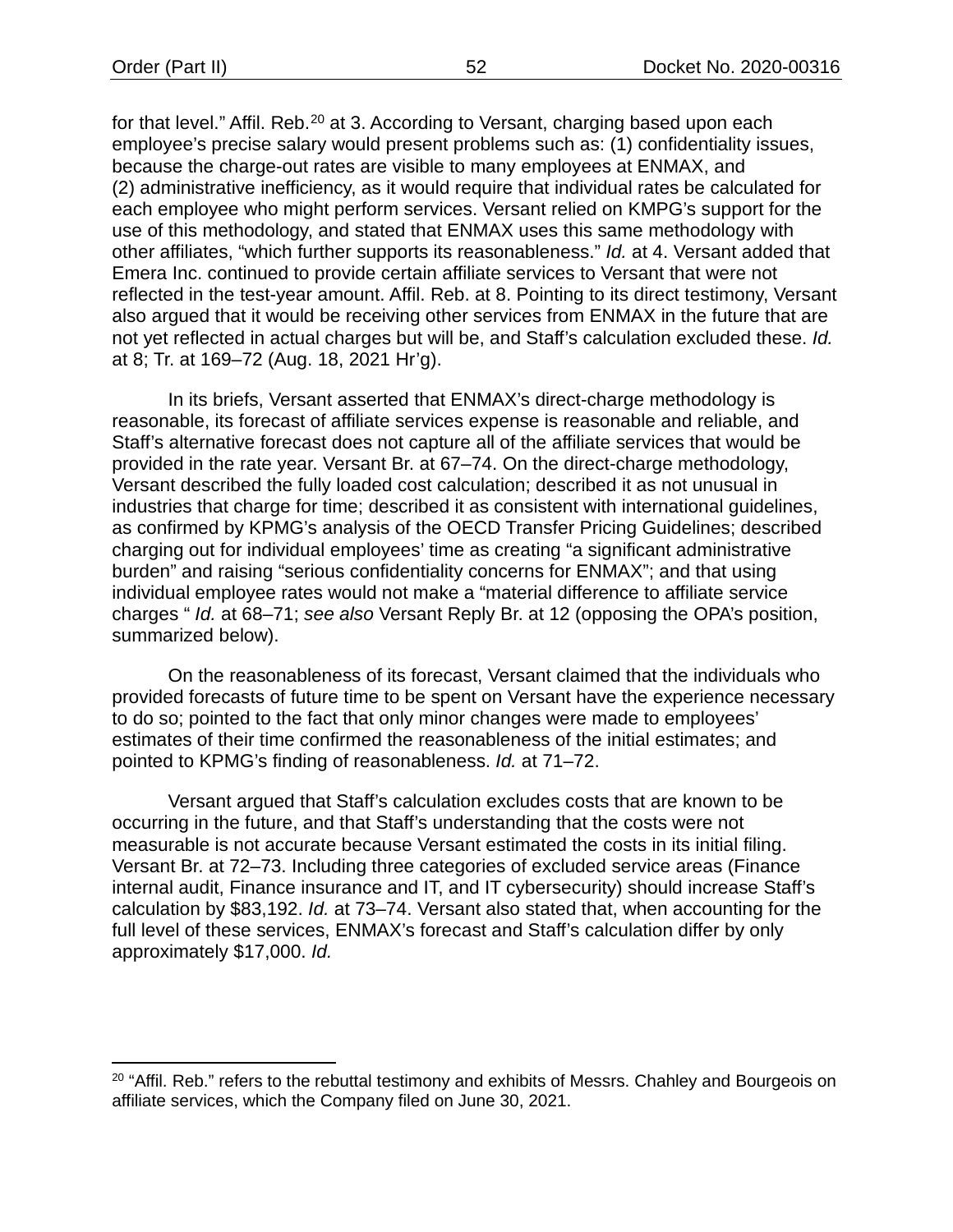for that level." Affil. Reb.<sup>[20](#page-54-0)</sup> at 3. According to Versant, charging based upon each employee's precise salary would present problems such as: (1) confidentiality issues, because the charge-out rates are visible to many employees at ENMAX, and (2) administrative inefficiency, as it would require that individual rates be calculated for each employee who might perform services. Versant relied on KMPG's support for the use of this methodology, and stated that ENMAX uses this same methodology with other affiliates, "which further supports its reasonableness." *Id.* at 4. Versant added that Emera Inc. continued to provide certain affiliate services to Versant that were not reflected in the test-year amount. Affil. Reb. at 8. Pointing to its direct testimony, Versant also argued that it would be receiving other services from ENMAX in the future that are not yet reflected in actual charges but will be, and Staff's calculation excluded these. *Id.* at 8; Tr. at 169–72 (Aug. 18, 2021 Hr'g).

In its briefs, Versant asserted that ENMAX's direct-charge methodology is reasonable, its forecast of affiliate services expense is reasonable and reliable, and Staff's alternative forecast does not capture all of the affiliate services that would be provided in the rate year. Versant Br. at 67–74. On the direct-charge methodology, Versant described the fully loaded cost calculation; described it as not unusual in industries that charge for time; described it as consistent with international guidelines, as confirmed by KPMG's analysis of the OECD Transfer Pricing Guidelines; described charging out for individual employees' time as creating "a significant administrative burden" and raising "serious confidentiality concerns for ENMAX"; and that using individual employee rates would not make a "material difference to affiliate service charges " *Id.* at 68–71; *see also* Versant Reply Br. at 12 (opposing the OPA's position, summarized below).

On the reasonableness of its forecast, Versant claimed that the individuals who provided forecasts of future time to be spent on Versant have the experience necessary to do so; pointed to the fact that only minor changes were made to employees' estimates of their time confirmed the reasonableness of the initial estimates; and pointed to KPMG's finding of reasonableness. *Id.* at 71–72.

Versant argued that Staff's calculation excludes costs that are known to be occurring in the future, and that Staff's understanding that the costs were not measurable is not accurate because Versant estimated the costs in its initial filing. Versant Br. at 72–73. Including three categories of excluded service areas (Finance internal audit, Finance insurance and IT, and IT cybersecurity) should increase Staff's calculation by \$83,192. *Id.* at 73–74. Versant also stated that, when accounting for the full level of these services, ENMAX's forecast and Staff's calculation differ by only approximately \$17,000. *Id.*

<span id="page-54-0"></span><sup>&</sup>lt;sup>20</sup> "Affil. Reb." refers to the rebuttal testimony and exhibits of Messrs. Chahley and Bourgeois on affiliate services, which the Company filed on June 30, 2021.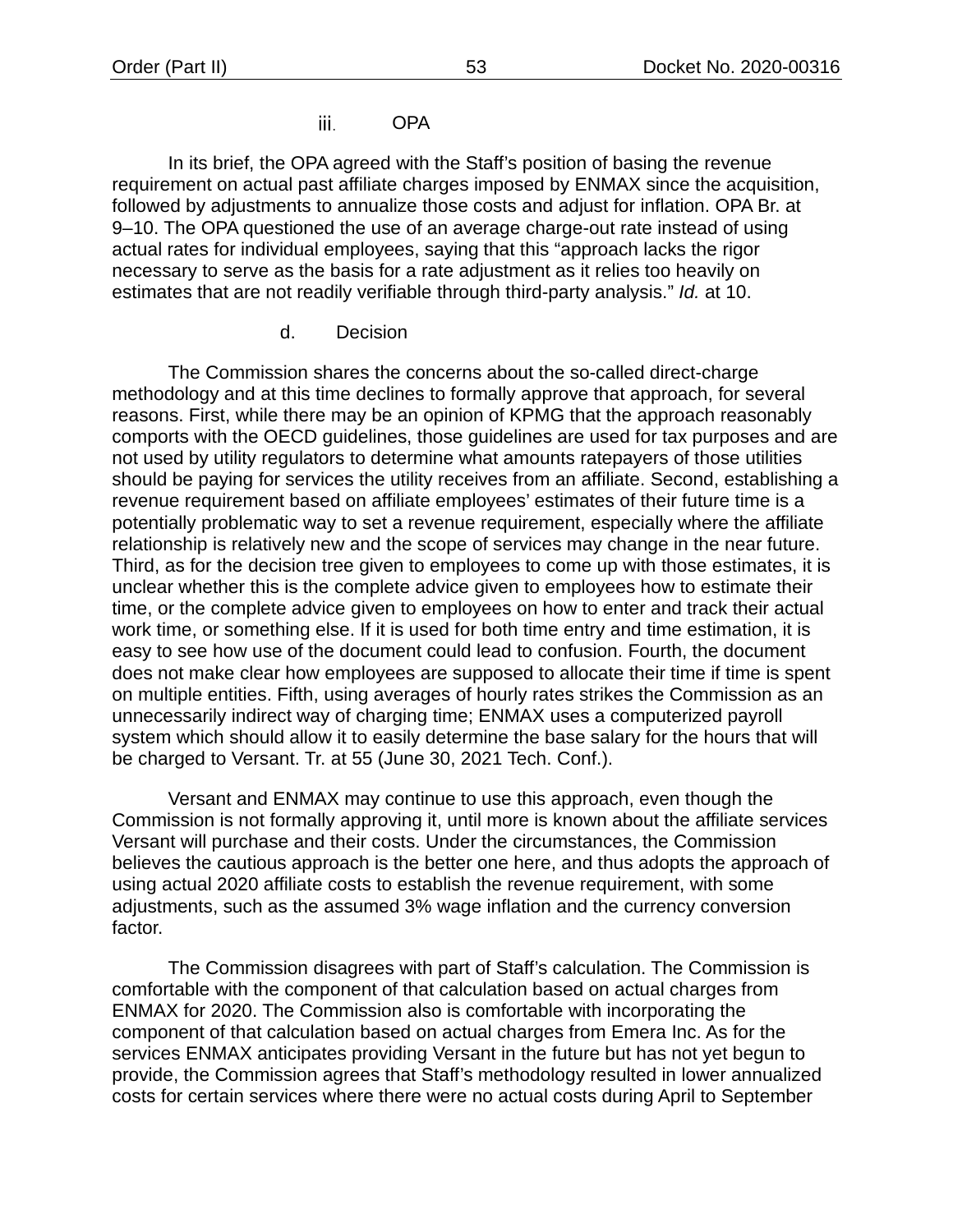### OPA iii.

In its brief, the OPA agreed with the Staff's position of basing the revenue requirement on actual past affiliate charges imposed by ENMAX since the acquisition, followed by adjustments to annualize those costs and adjust for inflation. OPA Br. at 9–10. The OPA questioned the use of an average charge-out rate instead of using actual rates for individual employees, saying that this "approach lacks the rigor necessary to serve as the basis for a rate adjustment as it relies too heavily on estimates that are not readily verifiable through third-party analysis." *Id.* at 10.

### d. Decision

The Commission shares the concerns about the so-called direct-charge methodology and at this time declines to formally approve that approach, for several reasons. First, while there may be an opinion of KPMG that the approach reasonably comports with the OECD guidelines, those guidelines are used for tax purposes and are not used by utility regulators to determine what amounts ratepayers of those utilities should be paying for services the utility receives from an affiliate. Second, establishing a revenue requirement based on affiliate employees' estimates of their future time is a potentially problematic way to set a revenue requirement, especially where the affiliate relationship is relatively new and the scope of services may change in the near future. Third, as for the decision tree given to employees to come up with those estimates, it is unclear whether this is the complete advice given to employees how to estimate their time, or the complete advice given to employees on how to enter and track their actual work time, or something else. If it is used for both time entry and time estimation, it is easy to see how use of the document could lead to confusion. Fourth, the document does not make clear how employees are supposed to allocate their time if time is spent on multiple entities. Fifth, using averages of hourly rates strikes the Commission as an unnecessarily indirect way of charging time; ENMAX uses a computerized payroll system which should allow it to easily determine the base salary for the hours that will be charged to Versant. Tr. at 55 (June 30, 2021 Tech. Conf.).

Versant and ENMAX may continue to use this approach, even though the Commission is not formally approving it, until more is known about the affiliate services Versant will purchase and their costs. Under the circumstances, the Commission believes the cautious approach is the better one here, and thus adopts the approach of using actual 2020 affiliate costs to establish the revenue requirement, with some adjustments, such as the assumed 3% wage inflation and the currency conversion factor.

The Commission disagrees with part of Staff's calculation. The Commission is comfortable with the component of that calculation based on actual charges from ENMAX for 2020. The Commission also is comfortable with incorporating the component of that calculation based on actual charges from Emera Inc. As for the services ENMAX anticipates providing Versant in the future but has not yet begun to provide, the Commission agrees that Staff's methodology resulted in lower annualized costs for certain services where there were no actual costs during April to September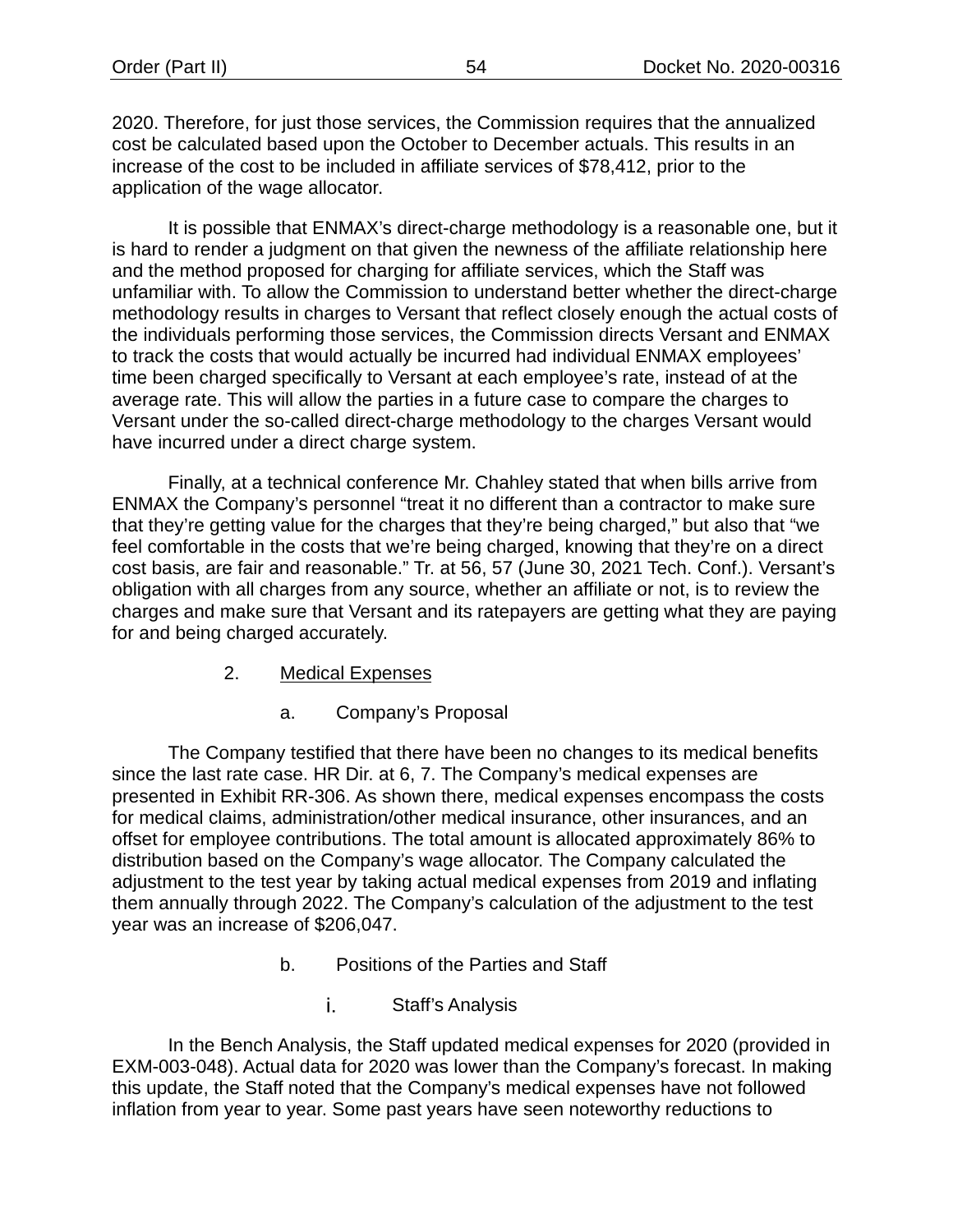2020. Therefore, for just those services, the Commission requires that the annualized cost be calculated based upon the October to December actuals. This results in an increase of the cost to be included in affiliate services of \$78,412, prior to the application of the wage allocator.

It is possible that ENMAX's direct-charge methodology is a reasonable one, but it is hard to render a judgment on that given the newness of the affiliate relationship here and the method proposed for charging for affiliate services, which the Staff was unfamiliar with. To allow the Commission to understand better whether the direct-charge methodology results in charges to Versant that reflect closely enough the actual costs of the individuals performing those services, the Commission directs Versant and ENMAX to track the costs that would actually be incurred had individual ENMAX employees' time been charged specifically to Versant at each employee's rate, instead of at the average rate. This will allow the parties in a future case to compare the charges to Versant under the so-called direct-charge methodology to the charges Versant would have incurred under a direct charge system.

Finally, at a technical conference Mr. Chahley stated that when bills arrive from ENMAX the Company's personnel "treat it no different than a contractor to make sure that they're getting value for the charges that they're being charged," but also that "we feel comfortable in the costs that we're being charged, knowing that they're on a direct cost basis, are fair and reasonable." Tr. at 56, 57 (June 30, 2021 Tech. Conf.). Versant's obligation with all charges from any source, whether an affiliate or not, is to review the charges and make sure that Versant and its ratepayers are getting what they are paying for and being charged accurately.

- 2. Medical Expenses
	- a. Company's Proposal

The Company testified that there have been no changes to its medical benefits since the last rate case. HR Dir. at 6, 7. The Company's medical expenses are presented in Exhibit RR-306. As shown there, medical expenses encompass the costs for medical claims, administration/other medical insurance, other insurances, and an offset for employee contributions. The total amount is allocated approximately 86% to distribution based on the Company's wage allocator. The Company calculated the adjustment to the test year by taking actual medical expenses from 2019 and inflating them annually through 2022. The Company's calculation of the adjustment to the test year was an increase of \$206,047.

- b. Positions of the Parties and Staff
	- i. Staff's Analysis

In the Bench Analysis, the Staff updated medical expenses for 2020 (provided in EXM-003-048). Actual data for 2020 was lower than the Company's forecast. In making this update, the Staff noted that the Company's medical expenses have not followed inflation from year to year. Some past years have seen noteworthy reductions to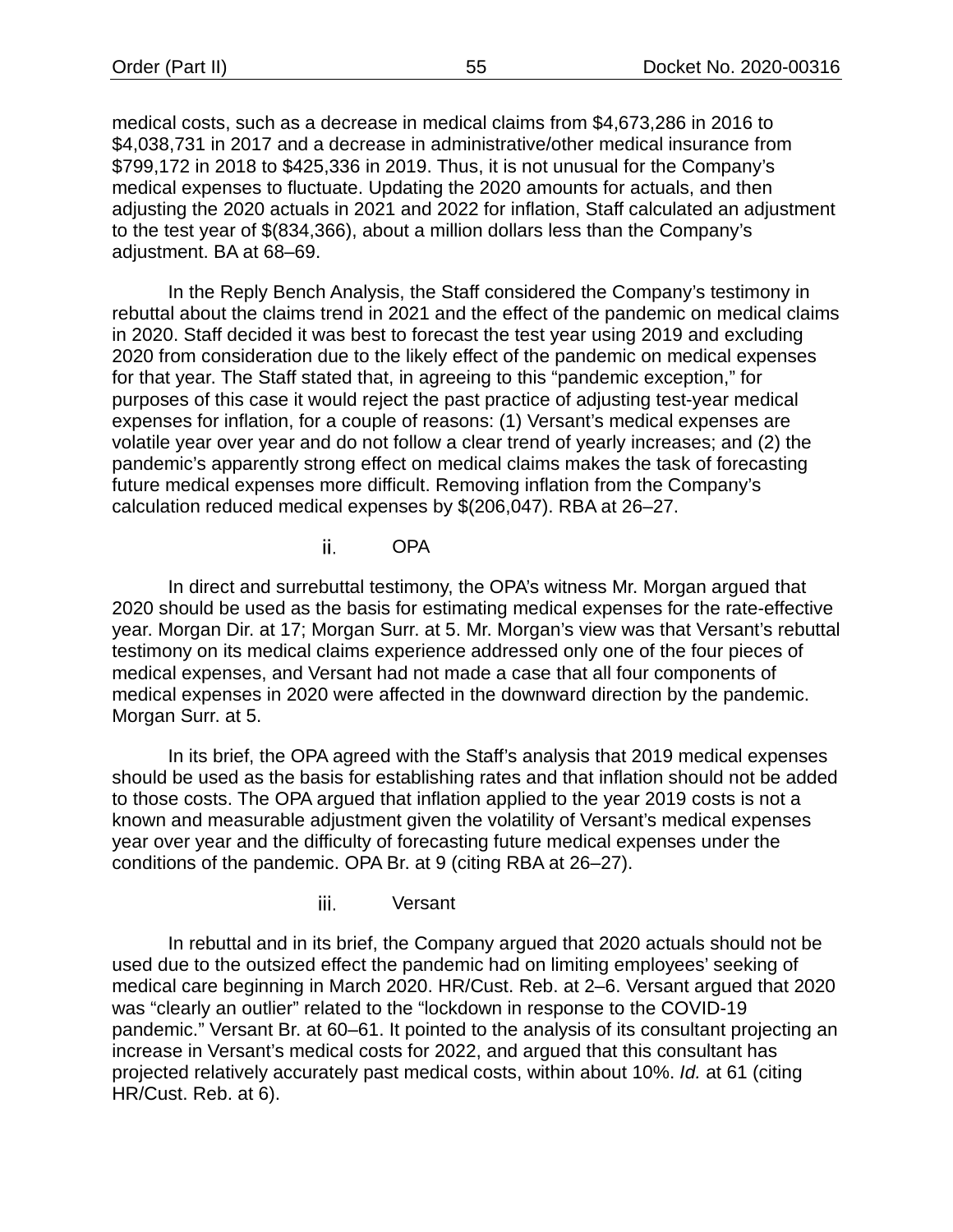medical costs, such as a decrease in medical claims from \$4,673,286 in 2016 to \$4,038,731 in 2017 and a decrease in administrative/other medical insurance from \$799,172 in 2018 to \$425,336 in 2019. Thus, it is not unusual for the Company's medical expenses to fluctuate. Updating the 2020 amounts for actuals, and then adjusting the 2020 actuals in 2021 and 2022 for inflation, Staff calculated an adjustment to the test year of \$(834,366), about a million dollars less than the Company's adjustment. BA at 68–69.

In the Reply Bench Analysis, the Staff considered the Company's testimony in rebuttal about the claims trend in 2021 and the effect of the pandemic on medical claims in 2020. Staff decided it was best to forecast the test year using 2019 and excluding 2020 from consideration due to the likely effect of the pandemic on medical expenses for that year. The Staff stated that, in agreeing to this "pandemic exception," for purposes of this case it would reject the past practice of adjusting test-year medical expenses for inflation, for a couple of reasons: (1) Versant's medical expenses are volatile year over year and do not follow a clear trend of yearly increases; and (2) the pandemic's apparently strong effect on medical claims makes the task of forecasting future medical expenses more difficult. Removing inflation from the Company's calculation reduced medical expenses by \$(206,047). RBA at 26–27.

> ii. OPA

In direct and surrebuttal testimony, the OPA's witness Mr. Morgan argued that 2020 should be used as the basis for estimating medical expenses for the rate-effective year. Morgan Dir. at 17; Morgan Surr. at 5. Mr. Morgan's view was that Versant's rebuttal testimony on its medical claims experience addressed only one of the four pieces of medical expenses, and Versant had not made a case that all four components of medical expenses in 2020 were affected in the downward direction by the pandemic. Morgan Surr. at 5.

In its brief, the OPA agreed with the Staff's analysis that 2019 medical expenses should be used as the basis for establishing rates and that inflation should not be added to those costs. The OPA argued that inflation applied to the year 2019 costs is not a known and measurable adjustment given the volatility of Versant's medical expenses year over year and the difficulty of forecasting future medical expenses under the conditions of the pandemic. OPA Br. at 9 (citing RBA at 26–27).

> iii. Versant

In rebuttal and in its brief, the Company argued that 2020 actuals should not be used due to the outsized effect the pandemic had on limiting employees' seeking of medical care beginning in March 2020. HR/Cust. Reb. at 2–6. Versant argued that 2020 was "clearly an outlier" related to the "lockdown in response to the COVID-19 pandemic." Versant Br. at 60–61. It pointed to the analysis of its consultant projecting an increase in Versant's medical costs for 2022, and argued that this consultant has projected relatively accurately past medical costs, within about 10%. *Id.* at 61 (citing HR/Cust. Reb. at 6).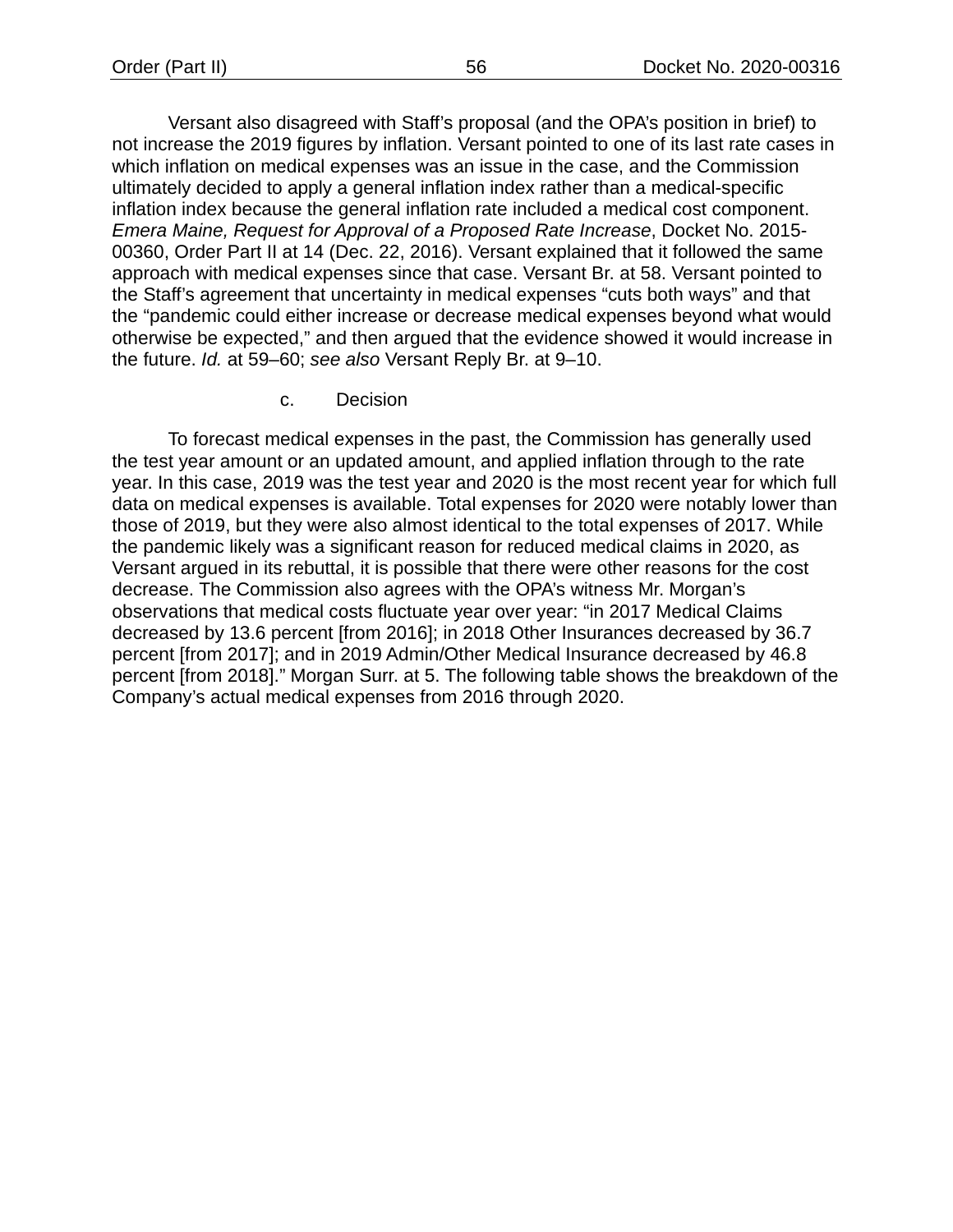Versant also disagreed with Staff's proposal (and the OPA's position in brief) to not increase the 2019 figures by inflation. Versant pointed to one of its last rate cases in which inflation on medical expenses was an issue in the case, and the Commission ultimately decided to apply a general inflation index rather than a medical-specific inflation index because the general inflation rate included a medical cost component. *Emera Maine, Request for Approval of a Proposed Rate Increase*, Docket No. 2015- 00360, Order Part II at 14 (Dec. 22, 2016). Versant explained that it followed the same approach with medical expenses since that case. Versant Br. at 58. Versant pointed to the Staff's agreement that uncertainty in medical expenses "cuts both ways" and that the "pandemic could either increase or decrease medical expenses beyond what would otherwise be expected," and then argued that the evidence showed it would increase in the future. *Id.* at 59–60; *see also* Versant Reply Br. at 9–10.

c. Decision

To forecast medical expenses in the past, the Commission has generally used the test year amount or an updated amount, and applied inflation through to the rate year. In this case, 2019 was the test year and 2020 is the most recent year for which full data on medical expenses is available. Total expenses for 2020 were notably lower than those of 2019, but they were also almost identical to the total expenses of 2017. While the pandemic likely was a significant reason for reduced medical claims in 2020, as Versant argued in its rebuttal, it is possible that there were other reasons for the cost decrease. The Commission also agrees with the OPA's witness Mr. Morgan's observations that medical costs fluctuate year over year: "in 2017 Medical Claims decreased by 13.6 percent [from 2016]; in 2018 Other Insurances decreased by 36.7 percent [from 2017]; and in 2019 Admin/Other Medical Insurance decreased by 46.8 percent [from 2018]." Morgan Surr. at 5. The following table shows the breakdown of the Company's actual medical expenses from 2016 through 2020.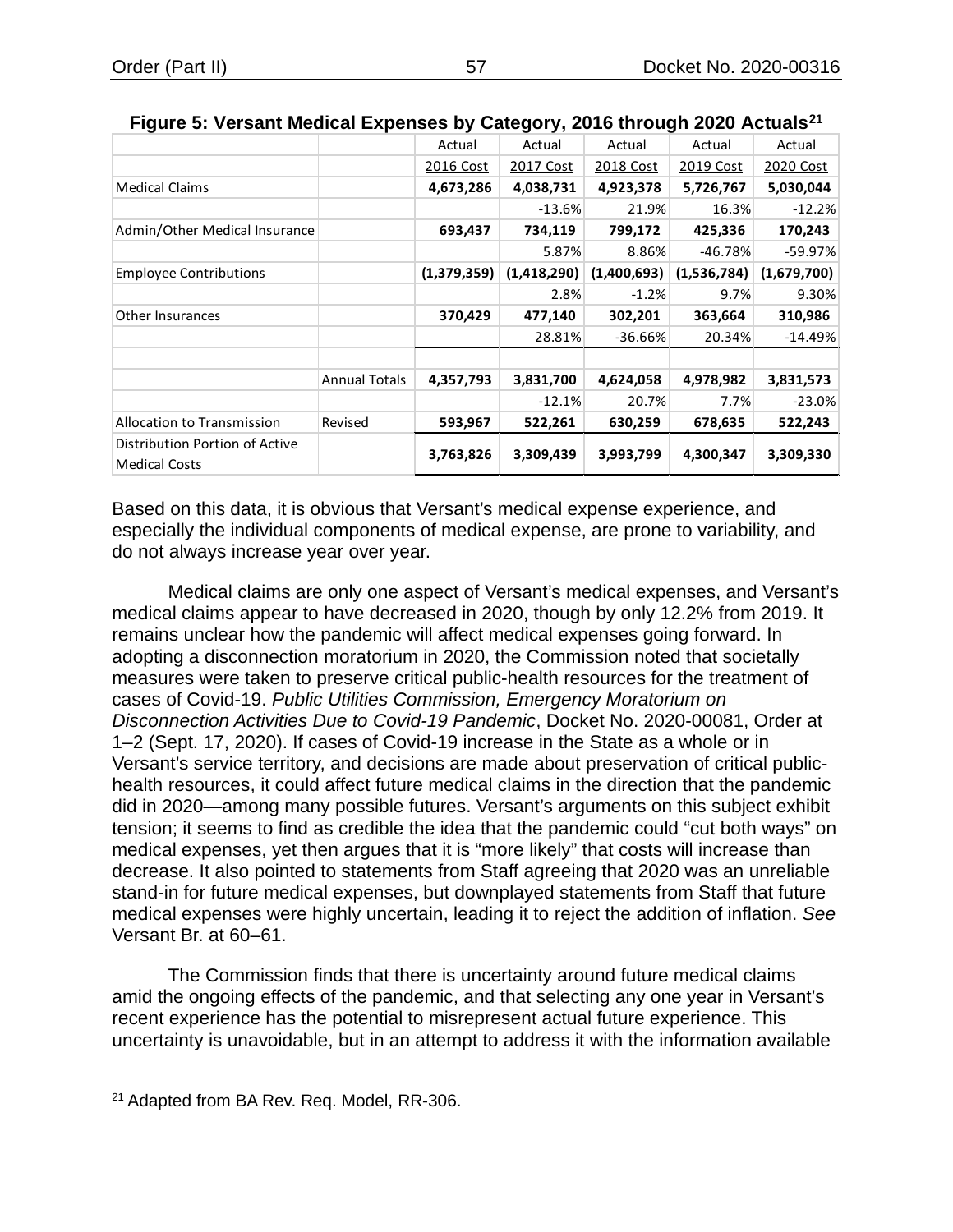|                                   |                      | Actual      | Actual      | Actual      | Actual      | Actual      |
|-----------------------------------|----------------------|-------------|-------------|-------------|-------------|-------------|
|                                   |                      | 2016 Cost   | 2017 Cost   | 2018 Cost   | 2019 Cost   | 2020 Cost   |
| <b>Medical Claims</b>             |                      | 4,673,286   | 4,038,731   | 4,923,378   | 5,726,767   | 5,030,044   |
|                                   |                      |             | $-13.6%$    | 21.9%       | 16.3%       | $-12.2%$    |
| Admin/Other Medical Insurance     |                      | 693,437     | 734,119     | 799,172     | 425,336     | 170,243     |
|                                   |                      |             | 5.87%       | 8.86%       | $-46.78%$   | $-59.97%$   |
| <b>Employee Contributions</b>     |                      | (1,379,359) | (1,418,290) | (1,400,693) | (1,536,784) | (1,679,700) |
|                                   |                      |             | 2.8%        | $-1.2%$     | 9.7%        | 9.30%       |
| Other Insurances                  |                      | 370,429     | 477,140     | 302,201     | 363,664     | 310,986     |
|                                   |                      |             | 28.81%      | $-36.66%$   | 20.34%      | $-14.49%$   |
|                                   | <b>Annual Totals</b> | 4,357,793   | 3,831,700   | 4,624,058   | 4,978,982   | 3,831,573   |
|                                   |                      |             | $-12.1%$    | 20.7%       | 7.7%        | $-23.0%$    |
| <b>Allocation to Transmission</b> | Revised              | 593,967     | 522,261     | 630,259     | 678,635     | 522,243     |
| Distribution Portion of Active    |                      | 3,763,826   | 3,309,439   | 3,993,799   | 4,300,347   | 3,309,330   |
| <b>Medical Costs</b>              |                      |             |             |             |             |             |

<span id="page-59-1"></span>

| Figure 5: Versant Medical Expenses by Category, 2016 through 2020 Actuals <sup>21</sup> |  |  |  |
|-----------------------------------------------------------------------------------------|--|--|--|
|-----------------------------------------------------------------------------------------|--|--|--|

Based on this data, it is obvious that Versant's medical expense experience, and especially the individual components of medical expense, are prone to variability, and do not always increase year over year.

Medical claims are only one aspect of Versant's medical expenses, and Versant's medical claims appear to have decreased in 2020, though by only 12.2% from 2019. It remains unclear how the pandemic will affect medical expenses going forward. In adopting a disconnection moratorium in 2020, the Commission noted that societally measures were taken to preserve critical public-health resources for the treatment of cases of Covid-19. *Public Utilities Commission, Emergency Moratorium on Disconnection Activities Due to Covid-19 Pandemic*, Docket No. 2020-00081, Order at 1–2 (Sept. 17, 2020). If cases of Covid-19 increase in the State as a whole or in Versant's service territory, and decisions are made about preservation of critical publichealth resources, it could affect future medical claims in the direction that the pandemic did in 2020—among many possible futures. Versant's arguments on this subject exhibit tension; it seems to find as credible the idea that the pandemic could "cut both ways" on medical expenses, yet then argues that it is "more likely" that costs will increase than decrease. It also pointed to statements from Staff agreeing that 2020 was an unreliable stand-in for future medical expenses, but downplayed statements from Staff that future medical expenses were highly uncertain, leading it to reject the addition of inflation. *See* Versant Br. at 60–61.

The Commission finds that there is uncertainty around future medical claims amid the ongoing effects of the pandemic, and that selecting any one year in Versant's recent experience has the potential to misrepresent actual future experience. This uncertainty is unavoidable, but in an attempt to address it with the information available

<span id="page-59-0"></span><sup>&</sup>lt;sup>21</sup> Adapted from BA Rev. Req. Model, RR-306.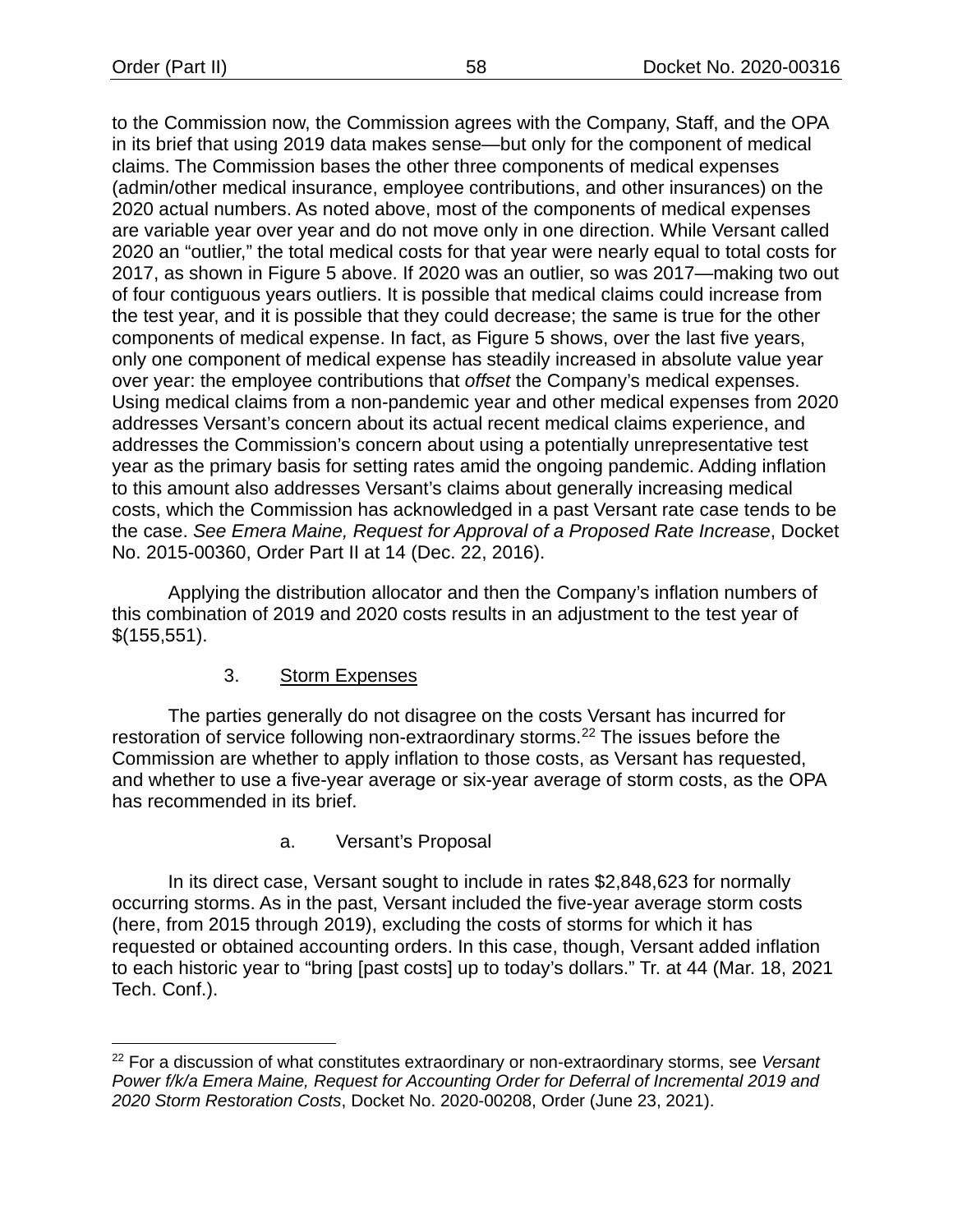to the Commission now, the Commission agrees with the Company, Staff, and the OPA in its brief that using 2019 data makes sense—but only for the component of medical claims. The Commission bases the other three components of medical expenses (admin/other medical insurance, employee contributions, and other insurances) on the 2020 actual numbers. As noted above, most of the components of medical expenses are variable year over year and do not move only in one direction. While Versant called 2020 an "outlier," the total medical costs for that year were nearly equal to total costs for 2017, as shown in [Figure 5](#page-59-1) above. If 2020 was an outlier, so was 2017—making two out of four contiguous years outliers. It is possible that medical claims could increase from the test year, and it is possible that they could decrease; the same is true for the other components of medical expense. In fact, as [Figure 5](#page-59-1) shows, over the last five years, only one component of medical expense has steadily increased in absolute value year over year: the employee contributions that *offset* the Company's medical expenses. Using medical claims from a non-pandemic year and other medical expenses from 2020 addresses Versant's concern about its actual recent medical claims experience, and addresses the Commission's concern about using a potentially unrepresentative test year as the primary basis for setting rates amid the ongoing pandemic. Adding inflation to this amount also addresses Versant's claims about generally increasing medical costs, which the Commission has acknowledged in a past Versant rate case tends to be the case. *See Emera Maine, Request for Approval of a Proposed Rate Increase*, Docket No. 2015-00360, Order Part II at 14 (Dec. 22, 2016).

Applying the distribution allocator and then the Company's inflation numbers of this combination of 2019 and 2020 costs results in an adjustment to the test year of \$(155,551).

# 3. Storm Expenses

The parties generally do not disagree on the costs Versant has incurred for restoration of service following non-extraordinary storms.[22](#page-60-0) The issues before the Commission are whether to apply inflation to those costs, as Versant has requested, and whether to use a five-year average or six-year average of storm costs, as the OPA has recommended in its brief.

# a. Versant's Proposal

In its direct case, Versant sought to include in rates \$2,848,623 for normally occurring storms. As in the past, Versant included the five-year average storm costs (here, from 2015 through 2019), excluding the costs of storms for which it has requested or obtained accounting orders. In this case, though, Versant added inflation to each historic year to "bring [past costs] up to today's dollars." Tr. at 44 (Mar. 18, 2021 Tech. Conf.).

<span id="page-60-0"></span><sup>22</sup> For a discussion of what constitutes extraordinary or non-extraordinary storms, see *Versant Power f/k/a Emera Maine, Request for Accounting Order for Deferral of Incremental 2019 and 2020 Storm Restoration Costs*, Docket No. 2020-00208, Order (June 23, 2021).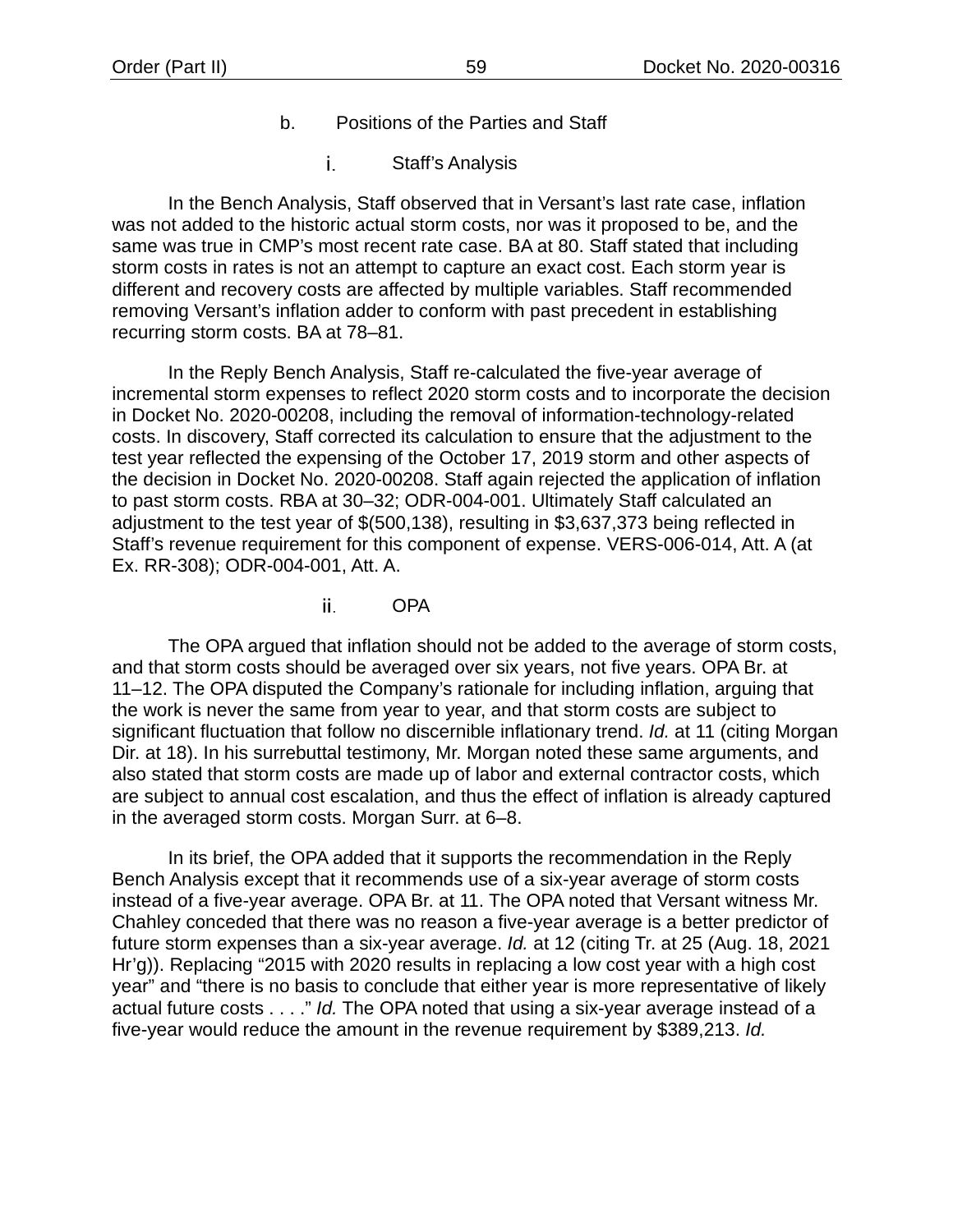- b. Positions of the Parties and Staff
	- i. Staff's Analysis

In the Bench Analysis, Staff observed that in Versant's last rate case, inflation was not added to the historic actual storm costs, nor was it proposed to be, and the same was true in CMP's most recent rate case. BA at 80. Staff stated that including storm costs in rates is not an attempt to capture an exact cost. Each storm year is different and recovery costs are affected by multiple variables. Staff recommended removing Versant's inflation adder to conform with past precedent in establishing recurring storm costs. BA at 78–81.

In the Reply Bench Analysis, Staff re-calculated the five-year average of incremental storm expenses to reflect 2020 storm costs and to incorporate the decision in Docket No. 2020-00208, including the removal of information-technology-related costs. In discovery, Staff corrected its calculation to ensure that the adjustment to the test year reflected the expensing of the October 17, 2019 storm and other aspects of the decision in Docket No. 2020-00208. Staff again rejected the application of inflation to past storm costs. RBA at 30–32; ODR-004-001. Ultimately Staff calculated an adjustment to the test year of \$(500,138), resulting in \$3,637,373 being reflected in Staff's revenue requirement for this component of expense. VERS-006-014, Att. A (at Ex. RR-308); ODR-004-001, Att. A.

> ii. OPA

The OPA argued that inflation should not be added to the average of storm costs, and that storm costs should be averaged over six years, not five years. OPA Br. at 11–12. The OPA disputed the Company's rationale for including inflation, arguing that the work is never the same from year to year, and that storm costs are subject to significant fluctuation that follow no discernible inflationary trend. *Id.* at 11 (citing Morgan Dir. at 18). In his surrebuttal testimony, Mr. Morgan noted these same arguments, and also stated that storm costs are made up of labor and external contractor costs, which are subject to annual cost escalation, and thus the effect of inflation is already captured in the averaged storm costs. Morgan Surr. at 6–8.

In its brief, the OPA added that it supports the recommendation in the Reply Bench Analysis except that it recommends use of a six-year average of storm costs instead of a five-year average. OPA Br. at 11. The OPA noted that Versant witness Mr. Chahley conceded that there was no reason a five-year average is a better predictor of future storm expenses than a six-year average. *Id.* at 12 (citing Tr. at 25 (Aug. 18, 2021 Hr'g)). Replacing "2015 with 2020 results in replacing a low cost year with a high cost year" and "there is no basis to conclude that either year is more representative of likely actual future costs . . . ." *Id.* The OPA noted that using a six-year average instead of a five-year would reduce the amount in the revenue requirement by \$389,213. *Id.*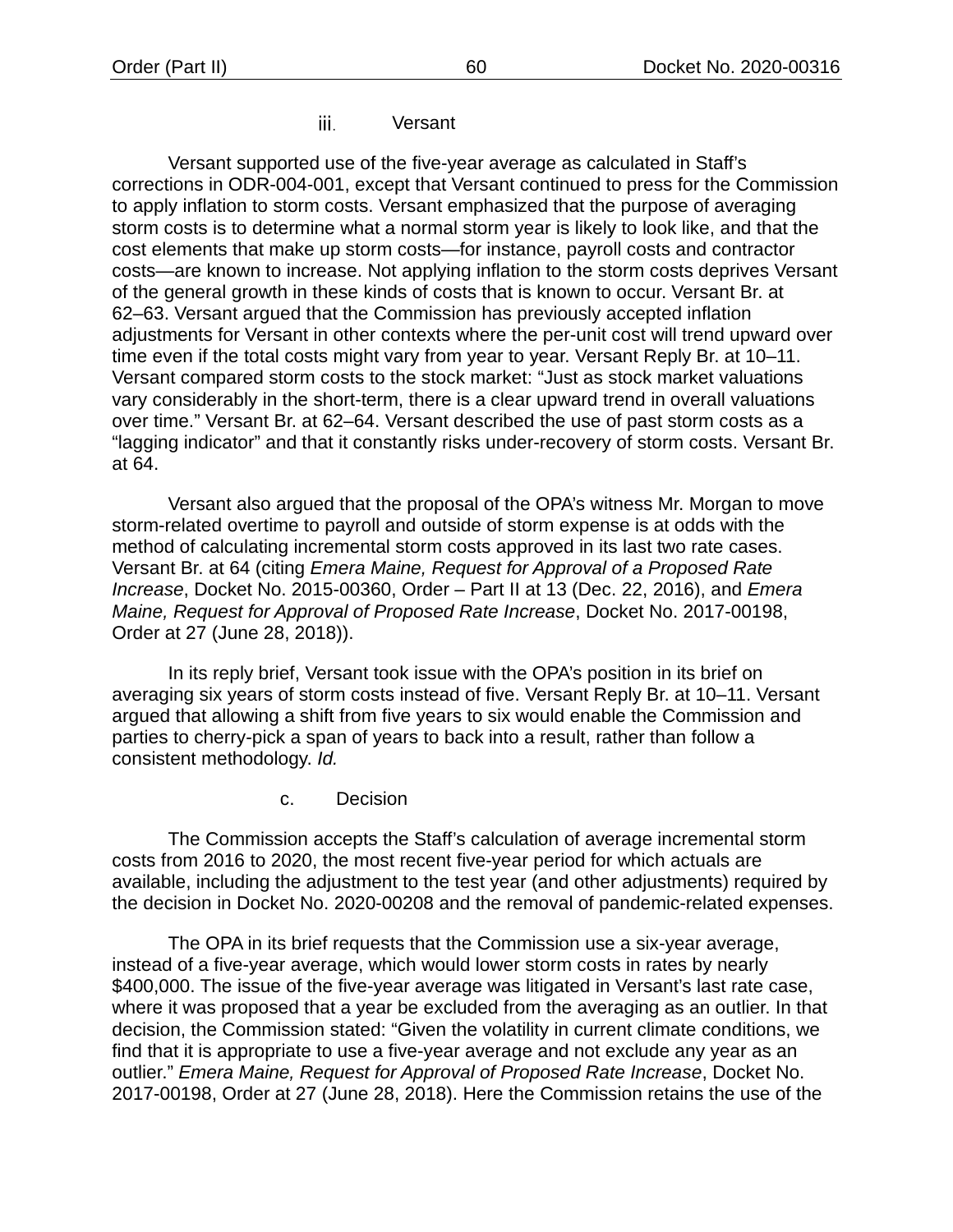iii. Versant

Versant supported use of the five-year average as calculated in Staff's corrections in ODR-004-001, except that Versant continued to press for the Commission to apply inflation to storm costs. Versant emphasized that the purpose of averaging storm costs is to determine what a normal storm year is likely to look like, and that the cost elements that make up storm costs—for instance, payroll costs and contractor costs—are known to increase. Not applying inflation to the storm costs deprives Versant of the general growth in these kinds of costs that is known to occur. Versant Br. at 62–63. Versant argued that the Commission has previously accepted inflation adjustments for Versant in other contexts where the per-unit cost will trend upward over time even if the total costs might vary from year to year. Versant Reply Br. at 10–11. Versant compared storm costs to the stock market: "Just as stock market valuations vary considerably in the short-term, there is a clear upward trend in overall valuations over time." Versant Br. at 62–64. Versant described the use of past storm costs as a "lagging indicator" and that it constantly risks under-recovery of storm costs. Versant Br. at 64.

Versant also argued that the proposal of the OPA's witness Mr. Morgan to move storm-related overtime to payroll and outside of storm expense is at odds with the method of calculating incremental storm costs approved in its last two rate cases. Versant Br. at 64 (citing *Emera Maine, Request for Approval of a Proposed Rate Increase*, Docket No. 2015-00360, Order – Part II at 13 (Dec. 22, 2016), and *Emera Maine, Request for Approval of Proposed Rate Increase*, Docket No. 2017-00198, Order at 27 (June 28, 2018)).

In its reply brief, Versant took issue with the OPA's position in its brief on averaging six years of storm costs instead of five. Versant Reply Br. at 10–11. Versant argued that allowing a shift from five years to six would enable the Commission and parties to cherry-pick a span of years to back into a result, rather than follow a consistent methodology. *Id.*

c. Decision

The Commission accepts the Staff's calculation of average incremental storm costs from 2016 to 2020, the most recent five-year period for which actuals are available, including the adjustment to the test year (and other adjustments) required by the decision in Docket No. 2020-00208 and the removal of pandemic-related expenses.

The OPA in its brief requests that the Commission use a six-year average, instead of a five-year average, which would lower storm costs in rates by nearly \$400,000. The issue of the five-year average was litigated in Versant's last rate case, where it was proposed that a year be excluded from the averaging as an outlier. In that decision, the Commission stated: "Given the volatility in current climate conditions, we find that it is appropriate to use a five-year average and not exclude any year as an outlier." *Emera Maine, Request for Approval of Proposed Rate Increase*, Docket No. 2017-00198, Order at 27 (June 28, 2018). Here the Commission retains the use of the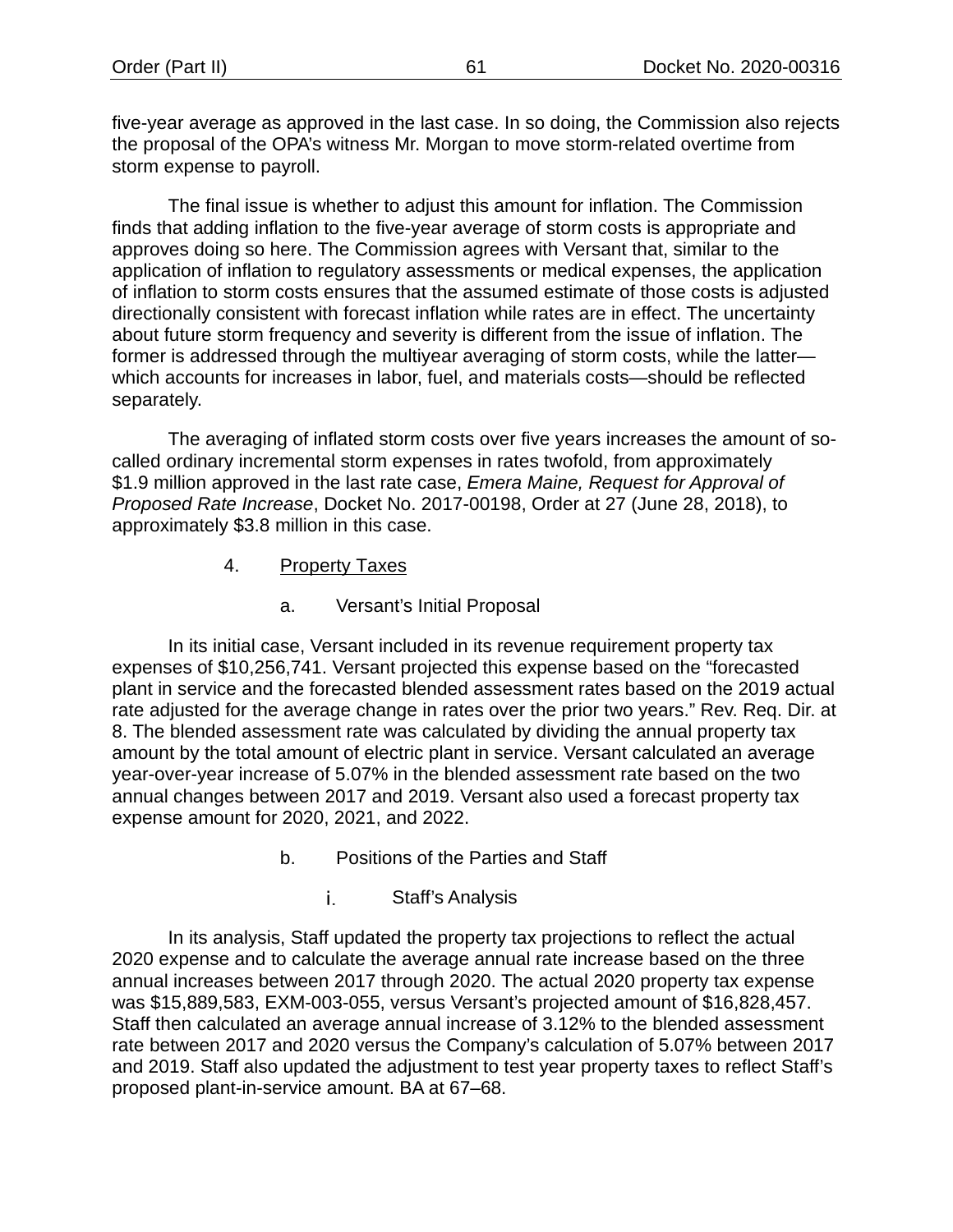five-year average as approved in the last case. In so doing, the Commission also rejects the proposal of the OPA's witness Mr. Morgan to move storm-related overtime from storm expense to payroll.

The final issue is whether to adjust this amount for inflation. The Commission finds that adding inflation to the five-year average of storm costs is appropriate and approves doing so here. The Commission agrees with Versant that, similar to the application of inflation to regulatory assessments or medical expenses, the application of inflation to storm costs ensures that the assumed estimate of those costs is adjusted directionally consistent with forecast inflation while rates are in effect. The uncertainty about future storm frequency and severity is different from the issue of inflation. The former is addressed through the multiyear averaging of storm costs, while the latter which accounts for increases in labor, fuel, and materials costs—should be reflected separately.

The averaging of inflated storm costs over five years increases the amount of socalled ordinary incremental storm expenses in rates twofold, from approximately \$1.9 million approved in the last rate case, *Emera Maine, Request for Approval of Proposed Rate Increase*, Docket No. 2017-00198, Order at 27 (June 28, 2018), to approximately \$3.8 million in this case.

- 4. Property Taxes
	- a. Versant's Initial Proposal

In its initial case, Versant included in its revenue requirement property tax expenses of \$10,256,741. Versant projected this expense based on the "forecasted plant in service and the forecasted blended assessment rates based on the 2019 actual rate adjusted for the average change in rates over the prior two years." Rev. Req. Dir. at 8. The blended assessment rate was calculated by dividing the annual property tax amount by the total amount of electric plant in service. Versant calculated an average year-over-year increase of 5.07% in the blended assessment rate based on the two annual changes between 2017 and 2019. Versant also used a forecast property tax expense amount for 2020, 2021, and 2022.

- b. Positions of the Parties and Staff
	- i. Staff's Analysis

In its analysis, Staff updated the property tax projections to reflect the actual 2020 expense and to calculate the average annual rate increase based on the three annual increases between 2017 through 2020. The actual 2020 property tax expense was \$15,889,583, EXM-003-055, versus Versant's projected amount of \$16,828,457. Staff then calculated an average annual increase of 3.12% to the blended assessment rate between 2017 and 2020 versus the Company's calculation of 5.07% between 2017 and 2019. Staff also updated the adjustment to test year property taxes to reflect Staff's proposed plant-in-service amount. BA at 67–68.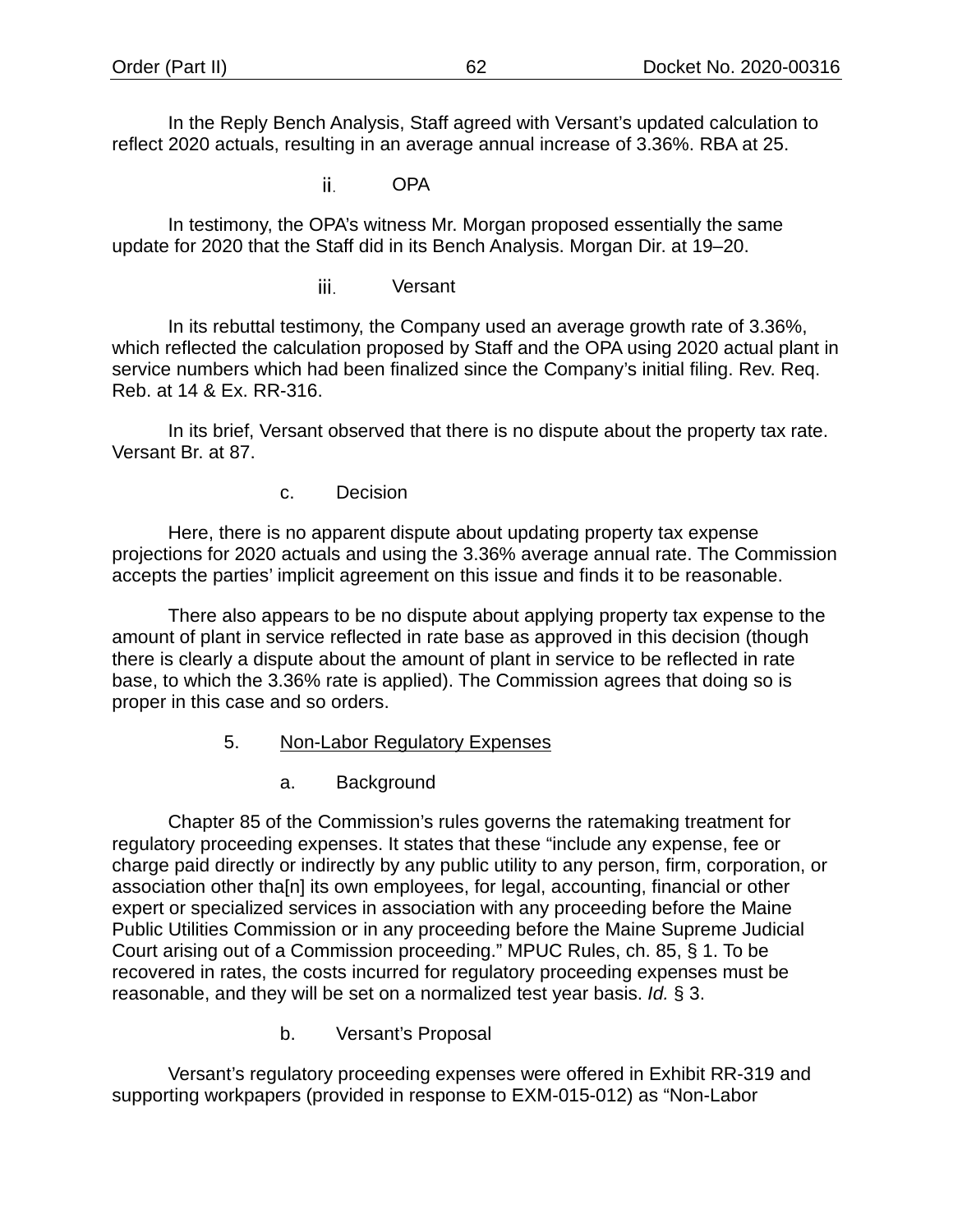In the Reply Bench Analysis, Staff agreed with Versant's updated calculation to reflect 2020 actuals, resulting in an average annual increase of 3.36%. RBA at 25.

> OPA ii.

In testimony, the OPA's witness Mr. Morgan proposed essentially the same update for 2020 that the Staff did in its Bench Analysis. Morgan Dir. at 19–20.

> iii. Versant

In its rebuttal testimony, the Company used an average growth rate of 3.36%, which reflected the calculation proposed by Staff and the OPA using 2020 actual plant in service numbers which had been finalized since the Company's initial filing. Rev. Req. Reb. at 14 & Ex. RR-316.

In its brief, Versant observed that there is no dispute about the property tax rate. Versant Br. at 87.

c. Decision

Here, there is no apparent dispute about updating property tax expense projections for 2020 actuals and using the 3.36% average annual rate. The Commission accepts the parties' implicit agreement on this issue and finds it to be reasonable.

There also appears to be no dispute about applying property tax expense to the amount of plant in service reflected in rate base as approved in this decision (though there is clearly a dispute about the amount of plant in service to be reflected in rate base, to which the 3.36% rate is applied). The Commission agrees that doing so is proper in this case and so orders.

- 5. Non-Labor Regulatory Expenses
	- a. Background

Chapter 85 of the Commission's rules governs the ratemaking treatment for regulatory proceeding expenses. It states that these "include any expense, fee or charge paid directly or indirectly by any public utility to any person, firm, corporation, or association other tha[n] its own employees, for legal, accounting, financial or other expert or specialized services in association with any proceeding before the Maine Public Utilities Commission or in any proceeding before the Maine Supreme Judicial Court arising out of a Commission proceeding." MPUC Rules, ch. 85, § 1. To be recovered in rates, the costs incurred for regulatory proceeding expenses must be reasonable, and they will be set on a normalized test year basis. *Id.* § 3.

b. Versant's Proposal

Versant's regulatory proceeding expenses were offered in Exhibit RR-319 and supporting workpapers (provided in response to EXM-015-012) as "Non-Labor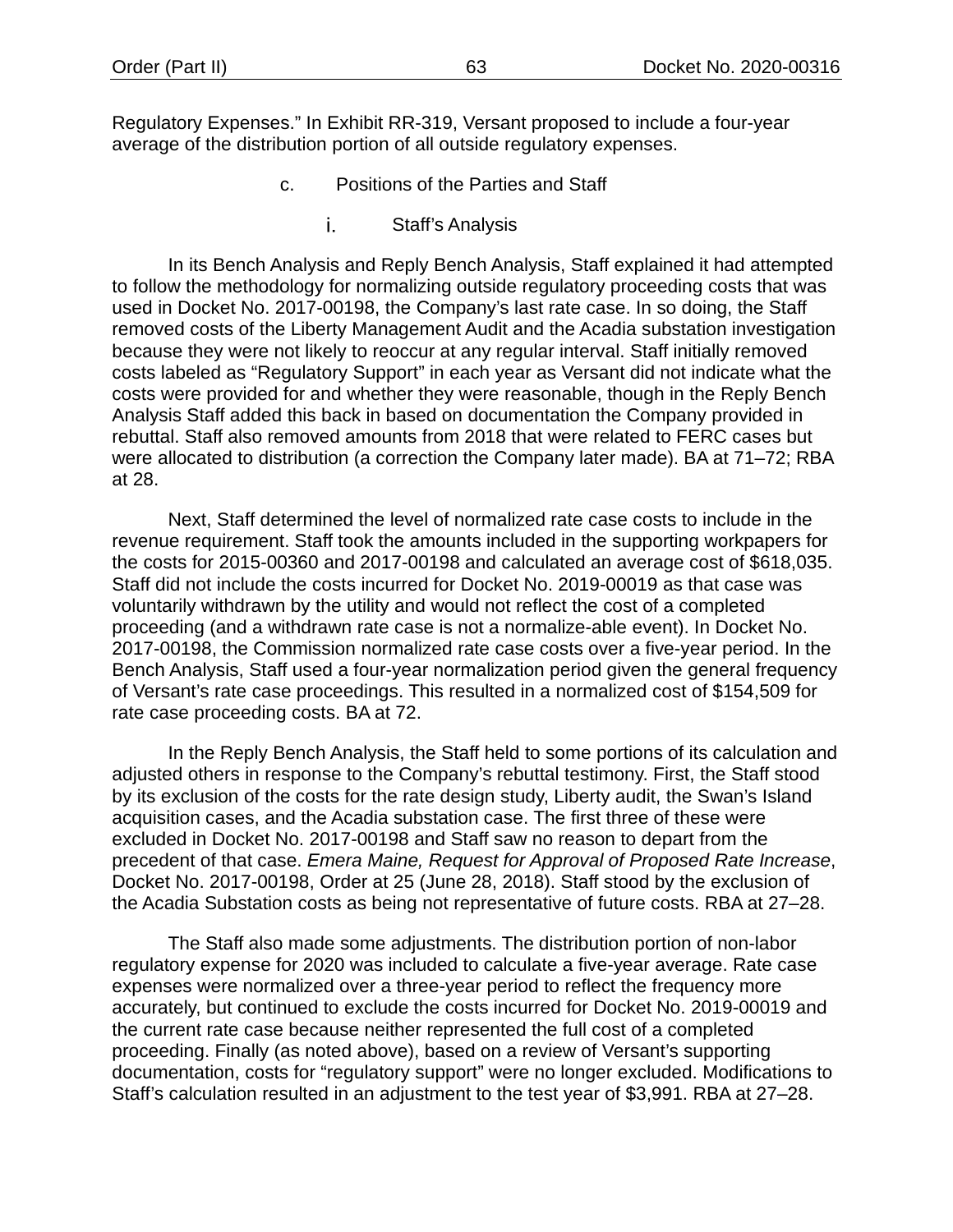Regulatory Expenses." In Exhibit RR-319, Versant proposed to include a four-year average of the distribution portion of all outside regulatory expenses.

- c. Positions of the Parties and Staff
	- Staff's Analysis i.

In its Bench Analysis and Reply Bench Analysis, Staff explained it had attempted to follow the methodology for normalizing outside regulatory proceeding costs that was used in Docket No. 2017-00198, the Company's last rate case. In so doing, the Staff removed costs of the Liberty Management Audit and the Acadia substation investigation because they were not likely to reoccur at any regular interval. Staff initially removed costs labeled as "Regulatory Support" in each year as Versant did not indicate what the costs were provided for and whether they were reasonable, though in the Reply Bench Analysis Staff added this back in based on documentation the Company provided in rebuttal. Staff also removed amounts from 2018 that were related to FERC cases but were allocated to distribution (a correction the Company later made). BA at 71-72; RBA at 28.

Next, Staff determined the level of normalized rate case costs to include in the revenue requirement. Staff took the amounts included in the supporting workpapers for the costs for 2015-00360 and 2017-00198 and calculated an average cost of \$618,035. Staff did not include the costs incurred for Docket No. 2019-00019 as that case was voluntarily withdrawn by the utility and would not reflect the cost of a completed proceeding (and a withdrawn rate case is not a normalize-able event). In Docket No. 2017-00198, the Commission normalized rate case costs over a five-year period. In the Bench Analysis, Staff used a four-year normalization period given the general frequency of Versant's rate case proceedings. This resulted in a normalized cost of \$154,509 for rate case proceeding costs. BA at 72.

In the Reply Bench Analysis, the Staff held to some portions of its calculation and adjusted others in response to the Company's rebuttal testimony. First, the Staff stood by its exclusion of the costs for the rate design study, Liberty audit, the Swan's Island acquisition cases, and the Acadia substation case. The first three of these were excluded in Docket No. 2017-00198 and Staff saw no reason to depart from the precedent of that case. *Emera Maine, Request for Approval of Proposed Rate Increase*, Docket No. 2017-00198, Order at 25 (June 28, 2018). Staff stood by the exclusion of the Acadia Substation costs as being not representative of future costs. RBA at 27–28.

The Staff also made some adjustments. The distribution portion of non-labor regulatory expense for 2020 was included to calculate a five-year average. Rate case expenses were normalized over a three-year period to reflect the frequency more accurately, but continued to exclude the costs incurred for Docket No. 2019-00019 and the current rate case because neither represented the full cost of a completed proceeding. Finally (as noted above), based on a review of Versant's supporting documentation, costs for "regulatory support" were no longer excluded. Modifications to Staff's calculation resulted in an adjustment to the test year of \$3,991. RBA at 27–28.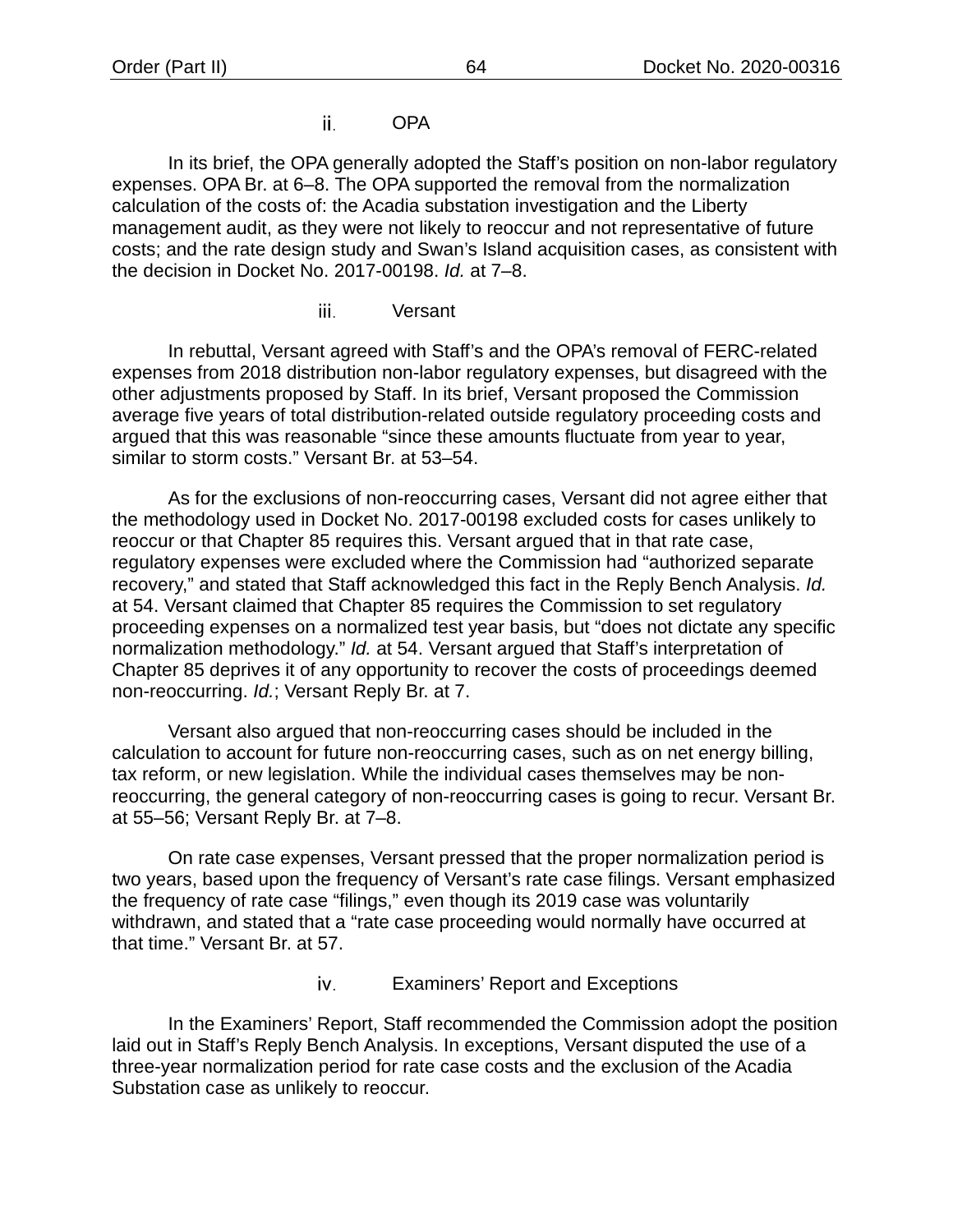### OPA ii.

In its brief, the OPA generally adopted the Staff's position on non-labor regulatory expenses. OPA Br. at 6–8. The OPA supported the removal from the normalization calculation of the costs of: the Acadia substation investigation and the Liberty management audit, as they were not likely to reoccur and not representative of future costs; and the rate design study and Swan's Island acquisition cases, as consistent with the decision in Docket No. 2017-00198. *Id.* at 7–8.

> iii. Versant

In rebuttal, Versant agreed with Staff's and the OPA's removal of FERC-related expenses from 2018 distribution non-labor regulatory expenses, but disagreed with the other adjustments proposed by Staff. In its brief, Versant proposed the Commission average five years of total distribution-related outside regulatory proceeding costs and argued that this was reasonable "since these amounts fluctuate from year to year, similar to storm costs." Versant Br. at 53–54.

As for the exclusions of non-reoccurring cases, Versant did not agree either that the methodology used in Docket No. 2017-00198 excluded costs for cases unlikely to reoccur or that Chapter 85 requires this. Versant argued that in that rate case, regulatory expenses were excluded where the Commission had "authorized separate recovery," and stated that Staff acknowledged this fact in the Reply Bench Analysis. *Id.* at 54. Versant claimed that Chapter 85 requires the Commission to set regulatory proceeding expenses on a normalized test year basis, but "does not dictate any specific normalization methodology." *Id.* at 54. Versant argued that Staff's interpretation of Chapter 85 deprives it of any opportunity to recover the costs of proceedings deemed non-reoccurring. *Id.*; Versant Reply Br. at 7.

Versant also argued that non-reoccurring cases should be included in the calculation to account for future non-reoccurring cases, such as on net energy billing, tax reform, or new legislation. While the individual cases themselves may be nonreoccurring, the general category of non-reoccurring cases is going to recur. Versant Br. at 55–56; Versant Reply Br. at 7–8.

On rate case expenses, Versant pressed that the proper normalization period is two years, based upon the frequency of Versant's rate case filings. Versant emphasized the frequency of rate case "filings," even though its 2019 case was voluntarily withdrawn, and stated that a "rate case proceeding would normally have occurred at that time." Versant Br. at 57.

> iv. Examiners' Report and Exceptions

In the Examiners' Report, Staff recommended the Commission adopt the position laid out in Staff's Reply Bench Analysis. In exceptions, Versant disputed the use of a three-year normalization period for rate case costs and the exclusion of the Acadia Substation case as unlikely to reoccur.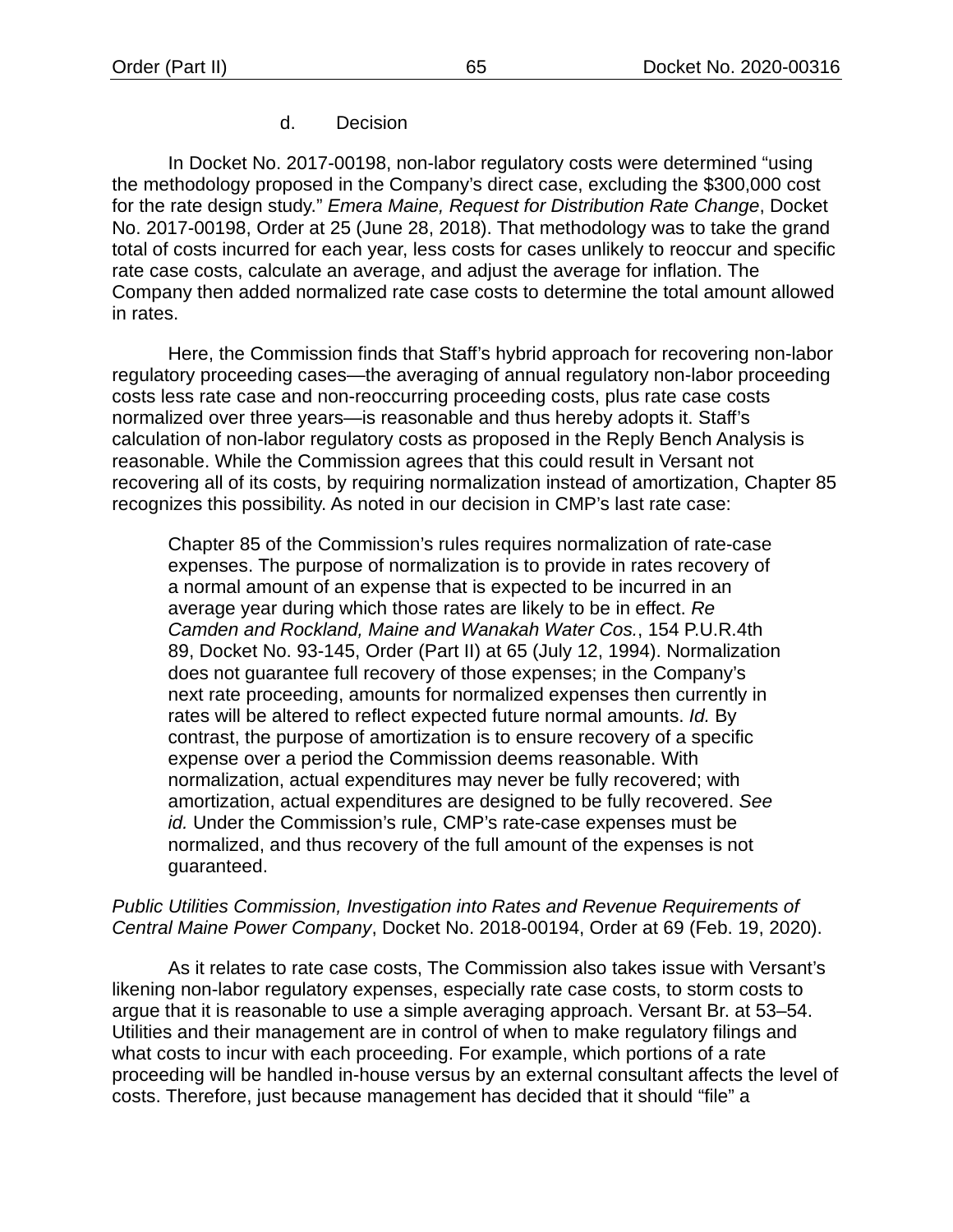# d. Decision

In Docket No. 2017-00198, non-labor regulatory costs were determined "using the methodology proposed in the Company's direct case, excluding the \$300,000 cost for the rate design study." *Emera Maine, Request for Distribution Rate Change*, Docket No. 2017-00198, Order at 25 (June 28, 2018). That methodology was to take the grand total of costs incurred for each year, less costs for cases unlikely to reoccur and specific rate case costs, calculate an average, and adjust the average for inflation. The Company then added normalized rate case costs to determine the total amount allowed in rates.

Here, the Commission finds that Staff's hybrid approach for recovering non-labor regulatory proceeding cases—the averaging of annual regulatory non-labor proceeding costs less rate case and non-reoccurring proceeding costs, plus rate case costs normalized over three years—is reasonable and thus hereby adopts it. Staff's calculation of non-labor regulatory costs as proposed in the Reply Bench Analysis is reasonable. While the Commission agrees that this could result in Versant not recovering all of its costs, by requiring normalization instead of amortization, Chapter 85 recognizes this possibility. As noted in our decision in CMP's last rate case:

Chapter 85 of the Commission's rules requires normalization of rate-case expenses. The purpose of normalization is to provide in rates recovery of a normal amount of an expense that is expected to be incurred in an average year during which those rates are likely to be in effect. *Re Camden and Rockland, Maine and Wanakah Water Cos.*, 154 P.U.R.4th 89, Docket No. 93-145, Order (Part II) at 65 (July 12, 1994). Normalization does not guarantee full recovery of those expenses; in the Company's next rate proceeding, amounts for normalized expenses then currently in rates will be altered to reflect expected future normal amounts. *Id.* By contrast, the purpose of amortization is to ensure recovery of a specific expense over a period the Commission deems reasonable. With normalization, actual expenditures may never be fully recovered; with amortization, actual expenditures are designed to be fully recovered. *See id.* Under the Commission's rule, CMP's rate-case expenses must be normalized, and thus recovery of the full amount of the expenses is not guaranteed.

# *Public Utilities Commission, Investigation into Rates and Revenue Requirements of Central Maine Power Company*, Docket No. 2018-00194, Order at 69 (Feb. 19, 2020).

As it relates to rate case costs, The Commission also takes issue with Versant's likening non-labor regulatory expenses, especially rate case costs, to storm costs to argue that it is reasonable to use a simple averaging approach. Versant Br. at 53–54. Utilities and their management are in control of when to make regulatory filings and what costs to incur with each proceeding. For example, which portions of a rate proceeding will be handled in-house versus by an external consultant affects the level of costs. Therefore, just because management has decided that it should "file" a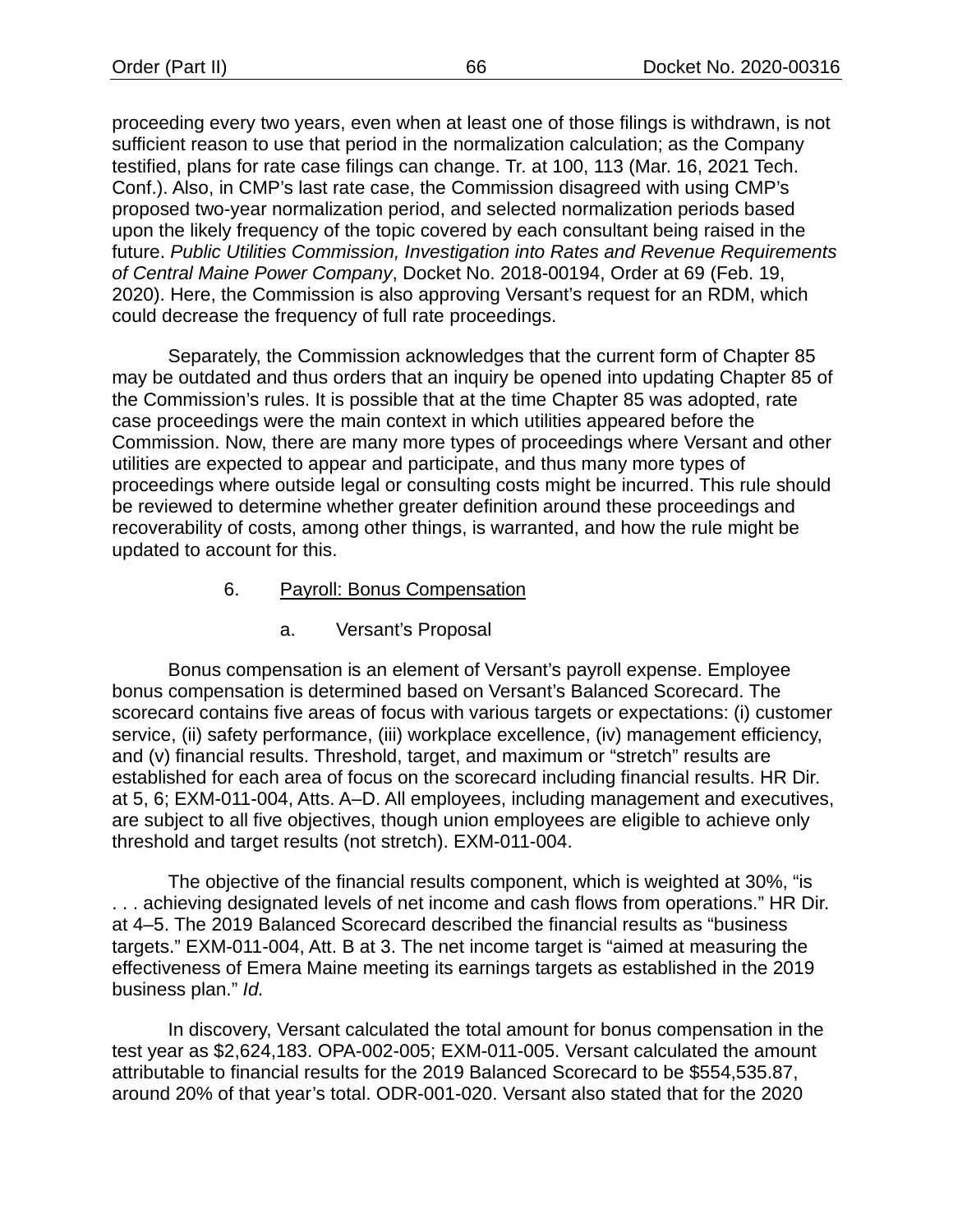proceeding every two years, even when at least one of those filings is withdrawn, is not sufficient reason to use that period in the normalization calculation; as the Company testified, plans for rate case filings can change. Tr. at 100, 113 (Mar. 16, 2021 Tech. Conf.). Also, in CMP's last rate case, the Commission disagreed with using CMP's proposed two-year normalization period, and selected normalization periods based upon the likely frequency of the topic covered by each consultant being raised in the future. *Public Utilities Commission, Investigation into Rates and Revenue Requirements of Central Maine Power Company*, Docket No. 2018-00194, Order at 69 (Feb. 19, 2020). Here, the Commission is also approving Versant's request for an RDM, which could decrease the frequency of full rate proceedings.

Separately, the Commission acknowledges that the current form of Chapter 85 may be outdated and thus orders that an inquiry be opened into updating Chapter 85 of the Commission's rules. It is possible that at the time Chapter 85 was adopted, rate case proceedings were the main context in which utilities appeared before the Commission. Now, there are many more types of proceedings where Versant and other utilities are expected to appear and participate, and thus many more types of proceedings where outside legal or consulting costs might be incurred. This rule should be reviewed to determine whether greater definition around these proceedings and recoverability of costs, among other things, is warranted, and how the rule might be updated to account for this.

# 6. Payroll: Bonus Compensation

a. Versant's Proposal

Bonus compensation is an element of Versant's payroll expense. Employee bonus compensation is determined based on Versant's Balanced Scorecard. The scorecard contains five areas of focus with various targets or expectations: (i) customer service, (ii) safety performance, (iii) workplace excellence, (iv) management efficiency, and (v) financial results. Threshold, target, and maximum or "stretch" results are established for each area of focus on the scorecard including financial results. HR Dir. at 5, 6; EXM-011-004, Atts. A–D. All employees, including management and executives, are subject to all five objectives, though union employees are eligible to achieve only threshold and target results (not stretch). EXM-011-004.

The objective of the financial results component, which is weighted at 30%, "is . . . achieving designated levels of net income and cash flows from operations." HR Dir. at 4–5. The 2019 Balanced Scorecard described the financial results as "business targets." EXM-011-004, Att. B at 3. The net income target is "aimed at measuring the effectiveness of Emera Maine meeting its earnings targets as established in the 2019 business plan." *Id.*

In discovery, Versant calculated the total amount for bonus compensation in the test year as \$2,624,183. OPA-002-005; EXM-011-005. Versant calculated the amount attributable to financial results for the 2019 Balanced Scorecard to be \$554,535.87, around 20% of that year's total. ODR-001-020. Versant also stated that for the 2020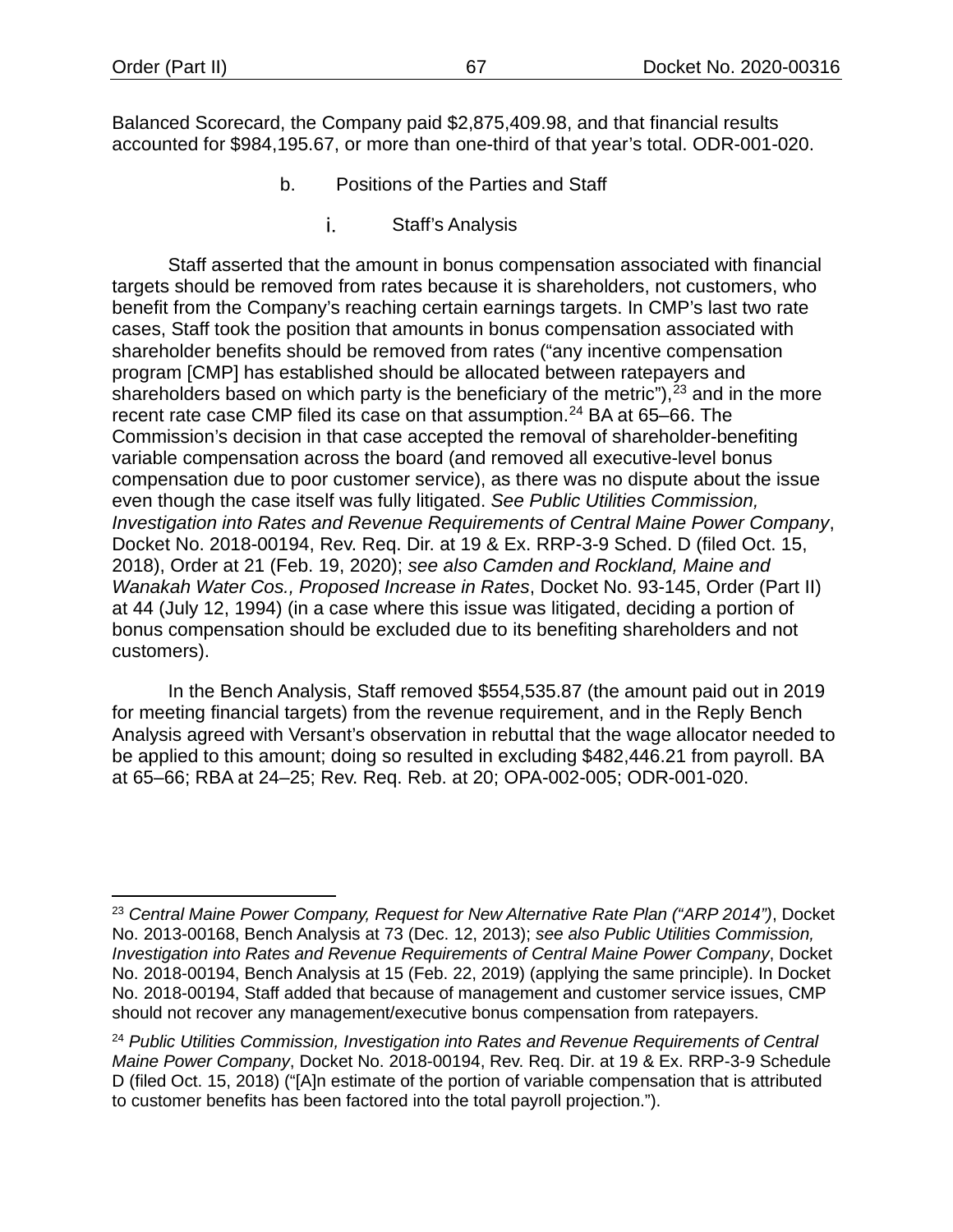Balanced Scorecard, the Company paid \$2,875,409.98, and that financial results accounted for \$984,195.67, or more than one-third of that year's total. ODR-001-020.

- b. Positions of the Parties and Staff
	- Staff's Analysis i.

Staff asserted that the amount in bonus compensation associated with financial targets should be removed from rates because it is shareholders, not customers, who benefit from the Company's reaching certain earnings targets. In CMP's last two rate cases, Staff took the position that amounts in bonus compensation associated with shareholder benefits should be removed from rates ("any incentive compensation program [CMP] has established should be allocated between ratepayers and shareholders based on which party is the beneficiary of the metric"),  $23$  and in the more recent rate case CMP filed its case on that assumption.<sup>[24](#page-69-1)</sup> BA at 65–66. The Commission's decision in that case accepted the removal of shareholder-benefiting variable compensation across the board (and removed all executive-level bonus compensation due to poor customer service), as there was no dispute about the issue even though the case itself was fully litigated. *See Public Utilities Commission, Investigation into Rates and Revenue Requirements of Central Maine Power Company*, Docket No. 2018-00194, Rev. Req. Dir. at 19 & Ex. RRP-3-9 Sched. D (filed Oct. 15, 2018), Order at 21 (Feb. 19, 2020); *see also Camden and Rockland, Maine and Wanakah Water Cos., Proposed Increase in Rates*, Docket No. 93-145, Order (Part II) at 44 (July 12, 1994) (in a case where this issue was litigated, deciding a portion of bonus compensation should be excluded due to its benefiting shareholders and not customers).

In the Bench Analysis, Staff removed \$554,535.87 (the amount paid out in 2019 for meeting financial targets) from the revenue requirement, and in the Reply Bench Analysis agreed with Versant's observation in rebuttal that the wage allocator needed to be applied to this amount; doing so resulted in excluding \$482,446.21 from payroll. BA at 65–66; RBA at 24–25; Rev. Req. Reb. at 20; OPA-002-005; ODR-001-020.

<span id="page-69-0"></span><sup>23</sup> *Central Maine Power Company, Request for New Alternative Rate Plan ("ARP 2014")*, Docket No. 2013-00168, Bench Analysis at 73 (Dec. 12, 2013); *see also Public Utilities Commission, Investigation into Rates and Revenue Requirements of Central Maine Power Company*, Docket No. 2018-00194, Bench Analysis at 15 (Feb. 22, 2019) (applying the same principle). In Docket No. 2018-00194, Staff added that because of management and customer service issues, CMP should not recover any management/executive bonus compensation from ratepayers.

<span id="page-69-1"></span><sup>24</sup> *Public Utilities Commission, Investigation into Rates and Revenue Requirements of Central Maine Power Company*, Docket No. 2018-00194, Rev. Req. Dir. at 19 & Ex. RRP-3-9 Schedule D (filed Oct. 15, 2018) ("[A]n estimate of the portion of variable compensation that is attributed to customer benefits has been factored into the total payroll projection.").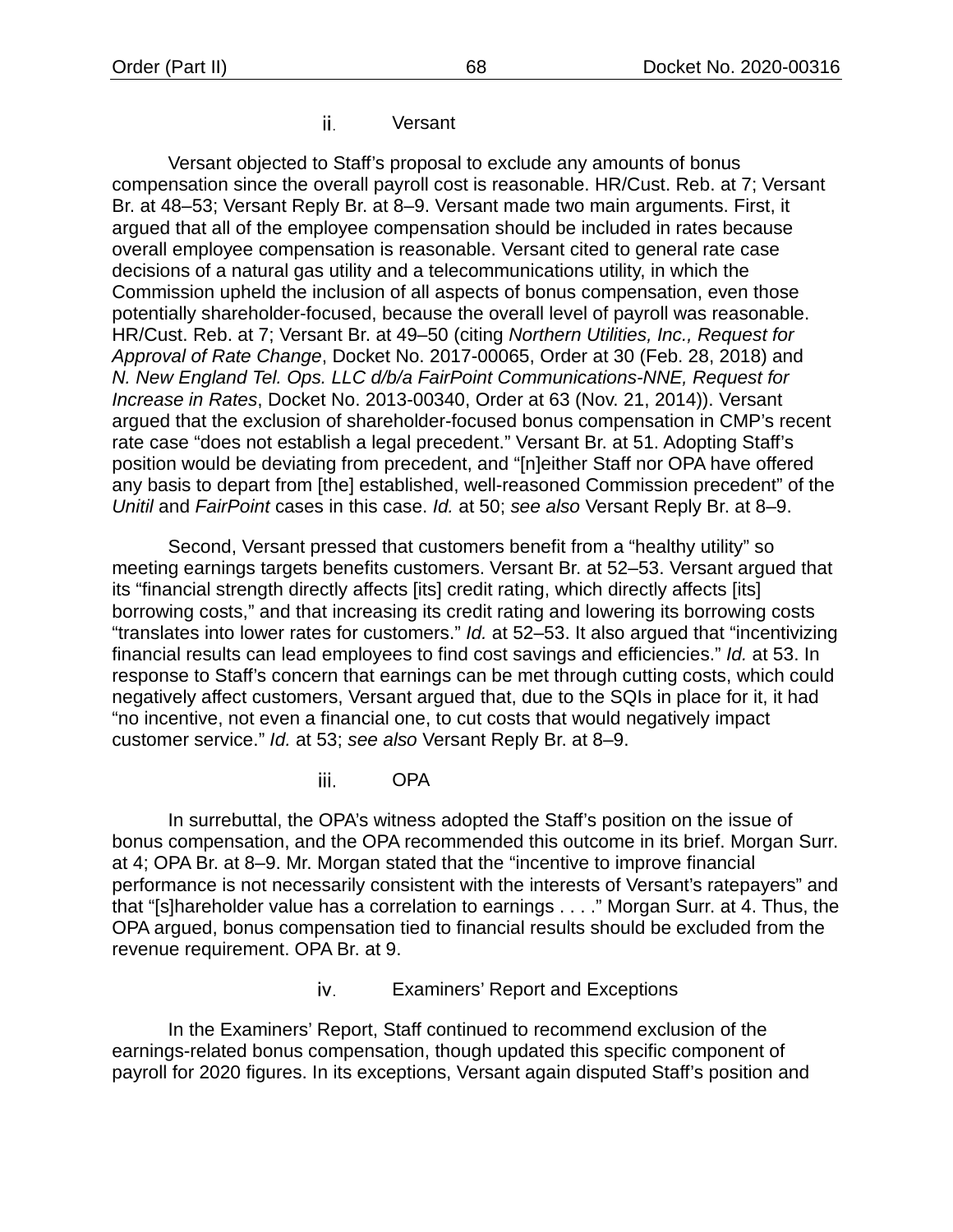ii. Versant

Versant objected to Staff's proposal to exclude any amounts of bonus compensation since the overall payroll cost is reasonable. HR/Cust. Reb. at 7; Versant Br. at 48–53; Versant Reply Br. at 8–9. Versant made two main arguments. First, it argued that all of the employee compensation should be included in rates because overall employee compensation is reasonable. Versant cited to general rate case decisions of a natural gas utility and a telecommunications utility, in which the Commission upheld the inclusion of all aspects of bonus compensation, even those potentially shareholder-focused, because the overall level of payroll was reasonable. HR/Cust. Reb. at 7; Versant Br. at 49–50 (citing *Northern Utilities, Inc., Request for Approval of Rate Change*, Docket No. 2017-00065, Order at 30 (Feb. 28, 2018) and *N. New England Tel. Ops. LLC d/b/a FairPoint Communications-NNE, Request for Increase in Rates*, Docket No. 2013-00340, Order at 63 (Nov. 21, 2014)). Versant argued that the exclusion of shareholder-focused bonus compensation in CMP's recent rate case "does not establish a legal precedent." Versant Br. at 51. Adopting Staff's position would be deviating from precedent, and "[n]either Staff nor OPA have offered any basis to depart from [the] established, well-reasoned Commission precedent" of the *Unitil* and *FairPoint* cases in this case. *Id.* at 50; *see also* Versant Reply Br. at 8–9.

Second, Versant pressed that customers benefit from a "healthy utility" so meeting earnings targets benefits customers. Versant Br. at 52–53. Versant argued that its "financial strength directly affects [its] credit rating, which directly affects [its] borrowing costs," and that increasing its credit rating and lowering its borrowing costs "translates into lower rates for customers." *Id.* at 52–53. It also argued that "incentivizing financial results can lead employees to find cost savings and efficiencies." *Id.* at 53. In response to Staff's concern that earnings can be met through cutting costs, which could negatively affect customers, Versant argued that, due to the SQIs in place for it, it had "no incentive, not even a financial one, to cut costs that would negatively impact customer service." *Id.* at 53; *see also* Versant Reply Br. at 8–9.

> **OPA** iii.

In surrebuttal, the OPA's witness adopted the Staff's position on the issue of bonus compensation, and the OPA recommended this outcome in its brief. Morgan Surr. at 4; OPA Br. at 8–9. Mr. Morgan stated that the "incentive to improve financial performance is not necessarily consistent with the interests of Versant's ratepayers" and that "[s]hareholder value has a correlation to earnings . . . ." Morgan Surr. at 4. Thus, the OPA argued, bonus compensation tied to financial results should be excluded from the revenue requirement. OPA Br. at 9.

> Examiners' Report and Exceptions iv.

In the Examiners' Report, Staff continued to recommend exclusion of the earnings-related bonus compensation, though updated this specific component of payroll for 2020 figures. In its exceptions, Versant again disputed Staff's position and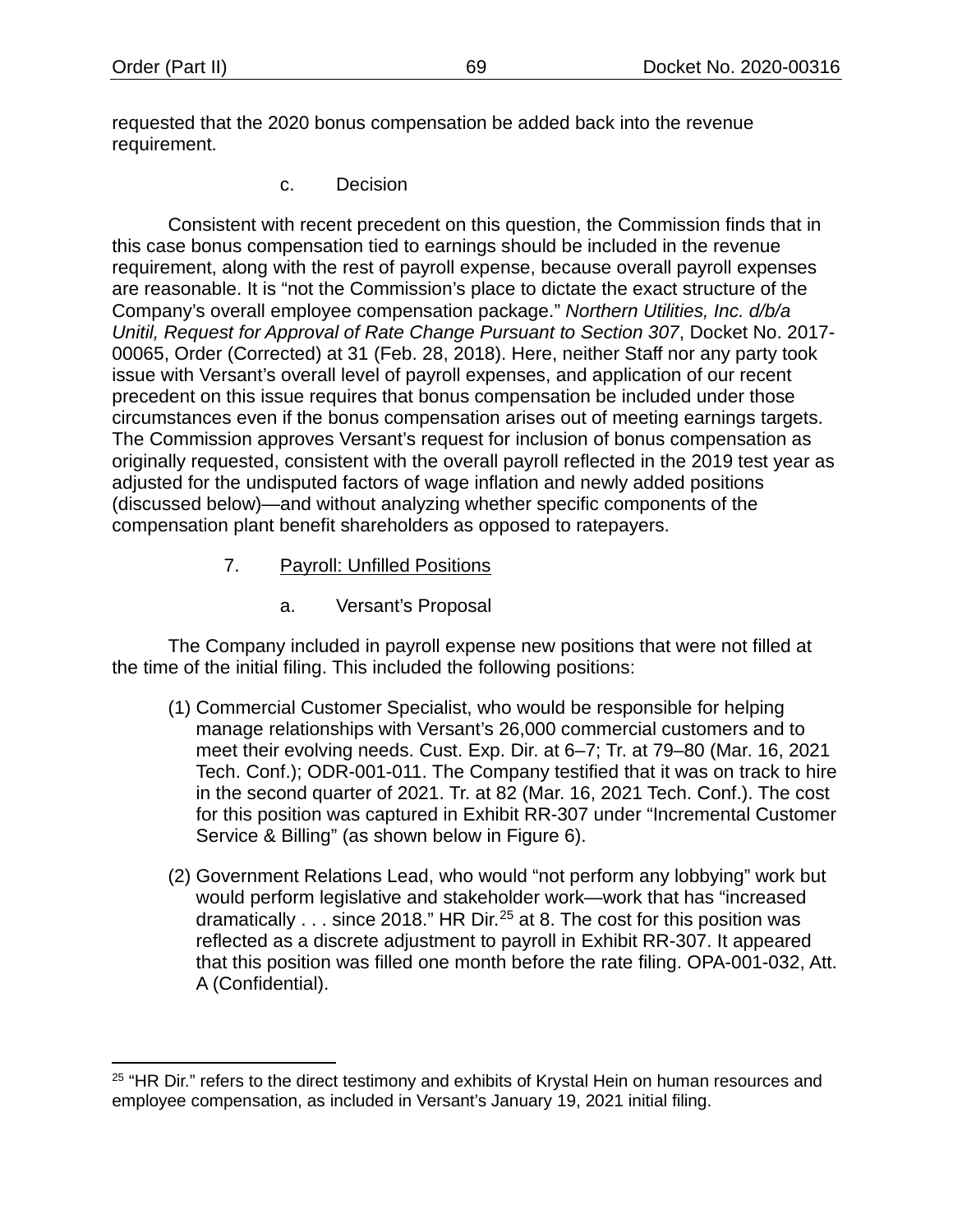requested that the 2020 bonus compensation be added back into the revenue requirement.

c. Decision

Consistent with recent precedent on this question, the Commission finds that in this case bonus compensation tied to earnings should be included in the revenue requirement, along with the rest of payroll expense, because overall payroll expenses are reasonable. It is "not the Commission's place to dictate the exact structure of the Company's overall employee compensation package." *Northern Utilities, Inc. d/b/a Unitil, Request for Approval of Rate Change Pursuant to Section 307*, Docket No. 2017- 00065, Order (Corrected) at 31 (Feb. 28, 2018). Here, neither Staff nor any party took issue with Versant's overall level of payroll expenses, and application of our recent precedent on this issue requires that bonus compensation be included under those circumstances even if the bonus compensation arises out of meeting earnings targets. The Commission approves Versant's request for inclusion of bonus compensation as originally requested, consistent with the overall payroll reflected in the 2019 test year as adjusted for the undisputed factors of wage inflation and newly added positions (discussed below)—and without analyzing whether specific components of the compensation plant benefit shareholders as opposed to ratepayers.

- 7. Payroll: Unfilled Positions
	- a. Versant's Proposal

The Company included in payroll expense new positions that were not filled at the time of the initial filing. This included the following positions:

- (1) Commercial Customer Specialist, who would be responsible for helping manage relationships with Versant's 26,000 commercial customers and to meet their evolving needs. Cust. Exp. Dir. at 6–7; Tr. at 79–80 (Mar. 16, 2021 Tech. Conf.); ODR-001-011. The Company testified that it was on track to hire in the second quarter of 2021. Tr. at 82 (Mar. 16, 2021 Tech. Conf.). The cost for this position was captured in Exhibit RR-307 under "Incremental Customer Service & Billing" (as shown below in [Figure 6\)](#page-74-0).
- (2) Government Relations Lead, who would "not perform any lobbying" work but would perform legislative and stakeholder work—work that has "increased dramatically  $\ldots$  since 2018." HR Dir.<sup>[25](#page-71-0)</sup> at 8. The cost for this position was reflected as a discrete adjustment to payroll in Exhibit RR-307. It appeared that this position was filled one month before the rate filing. OPA-001-032, Att. A (Confidential).

<span id="page-71-0"></span> $25$  "HR Dir." refers to the direct testimony and exhibits of Krystal Hein on human resources and employee compensation, as included in Versant's January 19, 2021 initial filing.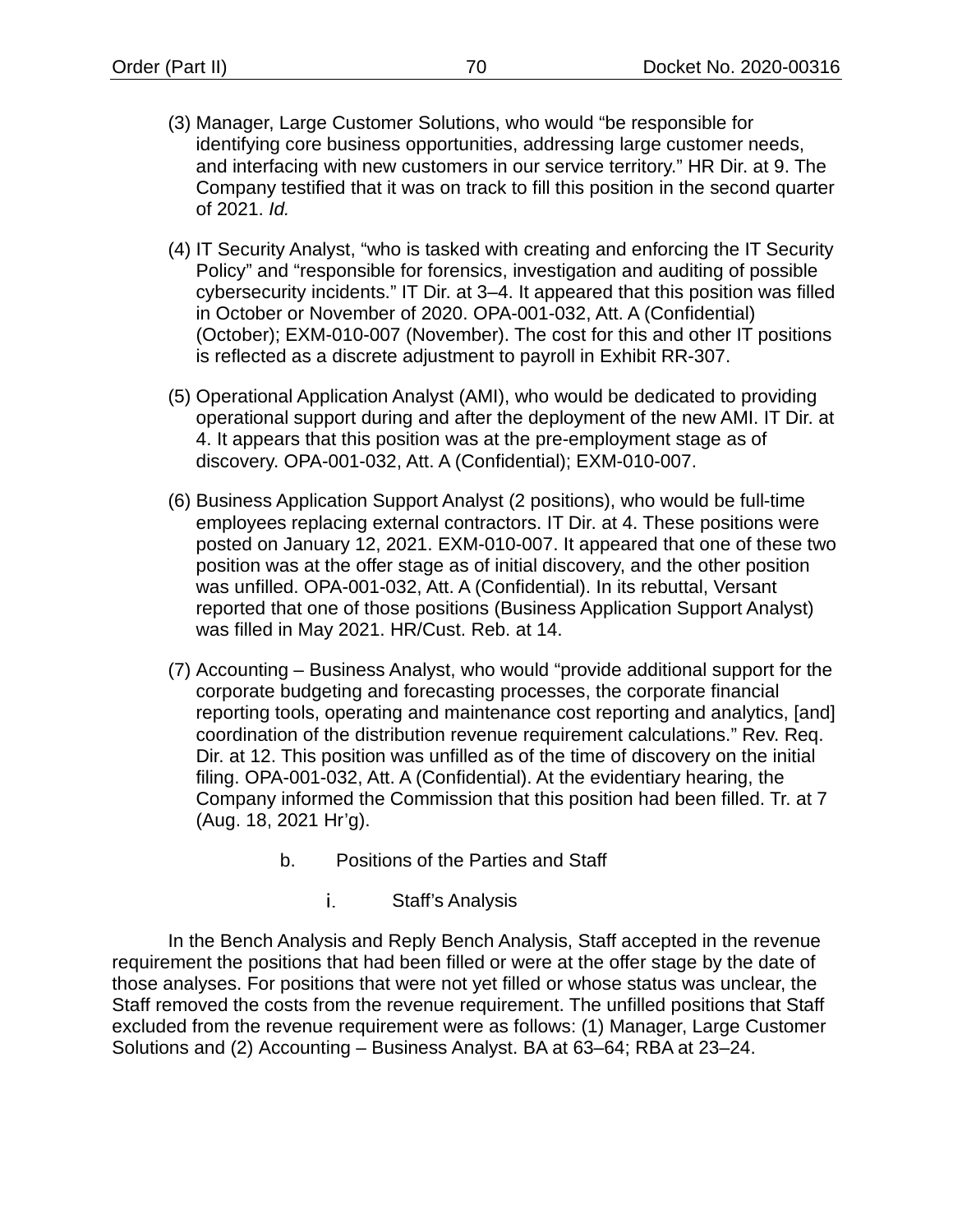- (3) Manager, Large Customer Solutions, who would "be responsible for identifying core business opportunities, addressing large customer needs, and interfacing with new customers in our service territory." HR Dir. at 9. The Company testified that it was on track to fill this position in the second quarter of 2021. *Id.*
- (4) IT Security Analyst, "who is tasked with creating and enforcing the IT Security Policy" and "responsible for forensics, investigation and auditing of possible cybersecurity incidents." IT Dir. at 3–4. It appeared that this position was filled in October or November of 2020. OPA-001-032, Att. A (Confidential) (October); EXM-010-007 (November). The cost for this and other IT positions is reflected as a discrete adjustment to payroll in Exhibit RR-307.
- (5) Operational Application Analyst (AMI), who would be dedicated to providing operational support during and after the deployment of the new AMI. IT Dir. at 4. It appears that this position was at the pre-employment stage as of discovery. OPA-001-032, Att. A (Confidential); EXM-010-007.
- (6) Business Application Support Analyst (2 positions), who would be full-time employees replacing external contractors. IT Dir. at 4. These positions were posted on January 12, 2021. EXM-010-007. It appeared that one of these two position was at the offer stage as of initial discovery, and the other position was unfilled. OPA-001-032, Att. A (Confidential). In its rebuttal, Versant reported that one of those positions (Business Application Support Analyst) was filled in May 2021. HR/Cust. Reb. at 14.
- (7) Accounting Business Analyst, who would "provide additional support for the corporate budgeting and forecasting processes, the corporate financial reporting tools, operating and maintenance cost reporting and analytics, [and] coordination of the distribution revenue requirement calculations." Rev. Req. Dir. at 12. This position was unfilled as of the time of discovery on the initial filing. OPA-001-032, Att. A (Confidential). At the evidentiary hearing, the Company informed the Commission that this position had been filled. Tr. at 7 (Aug. 18, 2021 Hr'g).
	- b. Positions of the Parties and Staff
		- i. Staff's Analysis

In the Bench Analysis and Reply Bench Analysis, Staff accepted in the revenue requirement the positions that had been filled or were at the offer stage by the date of those analyses. For positions that were not yet filled or whose status was unclear, the Staff removed the costs from the revenue requirement. The unfilled positions that Staff excluded from the revenue requirement were as follows: (1) Manager, Large Customer Solutions and (2) Accounting – Business Analyst. BA at 63–64; RBA at 23–24.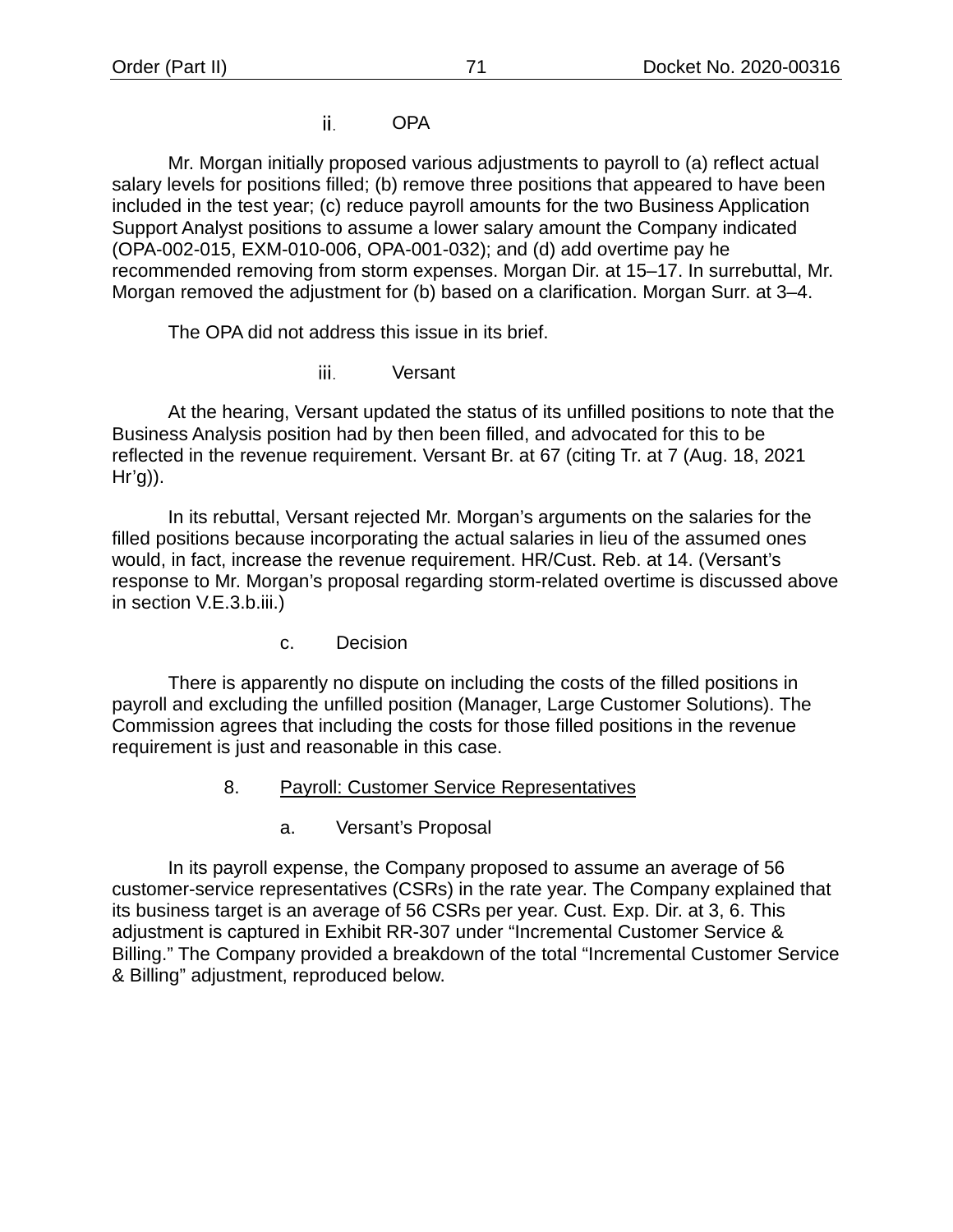#### ii. OPA

Mr. Morgan initially proposed various adjustments to payroll to (a) reflect actual salary levels for positions filled; (b) remove three positions that appeared to have been included in the test year; (c) reduce payroll amounts for the two Business Application Support Analyst positions to assume a lower salary amount the Company indicated (OPA-002-015, EXM-010-006, OPA-001-032); and (d) add overtime pay he recommended removing from storm expenses. Morgan Dir. at 15–17. In surrebuttal, Mr. Morgan removed the adjustment for (b) based on a clarification. Morgan Surr. at 3–4.

The OPA did not address this issue in its brief.

iii. Versant

At the hearing, Versant updated the status of its unfilled positions to note that the Business Analysis position had by then been filled, and advocated for this to be reflected in the revenue requirement. Versant Br. at 67 (citing Tr. at 7 (Aug. 18, 2021  $Hr'g$ ).

In its rebuttal, Versant rejected Mr. Morgan's arguments on the salaries for the filled positions because incorporating the actual salaries in lieu of the assumed ones would, in fact, increase the revenue requirement. HR/Cust. Reb. at 14. (Versant's response to Mr. Morgan's proposal regarding storm-related overtime is discussed above in section [V](#page-13-0)[.E](#page-51-0)[.3.](#page-60-0)[b](#page-61-0)[.iii.](#page-62-0))

c. Decision

There is apparently no dispute on including the costs of the filled positions in payroll and excluding the unfilled position (Manager, Large Customer Solutions). The Commission agrees that including the costs for those filled positions in the revenue requirement is just and reasonable in this case.

- 8. Payroll: Customer Service Representatives
	- a. Versant's Proposal

In its payroll expense, the Company proposed to assume an average of 56 customer-service representatives (CSRs) in the rate year. The Company explained that its business target is an average of 56 CSRs per year. Cust. Exp. Dir. at 3, 6. This adjustment is captured in Exhibit RR-307 under "Incremental Customer Service & Billing." The Company provided a breakdown of the total "Incremental Customer Service & Billing" adjustment, reproduced below.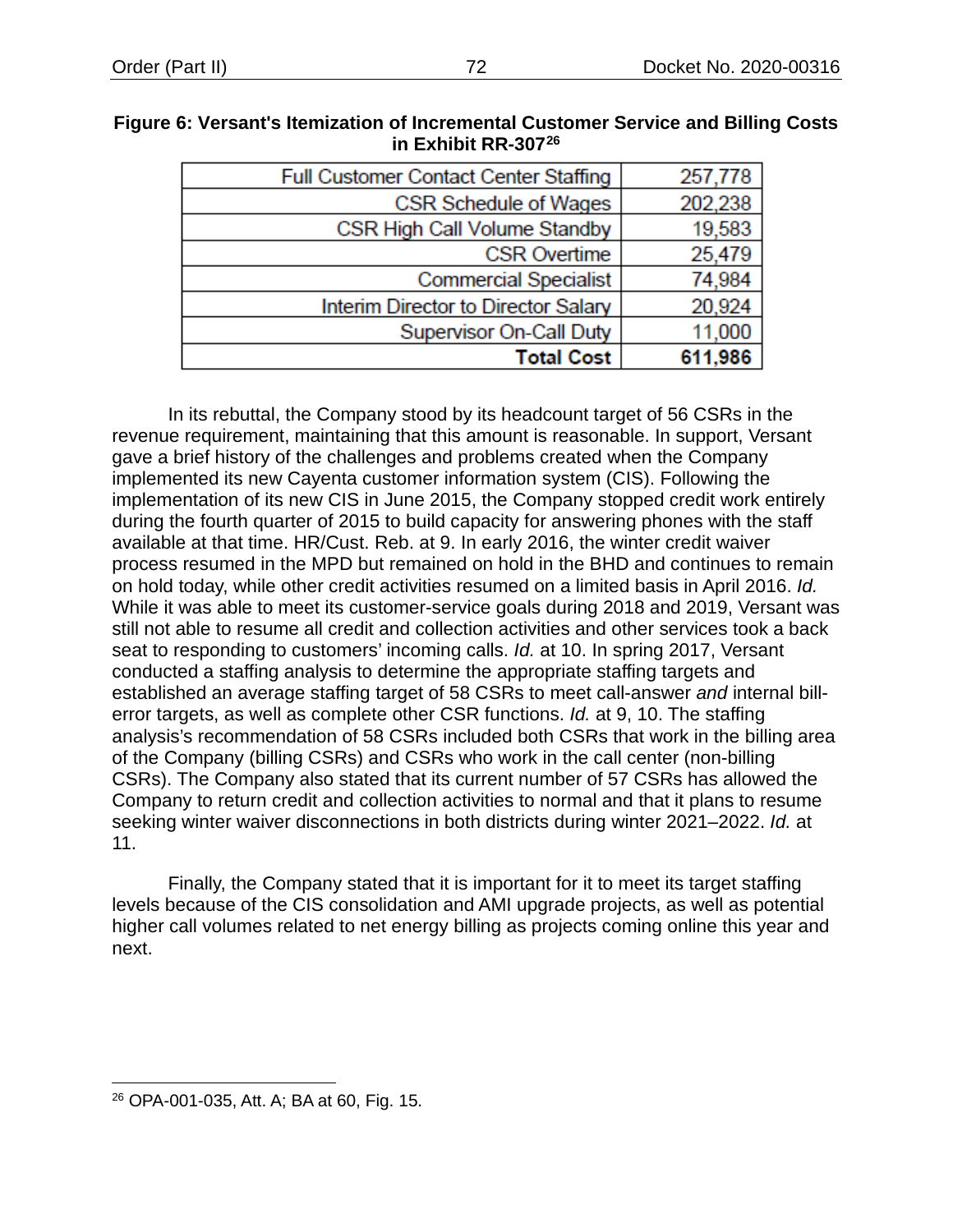| Full Customer Contact Center Staffing | 257,778 |
|---------------------------------------|---------|
| CSR Schedule of Wages                 | 202,238 |
| CSR High Call Volume Standby          | 19,583  |
| <b>CSR Overtime</b>                   | 25,479  |
| <b>Commercial Specialist</b>          | 74,984  |
| Interim Director to Director Salary   | 20,924  |
| <b>Supervisor On-Call Duty</b>        | 11,000  |
| <b>Total Cost</b>                     | 611,986 |

#### **Figure 6: Versant's Itemization of Incremental Customer Service and Billing Costs in Exhibit RR-307[26](#page-74-0)**

In its rebuttal, the Company stood by its headcount target of 56 CSRs in the revenue requirement, maintaining that this amount is reasonable. In support, Versant gave a brief history of the challenges and problems created when the Company implemented its new Cayenta customer information system (CIS). Following the implementation of its new CIS in June 2015, the Company stopped credit work entirely during the fourth quarter of 2015 to build capacity for answering phones with the staff available at that time. HR/Cust. Reb. at 9. In early 2016, the winter credit waiver process resumed in the MPD but remained on hold in the BHD and continues to remain on hold today, while other credit activities resumed on a limited basis in April 2016. *Id.* While it was able to meet its customer-service goals during 2018 and 2019, Versant was still not able to resume all credit and collection activities and other services took a back seat to responding to customers' incoming calls. *Id.* at 10. In spring 2017, Versant conducted a staffing analysis to determine the appropriate staffing targets and established an average staffing target of 58 CSRs to meet call-answer *and* internal billerror targets, as well as complete other CSR functions. *Id.* at 9, 10. The staffing analysis's recommendation of 58 CSRs included both CSRs that work in the billing area of the Company (billing CSRs) and CSRs who work in the call center (non-billing CSRs). The Company also stated that its current number of 57 CSRs has allowed the Company to return credit and collection activities to normal and that it plans to resume seeking winter waiver disconnections in both districts during winter 2021–2022. *Id.* at 11.

Finally, the Company stated that it is important for it to meet its target staffing levels because of the CIS consolidation and AMI upgrade projects, as well as potential higher call volumes related to net energy billing as projects coming online this year and next.

<span id="page-74-0"></span><sup>26</sup> OPA-001-035, Att. A; BA at 60, Fig. 15.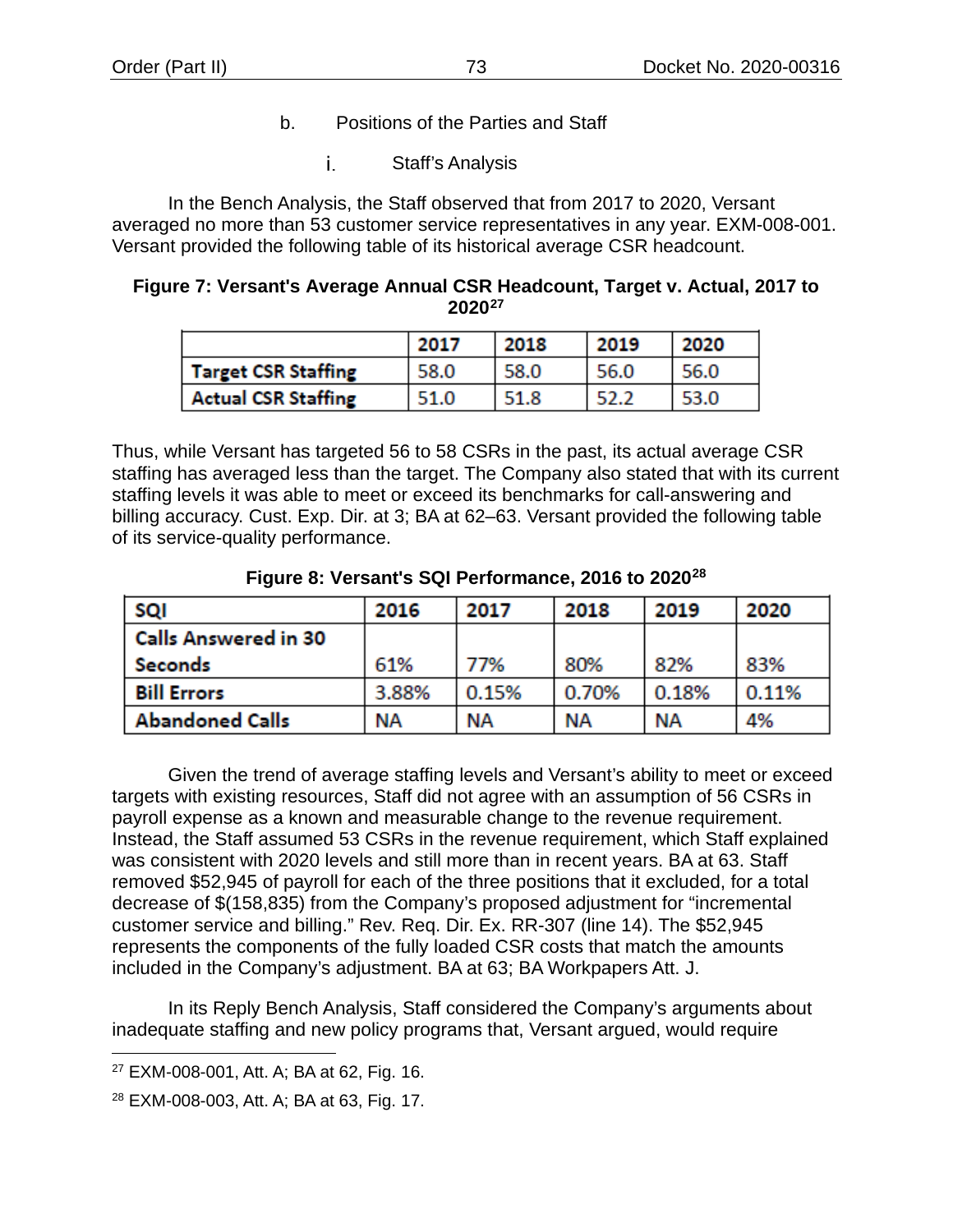- b. Positions of the Parties and Staff
	- i. Staff's Analysis

In the Bench Analysis, the Staff observed that from 2017 to 2020, Versant averaged no more than 53 customer service representatives in any year. EXM-008-001. Versant provided the following table of its historical average CSR headcount.

# <span id="page-75-2"></span>**Figure 7: Versant's Average Annual CSR Headcount, Target v. Actual, 2017 to 2020[27](#page-75-0)**

|                            | 2017 | 2018 | 2019 | 2020 |
|----------------------------|------|------|------|------|
| Target CSR Staffing        | 58.0 | 58.0 | 56.0 | 56.0 |
| <b>Actual CSR Staffing</b> | 51.0 | 51.8 | 52.2 | 53.0 |

Thus, while Versant has targeted 56 to 58 CSRs in the past, its actual average CSR staffing has averaged less than the target. The Company also stated that with its current staffing levels it was able to meet or exceed its benchmarks for call-answering and billing accuracy. Cust. Exp. Dir. at 3; BA at 62–63. Versant provided the following table of its service-quality performance.

<span id="page-75-3"></span>

| SQI                         | 2016  | 2017      | 2018  | 2019  | 2020  |
|-----------------------------|-------|-----------|-------|-------|-------|
| <b>Calls Answered in 30</b> |       |           |       |       |       |
| Seconds                     | 61%   | 77%       | 80%   | 82%   | 83%   |
| <b>Bill Errors</b>          | 3.88% | 0.15%     | 0.70% | 0.18% | 0.11% |
| <b>Abandoned Calls</b>      | NΑ    | <b>NA</b> | NΑ    | ΝA    | 4%    |

## **Figure 8: Versant's SQI Performance, 2016 to 2020[28](#page-75-1)**

Given the trend of average staffing levels and Versant's ability to meet or exceed targets with existing resources, Staff did not agree with an assumption of 56 CSRs in payroll expense as a known and measurable change to the revenue requirement. Instead, the Staff assumed 53 CSRs in the revenue requirement, which Staff explained was consistent with 2020 levels and still more than in recent years. BA at 63. Staff removed \$52,945 of payroll for each of the three positions that it excluded, for a total decrease of \$(158,835) from the Company's proposed adjustment for "incremental customer service and billing." Rev. Req. Dir. Ex. RR-307 (line 14). The \$52,945 represents the components of the fully loaded CSR costs that match the amounts included in the Company's adjustment. BA at 63; BA Workpapers Att. J.

In its Reply Bench Analysis, Staff considered the Company's arguments about inadequate staffing and new policy programs that, Versant argued, would require

<span id="page-75-0"></span><sup>27</sup> EXM-008-001, Att. A; BA at 62, Fig. 16.

<span id="page-75-1"></span><sup>28</sup> EXM-008-003, Att. A; BA at 63, Fig. 17.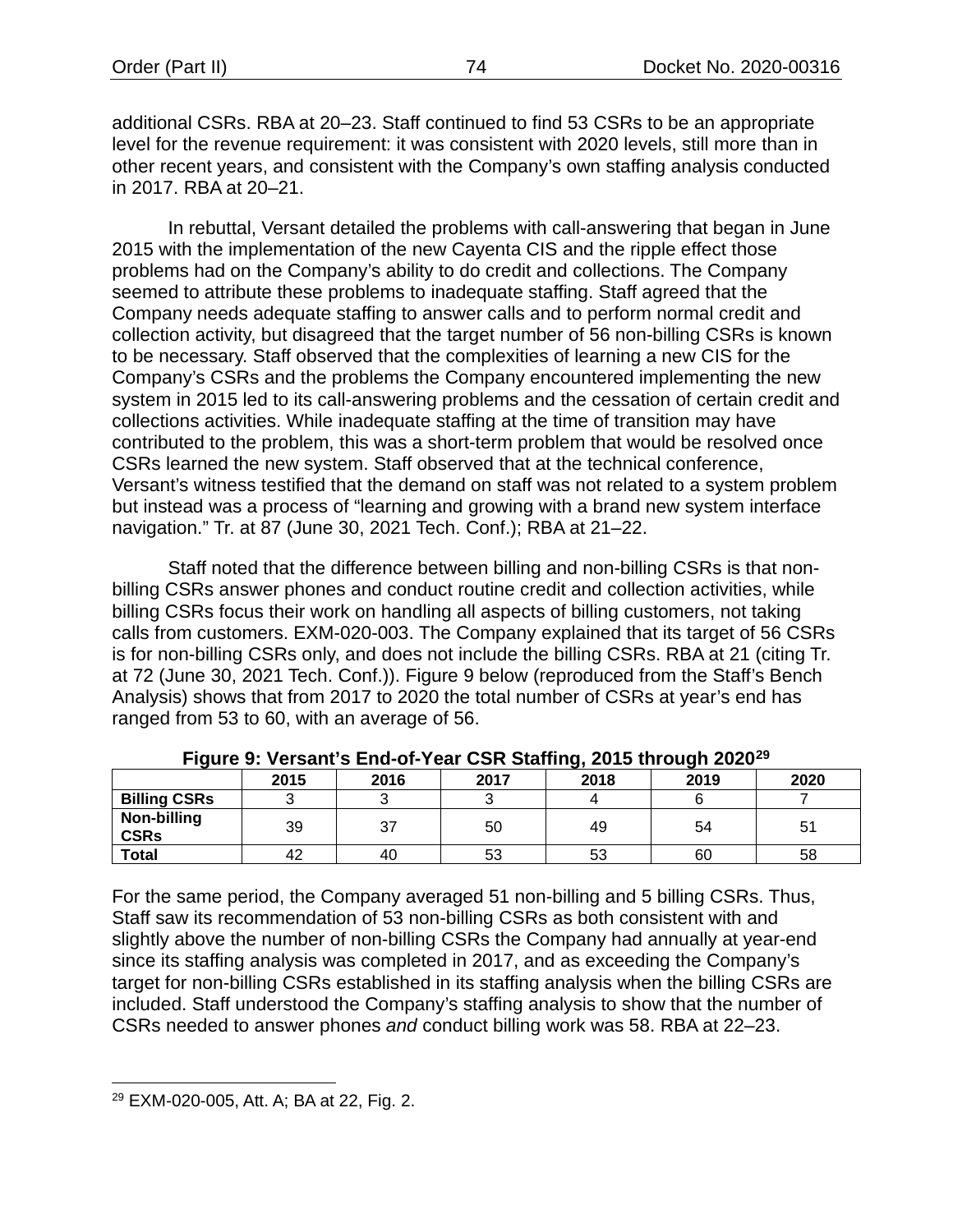additional CSRs. RBA at 20–23. Staff continued to find 53 CSRs to be an appropriate level for the revenue requirement: it was consistent with 2020 levels, still more than in other recent years, and consistent with the Company's own staffing analysis conducted in 2017. RBA at 20–21.

In rebuttal, Versant detailed the problems with call-answering that began in June 2015 with the implementation of the new Cayenta CIS and the ripple effect those problems had on the Company's ability to do credit and collections. The Company seemed to attribute these problems to inadequate staffing. Staff agreed that the Company needs adequate staffing to answer calls and to perform normal credit and collection activity, but disagreed that the target number of 56 non-billing CSRs is known to be necessary. Staff observed that the complexities of learning a new CIS for the Company's CSRs and the problems the Company encountered implementing the new system in 2015 led to its call-answering problems and the cessation of certain credit and collections activities. While inadequate staffing at the time of transition may have contributed to the problem, this was a short-term problem that would be resolved once CSRs learned the new system. Staff observed that at the technical conference, Versant's witness testified that the demand on staff was not related to a system problem but instead was a process of "learning and growing with a brand new system interface navigation." Tr. at 87 (June 30, 2021 Tech. Conf.); RBA at 21–22.

Staff noted that the difference between billing and non-billing CSRs is that nonbilling CSRs answer phones and conduct routine credit and collection activities, while billing CSRs focus their work on handling all aspects of billing customers, not taking calls from customers. EXM-020-003. The Company explained that its target of 56 CSRs is for non-billing CSRs only, and does not include the billing CSRs. RBA at 21 (citing Tr. at 72 (June 30, 2021 Tech. Conf.)). [Figure 9](#page-76-0) below (reproduced from the Staff's Bench Analysis) shows that from 2017 to 2020 the total number of CSRs at year's end has ranged from 53 to 60, with an average of 56.

<span id="page-76-0"></span>

| .                          |      |      |      |      |      |      |  |  |  |
|----------------------------|------|------|------|------|------|------|--|--|--|
|                            | 2015 | 2016 | 2017 | 2018 | 2019 | 2020 |  |  |  |
| <b>Billing CSRs</b>        |      |      |      |      |      |      |  |  |  |
| Non-billing<br><b>CSRs</b> | 39   | 37   | 50   | 49   | 54   | 51   |  |  |  |
| <b>Total</b>               | 42   | 40   | 53   | 53   | 60   | 58   |  |  |  |

**Figure 9: Versant's End-of-Year CSR Staffing, 2015 through 2020[29](#page-76-1)**

For the same period, the Company averaged 51 non-billing and 5 billing CSRs. Thus, Staff saw its recommendation of 53 non-billing CSRs as both consistent with and slightly above the number of non-billing CSRs the Company had annually at year-end since its staffing analysis was completed in 2017, and as exceeding the Company's target for non-billing CSRs established in its staffing analysis when the billing CSRs are included. Staff understood the Company's staffing analysis to show that the number of CSRs needed to answer phones *and* conduct billing work was 58. RBA at 22–23.

<span id="page-76-1"></span><sup>29</sup> EXM-020-005, Att. A; BA at 22, Fig. 2.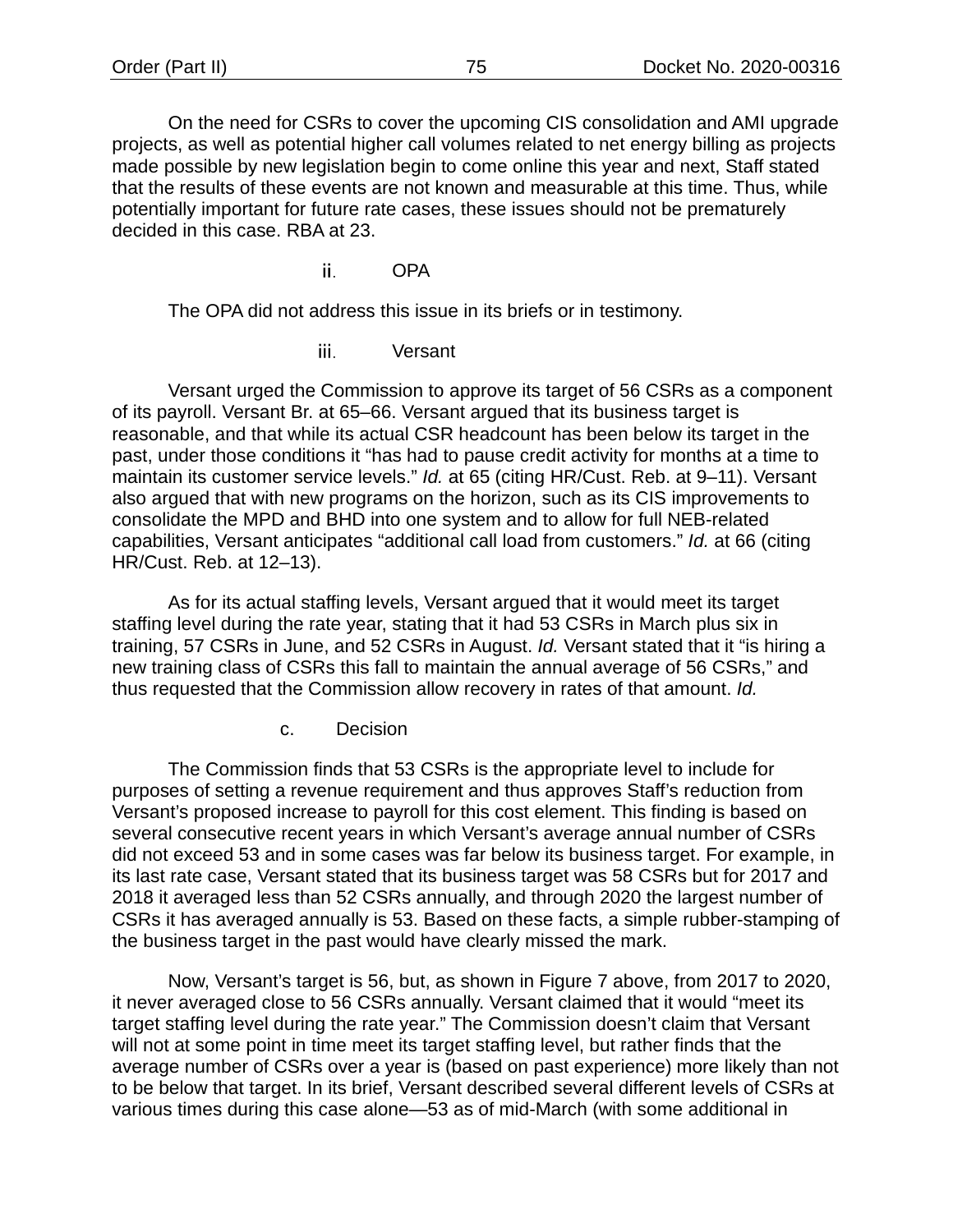On the need for CSRs to cover the upcoming CIS consolidation and AMI upgrade projects, as well as potential higher call volumes related to net energy billing as projects made possible by new legislation begin to come online this year and next, Staff stated that the results of these events are not known and measurable at this time. Thus, while potentially important for future rate cases, these issues should not be prematurely decided in this case. RBA at 23.

> ii. OPA

The OPA did not address this issue in its briefs or in testimony.

iii. Versant

Versant urged the Commission to approve its target of 56 CSRs as a component of its payroll. Versant Br. at 65–66. Versant argued that its business target is reasonable, and that while its actual CSR headcount has been below its target in the past, under those conditions it "has had to pause credit activity for months at a time to maintain its customer service levels." *Id.* at 65 (citing HR/Cust. Reb. at 9–11). Versant also argued that with new programs on the horizon, such as its CIS improvements to consolidate the MPD and BHD into one system and to allow for full NEB-related capabilities, Versant anticipates "additional call load from customers." *Id.* at 66 (citing HR/Cust. Reb. at 12–13).

As for its actual staffing levels, Versant argued that it would meet its target staffing level during the rate year, stating that it had 53 CSRs in March plus six in training, 57 CSRs in June, and 52 CSRs in August. *Id.* Versant stated that it "is hiring a new training class of CSRs this fall to maintain the annual average of 56 CSRs," and thus requested that the Commission allow recovery in rates of that amount. *Id.*

c. Decision

The Commission finds that 53 CSRs is the appropriate level to include for purposes of setting a revenue requirement and thus approves Staff's reduction from Versant's proposed increase to payroll for this cost element. This finding is based on several consecutive recent years in which Versant's average annual number of CSRs did not exceed 53 and in some cases was far below its business target. For example, in its last rate case, Versant stated that its business target was 58 CSRs but for 2017 and 2018 it averaged less than 52 CSRs annually, and through 2020 the largest number of CSRs it has averaged annually is 53. Based on these facts, a simple rubber-stamping of the business target in the past would have clearly missed the mark.

Now, Versant's target is 56, but, as shown in [Figure 7](#page-75-2) above, from 2017 to 2020, it never averaged close to 56 CSRs annually. Versant claimed that it would "meet its target staffing level during the rate year." The Commission doesn't claim that Versant will not at some point in time meet its target staffing level, but rather finds that the average number of CSRs over a year is (based on past experience) more likely than not to be below that target. In its brief, Versant described several different levels of CSRs at various times during this case alone—53 as of mid-March (with some additional in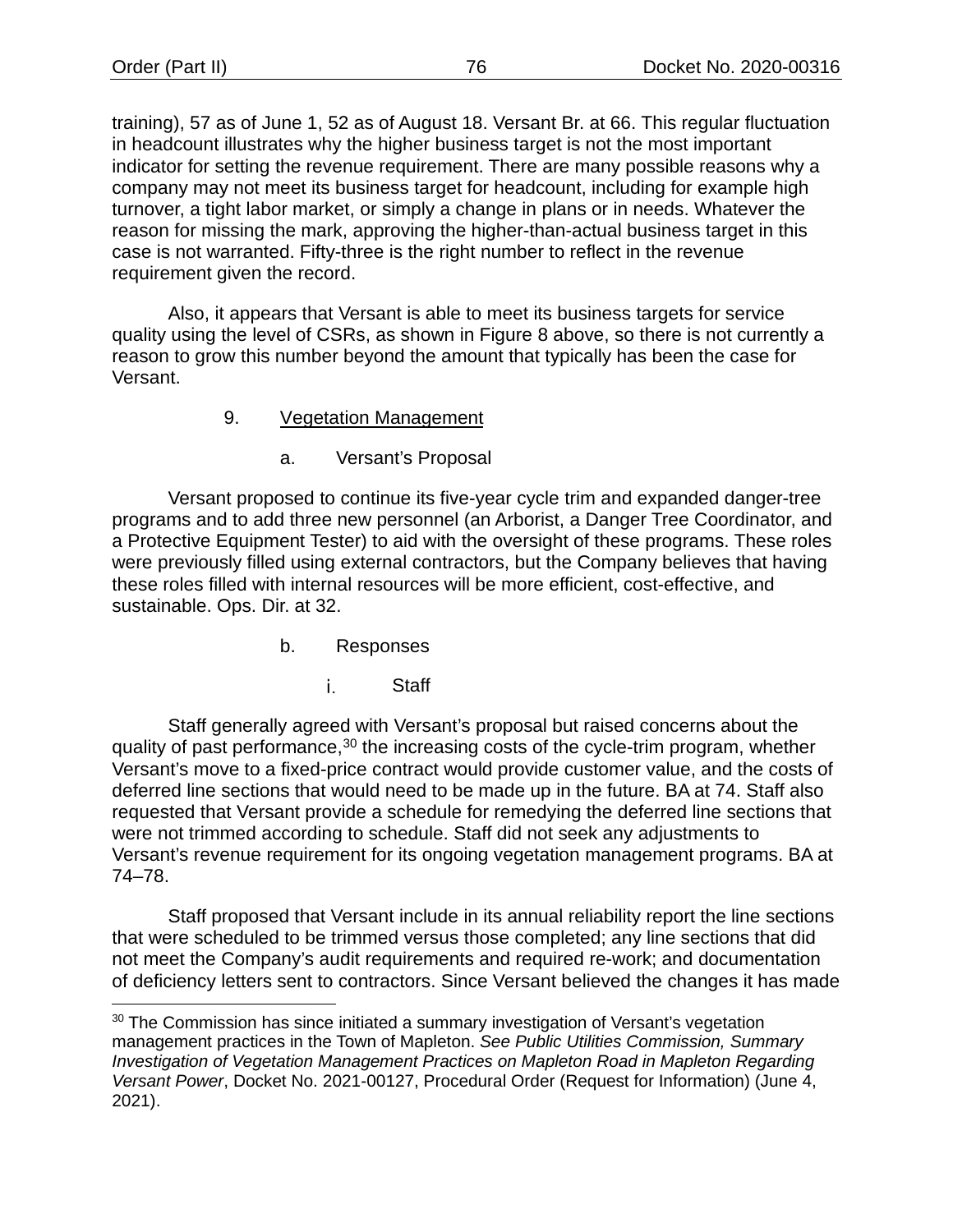training), 57 as of June 1, 52 as of August 18. Versant Br. at 66. This regular fluctuation in headcount illustrates why the higher business target is not the most important indicator for setting the revenue requirement. There are many possible reasons why a company may not meet its business target for headcount, including for example high turnover, a tight labor market, or simply a change in plans or in needs. Whatever the reason for missing the mark, approving the higher-than-actual business target in this case is not warranted. Fifty-three is the right number to reflect in the revenue requirement given the record.

Also, it appears that Versant is able to meet its business targets for service quality using the level of CSRs, as shown in [Figure 8](#page-75-3) above, so there is not currently a reason to grow this number beyond the amount that typically has been the case for Versant.

#### 9. Vegetation Management

a. Versant's Proposal

<span id="page-78-1"></span>Versant proposed to continue its five-year cycle trim and expanded danger-tree programs and to add three new personnel (an Arborist, a Danger Tree Coordinator, and a Protective Equipment Tester) to aid with the oversight of these programs. These roles were previously filled using external contractors, but the Company believes that having these roles filled with internal resources will be more efficient, cost-effective, and sustainable. Ops. Dir. at 32.

- b. Responses
	- i. **Staff**

Staff generally agreed with Versant's proposal but raised concerns about the quality of past performance,<sup>[30](#page-78-0)</sup> the increasing costs of the cycle-trim program, whether Versant's move to a fixed-price contract would provide customer value, and the costs of deferred line sections that would need to be made up in the future. BA at 74. Staff also requested that Versant provide a schedule for remedying the deferred line sections that were not trimmed according to schedule. Staff did not seek any adjustments to Versant's revenue requirement for its ongoing vegetation management programs. BA at 74–78.

Staff proposed that Versant include in its annual reliability report the line sections that were scheduled to be trimmed versus those completed; any line sections that did not meet the Company's audit requirements and required re-work; and documentation of deficiency letters sent to contractors. Since Versant believed the changes it has made

<span id="page-78-0"></span><sup>30</sup> The Commission has since initiated a summary investigation of Versant's vegetation management practices in the Town of Mapleton. *See Public Utilities Commission, Summary Investigation of Vegetation Management Practices on Mapleton Road in Mapleton Regarding Versant Power*, Docket No. 2021-00127, Procedural Order (Request for Information) (June 4, 2021).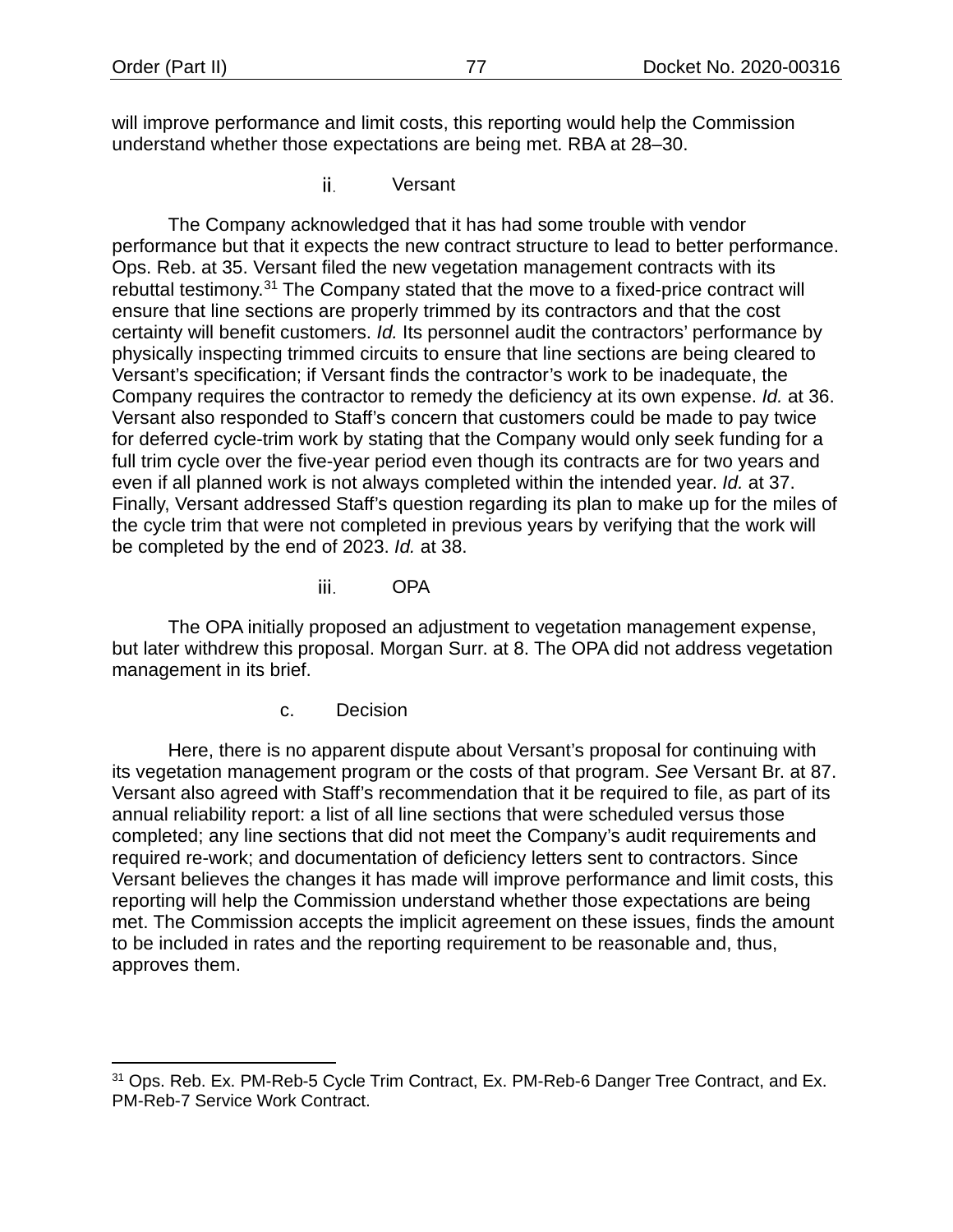will improve performance and limit costs, this reporting would help the Commission understand whether those expectations are being met. RBA at 28–30.

> ii. Versant

The Company acknowledged that it has had some trouble with vendor performance but that it expects the new contract structure to lead to better performance. Ops. Reb. at 35. Versant filed the new vegetation management contracts with its rebuttal testimony.<sup>[31](#page-79-0)</sup> The Company stated that the move to a fixed-price contract will ensure that line sections are properly trimmed by its contractors and that the cost certainty will benefit customers. *Id.* Its personnel audit the contractors' performance by physically inspecting trimmed circuits to ensure that line sections are being cleared to Versant's specification; if Versant finds the contractor's work to be inadequate, the Company requires the contractor to remedy the deficiency at its own expense. *Id.* at 36. Versant also responded to Staff's concern that customers could be made to pay twice for deferred cycle-trim work by stating that the Company would only seek funding for a full trim cycle over the five-year period even though its contracts are for two years and even if all planned work is not always completed within the intended year. *Id.* at 37. Finally, Versant addressed Staff's question regarding its plan to make up for the miles of the cycle trim that were not completed in previous years by verifying that the work will be completed by the end of 2023. *Id.* at 38.

> iii. OPA

The OPA initially proposed an adjustment to vegetation management expense, but later withdrew this proposal. Morgan Surr. at 8. The OPA did not address vegetation management in its brief.

c. Decision

<span id="page-79-1"></span>Here, there is no apparent dispute about Versant's proposal for continuing with its vegetation management program or the costs of that program. *See* Versant Br. at 87. Versant also agreed with Staff's recommendation that it be required to file, as part of its annual reliability report: a list of all line sections that were scheduled versus those completed; any line sections that did not meet the Company's audit requirements and required re-work; and documentation of deficiency letters sent to contractors. Since Versant believes the changes it has made will improve performance and limit costs, this reporting will help the Commission understand whether those expectations are being met. The Commission accepts the implicit agreement on these issues, finds the amount to be included in rates and the reporting requirement to be reasonable and, thus, approves them.

<span id="page-79-0"></span><sup>&</sup>lt;sup>31</sup> Ops. Reb. Ex. PM-Reb-5 Cycle Trim Contract, Ex. PM-Reb-6 Danger Tree Contract, and Ex. PM-Reb-7 Service Work Contract.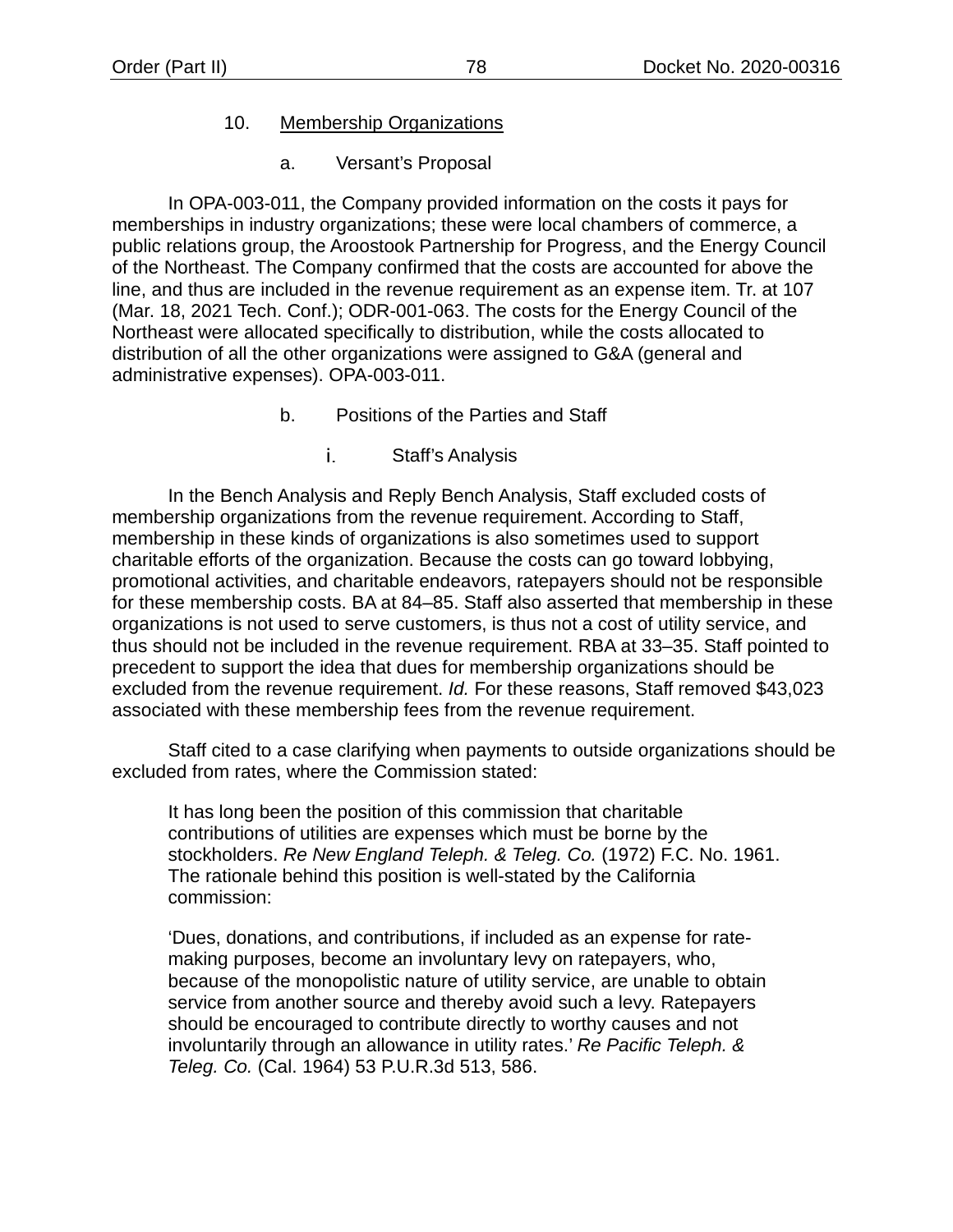#### 10. Membership Organizations

a. Versant's Proposal

In OPA-003-011, the Company provided information on the costs it pays for memberships in industry organizations; these were local chambers of commerce, a public relations group, the Aroostook Partnership for Progress, and the Energy Council of the Northeast. The Company confirmed that the costs are accounted for above the line, and thus are included in the revenue requirement as an expense item. Tr. at 107 (Mar. 18, 2021 Tech. Conf.); ODR-001-063. The costs for the Energy Council of the Northeast were allocated specifically to distribution, while the costs allocated to distribution of all the other organizations were assigned to G&A (general and administrative expenses). OPA-003-011.

- b. Positions of the Parties and Staff
	- i. Staff's Analysis

In the Bench Analysis and Reply Bench Analysis, Staff excluded costs of membership organizations from the revenue requirement. According to Staff, membership in these kinds of organizations is also sometimes used to support charitable efforts of the organization. Because the costs can go toward lobbying, promotional activities, and charitable endeavors, ratepayers should not be responsible for these membership costs. BA at 84–85. Staff also asserted that membership in these organizations is not used to serve customers, is thus not a cost of utility service, and thus should not be included in the revenue requirement. RBA at 33–35. Staff pointed to precedent to support the idea that dues for membership organizations should be excluded from the revenue requirement. *Id.* For these reasons, Staff removed \$43,023 associated with these membership fees from the revenue requirement.

Staff cited to a case clarifying when payments to outside organizations should be excluded from rates, where the Commission stated:

It has long been the position of this commission that charitable contributions of utilities are expenses which must be borne by the stockholders. *Re New England Teleph. & Teleg. Co.* (1972) F.C. No. 1961. The rationale behind this position is well-stated by the California commission:

'Dues, donations, and contributions, if included as an expense for ratemaking purposes, become an involuntary levy on ratepayers, who, because of the monopolistic nature of utility service, are unable to obtain service from another source and thereby avoid such a levy. Ratepayers should be encouraged to contribute directly to worthy causes and not involuntarily through an allowance in utility rates.' *Re Pacific Teleph. & Teleg. Co.* (Cal. 1964) 53 P.U.R.3d 513, 586.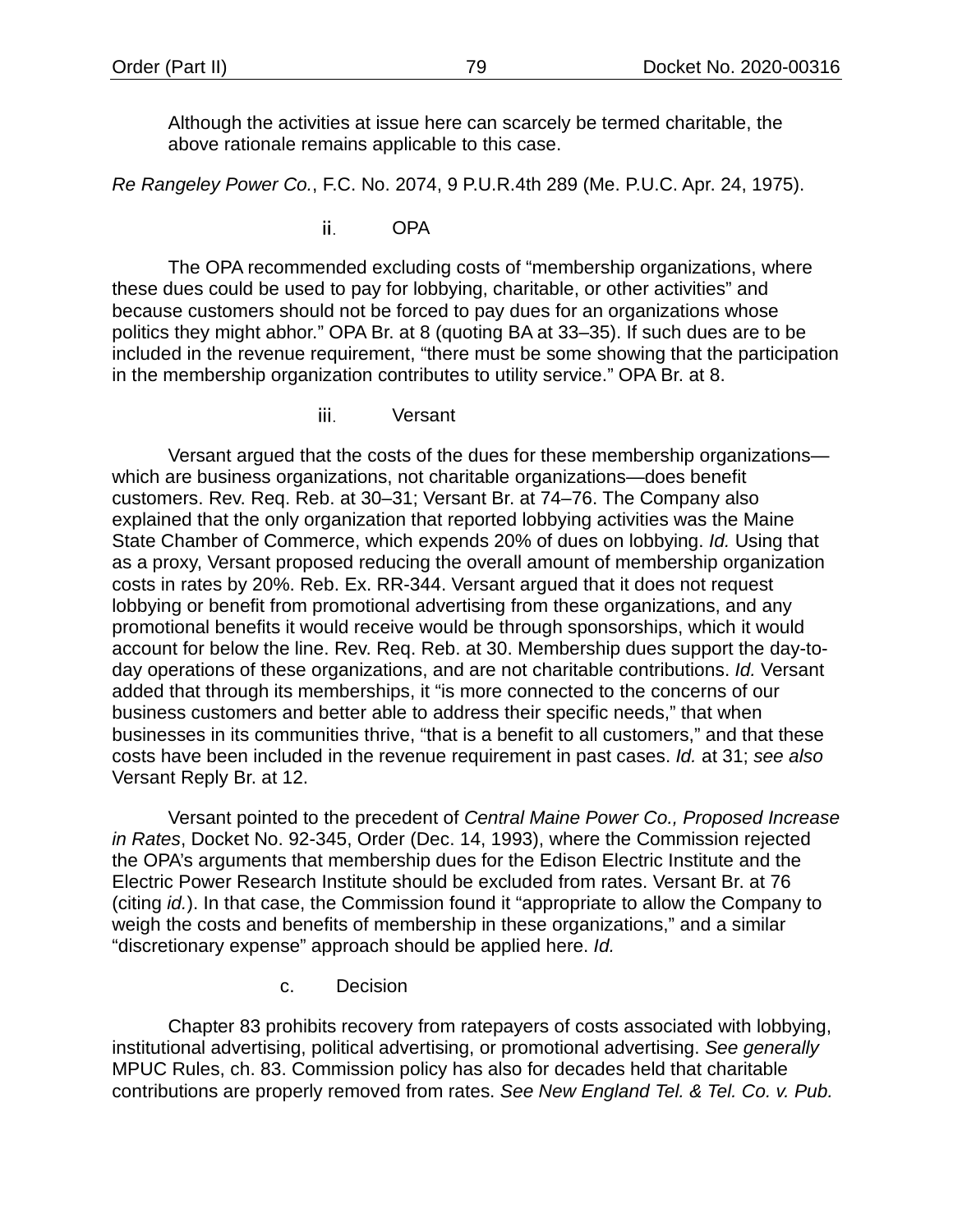Although the activities at issue here can scarcely be termed charitable, the above rationale remains applicable to this case.

*Re Rangeley Power Co.*, F.C. No. 2074, 9 P.U.R.4th 289 (Me. P.U.C. Apr. 24, 1975).

ii. OPA

The OPA recommended excluding costs of "membership organizations, where these dues could be used to pay for lobbying, charitable, or other activities" and because customers should not be forced to pay dues for an organizations whose politics they might abhor." OPA Br. at 8 (quoting BA at 33–35). If such dues are to be included in the revenue requirement, "there must be some showing that the participation in the membership organization contributes to utility service." OPA Br. at 8.

> iii. Versant

Versant argued that the costs of the dues for these membership organizations which are business organizations, not charitable organizations—does benefit customers. Rev. Req. Reb. at 30–31; Versant Br. at 74–76. The Company also explained that the only organization that reported lobbying activities was the Maine State Chamber of Commerce, which expends 20% of dues on lobbying. *Id.* Using that as a proxy, Versant proposed reducing the overall amount of membership organization costs in rates by 20%. Reb. Ex. RR-344. Versant argued that it does not request lobbying or benefit from promotional advertising from these organizations, and any promotional benefits it would receive would be through sponsorships, which it would account for below the line. Rev. Req. Reb. at 30. Membership dues support the day-today operations of these organizations, and are not charitable contributions. *Id.* Versant added that through its memberships, it "is more connected to the concerns of our business customers and better able to address their specific needs," that when businesses in its communities thrive, "that is a benefit to all customers," and that these costs have been included in the revenue requirement in past cases. *Id.* at 31; *see also* Versant Reply Br. at 12.

Versant pointed to the precedent of *Central Maine Power Co., Proposed Increase in Rates*, Docket No. 92-345, Order (Dec. 14, 1993), where the Commission rejected the OPA's arguments that membership dues for the Edison Electric Institute and the Electric Power Research Institute should be excluded from rates. Versant Br. at 76 (citing *id.*). In that case, the Commission found it "appropriate to allow the Company to weigh the costs and benefits of membership in these organizations," and a similar "discretionary expense" approach should be applied here. *Id.*

c. Decision

Chapter 83 prohibits recovery from ratepayers of costs associated with lobbying, institutional advertising, political advertising, or promotional advertising. *See generally* MPUC Rules, ch. 83. Commission policy has also for decades held that charitable contributions are properly removed from rates. *See New England Tel. & Tel. Co. v. Pub.*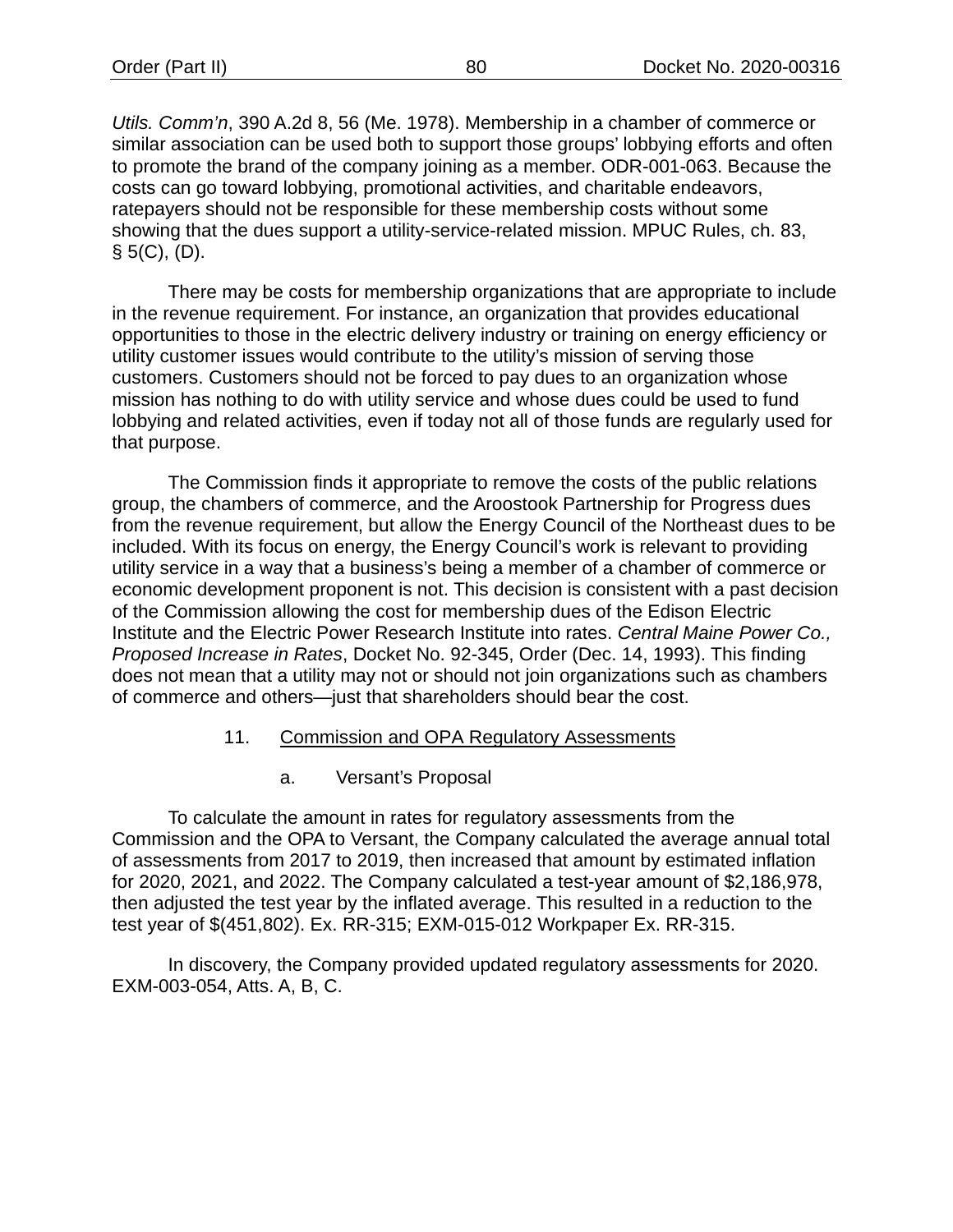*Utils. Comm'n*, 390 A.2d 8, 56 (Me. 1978). Membership in a chamber of commerce or similar association can be used both to support those groups' lobbying efforts and often to promote the brand of the company joining as a member. ODR-001-063. Because the costs can go toward lobbying, promotional activities, and charitable endeavors, ratepayers should not be responsible for these membership costs without some showing that the dues support a utility-service-related mission. MPUC Rules, ch. 83,  $§ 5(C), (D).$ 

There may be costs for membership organizations that are appropriate to include in the revenue requirement. For instance, an organization that provides educational opportunities to those in the electric delivery industry or training on energy efficiency or utility customer issues would contribute to the utility's mission of serving those customers. Customers should not be forced to pay dues to an organization whose mission has nothing to do with utility service and whose dues could be used to fund lobbying and related activities, even if today not all of those funds are regularly used for that purpose.

The Commission finds it appropriate to remove the costs of the public relations group, the chambers of commerce, and the Aroostook Partnership for Progress dues from the revenue requirement, but allow the Energy Council of the Northeast dues to be included. With its focus on energy, the Energy Council's work is relevant to providing utility service in a way that a business's being a member of a chamber of commerce or economic development proponent is not. This decision is consistent with a past decision of the Commission allowing the cost for membership dues of the Edison Electric Institute and the Electric Power Research Institute into rates. *Central Maine Power Co., Proposed Increase in Rates*, Docket No. 92-345, Order (Dec. 14, 1993). This finding does not mean that a utility may not or should not join organizations such as chambers of commerce and others—just that shareholders should bear the cost.

## 11. Commission and OPA Regulatory Assessments

a. Versant's Proposal

To calculate the amount in rates for regulatory assessments from the Commission and the OPA to Versant, the Company calculated the average annual total of assessments from 2017 to 2019, then increased that amount by estimated inflation for 2020, 2021, and 2022. The Company calculated a test-year amount of \$2,186,978, then adjusted the test year by the inflated average. This resulted in a reduction to the test year of \$(451,802). Ex. RR-315; EXM-015-012 Workpaper Ex. RR-315.

In discovery, the Company provided updated regulatory assessments for 2020. EXM-003-054, Atts. A, B, C.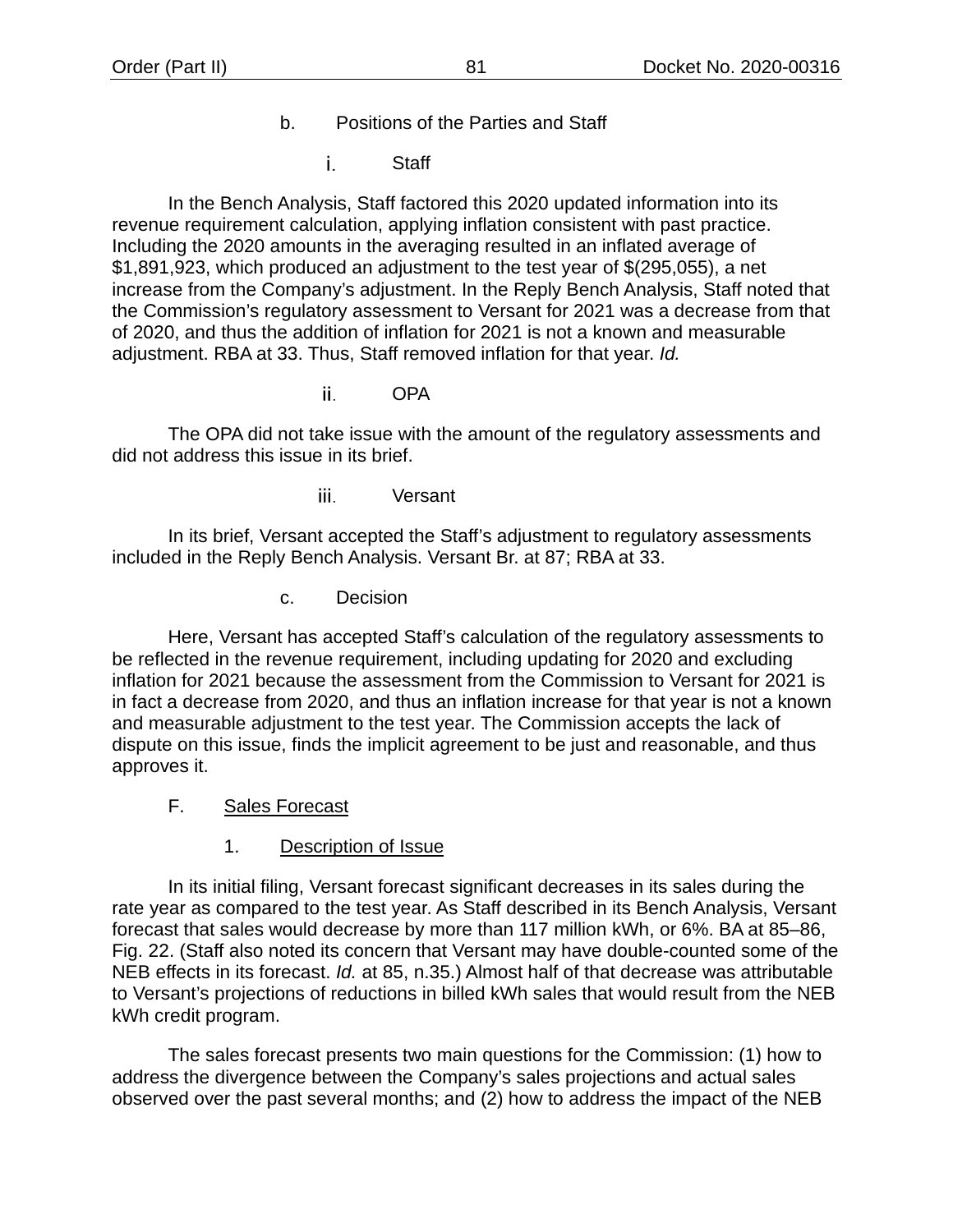- b. Positions of the Parties and Staff
	- i. **Staff**

In the Bench Analysis, Staff factored this 2020 updated information into its revenue requirement calculation, applying inflation consistent with past practice. Including the 2020 amounts in the averaging resulted in an inflated average of \$1,891,923, which produced an adjustment to the test year of \$(295,055), a net increase from the Company's adjustment. In the Reply Bench Analysis, Staff noted that the Commission's regulatory assessment to Versant for 2021 was a decrease from that of 2020, and thus the addition of inflation for 2021 is not a known and measurable adjustment. RBA at 33. Thus, Staff removed inflation for that year. *Id.*

> ii. **OPA**

The OPA did not take issue with the amount of the regulatory assessments and did not address this issue in its brief.

> iii. Versant

In its brief, Versant accepted the Staff's adjustment to regulatory assessments included in the Reply Bench Analysis. Versant Br. at 87; RBA at 33.

c. Decision

Here, Versant has accepted Staff's calculation of the regulatory assessments to be reflected in the revenue requirement, including updating for 2020 and excluding inflation for 2021 because the assessment from the Commission to Versant for 2021 is in fact a decrease from 2020, and thus an inflation increase for that year is not a known and measurable adjustment to the test year. The Commission accepts the lack of dispute on this issue, finds the implicit agreement to be just and reasonable, and thus approves it.

- F. Sales Forecast
	- 1. Description of Issue

In its initial filing, Versant forecast significant decreases in its sales during the rate year as compared to the test year. As Staff described in its Bench Analysis, Versant forecast that sales would decrease by more than 117 million kWh, or 6%. BA at 85–86, Fig. 22. (Staff also noted its concern that Versant may have double-counted some of the NEB effects in its forecast. *Id.* at 85, n.35.) Almost half of that decrease was attributable to Versant's projections of reductions in billed kWh sales that would result from the NEB kWh credit program.

The sales forecast presents two main questions for the Commission: (1) how to address the divergence between the Company's sales projections and actual sales observed over the past several months; and (2) how to address the impact of the NEB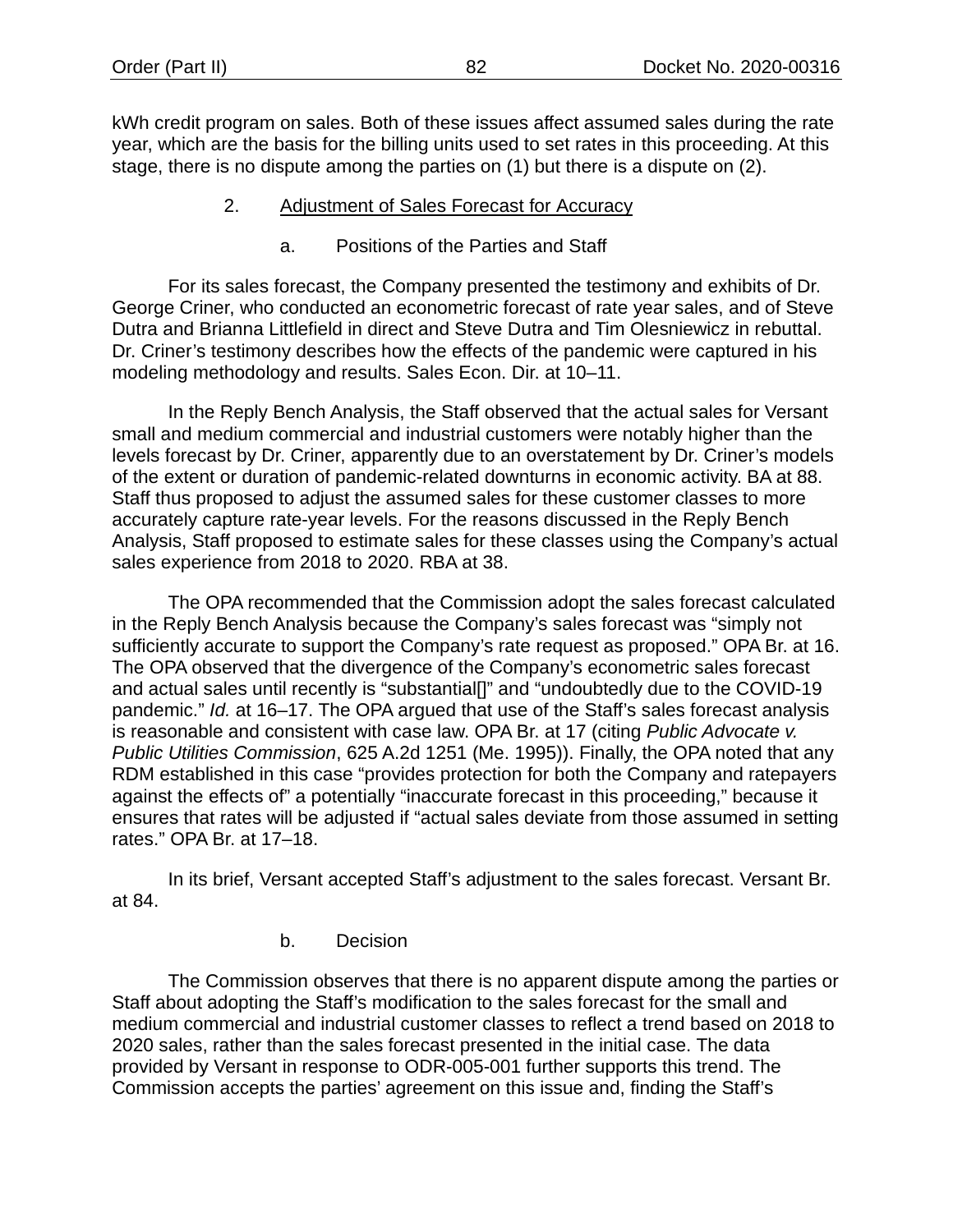kWh credit program on sales. Both of these issues affect assumed sales during the rate year, which are the basis for the billing units used to set rates in this proceeding. At this stage, there is no dispute among the parties on (1) but there is a dispute on (2).

- 2. Adjustment of Sales Forecast for Accuracy
	- a. Positions of the Parties and Staff

For its sales forecast, the Company presented the testimony and exhibits of Dr. George Criner, who conducted an econometric forecast of rate year sales, and of Steve Dutra and Brianna Littlefield in direct and Steve Dutra and Tim Olesniewicz in rebuttal. Dr. Criner's testimony describes how the effects of the pandemic were captured in his modeling methodology and results. Sales Econ. Dir. at 10–11.

In the Reply Bench Analysis, the Staff observed that the actual sales for Versant small and medium commercial and industrial customers were notably higher than the levels forecast by Dr. Criner, apparently due to an overstatement by Dr. Criner's models of the extent or duration of pandemic-related downturns in economic activity. BA at 88. Staff thus proposed to adjust the assumed sales for these customer classes to more accurately capture rate-year levels. For the reasons discussed in the Reply Bench Analysis, Staff proposed to estimate sales for these classes using the Company's actual sales experience from 2018 to 2020. RBA at 38.

The OPA recommended that the Commission adopt the sales forecast calculated in the Reply Bench Analysis because the Company's sales forecast was "simply not sufficiently accurate to support the Company's rate request as proposed." OPA Br. at 16. The OPA observed that the divergence of the Company's econometric sales forecast and actual sales until recently is "substantial[]" and "undoubtedly due to the COVID-19 pandemic." *Id.* at 16–17. The OPA argued that use of the Staff's sales forecast analysis is reasonable and consistent with case law. OPA Br. at 17 (citing *Public Advocate v. Public Utilities Commission*, 625 A.2d 1251 (Me. 1995)). Finally, the OPA noted that any RDM established in this case "provides protection for both the Company and ratepayers against the effects of" a potentially "inaccurate forecast in this proceeding," because it ensures that rates will be adjusted if "actual sales deviate from those assumed in setting rates." OPA Br. at 17–18.

In its brief, Versant accepted Staff's adjustment to the sales forecast. Versant Br. at 84.

#### b. Decision

The Commission observes that there is no apparent dispute among the parties or Staff about adopting the Staff's modification to the sales forecast for the small and medium commercial and industrial customer classes to reflect a trend based on 2018 to 2020 sales, rather than the sales forecast presented in the initial case. The data provided by Versant in response to ODR-005-001 further supports this trend. The Commission accepts the parties' agreement on this issue and, finding the Staff's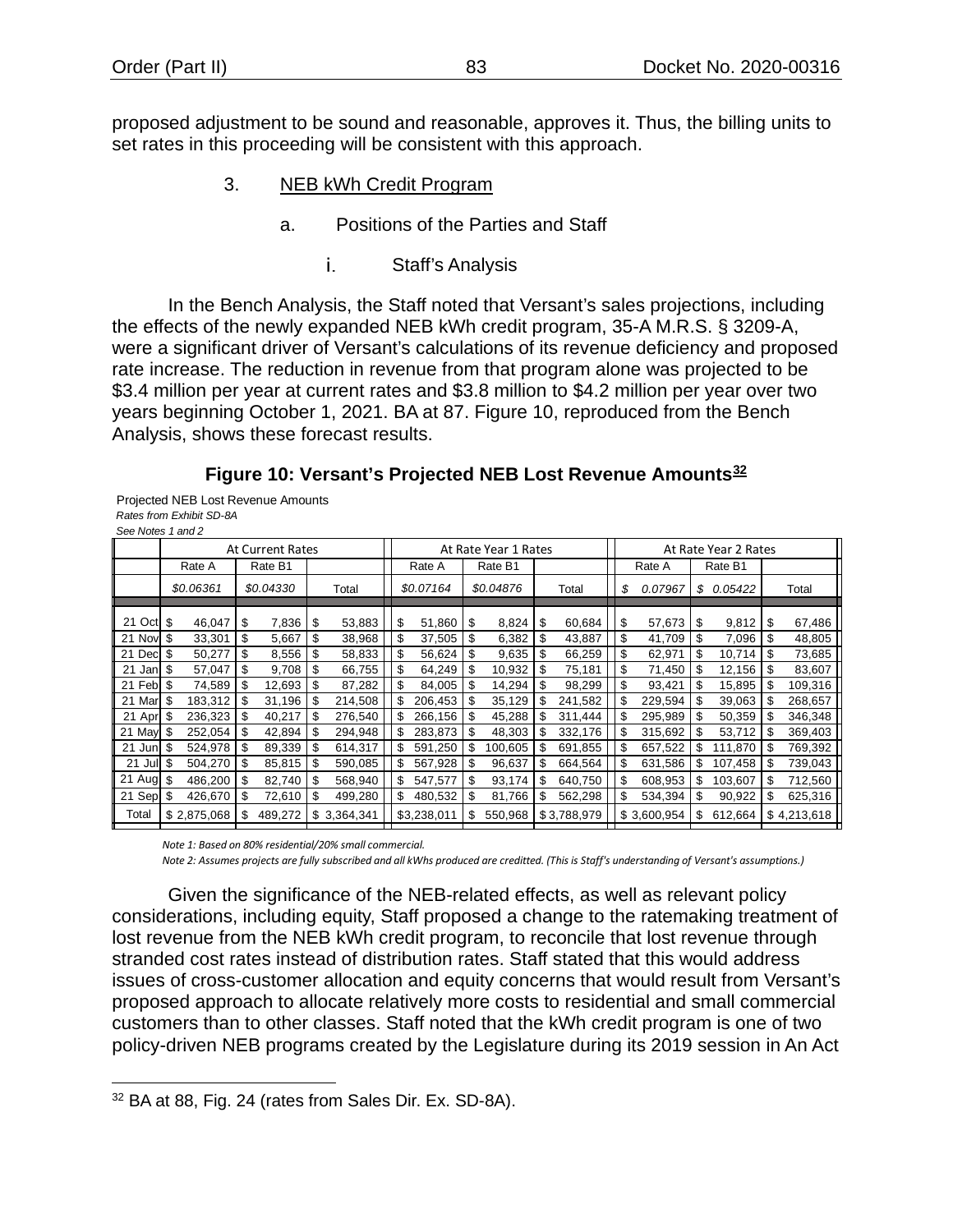<span id="page-85-2"></span>proposed adjustment to be sound and reasonable, approves it. Thus, the billing units to set rates in this proceeding will be consistent with this approach.

- 3. NEB kWh Credit Program
	- a. Positions of the Parties and Staff
		- i. Staff's Analysis

In the Bench Analysis, the Staff noted that Versant's sales projections, including the effects of the newly expanded NEB kWh credit program, 35-A M.R.S. § 3209-A, were a significant driver of Versant's calculations of its revenue deficiency and proposed rate increase. The reduction in revenue from that program alone was projected to be \$3.4 million per year at current rates and \$3.8 million to \$4.2 million per year over two years beginning October 1, 2021. BA at 87. [Figure 10,](#page-85-0) reproduced from the Bench Analysis, shows these forecast results.

## **Figure 10: Versant's Projected NEB Lost Revenue Amounts[32](#page-85-1)**

<span id="page-85-0"></span>Projected NEB Lost Revenue Amounts *Rates from Exhibit SD-8A See Notes 1 and 2* 

| See Notes Tang Z |                |                                                 |           |    |             |                      |             |         |           |        |             |               |    |         |    |             |
|------------------|----------------|-------------------------------------------------|-----------|----|-------------|----------------------|-------------|---------|-----------|--------|-------------|---------------|----|---------|----|-------------|
|                  |                | <b>At Current Rates</b><br>At Rate Year 1 Rates |           |    |             | At Rate Year 2 Rates |             |         |           |        |             |               |    |         |    |             |
|                  | Rate A         |                                                 | Rate B1   |    |             |                      | Rate A      | Rate B1 |           | Rate A |             | Rate B1       |    |         |    |             |
|                  | \$0.06361      |                                                 | \$0.04330 |    | Total       |                      | \$0.07164   |         | \$0.04876 |        | Total       | \$<br>0.07967 | S  | 0.05422 |    | Total       |
| 21 Oct \$        | 46.047         | S                                               | 7,836     | \$ | 53,883      | \$                   | 51,860      | \$      | 8,824     | S      | 60,684      | \$<br>57,673  | \$ | 9,812   | S  | 67,486      |
| 21 Nov           | 33,301<br>-\$  | \$                                              | 5,667     | \$ | 38,968      | \$                   | 37,505      | \$      | 6,382     | \$     | 43,887      | \$<br>41,709  | \$ | 7,096   | \$ | 48,805      |
| 21 Decl          | 50,277<br>S    | \$                                              | 8,556     | \$ | 58,833      | \$                   | 56,624      | \$      | 9,635     | S      | 66,259      | \$<br>62,971  | \$ | 10,714  | \$ | 73,685      |
| 21<br>Janl       | 57,047<br>S    | \$                                              | 9,708     | \$ | 66,755      | \$                   | 64,249      | \$      | 10,932    | \$     | 75,181      | \$<br>71,450  | \$ | 12,156  | \$ | 83,607      |
| 21 Feb           | 74,589<br>S    | \$                                              | 12,693    | \$ | 87,282      | \$                   | 84,005      | \$      | 14,294    | \$     | 98,299      | \$<br>93,421  | \$ | 15,895  | S  | 109,316     |
| 21 Mar           | 183,312        |                                                 | 31,196    |    | 214,508     | S                    | 206,453     | \$      | 35,129    | \$     | 241,582     | \$<br>229,594 | \$ | 39,063  | S  | 268,657     |
| 21 Apr           | 236,323        |                                                 | 40,217    |    | 276,540     | S                    | 266,156     |         | 45,288    |        | 311,444     | \$<br>295,989 | \$ | 50,359  | S  | 346,348     |
| 21 May           | 252.054        |                                                 | 42.894    |    | 294.948     | \$                   | 283.873     | \$      | 48,303    | S      | 332.176     | \$<br>315,692 | \$ | 53,712  | S  | 369,403     |
| 21 Jun           | 524,978<br>\$. |                                                 | 89,339    |    | 614,317     | S                    | 591,250     |         | 100,605   | \$     | 691,855     | \$<br>657,522 | \$ | 111,870 | \$ | 769,392     |
| 21 Jul           | \$.<br>504,270 |                                                 | 85,815    |    | 590,085     | \$                   | 567,928     | \$      | 96,637    | \$     | 664,564     | \$<br>631,586 | \$ | 107,458 | S  | 739,043     |
| 21 Aug           | 486,200<br>\$  |                                                 | 82,740    | S  | 568,940     | \$                   | 547,577     | \$      | 93,174    | S.     | 640,750     | \$<br>608,953 | \$ | 103,607 | S  | 712,560     |
| 21 Sep           | 426,670<br>\$  |                                                 | 72,610    | \$ | 499,280     | \$                   | 480,532     | \$      | 81,766    | S      | 562,298     | \$<br>534,394 | \$ | 90,922  | \$ | 625,316     |
| Total            | \$2,875,068    | S                                               | 489,272   |    | \$3.364.341 |                      | \$3,238,011 | \$      | 550,968   |        | \$3,788,979 | \$3,600,954   | \$ | 612,664 |    | \$4,213,618 |

*Note 1: Based on 80% residential/20% small commercial.*

*Note 2: Assumes projects are fully subscribed and all kWhs produced are creditted. (This is Staff's understanding of Versant's assumptions.)*

Given the significance of the NEB-related effects, as well as relevant policy considerations, including equity, Staff proposed a change to the ratemaking treatment of lost revenue from the NEB kWh credit program, to reconcile that lost revenue through stranded cost rates instead of distribution rates. Staff stated that this would address issues of cross-customer allocation and equity concerns that would result from Versant's proposed approach to allocate relatively more costs to residential and small commercial customers than to other classes. Staff noted that the kWh credit program is one of two policy-driven NEB programs created by the Legislature during its 2019 session in An Act

<span id="page-85-1"></span><sup>32</sup> BA at 88, Fig. 24 (rates from Sales Dir. Ex. SD-8A).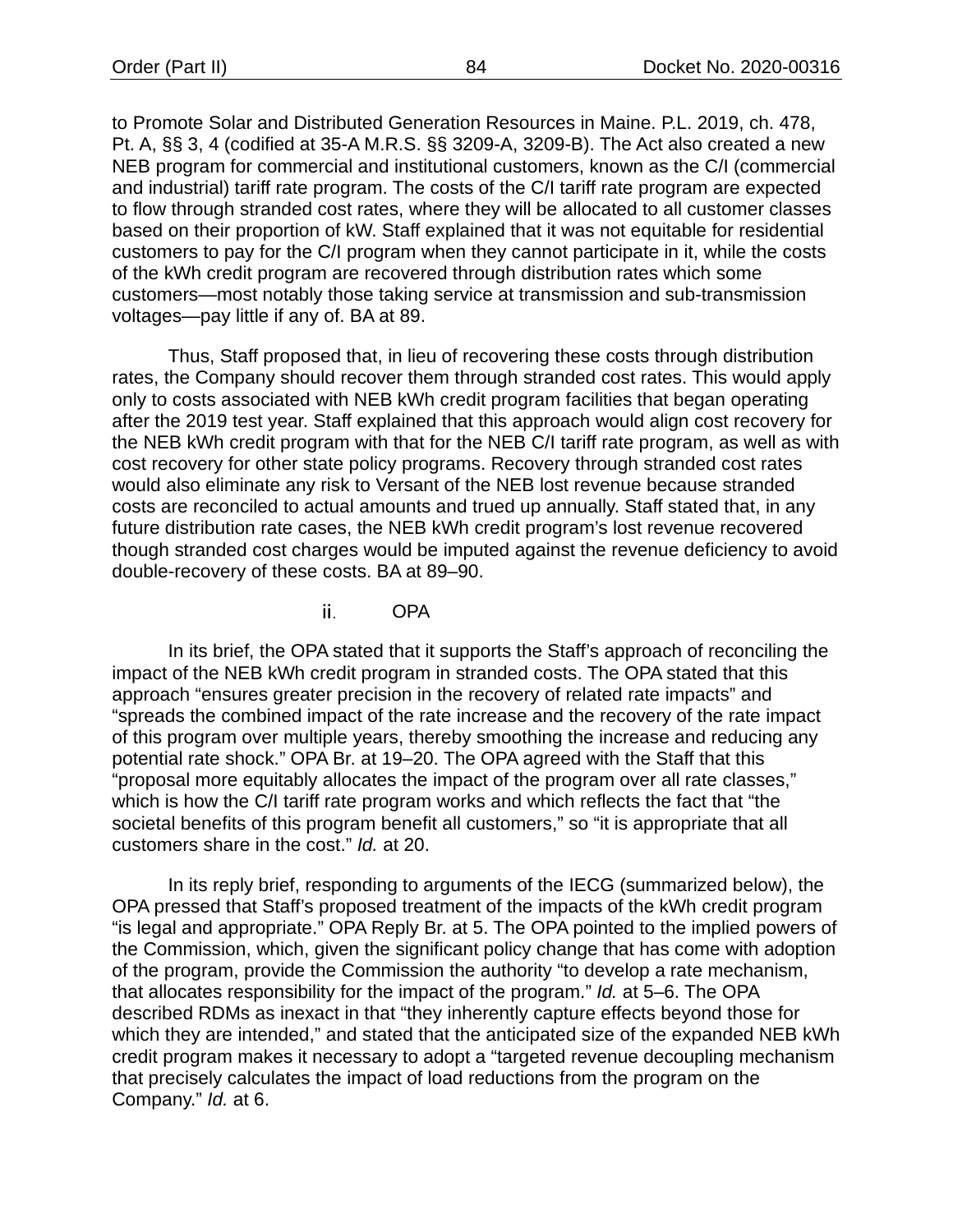to Promote Solar and Distributed Generation Resources in Maine. P.L. 2019, ch. 478, Pt. A, §§ 3, 4 (codified at 35-A M.R.S. §§ 3209-A, 3209-B). The Act also created a new NEB program for commercial and institutional customers, known as the C/I (commercial and industrial) tariff rate program. The costs of the C/I tariff rate program are expected to flow through stranded cost rates, where they will be allocated to all customer classes based on their proportion of kW. Staff explained that it was not equitable for residential customers to pay for the C/I program when they cannot participate in it, while the costs of the kWh credit program are recovered through distribution rates which some customers—most notably those taking service at transmission and sub-transmission voltages—pay little if any of. BA at 89.

Thus, Staff proposed that, in lieu of recovering these costs through distribution rates, the Company should recover them through stranded cost rates. This would apply only to costs associated with NEB kWh credit program facilities that began operating after the 2019 test year. Staff explained that this approach would align cost recovery for the NEB kWh credit program with that for the NEB C/I tariff rate program, as well as with cost recovery for other state policy programs. Recovery through stranded cost rates would also eliminate any risk to Versant of the NEB lost revenue because stranded costs are reconciled to actual amounts and trued up annually. Staff stated that, in any future distribution rate cases, the NEB kWh credit program's lost revenue recovered though stranded cost charges would be imputed against the revenue deficiency to avoid double-recovery of these costs. BA at 89–90.

> OPA ii.

In its brief, the OPA stated that it supports the Staff's approach of reconciling the impact of the NEB kWh credit program in stranded costs. The OPA stated that this approach "ensures greater precision in the recovery of related rate impacts" and "spreads the combined impact of the rate increase and the recovery of the rate impact of this program over multiple years, thereby smoothing the increase and reducing any potential rate shock." OPA Br. at 19–20. The OPA agreed with the Staff that this "proposal more equitably allocates the impact of the program over all rate classes," which is how the C/I tariff rate program works and which reflects the fact that "the societal benefits of this program benefit all customers," so "it is appropriate that all customers share in the cost." *Id.* at 20.

In its reply brief, responding to arguments of the IECG (summarized below), the OPA pressed that Staff's proposed treatment of the impacts of the kWh credit program "is legal and appropriate." OPA Reply Br. at 5. The OPA pointed to the implied powers of the Commission, which, given the significant policy change that has come with adoption of the program, provide the Commission the authority "to develop a rate mechanism, that allocates responsibility for the impact of the program." *Id.* at 5–6. The OPA described RDMs as inexact in that "they inherently capture effects beyond those for which they are intended," and stated that the anticipated size of the expanded NEB kWh credit program makes it necessary to adopt a "targeted revenue decoupling mechanism that precisely calculates the impact of load reductions from the program on the Company." *Id.* at 6.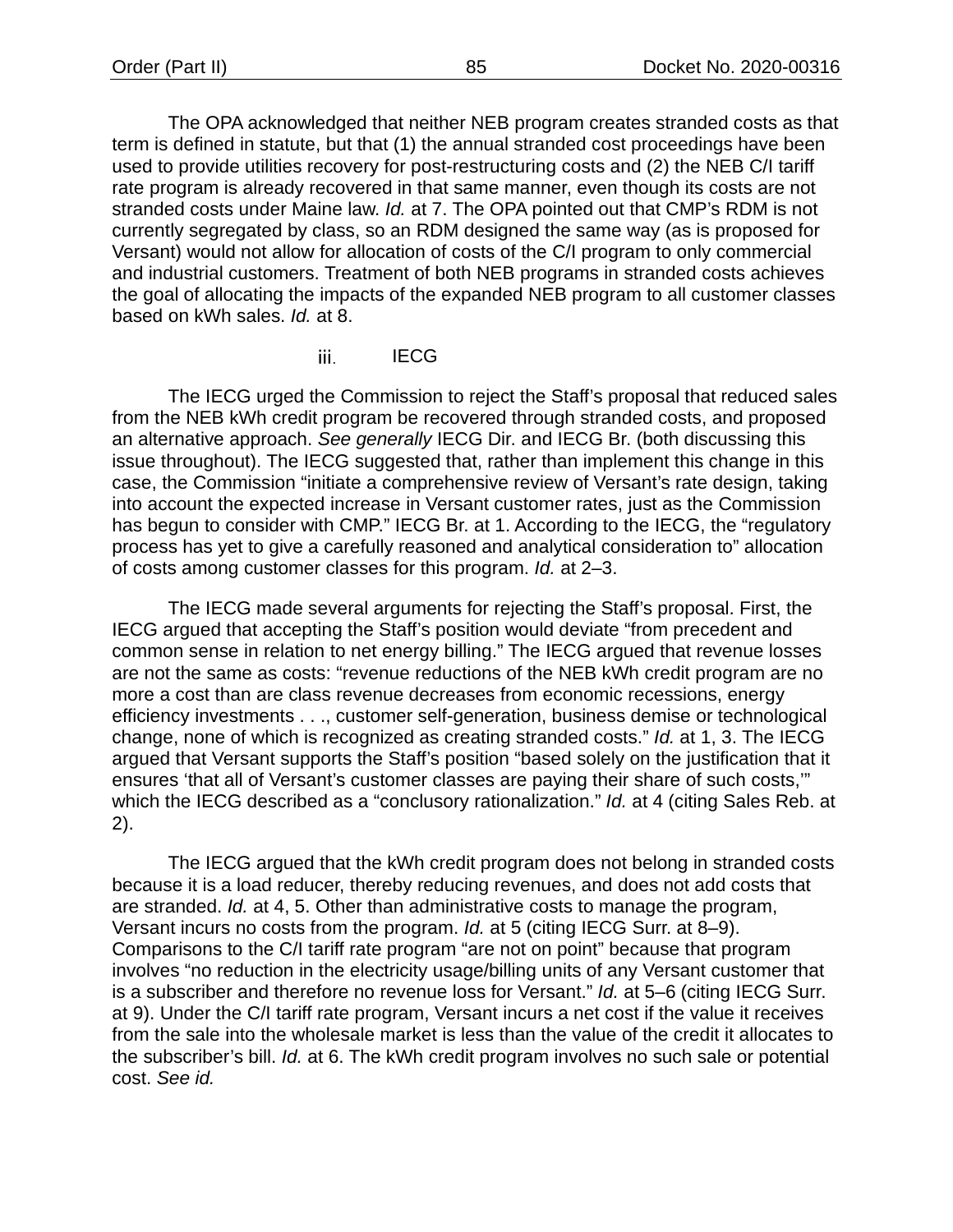The OPA acknowledged that neither NEB program creates stranded costs as that term is defined in statute, but that (1) the annual stranded cost proceedings have been used to provide utilities recovery for post-restructuring costs and (2) the NEB C/I tariff rate program is already recovered in that same manner, even though its costs are not stranded costs under Maine law. *Id.* at 7. The OPA pointed out that CMP's RDM is not currently segregated by class, so an RDM designed the same way (as is proposed for Versant) would not allow for allocation of costs of the C/I program to only commercial and industrial customers. Treatment of both NEB programs in stranded costs achieves the goal of allocating the impacts of the expanded NEB program to all customer classes based on kWh sales. *Id.* at 8.

> **IECG** iii.

The IECG urged the Commission to reject the Staff's proposal that reduced sales from the NEB kWh credit program be recovered through stranded costs, and proposed an alternative approach. *See generally* IECG Dir. and IECG Br. (both discussing this issue throughout). The IECG suggested that, rather than implement this change in this case, the Commission "initiate a comprehensive review of Versant's rate design, taking into account the expected increase in Versant customer rates, just as the Commission has begun to consider with CMP." IECG Br. at 1. According to the IECG, the "regulatory process has yet to give a carefully reasoned and analytical consideration to" allocation of costs among customer classes for this program. *Id.* at 2–3.

The IECG made several arguments for rejecting the Staff's proposal. First, the IECG argued that accepting the Staff's position would deviate "from precedent and common sense in relation to net energy billing." The IECG argued that revenue losses are not the same as costs: "revenue reductions of the NEB kWh credit program are no more a cost than are class revenue decreases from economic recessions, energy efficiency investments . . ., customer self-generation, business demise or technological change, none of which is recognized as creating stranded costs." *Id.* at 1, 3. The IECG argued that Versant supports the Staff's position "based solely on the justification that it ensures 'that all of Versant's customer classes are paying their share of such costs,'" which the IECG described as a "conclusory rationalization." *Id.* at 4 (citing Sales Reb. at 2).

The IECG argued that the kWh credit program does not belong in stranded costs because it is a load reducer, thereby reducing revenues, and does not add costs that are stranded. *Id.* at 4, 5. Other than administrative costs to manage the program, Versant incurs no costs from the program. *Id.* at 5 (citing IECG Surr. at 8–9). Comparisons to the C/I tariff rate program "are not on point" because that program involves "no reduction in the electricity usage/billing units of any Versant customer that is a subscriber and therefore no revenue loss for Versant." *Id.* at 5–6 (citing IECG Surr. at 9). Under the C/I tariff rate program, Versant incurs a net cost if the value it receives from the sale into the wholesale market is less than the value of the credit it allocates to the subscriber's bill. *Id.* at 6. The kWh credit program involves no such sale or potential cost. *See id.*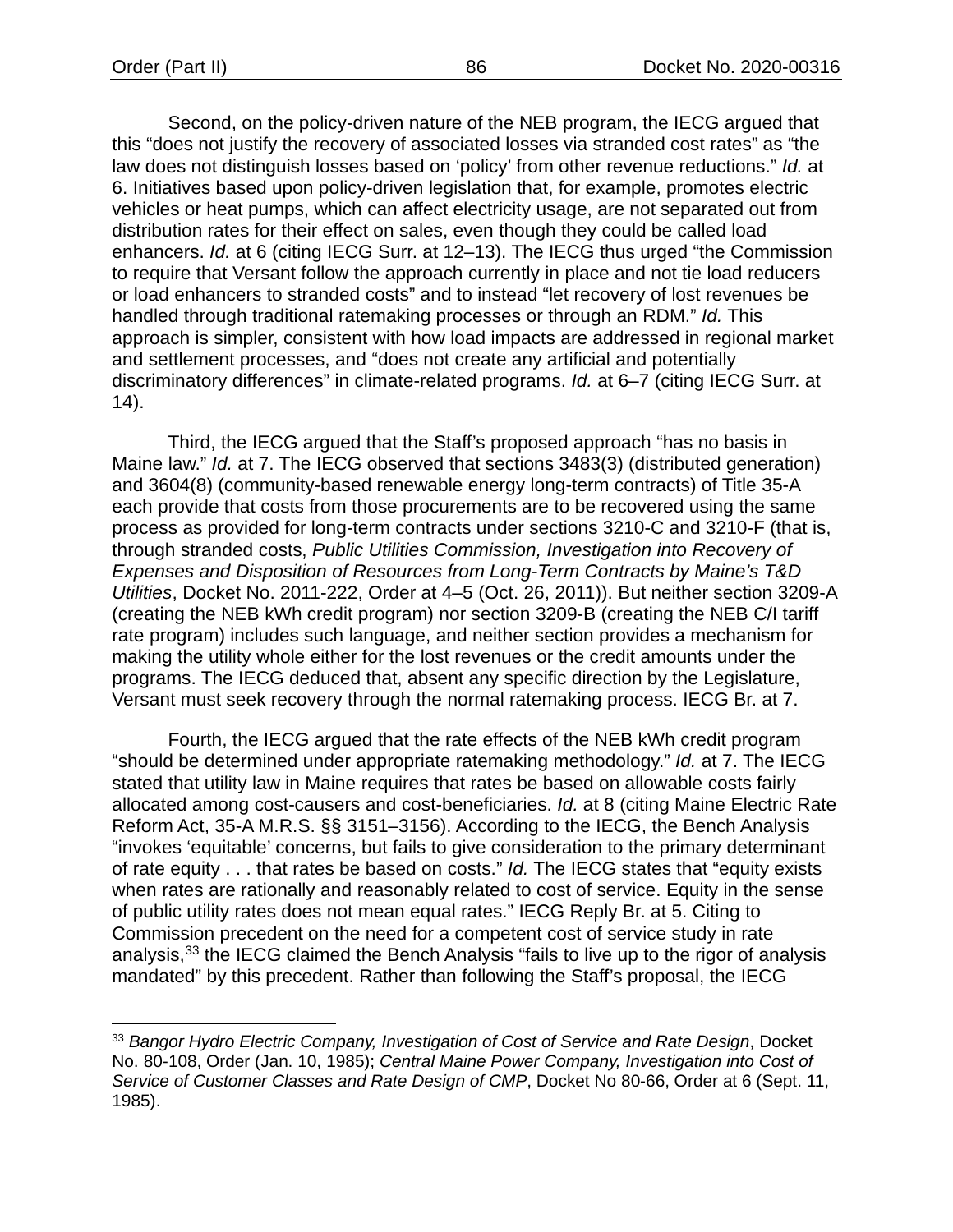Second, on the policy-driven nature of the NEB program, the IECG argued that this "does not justify the recovery of associated losses via stranded cost rates" as "the law does not distinguish losses based on 'policy' from other revenue reductions." *Id.* at 6. Initiatives based upon policy-driven legislation that, for example, promotes electric vehicles or heat pumps, which can affect electricity usage, are not separated out from distribution rates for their effect on sales, even though they could be called load enhancers. *Id.* at 6 (citing IECG Surr. at 12–13). The IECG thus urged "the Commission to require that Versant follow the approach currently in place and not tie load reducers or load enhancers to stranded costs" and to instead "let recovery of lost revenues be handled through traditional ratemaking processes or through an RDM." *Id.* This approach is simpler, consistent with how load impacts are addressed in regional market and settlement processes, and "does not create any artificial and potentially discriminatory differences" in climate-related programs. *Id.* at 6–7 (citing IECG Surr. at 14).

Third, the IECG argued that the Staff's proposed approach "has no basis in Maine law." *Id.* at 7. The IECG observed that sections 3483(3) (distributed generation) and 3604(8) (community-based renewable energy long-term contracts) of Title 35-A each provide that costs from those procurements are to be recovered using the same process as provided for long-term contracts under sections 3210-C and 3210-F (that is, through stranded costs, *Public Utilities Commission, Investigation into Recovery of Expenses and Disposition of Resources from Long-Term Contracts by Maine's T&D Utilities*, Docket No. 2011-222, Order at 4–5 (Oct. 26, 2011)). But neither section 3209-A (creating the NEB kWh credit program) nor section 3209-B (creating the NEB C/I tariff rate program) includes such language, and neither section provides a mechanism for making the utility whole either for the lost revenues or the credit amounts under the programs. The IECG deduced that, absent any specific direction by the Legislature, Versant must seek recovery through the normal ratemaking process. IECG Br. at 7.

Fourth, the IECG argued that the rate effects of the NEB kWh credit program "should be determined under appropriate ratemaking methodology." *Id.* at 7. The IECG stated that utility law in Maine requires that rates be based on allowable costs fairly allocated among cost-causers and cost-beneficiaries. *Id.* at 8 (citing Maine Electric Rate Reform Act, 35-A M.R.S. §§ 3151–3156). According to the IECG, the Bench Analysis "invokes 'equitable' concerns, but fails to give consideration to the primary determinant of rate equity . . . that rates be based on costs." *Id.* The IECG states that "equity exists when rates are rationally and reasonably related to cost of service. Equity in the sense of public utility rates does not mean equal rates." IECG Reply Br. at 5. Citing to Commission precedent on the need for a competent cost of service study in rate analysis,<sup>[33](#page-88-0)</sup> the IECG claimed the Bench Analysis "fails to live up to the rigor of analysis mandated" by this precedent. Rather than following the Staff's proposal, the IECG

<span id="page-88-0"></span><sup>33</sup> *Bangor Hydro Electric Company, Investigation of Cost of Service and Rate Design*, Docket No. 80-108, Order (Jan. 10, 1985); *Central Maine Power Company, Investigation into Cost of Service of Customer Classes and Rate Design of CMP*, Docket No 80-66, Order at 6 (Sept. 11, 1985).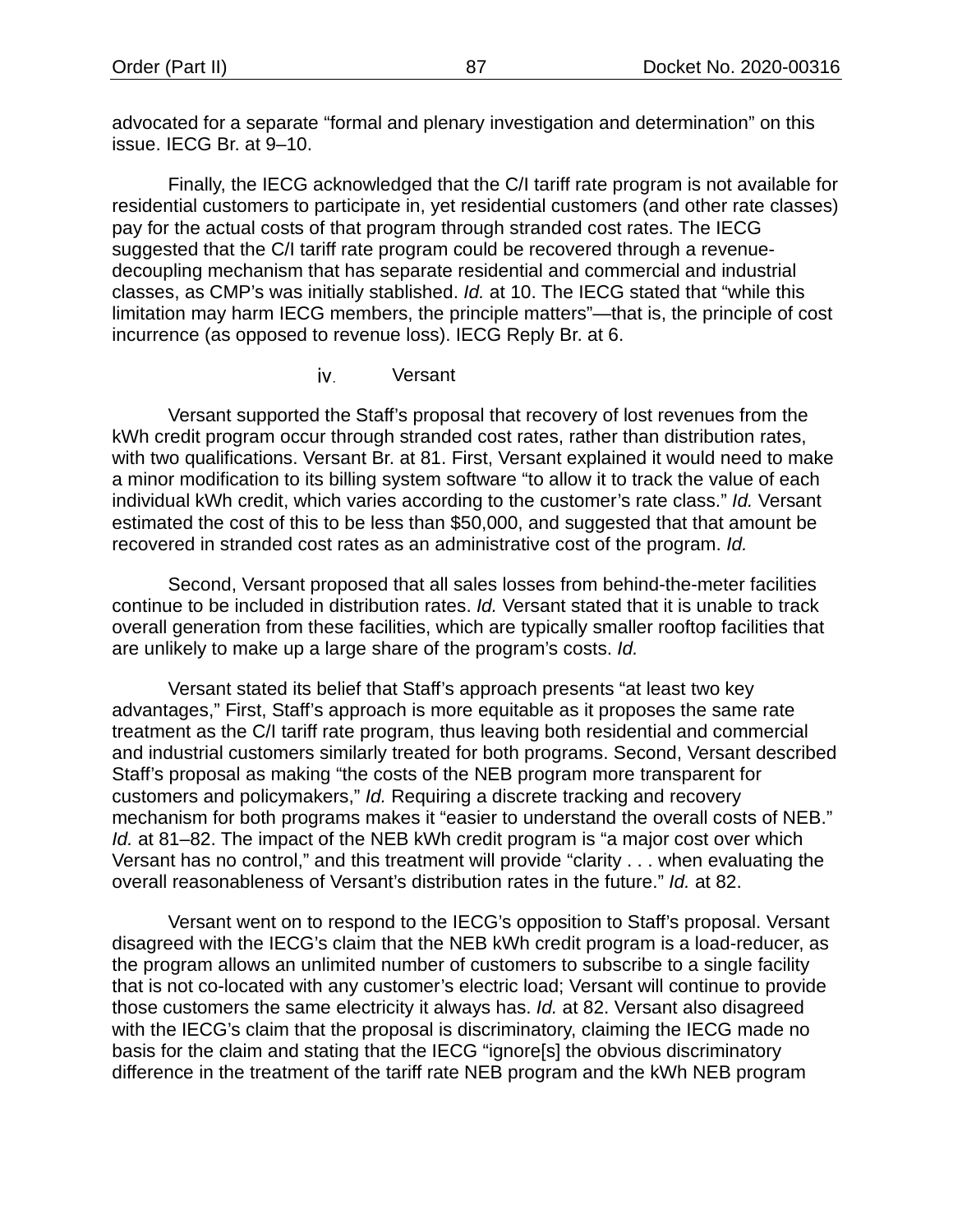advocated for a separate "formal and plenary investigation and determination" on this issue. IECG Br. at 9–10.

Finally, the IECG acknowledged that the C/I tariff rate program is not available for residential customers to participate in, yet residential customers (and other rate classes) pay for the actual costs of that program through stranded cost rates. The IECG suggested that the C/I tariff rate program could be recovered through a revenuedecoupling mechanism that has separate residential and commercial and industrial classes, as CMP's was initially stablished. *Id.* at 10. The IECG stated that "while this limitation may harm IECG members, the principle matters"—that is, the principle of cost incurrence (as opposed to revenue loss). IECG Reply Br. at 6.

> iv. Versant

Versant supported the Staff's proposal that recovery of lost revenues from the kWh credit program occur through stranded cost rates, rather than distribution rates, with two qualifications. Versant Br. at 81. First, Versant explained it would need to make a minor modification to its billing system software "to allow it to track the value of each individual kWh credit, which varies according to the customer's rate class." *Id.* Versant estimated the cost of this to be less than \$50,000, and suggested that that amount be recovered in stranded cost rates as an administrative cost of the program. *Id.*

Second, Versant proposed that all sales losses from behind-the-meter facilities continue to be included in distribution rates. *Id.* Versant stated that it is unable to track overall generation from these facilities, which are typically smaller rooftop facilities that are unlikely to make up a large share of the program's costs. *Id.*

Versant stated its belief that Staff's approach presents "at least two key advantages," First, Staff's approach is more equitable as it proposes the same rate treatment as the C/I tariff rate program, thus leaving both residential and commercial and industrial customers similarly treated for both programs. Second, Versant described Staff's proposal as making "the costs of the NEB program more transparent for customers and policymakers," *Id.* Requiring a discrete tracking and recovery mechanism for both programs makes it "easier to understand the overall costs of NEB." *Id.* at 81–82. The impact of the NEB kWh credit program is "a major cost over which Versant has no control," and this treatment will provide "clarity . . . when evaluating the overall reasonableness of Versant's distribution rates in the future." *Id.* at 82.

Versant went on to respond to the IECG's opposition to Staff's proposal. Versant disagreed with the IECG's claim that the NEB kWh credit program is a load-reducer, as the program allows an unlimited number of customers to subscribe to a single facility that is not co-located with any customer's electric load; Versant will continue to provide those customers the same electricity it always has. *Id.* at 82. Versant also disagreed with the IECG's claim that the proposal is discriminatory, claiming the IECG made no basis for the claim and stating that the IECG "ignore[s] the obvious discriminatory difference in the treatment of the tariff rate NEB program and the kWh NEB program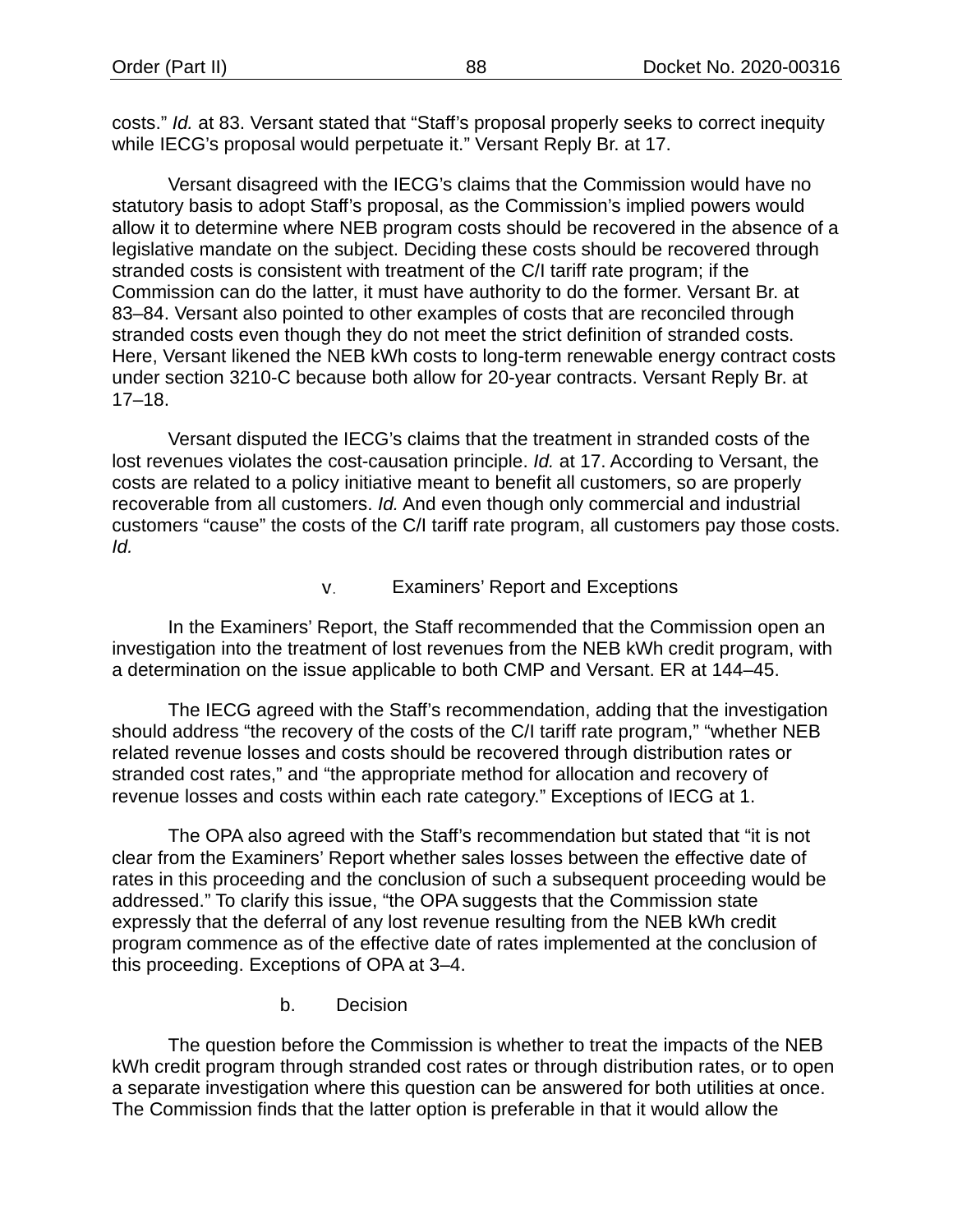costs." *Id.* at 83. Versant stated that "Staff's proposal properly seeks to correct inequity while IECG's proposal would perpetuate it." Versant Reply Br. at 17.

Versant disagreed with the IECG's claims that the Commission would have no statutory basis to adopt Staff's proposal, as the Commission's implied powers would allow it to determine where NEB program costs should be recovered in the absence of a legislative mandate on the subject. Deciding these costs should be recovered through stranded costs is consistent with treatment of the C/I tariff rate program; if the Commission can do the latter, it must have authority to do the former. Versant Br. at 83–84. Versant also pointed to other examples of costs that are reconciled through stranded costs even though they do not meet the strict definition of stranded costs. Here, Versant likened the NEB kWh costs to long-term renewable energy contract costs under section 3210-C because both allow for 20-year contracts. Versant Reply Br. at 17–18.

Versant disputed the IECG's claims that the treatment in stranded costs of the lost revenues violates the cost-causation principle. *Id.* at 17. According to Versant, the costs are related to a policy initiative meant to benefit all customers, so are properly recoverable from all customers. *Id.* And even though only commercial and industrial customers "cause" the costs of the C/I tariff rate program, all customers pay those costs. *Id.*

#### v. Examiners' Report and Exceptions

<span id="page-90-0"></span>In the Examiners' Report, the Staff recommended that the Commission open an investigation into the treatment of lost revenues from the NEB kWh credit program, with a determination on the issue applicable to both CMP and Versant. ER at 144–45.

The IECG agreed with the Staff's recommendation, adding that the investigation should address "the recovery of the costs of the C/I tariff rate program," "whether NEB related revenue losses and costs should be recovered through distribution rates or stranded cost rates," and "the appropriate method for allocation and recovery of revenue losses and costs within each rate category." Exceptions of IECG at 1.

The OPA also agreed with the Staff's recommendation but stated that "it is not clear from the Examiners' Report whether sales losses between the effective date of rates in this proceeding and the conclusion of such a subsequent proceeding would be addressed." To clarify this issue, "the OPA suggests that the Commission state expressly that the deferral of any lost revenue resulting from the NEB kWh credit program commence as of the effective date of rates implemented at the conclusion of this proceeding. Exceptions of OPA at 3–4.

b. Decision

The question before the Commission is whether to treat the impacts of the NEB kWh credit program through stranded cost rates or through distribution rates, or to open a separate investigation where this question can be answered for both utilities at once. The Commission finds that the latter option is preferable in that it would allow the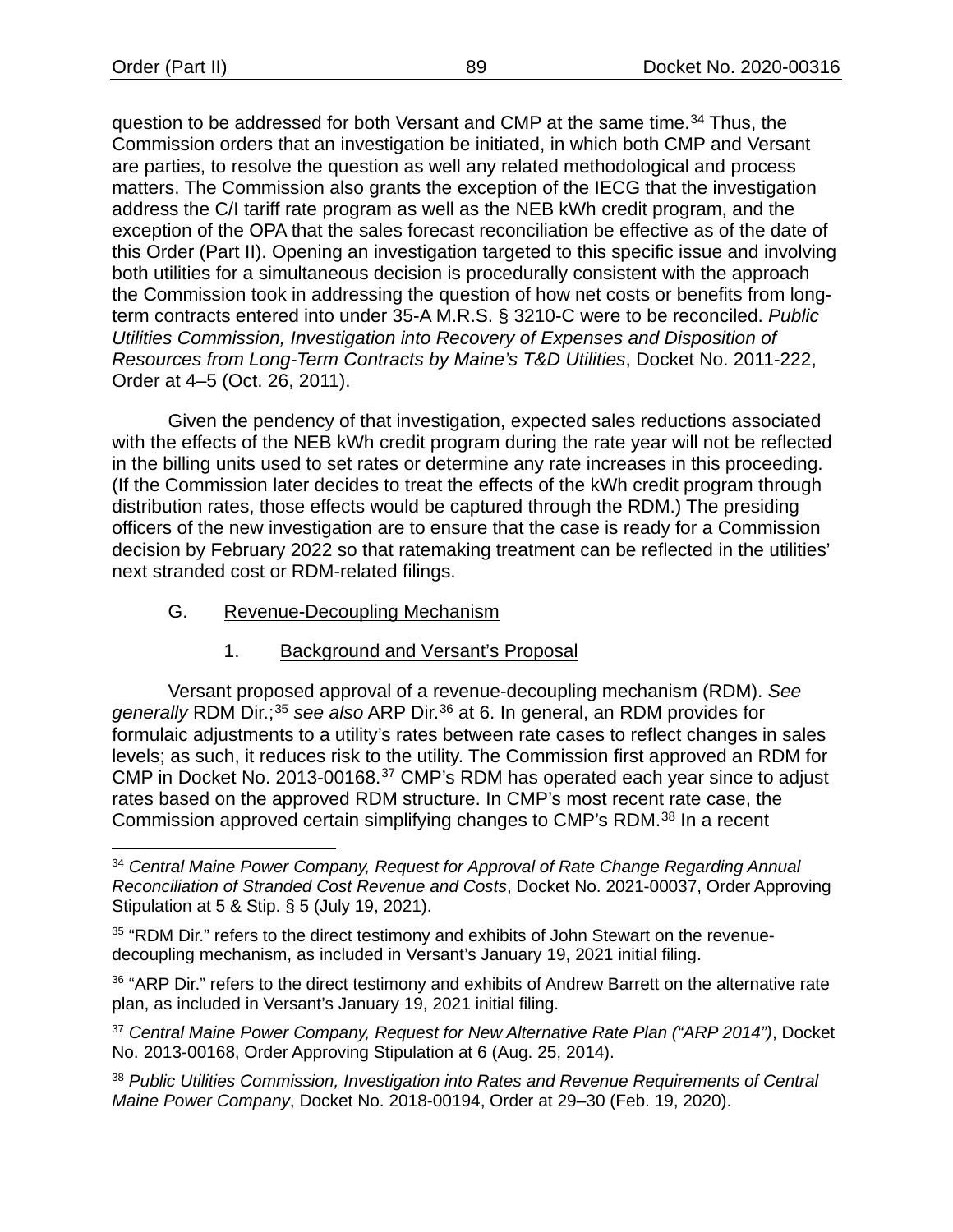question to be addressed for both Versant and CMP at the same time.<sup>[34](#page-91-0)</sup> Thus, the Commission orders that an investigation be initiated, in which both CMP and Versant are parties, to resolve the question as well any related methodological and process matters. The Commission also grants the exception of the IECG that the investigation address the C/I tariff rate program as well as the NEB kWh credit program, and the exception of the OPA that the sales forecast reconciliation be effective as of the date of this Order (Part II). Opening an investigation targeted to this specific issue and involving both utilities for a simultaneous decision is procedurally consistent with the approach the Commission took in addressing the question of how net costs or benefits from longterm contracts entered into under 35-A M.R.S. § 3210-C were to be reconciled. *Public Utilities Commission, Investigation into Recovery of Expenses and Disposition of Resources from Long-Term Contracts by Maine's T&D Utilities*, Docket No. 2011-222, Order at 4–5 (Oct. 26, 2011).

Given the pendency of that investigation, expected sales reductions associated with the effects of the NEB kWh credit program during the rate year will not be reflected in the billing units used to set rates or determine any rate increases in this proceeding. (If the Commission later decides to treat the effects of the kWh credit program through distribution rates, those effects would be captured through the RDM.) The presiding officers of the new investigation are to ensure that the case is ready for a Commission decision by February 2022 so that ratemaking treatment can be reflected in the utilities' next stranded cost or RDM-related filings.

<span id="page-91-5"></span>G. Revenue-Decoupling Mechanism

# 1. Background and Versant's Proposal

Versant proposed approval of a revenue-decoupling mechanism (RDM). *See generally* RDM Dir.;[35](#page-91-1) *see also* ARP Dir[.36](#page-91-2) at 6. In general, an RDM provides for formulaic adjustments to a utility's rates between rate cases to reflect changes in sales levels; as such, it reduces risk to the utility. The Commission first approved an RDM for CMP in Docket No. 2013-00168.[37](#page-91-3) CMP's RDM has operated each year since to adjust rates based on the approved RDM structure. In CMP's most recent rate case, the Commission approved certain simplifying changes to CMP's RDM.<sup>[38](#page-91-4)</sup> In a recent

<span id="page-91-3"></span><sup>37</sup> *Central Maine Power Company, Request for New Alternative Rate Plan ("ARP 2014")*, Docket No. 2013-00168, Order Approving Stipulation at 6 (Aug. 25, 2014).

<span id="page-91-4"></span><sup>38</sup> *Public Utilities Commission, Investigation into Rates and Revenue Requirements of Central Maine Power Company*, Docket No. 2018-00194, Order at 29–30 (Feb. 19, 2020).

<span id="page-91-0"></span><sup>34</sup> *Central Maine Power Company, Request for Approval of Rate Change Regarding Annual Reconciliation of Stranded Cost Revenue and Costs*, Docket No. 2021-00037, Order Approving Stipulation at 5 & Stip. § 5 (July 19, 2021).

<span id="page-91-1"></span><sup>&</sup>lt;sup>35</sup> "RDM Dir." refers to the direct testimony and exhibits of John Stewart on the revenuedecoupling mechanism, as included in Versant's January 19, 2021 initial filing.

<span id="page-91-2"></span><sup>36 &</sup>quot;ARP Dir." refers to the direct testimony and exhibits of Andrew Barrett on the alternative rate plan, as included in Versant's January 19, 2021 initial filing.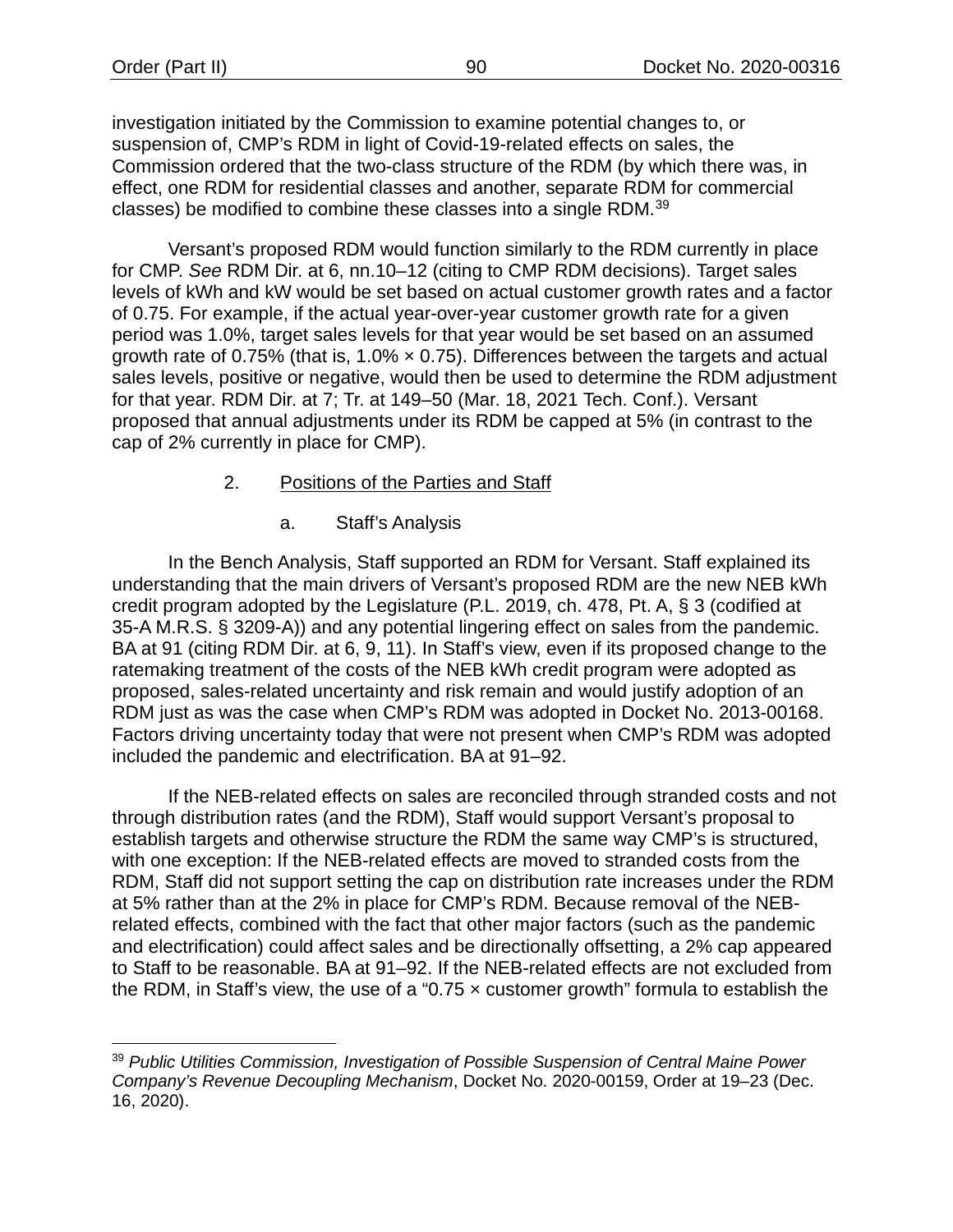investigation initiated by the Commission to examine potential changes to, or suspension of, CMP's RDM in light of Covid-19-related effects on sales, the Commission ordered that the two-class structure of the RDM (by which there was, in effect, one RDM for residential classes and another, separate RDM for commercial classes) be modified to combine these classes into a single RDM.[39](#page-92-0)

Versant's proposed RDM would function similarly to the RDM currently in place for CMP. *See* RDM Dir. at 6, nn.10–12 (citing to CMP RDM decisions). Target sales levels of kWh and kW would be set based on actual customer growth rates and a factor of 0.75. For example, if the actual year-over-year customer growth rate for a given period was 1.0%, target sales levels for that year would be set based on an assumed growth rate of 0.75% (that is, 1.0%  $\times$  0.75). Differences between the targets and actual sales levels, positive or negative, would then be used to determine the RDM adjustment for that year. RDM Dir. at 7; Tr. at 149–50 (Mar. 18, 2021 Tech. Conf.). Versant proposed that annual adjustments under its RDM be capped at 5% (in contrast to the cap of 2% currently in place for CMP).

# 2. Positions of the Parties and Staff

a. Staff's Analysis

In the Bench Analysis, Staff supported an RDM for Versant. Staff explained its understanding that the main drivers of Versant's proposed RDM are the new NEB kWh credit program adopted by the Legislature (P.L. 2019, ch. 478, Pt. A, § 3 (codified at 35-A M.R.S. § 3209-A)) and any potential lingering effect on sales from the pandemic. BA at 91 (citing RDM Dir. at 6, 9, 11). In Staff's view, even if its proposed change to the ratemaking treatment of the costs of the NEB kWh credit program were adopted as proposed, sales-related uncertainty and risk remain and would justify adoption of an RDM just as was the case when CMP's RDM was adopted in Docket No. 2013-00168. Factors driving uncertainty today that were not present when CMP's RDM was adopted included the pandemic and electrification. BA at 91–92.

If the NEB-related effects on sales are reconciled through stranded costs and not through distribution rates (and the RDM), Staff would support Versant's proposal to establish targets and otherwise structure the RDM the same way CMP's is structured, with one exception: If the NEB-related effects are moved to stranded costs from the RDM, Staff did not support setting the cap on distribution rate increases under the RDM at 5% rather than at the 2% in place for CMP's RDM. Because removal of the NEBrelated effects, combined with the fact that other major factors (such as the pandemic and electrification) could affect sales and be directionally offsetting, a 2% cap appeared to Staff to be reasonable. BA at 91–92. If the NEB-related effects are not excluded from the RDM, in Staff's view, the use of a "0.75  $\times$  customer growth" formula to establish the

<span id="page-92-0"></span><sup>39</sup> *Public Utilities Commission, Investigation of Possible Suspension of Central Maine Power Company's Revenue Decoupling Mechanism*, Docket No. 2020-00159, Order at 19–23 (Dec. 16, 2020).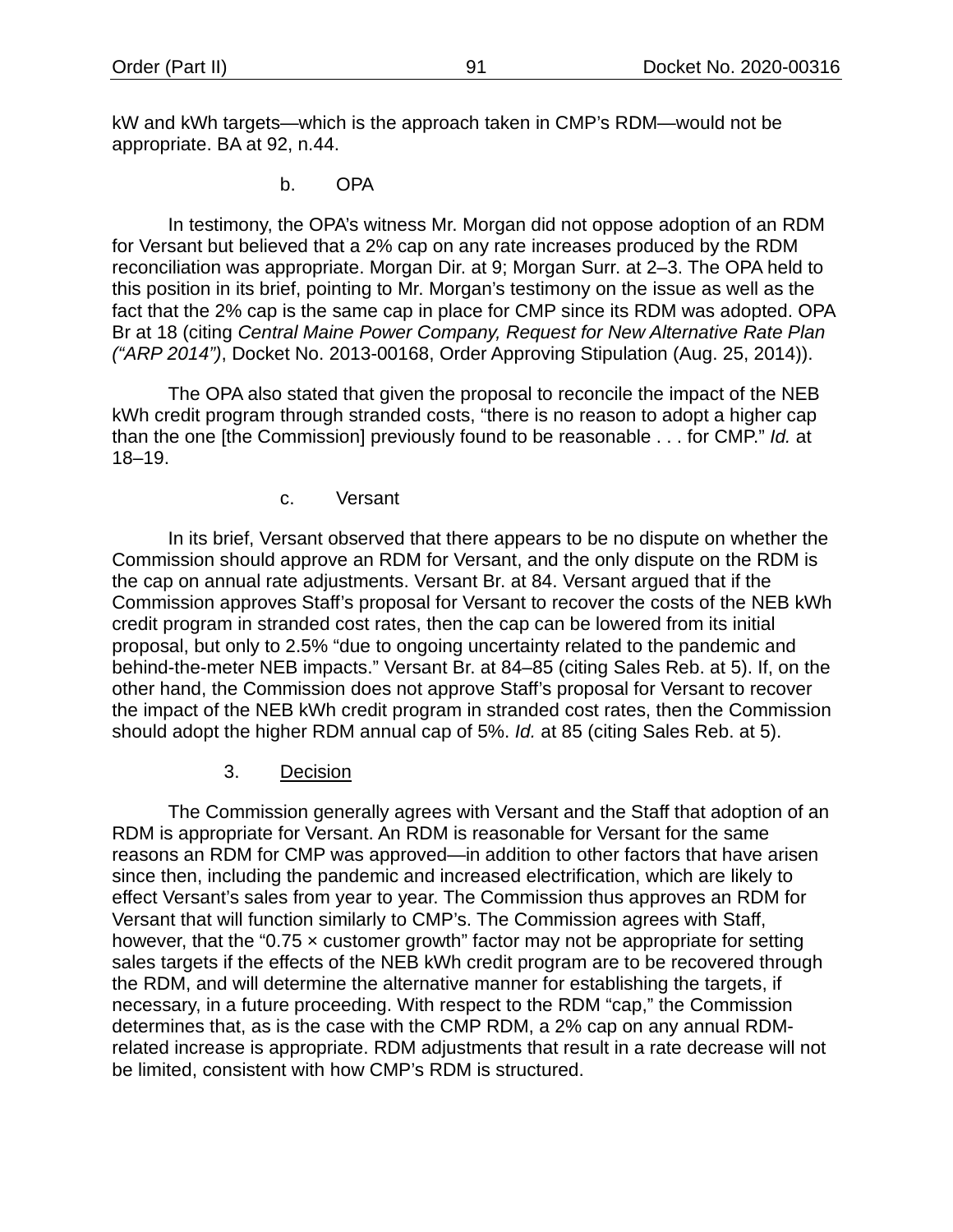kW and kWh targets—which is the approach taken in CMP's RDM—would not be appropriate. BA at 92, n.44.

b. OPA

In testimony, the OPA's witness Mr. Morgan did not oppose adoption of an RDM for Versant but believed that a 2% cap on any rate increases produced by the RDM reconciliation was appropriate. Morgan Dir. at 9; Morgan Surr. at 2–3. The OPA held to this position in its brief, pointing to Mr. Morgan's testimony on the issue as well as the fact that the 2% cap is the same cap in place for CMP since its RDM was adopted. OPA Br at 18 (citing *Central Maine Power Company, Request for New Alternative Rate Plan ("ARP 2014")*, Docket No. 2013-00168, Order Approving Stipulation (Aug. 25, 2014)).

The OPA also stated that given the proposal to reconcile the impact of the NEB kWh credit program through stranded costs, "there is no reason to adopt a higher cap than the one [the Commission] previously found to be reasonable . . . for CMP." *Id.* at 18–19.

#### c. Versant

In its brief, Versant observed that there appears to be no dispute on whether the Commission should approve an RDM for Versant, and the only dispute on the RDM is the cap on annual rate adjustments. Versant Br. at 84. Versant argued that if the Commission approves Staff's proposal for Versant to recover the costs of the NEB kWh credit program in stranded cost rates, then the cap can be lowered from its initial proposal, but only to 2.5% "due to ongoing uncertainty related to the pandemic and behind-the-meter NEB impacts." Versant Br. at 84–85 (citing Sales Reb. at 5). If, on the other hand, the Commission does not approve Staff's proposal for Versant to recover the impact of the NEB kWh credit program in stranded cost rates, then the Commission should adopt the higher RDM annual cap of 5%. *Id.* at 85 (citing Sales Reb. at 5).

## 3. Decision

<span id="page-93-0"></span>The Commission generally agrees with Versant and the Staff that adoption of an RDM is appropriate for Versant. An RDM is reasonable for Versant for the same reasons an RDM for CMP was approved—in addition to other factors that have arisen since then, including the pandemic and increased electrification, which are likely to effect Versant's sales from year to year. The Commission thus approves an RDM for Versant that will function similarly to CMP's. The Commission agrees with Staff, however, that the "0.75  $\times$  customer growth" factor may not be appropriate for setting sales targets if the effects of the NEB kWh credit program are to be recovered through the RDM, and will determine the alternative manner for establishing the targets, if necessary, in a future proceeding. With respect to the RDM "cap," the Commission determines that, as is the case with the CMP RDM, a 2% cap on any annual RDMrelated increase is appropriate. RDM adjustments that result in a rate decrease will not be limited, consistent with how CMP's RDM is structured.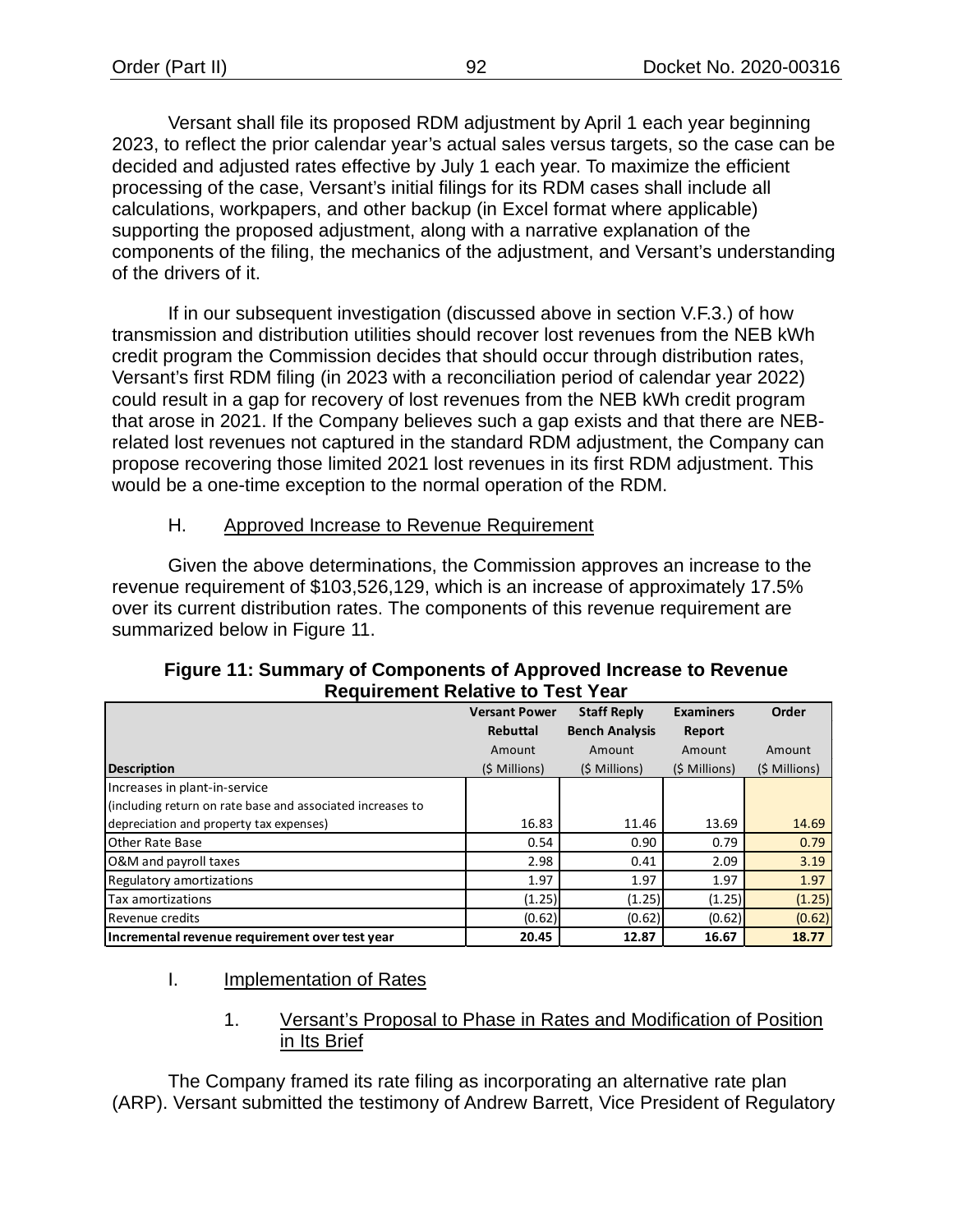Versant shall file its proposed RDM adjustment by April 1 each year beginning 2023, to reflect the prior calendar year's actual sales versus targets, so the case can be decided and adjusted rates effective by July 1 each year. To maximize the efficient processing of the case, Versant's initial filings for its RDM cases shall include all calculations, workpapers, and other backup (in Excel format where applicable) supporting the proposed adjustment, along with a narrative explanation of the components of the filing, the mechanics of the adjustment, and Versant's understanding of the drivers of it.

If in our subsequent investigation (discussed above in section V.F.3.) of how transmission and distribution utilities should recover lost revenues from the NEB kWh credit program the Commission decides that should occur through distribution rates, Versant's first RDM filing (in 2023 with a reconciliation period of calendar year 2022) could result in a gap for recovery of lost revenues from the NEB kWh credit program that arose in 2021. If the Company believes such a gap exists and that there are NEBrelated lost revenues not captured in the standard RDM adjustment, the Company can propose recovering those limited 2021 lost revenues in its first RDM adjustment. This would be a one-time exception to the normal operation of the RDM.

# H. Approved Increase to Revenue Requirement

Given the above determinations, the Commission approves an increase to the revenue requirement of \$103,526,129, which is an increase of approximately 17.5% over its current distribution rates. The components of this revenue requirement are summarized below in [Figure 11.](#page-94-0)

<span id="page-94-0"></span>

| Requirement Relative to Test Year                          |                      |                       |                  |               |
|------------------------------------------------------------|----------------------|-----------------------|------------------|---------------|
|                                                            | <b>Versant Power</b> | <b>Staff Reply</b>    | <b>Examiners</b> | Order         |
|                                                            | <b>Rebuttal</b>      | <b>Bench Analysis</b> | Report           |               |
|                                                            | Amount               | Amount                | Amount           | Amount        |
| <b>Description</b>                                         | (\$ Millions)        | (\$ Millions)         | (\$ Millions)    | (\$ Millions) |
| Increases in plant-in-service                              |                      |                       |                  |               |
| (including return on rate base and associated increases to |                      |                       |                  |               |
| depreciation and property tax expenses)                    | 16.83                | 11.46                 | 13.69            | 14.69         |
| Other Rate Base                                            | 0.54                 | 0.90                  | 0.79             | 0.79          |
| O&M and payroll taxes                                      | 2.98                 | 0.41                  | 2.09             | 3.19          |
| Regulatory amortizations                                   | 1.97                 | 1.97                  | 1.97             | 1.97          |
| Tax amortizations                                          | (1.25)               | (1.25)                | (1.25)           | (1.25)        |
| Revenue credits                                            | (0.62)               | (0.62)                | (0.62)           | (0.62)        |
| Incremental revenue requirement over test year             | 20.45                | 12.87                 | 16.67            | 18.77         |

## **Figure 11: Summary of Components of Approved Increase to Revenue Requirement Relative to Test Year**

#### I. Implementation of Rates

# 1. Versant's Proposal to Phase in Rates and Modification of Position in Its Brief

The Company framed its rate filing as incorporating an alternative rate plan (ARP). Versant submitted the testimony of Andrew Barrett, Vice President of Regulatory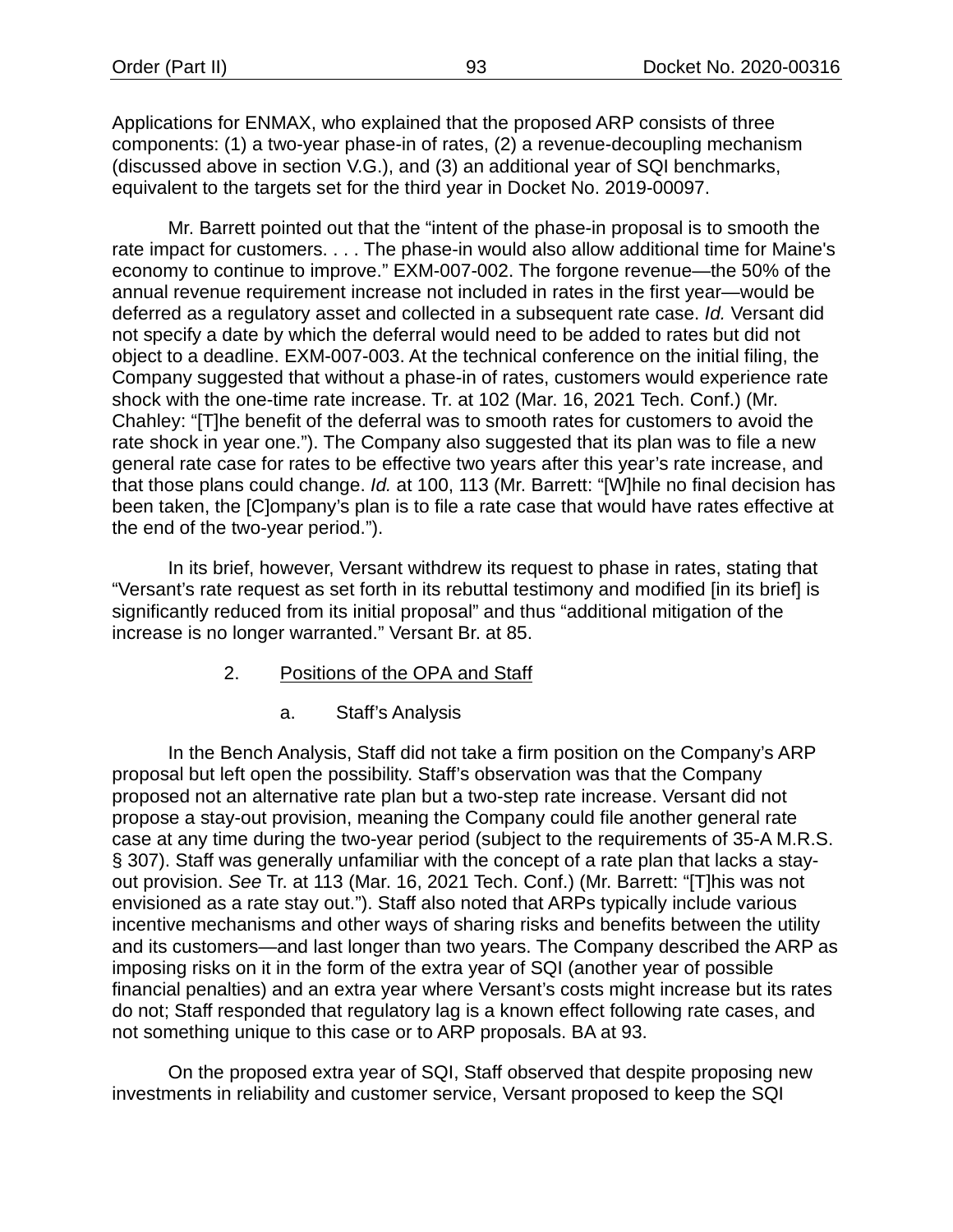Applications for ENMAX, who explained that the proposed ARP consists of three components: (1) a two-year phase-in of rates, (2) a revenue-decoupling mechanism (discussed above in section [V.](#page-13-0)[G.](#page-91-5)), and (3) an additional year of SQI benchmarks, equivalent to the targets set for the third year in Docket No. 2019-00097.

Mr. Barrett pointed out that the "intent of the phase-in proposal is to smooth the rate impact for customers. . . . The phase-in would also allow additional time for Maine's economy to continue to improve." EXM-007-002. The forgone revenue—the 50% of the annual revenue requirement increase not included in rates in the first year—would be deferred as a regulatory asset and collected in a subsequent rate case. *Id.* Versant did not specify a date by which the deferral would need to be added to rates but did not object to a deadline. EXM-007-003. At the technical conference on the initial filing, the Company suggested that without a phase-in of rates, customers would experience rate shock with the one-time rate increase. Tr. at 102 (Mar. 16, 2021 Tech. Conf.) (Mr. Chahley: "[T]he benefit of the deferral was to smooth rates for customers to avoid the rate shock in year one."). The Company also suggested that its plan was to file a new general rate case for rates to be effective two years after this year's rate increase, and that those plans could change. *Id.* at 100, 113 (Mr. Barrett: "[W]hile no final decision has been taken, the [C]ompany's plan is to file a rate case that would have rates effective at the end of the two-year period.").

In its brief, however, Versant withdrew its request to phase in rates, stating that "Versant's rate request as set forth in its rebuttal testimony and modified [in its brief] is significantly reduced from its initial proposal" and thus "additional mitigation of the increase is no longer warranted." Versant Br. at 85.

- 2. Positions of the OPA and Staff
	- a. Staff's Analysis

In the Bench Analysis, Staff did not take a firm position on the Company's ARP proposal but left open the possibility. Staff's observation was that the Company proposed not an alternative rate plan but a two-step rate increase. Versant did not propose a stay-out provision, meaning the Company could file another general rate case at any time during the two-year period (subject to the requirements of 35-A M.R.S. § 307). Staff was generally unfamiliar with the concept of a rate plan that lacks a stayout provision. *See* Tr. at 113 (Mar. 16, 2021 Tech. Conf.) (Mr. Barrett: "[T]his was not envisioned as a rate stay out."). Staff also noted that ARPs typically include various incentive mechanisms and other ways of sharing risks and benefits between the utility and its customers—and last longer than two years. The Company described the ARP as imposing risks on it in the form of the extra year of SQI (another year of possible financial penalties) and an extra year where Versant's costs might increase but its rates do not; Staff responded that regulatory lag is a known effect following rate cases, and not something unique to this case or to ARP proposals. BA at 93.

On the proposed extra year of SQI, Staff observed that despite proposing new investments in reliability and customer service, Versant proposed to keep the SQI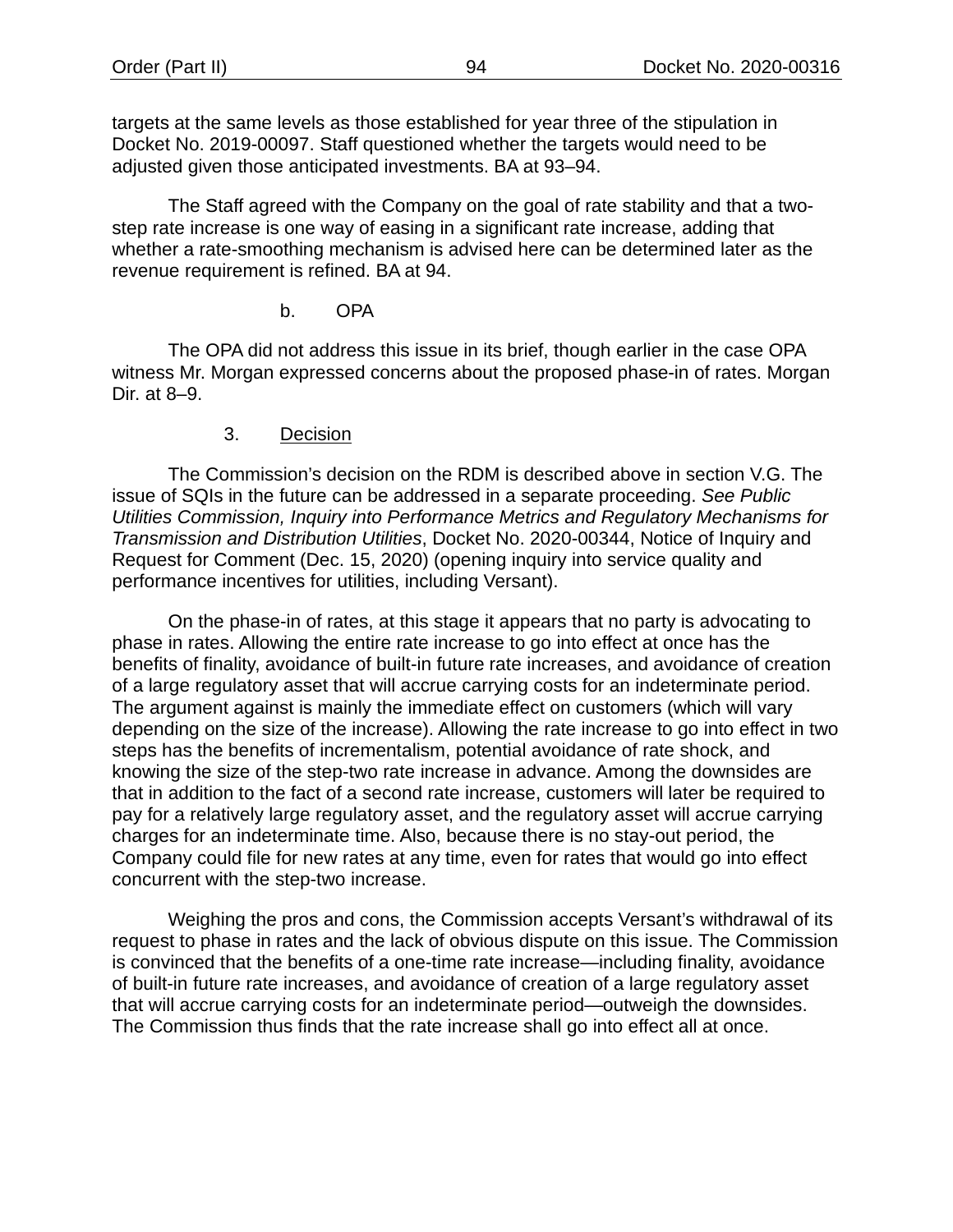targets at the same levels as those established for year three of the stipulation in Docket No. 2019-00097. Staff questioned whether the targets would need to be adjusted given those anticipated investments. BA at 93–94.

The Staff agreed with the Company on the goal of rate stability and that a twostep rate increase is one way of easing in a significant rate increase, adding that whether a rate-smoothing mechanism is advised here can be determined later as the revenue requirement is refined. BA at 94.

# b. OPA

The OPA did not address this issue in its brief, though earlier in the case OPA witness Mr. Morgan expressed concerns about the proposed phase-in of rates. Morgan Dir. at 8–9.

# 3. Decision

The Commission's decision on the RDM is described above in section [V](#page-13-0)[.G.](#page-91-5) The issue of SQIs in the future can be addressed in a separate proceeding. *See Public Utilities Commission, Inquiry into Performance Metrics and Regulatory Mechanisms for Transmission and Distribution Utilities*, Docket No. 2020-00344, Notice of Inquiry and Request for Comment (Dec. 15, 2020) (opening inquiry into service quality and performance incentives for utilities, including Versant).

On the phase-in of rates, at this stage it appears that no party is advocating to phase in rates. Allowing the entire rate increase to go into effect at once has the benefits of finality, avoidance of built-in future rate increases, and avoidance of creation of a large regulatory asset that will accrue carrying costs for an indeterminate period. The argument against is mainly the immediate effect on customers (which will vary depending on the size of the increase). Allowing the rate increase to go into effect in two steps has the benefits of incrementalism, potential avoidance of rate shock, and knowing the size of the step-two rate increase in advance. Among the downsides are that in addition to the fact of a second rate increase, customers will later be required to pay for a relatively large regulatory asset, and the regulatory asset will accrue carrying charges for an indeterminate time. Also, because there is no stay-out period, the Company could file for new rates at any time, even for rates that would go into effect concurrent with the step-two increase.

Weighing the pros and cons, the Commission accepts Versant's withdrawal of its request to phase in rates and the lack of obvious dispute on this issue. The Commission is convinced that the benefits of a one-time rate increase—including finality, avoidance of built-in future rate increases, and avoidance of creation of a large regulatory asset that will accrue carrying costs for an indeterminate period—outweigh the downsides. The Commission thus finds that the rate increase shall go into effect all at once.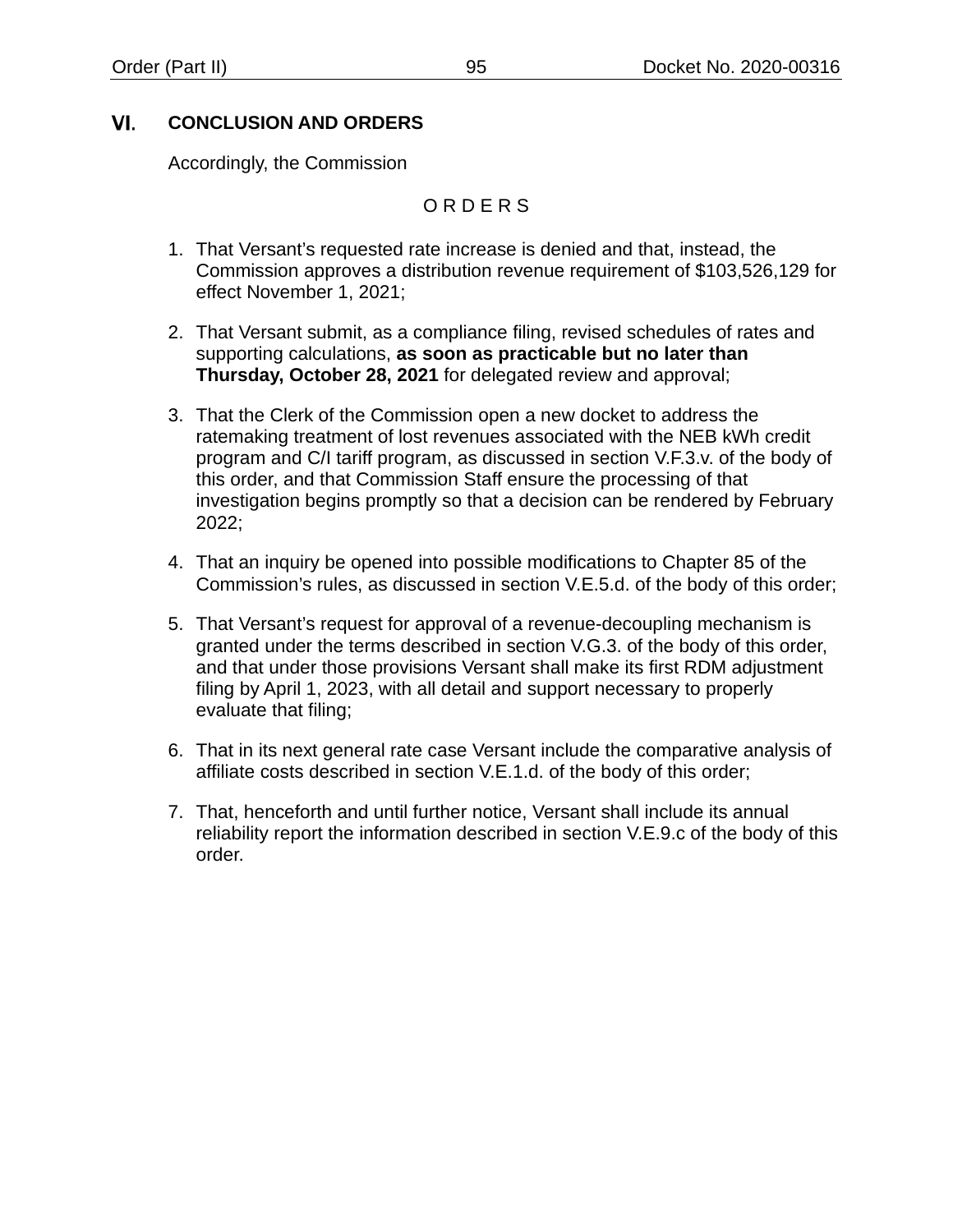#### VI. **CONCLUSION AND ORDERS**

Accordingly, the Commission

# O R D E R S

- 1. That Versant's requested rate increase is denied and that, instead, the Commission approves a distribution revenue requirement of \$103,526,129 for effect November 1, 2021;
- 2. That Versant submit, as a compliance filing, revised schedules of rates and supporting calculations, **as soon as practicable but no later than Thursday, October 28, 2021** for delegated review and approval;
- 3. That the Clerk of the Commission open a new docket to address the ratemaking treatment of lost revenues associated with the NEB kWh credit program and C/I tariff program, as discussed in section [V.](#page-13-0)[F.3](#page-85-2)[.v.](#page-90-0) of the body of this order, and that Commission Staff ensure the processing of that investigation begins promptly so that a decision can be rendered by February 2022;
- 4. That an inquiry be opened into possible modifications to Chapter 85 of the Commission's rules, as discussed in section V.E.5.d. of the body of this order;
- 5. That Versant's request for approval of a revenue-decoupling mechanism is granted under the terms described in section [V.](#page-13-0)[G.3.](#page-93-0) of the body of this order, and that under those provisions Versant shall make its first RDM adjustment filing by April 1, 2023, with all detail and support necessary to properly evaluate that filing;
- 6. That in its next general rate case Versant include the comparative analysis of affiliate costs described in section [V](#page-13-0)[.E.1](#page-51-1)[.d.](#page-55-0) of the body of this order;
- 7. That, henceforth and until further notice, Versant shall include its annual reliability report the information described in section [V.](#page-13-0)[E.9](#page-78-1)[.c](#page-79-1) of the body of this order.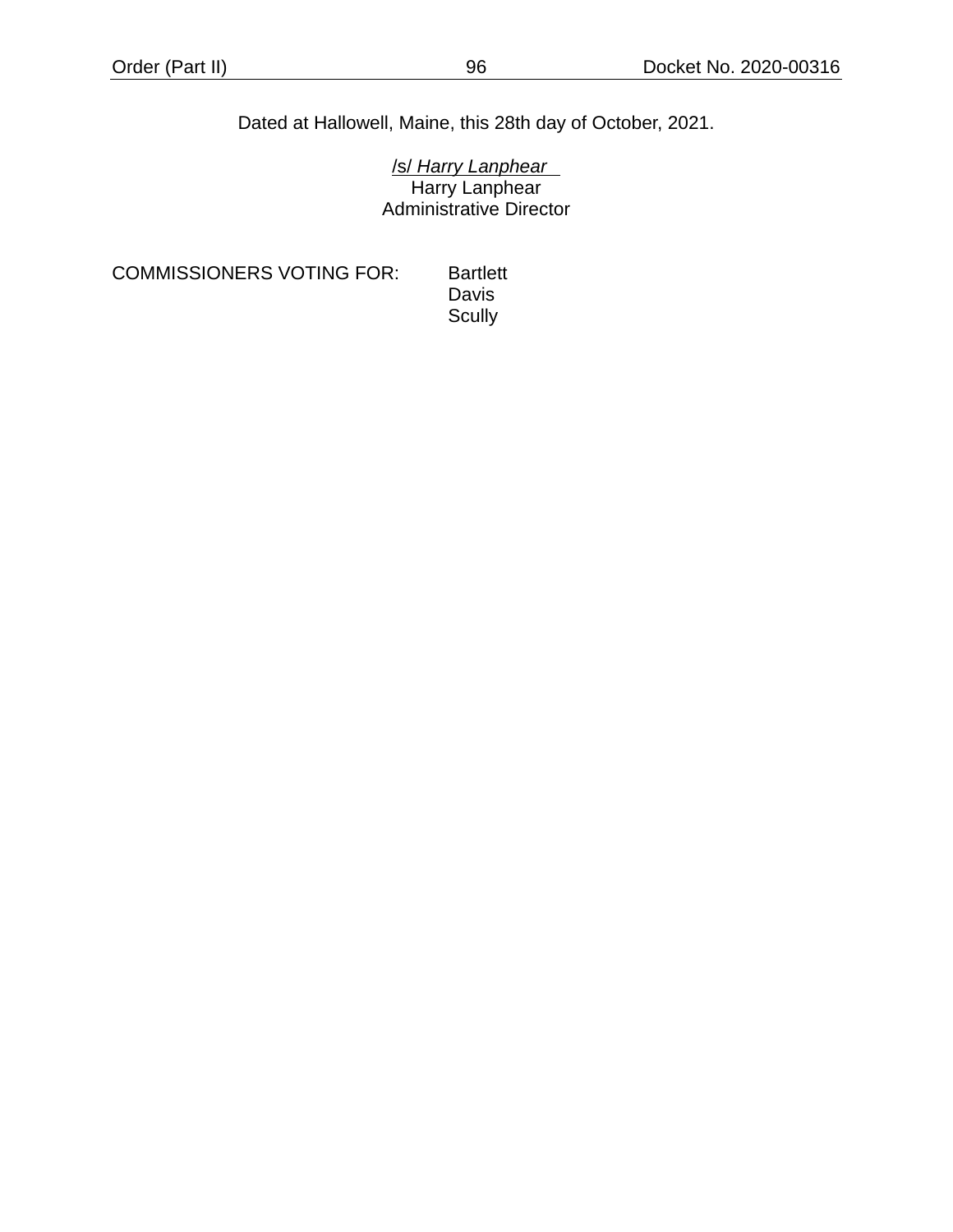# Dated at Hallowell, Maine, this 28th day of October, 2021.

/s/ *Harry Lanphear* Harry Lanphear Administrative Director

COMMISSIONERS VOTING FOR: Bartlett

Davis **Scully**